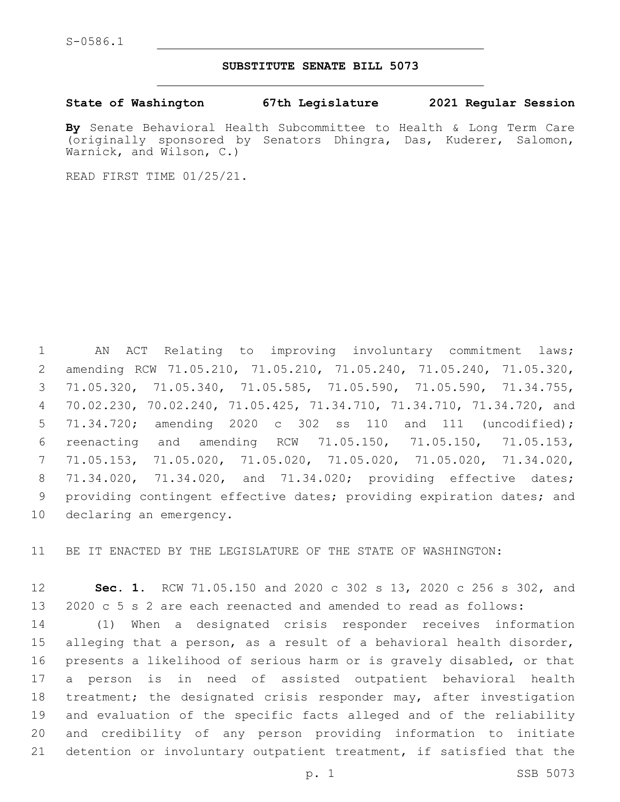## **SUBSTITUTE SENATE BILL 5073**

**State of Washington 67th Legislature 2021 Regular Session**

**By** Senate Behavioral Health Subcommittee to Health & Long Term Care (originally sponsored by Senators Dhingra, Das, Kuderer, Salomon, Warnick, and Wilson, C.)

READ FIRST TIME 01/25/21.

 AN ACT Relating to improving involuntary commitment laws; amending RCW 71.05.210, 71.05.210, 71.05.240, 71.05.240, 71.05.320, 71.05.320, 71.05.340, 71.05.585, 71.05.590, 71.05.590, 71.34.755, 70.02.230, 70.02.240, 71.05.425, 71.34.710, 71.34.710, 71.34.720, and 71.34.720; amending 2020 c 302 ss 110 and 111 (uncodified); reenacting and amending RCW 71.05.150, 71.05.150, 71.05.153, 71.05.153, 71.05.020, 71.05.020, 71.05.020, 71.05.020, 71.34.020, 71.34.020, 71.34.020, and 71.34.020; providing effective dates; providing contingent effective dates; providing expiration dates; and 10 declaring an emergency.

BE IT ENACTED BY THE LEGISLATURE OF THE STATE OF WASHINGTON:

 **Sec. 1.** RCW 71.05.150 and 2020 c 302 s 13, 2020 c 256 s 302, and 2020 c 5 s 2 are each reenacted and amended to read as follows:

 (1) When a designated crisis responder receives information alleging that a person, as a result of a behavioral health disorder, presents a likelihood of serious harm or is gravely disabled, or that a person is in need of assisted outpatient behavioral health treatment; the designated crisis responder may, after investigation and evaluation of the specific facts alleged and of the reliability and credibility of any person providing information to initiate detention or involuntary outpatient treatment, if satisfied that the

p. 1 SSB 5073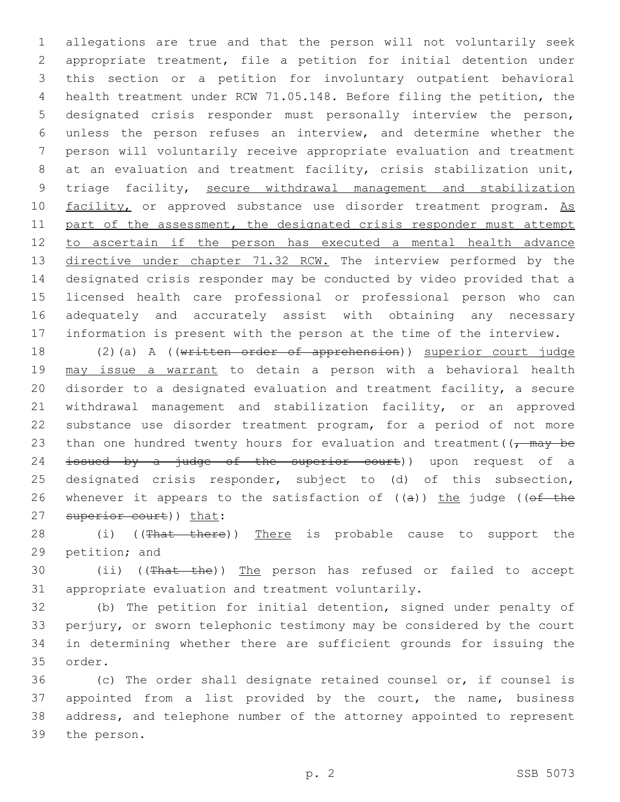allegations are true and that the person will not voluntarily seek appropriate treatment, file a petition for initial detention under this section or a petition for involuntary outpatient behavioral health treatment under RCW 71.05.148. Before filing the petition, the designated crisis responder must personally interview the person, unless the person refuses an interview, and determine whether the person will voluntarily receive appropriate evaluation and treatment 8 at an evaluation and treatment facility, crisis stabilization unit, triage facility, secure withdrawal management and stabilization 10 facility, or approved substance use disorder treatment program. As 11 part of the assessment, the designated crisis responder must attempt to ascertain if the person has executed a mental health advance 13 directive under chapter 71.32 RCW. The interview performed by the designated crisis responder may be conducted by video provided that a licensed health care professional or professional person who can adequately and accurately assist with obtaining any necessary information is present with the person at the time of the interview.

18 (2)(a) A ((written order of apprehension)) superior court judge 19 may issue a warrant to detain a person with a behavioral health 20 disorder to a designated evaluation and treatment facility, a secure 21 withdrawal management and stabilization facility, or an approved 22 substance use disorder treatment program, for a period of not more 23 than one hundred twenty hours for evaluation and treatment( $\sqrt{m}$  +  $\sqrt{m}$ 24 <del>issued by a judge of the superior court</del>)) upon request of a 25 designated crisis responder, subject to (d) of this subsection, 26 whenever it appears to the satisfaction of  $((a))$  the judge (( $ef$  the 27 superior court)) that:

28 (i) ((That there)) There is probable cause to support the 29 petition; and

30 (ii) ((That the)) The person has refused or failed to accept 31 appropriate evaluation and treatment voluntarily.

 (b) The petition for initial detention, signed under penalty of perjury, or sworn telephonic testimony may be considered by the court in determining whether there are sufficient grounds for issuing the 35 order.

 (c) The order shall designate retained counsel or, if counsel is appointed from a list provided by the court, the name, business address, and telephone number of the attorney appointed to represent 39 the person.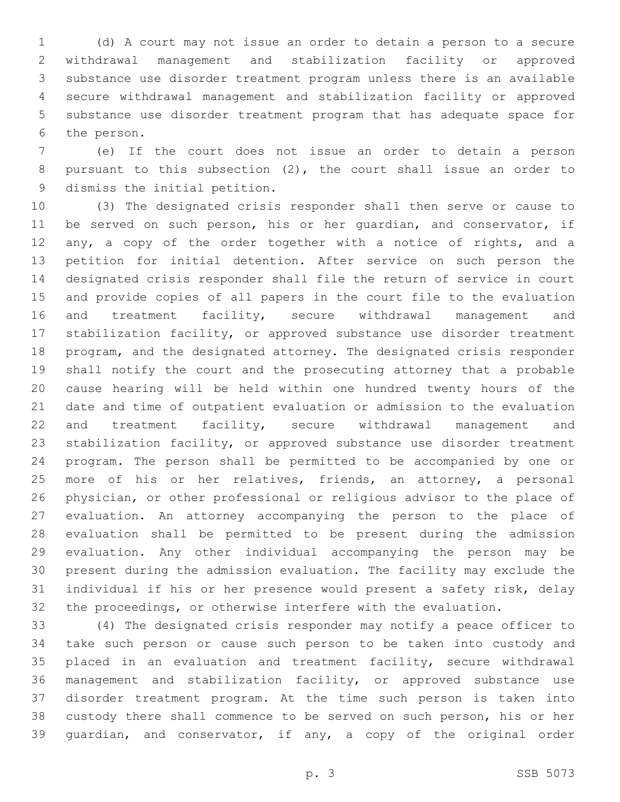(d) A court may not issue an order to detain a person to a secure withdrawal management and stabilization facility or approved substance use disorder treatment program unless there is an available secure withdrawal management and stabilization facility or approved substance use disorder treatment program that has adequate space for 6 the person.

 (e) If the court does not issue an order to detain a person pursuant to this subsection (2), the court shall issue an order to 9 dismiss the initial petition.

 (3) The designated crisis responder shall then serve or cause to be served on such person, his or her guardian, and conservator, if 12 any, a copy of the order together with a notice of rights, and a petition for initial detention. After service on such person the designated crisis responder shall file the return of service in court and provide copies of all papers in the court file to the evaluation 16 and treatment facility, secure withdrawal management and stabilization facility, or approved substance use disorder treatment program, and the designated attorney. The designated crisis responder shall notify the court and the prosecuting attorney that a probable cause hearing will be held within one hundred twenty hours of the date and time of outpatient evaluation or admission to the evaluation and treatment facility, secure withdrawal management and stabilization facility, or approved substance use disorder treatment program. The person shall be permitted to be accompanied by one or more of his or her relatives, friends, an attorney, a personal physician, or other professional or religious advisor to the place of evaluation. An attorney accompanying the person to the place of evaluation shall be permitted to be present during the admission evaluation. Any other individual accompanying the person may be present during the admission evaluation. The facility may exclude the individual if his or her presence would present a safety risk, delay the proceedings, or otherwise interfere with the evaluation.

 (4) The designated crisis responder may notify a peace officer to take such person or cause such person to be taken into custody and placed in an evaluation and treatment facility, secure withdrawal management and stabilization facility, or approved substance use disorder treatment program. At the time such person is taken into custody there shall commence to be served on such person, his or her guardian, and conservator, if any, a copy of the original order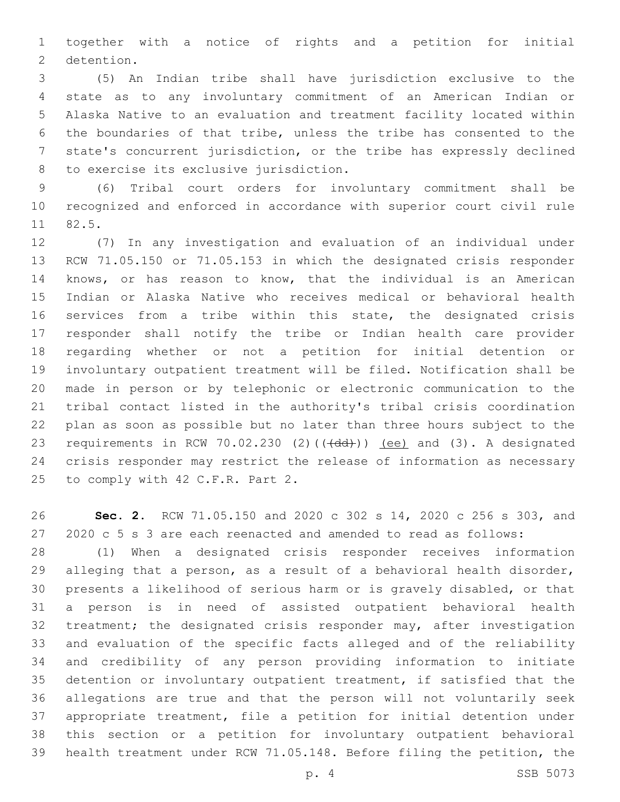together with a notice of rights and a petition for initial 2 detention.

 (5) An Indian tribe shall have jurisdiction exclusive to the state as to any involuntary commitment of an American Indian or Alaska Native to an evaluation and treatment facility located within the boundaries of that tribe, unless the tribe has consented to the state's concurrent jurisdiction, or the tribe has expressly declined 8 to exercise its exclusive jurisdiction.

 (6) Tribal court orders for involuntary commitment shall be recognized and enforced in accordance with superior court civil rule 11 82.5.

 (7) In any investigation and evaluation of an individual under RCW 71.05.150 or 71.05.153 in which the designated crisis responder knows, or has reason to know, that the individual is an American Indian or Alaska Native who receives medical or behavioral health services from a tribe within this state, the designated crisis responder shall notify the tribe or Indian health care provider regarding whether or not a petition for initial detention or involuntary outpatient treatment will be filed. Notification shall be made in person or by telephonic or electronic communication to the tribal contact listed in the authority's tribal crisis coordination plan as soon as possible but no later than three hours subject to the 23 requirements in RCW 70.02.230 (2)( $(\overrightarrow{dd})$ )) (ee) and (3). A designated crisis responder may restrict the release of information as necessary 25 to comply with 42 C.F.R. Part 2.

 **Sec. 2.** RCW 71.05.150 and 2020 c 302 s 14, 2020 c 256 s 303, and 2020 c 5 s 3 are each reenacted and amended to read as follows:

 (1) When a designated crisis responder receives information alleging that a person, as a result of a behavioral health disorder, presents a likelihood of serious harm or is gravely disabled, or that a person is in need of assisted outpatient behavioral health treatment; the designated crisis responder may, after investigation and evaluation of the specific facts alleged and of the reliability and credibility of any person providing information to initiate detention or involuntary outpatient treatment, if satisfied that the allegations are true and that the person will not voluntarily seek appropriate treatment, file a petition for initial detention under this section or a petition for involuntary outpatient behavioral health treatment under RCW 71.05.148. Before filing the petition, the

p. 4 SSB 5073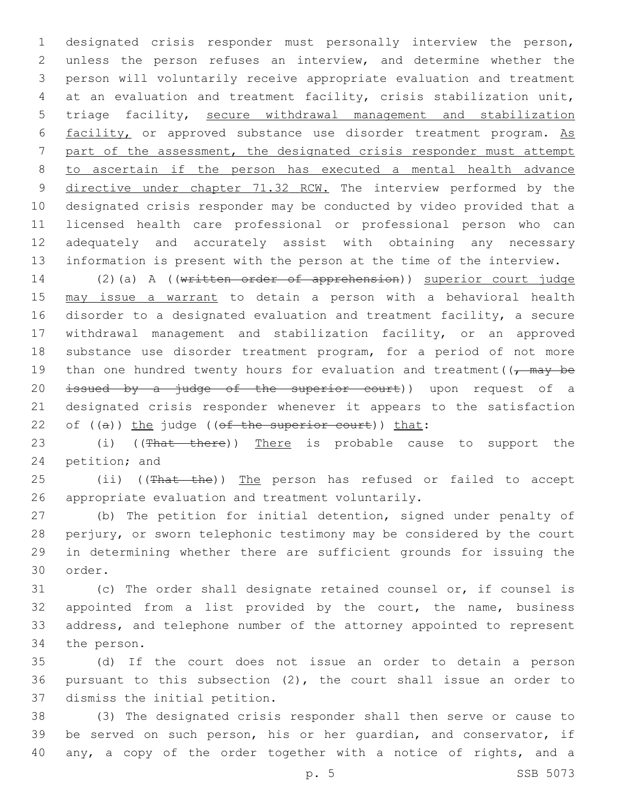designated crisis responder must personally interview the person, unless the person refuses an interview, and determine whether the person will voluntarily receive appropriate evaluation and treatment at an evaluation and treatment facility, crisis stabilization unit, triage facility, secure withdrawal management and stabilization 6 facility, or approved substance use disorder treatment program. As part of the assessment, the designated crisis responder must attempt to ascertain if the person has executed a mental health advance 9 directive under chapter 71.32 RCW. The interview performed by the designated crisis responder may be conducted by video provided that a licensed health care professional or professional person who can adequately and accurately assist with obtaining any necessary information is present with the person at the time of the interview.

 (2)(a) A ((written order of apprehension)) superior court judge may issue a warrant to detain a person with a behavioral health disorder to a designated evaluation and treatment facility, a secure withdrawal management and stabilization facility, or an approved substance use disorder treatment program, for a period of not more 19 than one hundred twenty hours for evaluation and treatment( $\sqrt{m}$  +  $\sqrt{m}$ 20 issued by a judge of the superior court)) upon request of a designated crisis responder whenever it appears to the satisfaction 22 of  $((a))$  the judge  $((of the superior court))$  that:

23 (i) ((That there)) There is probable cause to support the 24 petition; and

25 (ii) ((That the)) The person has refused or failed to accept 26 appropriate evaluation and treatment voluntarily.

 (b) The petition for initial detention, signed under penalty of perjury, or sworn telephonic testimony may be considered by the court in determining whether there are sufficient grounds for issuing the 30 order.

 (c) The order shall designate retained counsel or, if counsel is appointed from a list provided by the court, the name, business address, and telephone number of the attorney appointed to represent 34 the person.

 (d) If the court does not issue an order to detain a person pursuant to this subsection (2), the court shall issue an order to 37 dismiss the initial petition.

 (3) The designated crisis responder shall then serve or cause to be served on such person, his or her guardian, and conservator, if any, a copy of the order together with a notice of rights, and a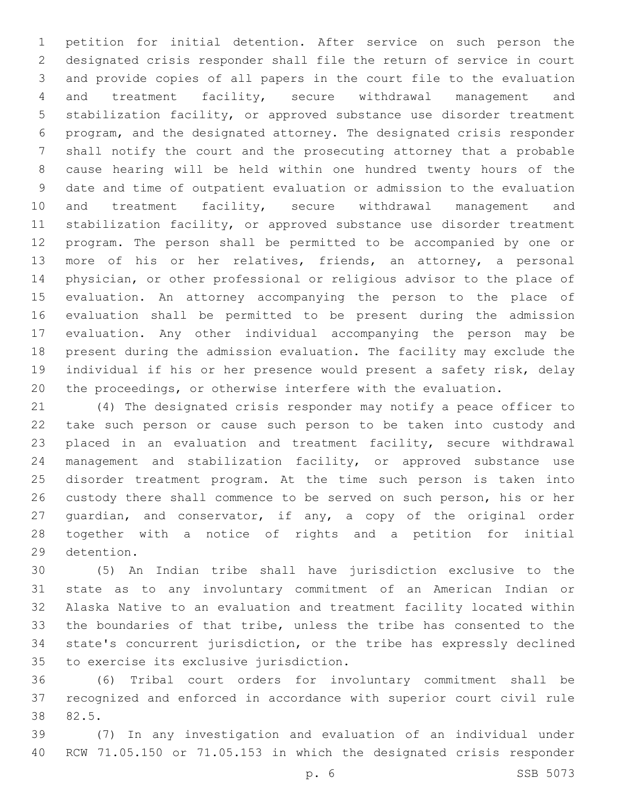petition for initial detention. After service on such person the designated crisis responder shall file the return of service in court and provide copies of all papers in the court file to the evaluation and treatment facility, secure withdrawal management and stabilization facility, or approved substance use disorder treatment program, and the designated attorney. The designated crisis responder shall notify the court and the prosecuting attorney that a probable cause hearing will be held within one hundred twenty hours of the date and time of outpatient evaluation or admission to the evaluation 10 and treatment facility, secure withdrawal management and stabilization facility, or approved substance use disorder treatment program. The person shall be permitted to be accompanied by one or more of his or her relatives, friends, an attorney, a personal physician, or other professional or religious advisor to the place of evaluation. An attorney accompanying the person to the place of evaluation shall be permitted to be present during the admission evaluation. Any other individual accompanying the person may be present during the admission evaluation. The facility may exclude the individual if his or her presence would present a safety risk, delay the proceedings, or otherwise interfere with the evaluation.

 (4) The designated crisis responder may notify a peace officer to take such person or cause such person to be taken into custody and placed in an evaluation and treatment facility, secure withdrawal management and stabilization facility, or approved substance use disorder treatment program. At the time such person is taken into custody there shall commence to be served on such person, his or her guardian, and conservator, if any, a copy of the original order together with a notice of rights and a petition for initial 29 detention.

 (5) An Indian tribe shall have jurisdiction exclusive to the state as to any involuntary commitment of an American Indian or Alaska Native to an evaluation and treatment facility located within the boundaries of that tribe, unless the tribe has consented to the state's concurrent jurisdiction, or the tribe has expressly declined 35 to exercise its exclusive jurisdiction.

 (6) Tribal court orders for involuntary commitment shall be recognized and enforced in accordance with superior court civil rule 82.5.38

 (7) In any investigation and evaluation of an individual under RCW 71.05.150 or 71.05.153 in which the designated crisis responder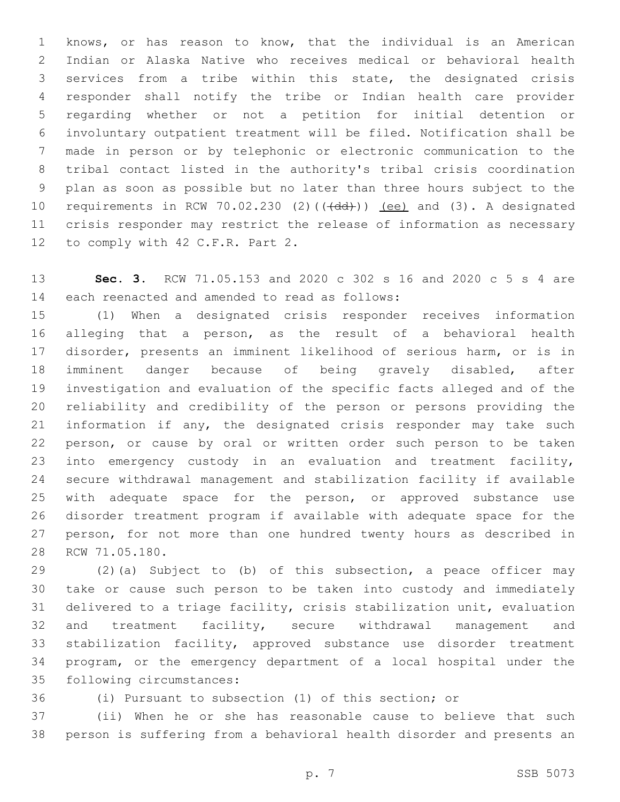knows, or has reason to know, that the individual is an American Indian or Alaska Native who receives medical or behavioral health services from a tribe within this state, the designated crisis responder shall notify the tribe or Indian health care provider regarding whether or not a petition for initial detention or involuntary outpatient treatment will be filed. Notification shall be made in person or by telephonic or electronic communication to the tribal contact listed in the authority's tribal crisis coordination plan as soon as possible but no later than three hours subject to the 10 requirements in RCW 70.02.230 (2)(((dd))) (ee) and (3). A designated crisis responder may restrict the release of information as necessary 12 to comply with 42 C.F.R. Part 2.

 **Sec. 3.** RCW 71.05.153 and 2020 c 302 s 16 and 2020 c 5 s 4 are 14 each reenacted and amended to read as follows:

 (1) When a designated crisis responder receives information alleging that a person, as the result of a behavioral health disorder, presents an imminent likelihood of serious harm, or is in imminent danger because of being gravely disabled, after investigation and evaluation of the specific facts alleged and of the reliability and credibility of the person or persons providing the information if any, the designated crisis responder may take such person, or cause by oral or written order such person to be taken into emergency custody in an evaluation and treatment facility, secure withdrawal management and stabilization facility if available with adequate space for the person, or approved substance use disorder treatment program if available with adequate space for the person, for not more than one hundred twenty hours as described in 28 RCW 71.05.180.

 (2)(a) Subject to (b) of this subsection, a peace officer may take or cause such person to be taken into custody and immediately delivered to a triage facility, crisis stabilization unit, evaluation 32 and treatment facility, secure withdrawal management and stabilization facility, approved substance use disorder treatment program, or the emergency department of a local hospital under the 35 following circumstances:

(i) Pursuant to subsection (1) of this section; or

 (ii) When he or she has reasonable cause to believe that such person is suffering from a behavioral health disorder and presents an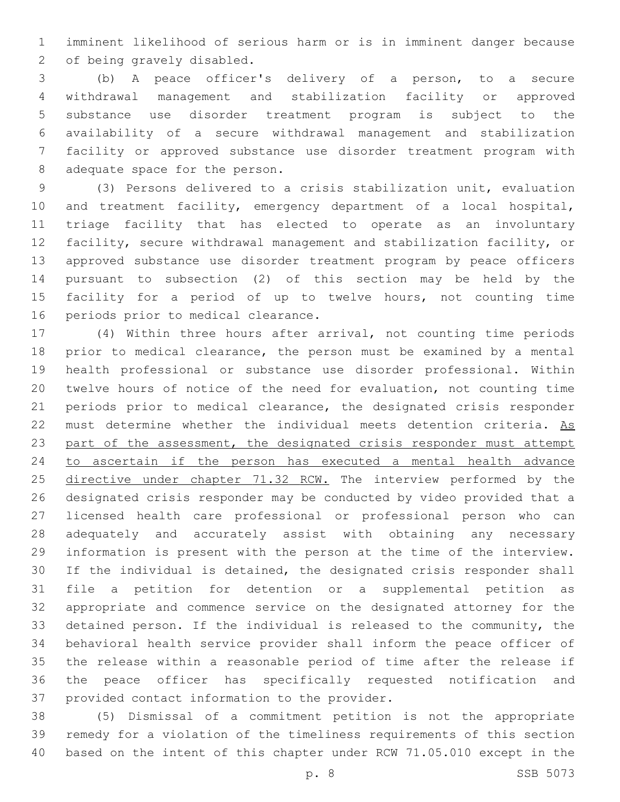imminent likelihood of serious harm or is in imminent danger because 2 of being gravely disabled.

 (b) A peace officer's delivery of a person, to a secure withdrawal management and stabilization facility or approved substance use disorder treatment program is subject to the availability of a secure withdrawal management and stabilization facility or approved substance use disorder treatment program with 8 adequate space for the person.

 (3) Persons delivered to a crisis stabilization unit, evaluation and treatment facility, emergency department of a local hospital, triage facility that has elected to operate as an involuntary facility, secure withdrawal management and stabilization facility, or approved substance use disorder treatment program by peace officers pursuant to subsection (2) of this section may be held by the facility for a period of up to twelve hours, not counting time 16 periods prior to medical clearance.

 (4) Within three hours after arrival, not counting time periods prior to medical clearance, the person must be examined by a mental health professional or substance use disorder professional. Within twelve hours of notice of the need for evaluation, not counting time periods prior to medical clearance, the designated crisis responder 22 must determine whether the individual meets detention criteria. As part of the assessment, the designated crisis responder must attempt to ascertain if the person has executed a mental health advance 25 directive under chapter 71.32 RCW. The interview performed by the designated crisis responder may be conducted by video provided that a licensed health care professional or professional person who can adequately and accurately assist with obtaining any necessary information is present with the person at the time of the interview. If the individual is detained, the designated crisis responder shall file a petition for detention or a supplemental petition as appropriate and commence service on the designated attorney for the detained person. If the individual is released to the community, the behavioral health service provider shall inform the peace officer of the release within a reasonable period of time after the release if the peace officer has specifically requested notification and 37 provided contact information to the provider.

 (5) Dismissal of a commitment petition is not the appropriate remedy for a violation of the timeliness requirements of this section based on the intent of this chapter under RCW 71.05.010 except in the

p. 8 SSB 5073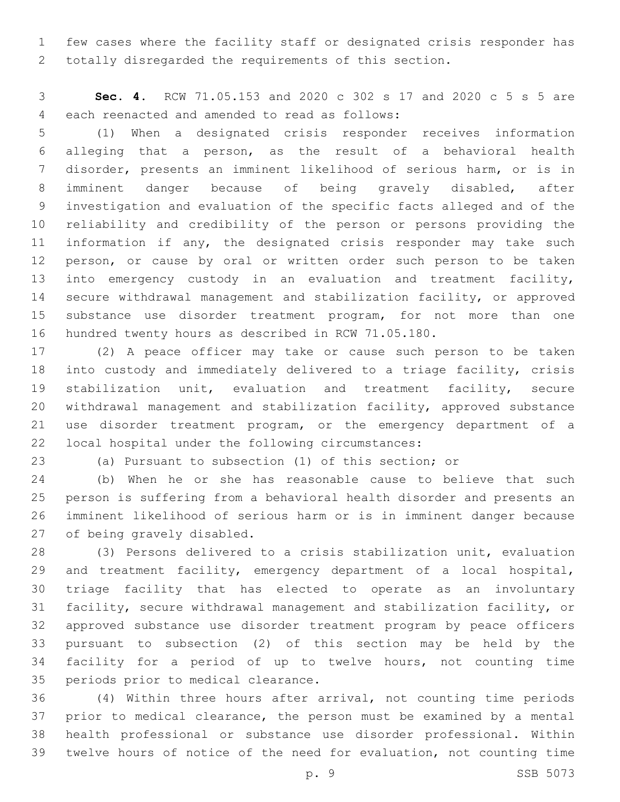few cases where the facility staff or designated crisis responder has totally disregarded the requirements of this section.

 **Sec. 4.** RCW 71.05.153 and 2020 c 302 s 17 and 2020 c 5 s 5 are 4 each reenacted and amended to read as follows:

 (1) When a designated crisis responder receives information alleging that a person, as the result of a behavioral health disorder, presents an imminent likelihood of serious harm, or is in imminent danger because of being gravely disabled, after investigation and evaluation of the specific facts alleged and of the reliability and credibility of the person or persons providing the 11 information if any, the designated crisis responder may take such 12 person, or cause by oral or written order such person to be taken into emergency custody in an evaluation and treatment facility, secure withdrawal management and stabilization facility, or approved substance use disorder treatment program, for not more than one hundred twenty hours as described in RCW 71.05.180.

 (2) A peace officer may take or cause such person to be taken into custody and immediately delivered to a triage facility, crisis stabilization unit, evaluation and treatment facility, secure withdrawal management and stabilization facility, approved substance use disorder treatment program, or the emergency department of a 22 local hospital under the following circumstances:

(a) Pursuant to subsection (1) of this section; or

 (b) When he or she has reasonable cause to believe that such person is suffering from a behavioral health disorder and presents an imminent likelihood of serious harm or is in imminent danger because 27 of being gravely disabled.

 (3) Persons delivered to a crisis stabilization unit, evaluation and treatment facility, emergency department of a local hospital, triage facility that has elected to operate as an involuntary facility, secure withdrawal management and stabilization facility, or approved substance use disorder treatment program by peace officers pursuant to subsection (2) of this section may be held by the facility for a period of up to twelve hours, not counting time 35 periods prior to medical clearance.

 (4) Within three hours after arrival, not counting time periods prior to medical clearance, the person must be examined by a mental health professional or substance use disorder professional. Within twelve hours of notice of the need for evaluation, not counting time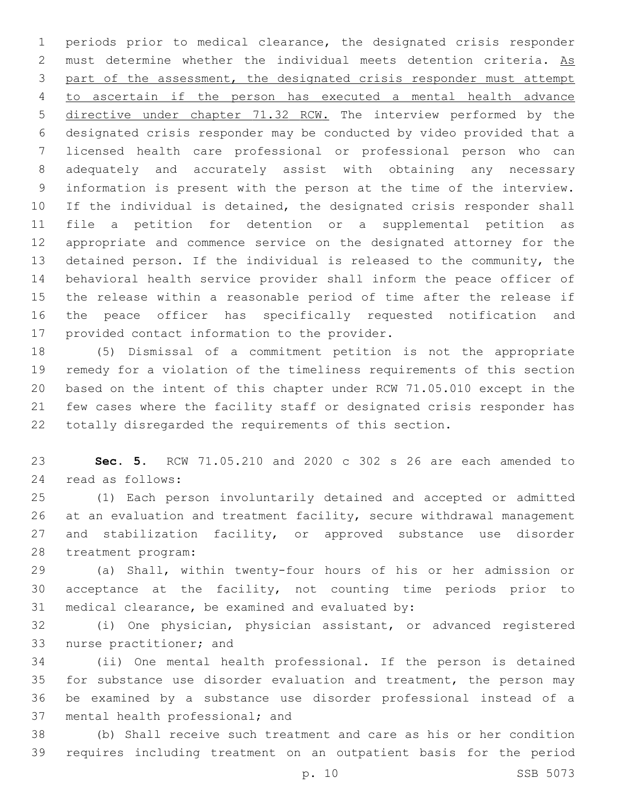periods prior to medical clearance, the designated crisis responder 2 must determine whether the individual meets detention criteria. As part of the assessment, the designated crisis responder must attempt to ascertain if the person has executed a mental health advance directive under chapter 71.32 RCW. The interview performed by the designated crisis responder may be conducted by video provided that a licensed health care professional or professional person who can adequately and accurately assist with obtaining any necessary information is present with the person at the time of the interview. If the individual is detained, the designated crisis responder shall file a petition for detention or a supplemental petition as appropriate and commence service on the designated attorney for the detained person. If the individual is released to the community, the behavioral health service provider shall inform the peace officer of the release within a reasonable period of time after the release if the peace officer has specifically requested notification and 17 provided contact information to the provider.

 (5) Dismissal of a commitment petition is not the appropriate remedy for a violation of the timeliness requirements of this section based on the intent of this chapter under RCW 71.05.010 except in the few cases where the facility staff or designated crisis responder has totally disregarded the requirements of this section.

 **Sec. 5.** RCW 71.05.210 and 2020 c 302 s 26 are each amended to read as follows:24

 (1) Each person involuntarily detained and accepted or admitted at an evaluation and treatment facility, secure withdrawal management and stabilization facility, or approved substance use disorder 28 treatment program:

 (a) Shall, within twenty-four hours of his or her admission or acceptance at the facility, not counting time periods prior to 31 medical clearance, be examined and evaluated by:

 (i) One physician, physician assistant, or advanced registered 33 nurse practitioner; and

 (ii) One mental health professional. If the person is detained for substance use disorder evaluation and treatment, the person may be examined by a substance use disorder professional instead of a 37 mental health professional; and

 (b) Shall receive such treatment and care as his or her condition requires including treatment on an outpatient basis for the period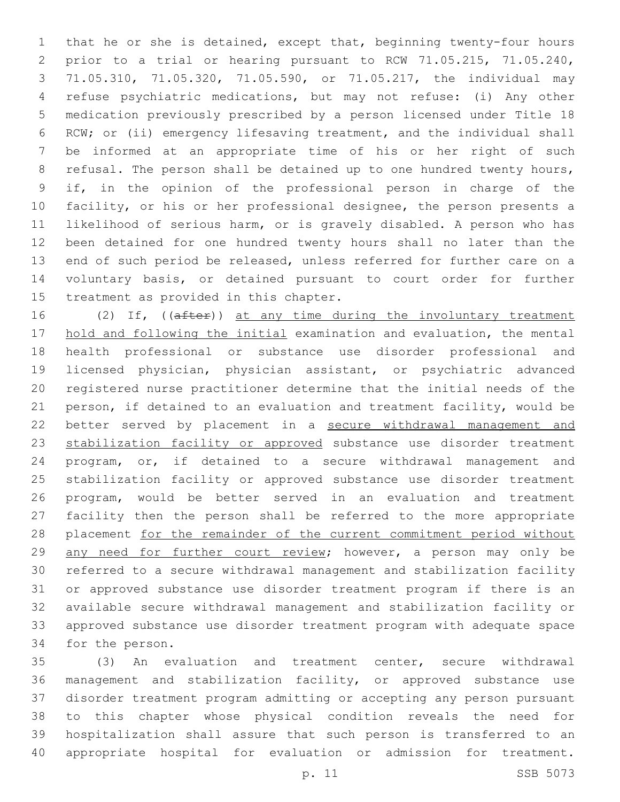that he or she is detained, except that, beginning twenty-four hours prior to a trial or hearing pursuant to RCW 71.05.215, 71.05.240, 71.05.310, 71.05.320, 71.05.590, or 71.05.217, the individual may refuse psychiatric medications, but may not refuse: (i) Any other medication previously prescribed by a person licensed under Title 18 RCW; or (ii) emergency lifesaving treatment, and the individual shall be informed at an appropriate time of his or her right of such 8 refusal. The person shall be detained up to one hundred twenty hours, if, in the opinion of the professional person in charge of the facility, or his or her professional designee, the person presents a likelihood of serious harm, or is gravely disabled. A person who has been detained for one hundred twenty hours shall no later than the end of such period be released, unless referred for further care on a voluntary basis, or detained pursuant to court order for further 15 treatment as provided in this chapter.

16 (2) If, ((after)) at any time during the involuntary treatment hold and following the initial examination and evaluation, the mental health professional or substance use disorder professional and licensed physician, physician assistant, or psychiatric advanced registered nurse practitioner determine that the initial needs of the person, if detained to an evaluation and treatment facility, would be better served by placement in a secure withdrawal management and 23 stabilization facility or approved substance use disorder treatment program, or, if detained to a secure withdrawal management and stabilization facility or approved substance use disorder treatment program, would be better served in an evaluation and treatment facility then the person shall be referred to the more appropriate 28 placement for the remainder of the current commitment period without any need for further court review; however, a person may only be referred to a secure withdrawal management and stabilization facility or approved substance use disorder treatment program if there is an available secure withdrawal management and stabilization facility or approved substance use disorder treatment program with adequate space 34 for the person.

 (3) An evaluation and treatment center, secure withdrawal management and stabilization facility, or approved substance use disorder treatment program admitting or accepting any person pursuant to this chapter whose physical condition reveals the need for hospitalization shall assure that such person is transferred to an appropriate hospital for evaluation or admission for treatment.

p. 11 SSB 5073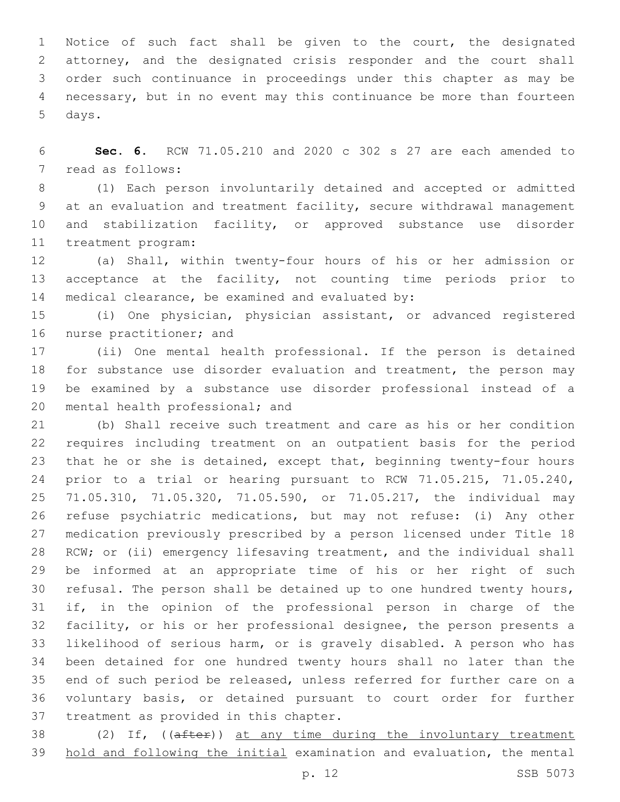Notice of such fact shall be given to the court, the designated attorney, and the designated crisis responder and the court shall order such continuance in proceedings under this chapter as may be necessary, but in no event may this continuance be more than fourteen 5 days.

 **Sec. 6.** RCW 71.05.210 and 2020 c 302 s 27 are each amended to 7 read as follows:

 (1) Each person involuntarily detained and accepted or admitted at an evaluation and treatment facility, secure withdrawal management and stabilization facility, or approved substance use disorder 11 treatment program:

 (a) Shall, within twenty-four hours of his or her admission or acceptance at the facility, not counting time periods prior to 14 medical clearance, be examined and evaluated by:

 (i) One physician, physician assistant, or advanced registered 16 nurse practitioner; and

 (ii) One mental health professional. If the person is detained for substance use disorder evaluation and treatment, the person may be examined by a substance use disorder professional instead of a 20 mental health professional; and

 (b) Shall receive such treatment and care as his or her condition requires including treatment on an outpatient basis for the period that he or she is detained, except that, beginning twenty-four hours prior to a trial or hearing pursuant to RCW 71.05.215, 71.05.240, 71.05.310, 71.05.320, 71.05.590, or 71.05.217, the individual may refuse psychiatric medications, but may not refuse: (i) Any other medication previously prescribed by a person licensed under Title 18 RCW; or (ii) emergency lifesaving treatment, and the individual shall be informed at an appropriate time of his or her right of such refusal. The person shall be detained up to one hundred twenty hours, if, in the opinion of the professional person in charge of the facility, or his or her professional designee, the person presents a likelihood of serious harm, or is gravely disabled. A person who has been detained for one hundred twenty hours shall no later than the end of such period be released, unless referred for further care on a voluntary basis, or detained pursuant to court order for further 37 treatment as provided in this chapter.

38 (2) If, ((after)) at any time during the involuntary treatment hold and following the initial examination and evaluation, the mental

p. 12 SSB 5073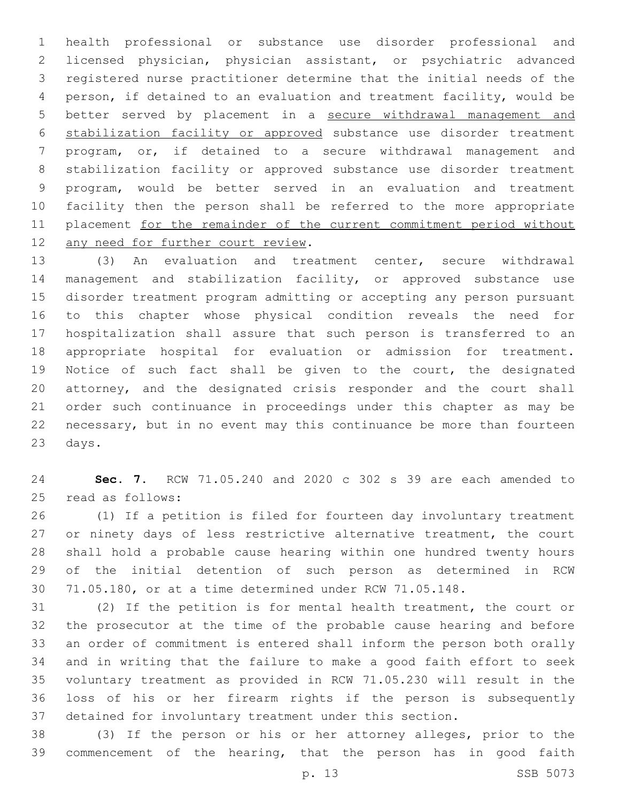health professional or substance use disorder professional and licensed physician, physician assistant, or psychiatric advanced registered nurse practitioner determine that the initial needs of the person, if detained to an evaluation and treatment facility, would be better served by placement in a secure withdrawal management and stabilization facility or approved substance use disorder treatment program, or, if detained to a secure withdrawal management and stabilization facility or approved substance use disorder treatment program, would be better served in an evaluation and treatment facility then the person shall be referred to the more appropriate 11 placement for the remainder of the current commitment period without 12 any need for further court review.

 (3) An evaluation and treatment center, secure withdrawal management and stabilization facility, or approved substance use disorder treatment program admitting or accepting any person pursuant to this chapter whose physical condition reveals the need for hospitalization shall assure that such person is transferred to an appropriate hospital for evaluation or admission for treatment. Notice of such fact shall be given to the court, the designated attorney, and the designated crisis responder and the court shall order such continuance in proceedings under this chapter as may be necessary, but in no event may this continuance be more than fourteen 23 days.

 **Sec. 7.** RCW 71.05.240 and 2020 c 302 s 39 are each amended to 25 read as follows:

 (1) If a petition is filed for fourteen day involuntary treatment 27 or ninety days of less restrictive alternative treatment, the court shall hold a probable cause hearing within one hundred twenty hours of the initial detention of such person as determined in RCW 71.05.180, or at a time determined under RCW 71.05.148.

 (2) If the petition is for mental health treatment, the court or the prosecutor at the time of the probable cause hearing and before an order of commitment is entered shall inform the person both orally and in writing that the failure to make a good faith effort to seek voluntary treatment as provided in RCW 71.05.230 will result in the loss of his or her firearm rights if the person is subsequently detained for involuntary treatment under this section.

 (3) If the person or his or her attorney alleges, prior to the commencement of the hearing, that the person has in good faith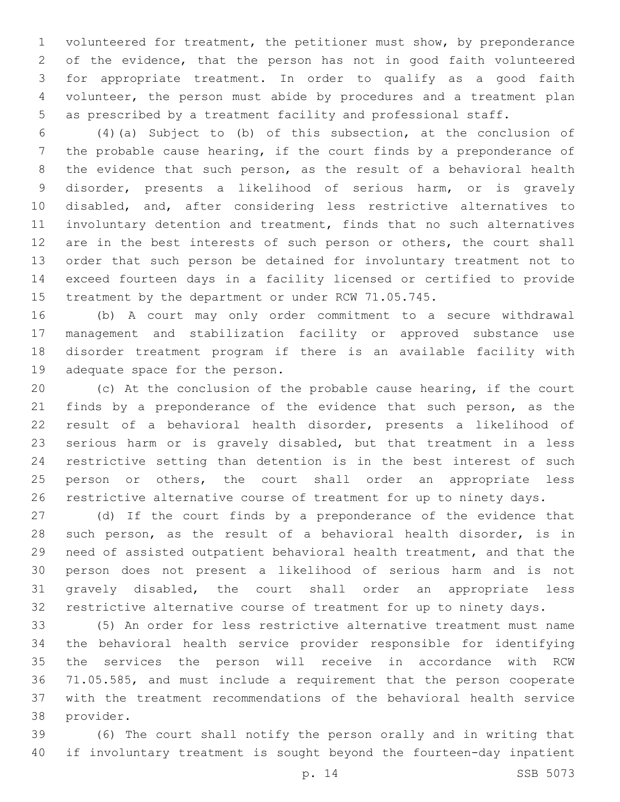volunteered for treatment, the petitioner must show, by preponderance of the evidence, that the person has not in good faith volunteered for appropriate treatment. In order to qualify as a good faith volunteer, the person must abide by procedures and a treatment plan as prescribed by a treatment facility and professional staff.

 (4)(a) Subject to (b) of this subsection, at the conclusion of the probable cause hearing, if the court finds by a preponderance of the evidence that such person, as the result of a behavioral health disorder, presents a likelihood of serious harm, or is gravely disabled, and, after considering less restrictive alternatives to involuntary detention and treatment, finds that no such alternatives 12 are in the best interests of such person or others, the court shall order that such person be detained for involuntary treatment not to exceed fourteen days in a facility licensed or certified to provide treatment by the department or under RCW 71.05.745.

 (b) A court may only order commitment to a secure withdrawal management and stabilization facility or approved substance use disorder treatment program if there is an available facility with 19 adequate space for the person.

 (c) At the conclusion of the probable cause hearing, if the court 21 finds by a preponderance of the evidence that such person, as the result of a behavioral health disorder, presents a likelihood of serious harm or is gravely disabled, but that treatment in a less restrictive setting than detention is in the best interest of such person or others, the court shall order an appropriate less restrictive alternative course of treatment for up to ninety days.

 (d) If the court finds by a preponderance of the evidence that such person, as the result of a behavioral health disorder, is in need of assisted outpatient behavioral health treatment, and that the person does not present a likelihood of serious harm and is not gravely disabled, the court shall order an appropriate less restrictive alternative course of treatment for up to ninety days.

 (5) An order for less restrictive alternative treatment must name the behavioral health service provider responsible for identifying the services the person will receive in accordance with RCW 71.05.585, and must include a requirement that the person cooperate with the treatment recommendations of the behavioral health service 38 provider.

 (6) The court shall notify the person orally and in writing that if involuntary treatment is sought beyond the fourteen-day inpatient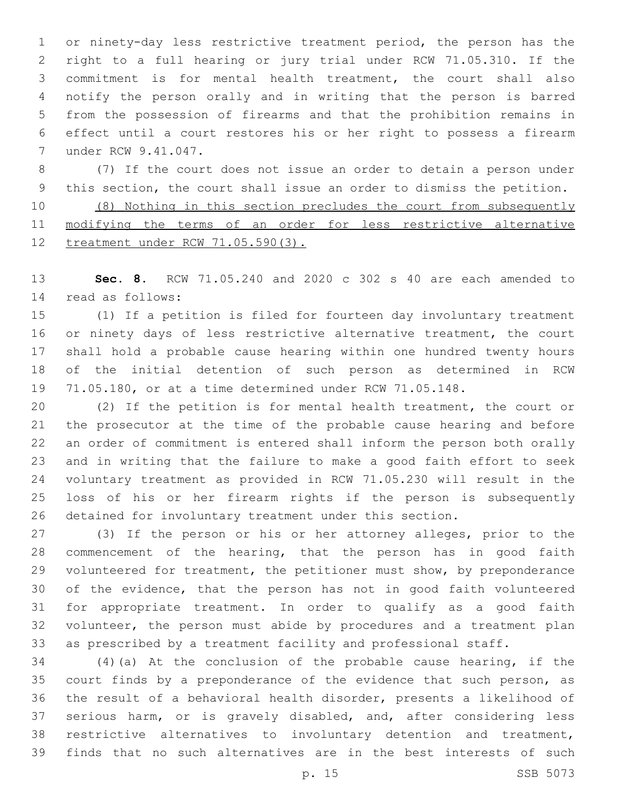or ninety-day less restrictive treatment period, the person has the right to a full hearing or jury trial under RCW 71.05.310. If the commitment is for mental health treatment, the court shall also notify the person orally and in writing that the person is barred from the possession of firearms and that the prohibition remains in effect until a court restores his or her right to possess a firearm 7 under RCW 9.41.047.

 (7) If the court does not issue an order to detain a person under this section, the court shall issue an order to dismiss the petition.

 (8) Nothing in this section precludes the court from subsequently modifying the terms of an order for less restrictive alternative treatment under RCW 71.05.590(3).

 **Sec. 8.** RCW 71.05.240 and 2020 c 302 s 40 are each amended to read as follows:14

 (1) If a petition is filed for fourteen day involuntary treatment 16 or ninety days of less restrictive alternative treatment, the court shall hold a probable cause hearing within one hundred twenty hours of the initial detention of such person as determined in RCW 71.05.180, or at a time determined under RCW 71.05.148.

 (2) If the petition is for mental health treatment, the court or the prosecutor at the time of the probable cause hearing and before an order of commitment is entered shall inform the person both orally and in writing that the failure to make a good faith effort to seek voluntary treatment as provided in RCW 71.05.230 will result in the loss of his or her firearm rights if the person is subsequently detained for involuntary treatment under this section.

 (3) If the person or his or her attorney alleges, prior to the commencement of the hearing, that the person has in good faith volunteered for treatment, the petitioner must show, by preponderance of the evidence, that the person has not in good faith volunteered for appropriate treatment. In order to qualify as a good faith volunteer, the person must abide by procedures and a treatment plan as prescribed by a treatment facility and professional staff.

 (4)(a) At the conclusion of the probable cause hearing, if the 35 court finds by a preponderance of the evidence that such person, as the result of a behavioral health disorder, presents a likelihood of serious harm, or is gravely disabled, and, after considering less restrictive alternatives to involuntary detention and treatment, finds that no such alternatives are in the best interests of such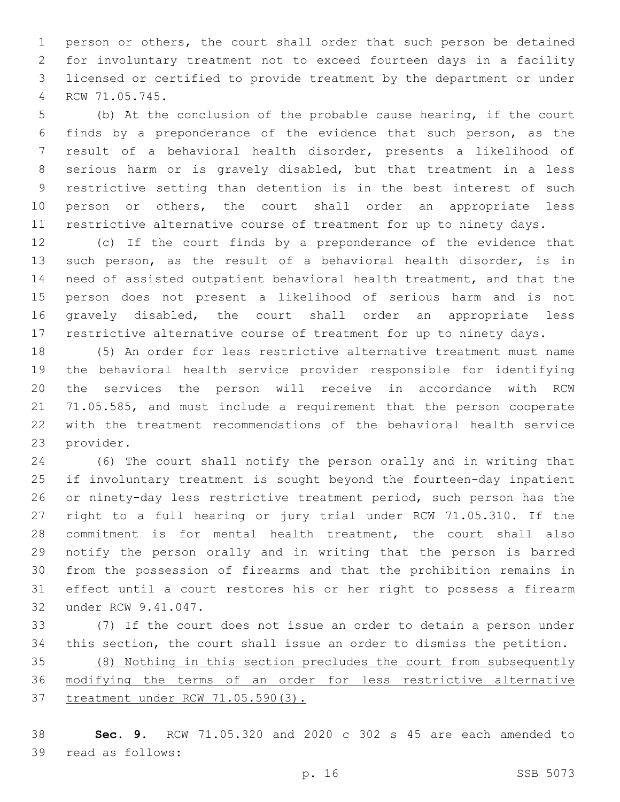person or others, the court shall order that such person be detained for involuntary treatment not to exceed fourteen days in a facility licensed or certified to provide treatment by the department or under RCW 71.05.745.4

 (b) At the conclusion of the probable cause hearing, if the court finds by a preponderance of the evidence that such person, as the result of a behavioral health disorder, presents a likelihood of serious harm or is gravely disabled, but that treatment in a less restrictive setting than detention is in the best interest of such person or others, the court shall order an appropriate less restrictive alternative course of treatment for up to ninety days.

 (c) If the court finds by a preponderance of the evidence that such person, as the result of a behavioral health disorder, is in need of assisted outpatient behavioral health treatment, and that the person does not present a likelihood of serious harm and is not gravely disabled, the court shall order an appropriate less restrictive alternative course of treatment for up to ninety days.

 (5) An order for less restrictive alternative treatment must name the behavioral health service provider responsible for identifying the services the person will receive in accordance with RCW 71.05.585, and must include a requirement that the person cooperate with the treatment recommendations of the behavioral health service 23 provider.

 (6) The court shall notify the person orally and in writing that if involuntary treatment is sought beyond the fourteen-day inpatient or ninety-day less restrictive treatment period, such person has the right to a full hearing or jury trial under RCW 71.05.310. If the commitment is for mental health treatment, the court shall also notify the person orally and in writing that the person is barred from the possession of firearms and that the prohibition remains in effect until a court restores his or her right to possess a firearm 32 under RCW 9.41.047.

 (7) If the court does not issue an order to detain a person under this section, the court shall issue an order to dismiss the petition. (8) Nothing in this section precludes the court from subsequently modifying the terms of an order for less restrictive alternative treatment under RCW 71.05.590(3).

 **Sec. 9.** RCW 71.05.320 and 2020 c 302 s 45 are each amended to 39 read as follows: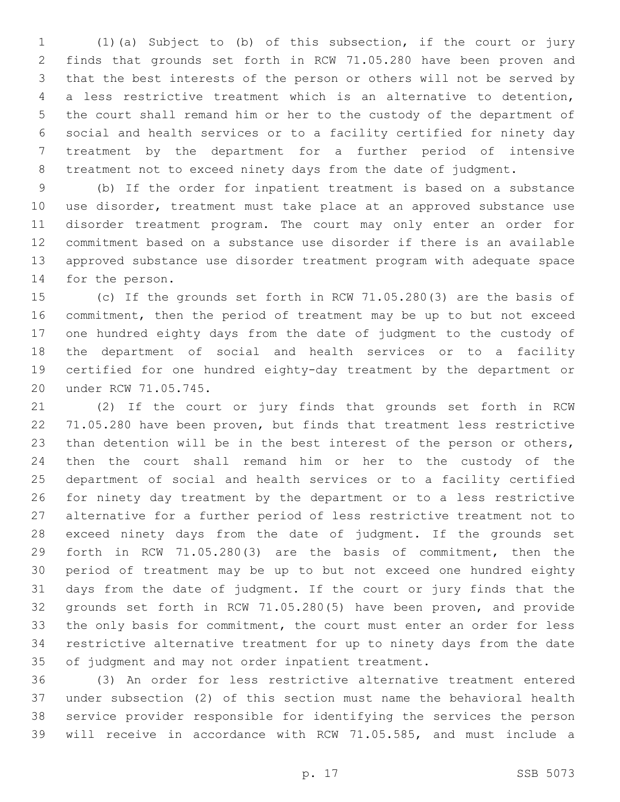(1)(a) Subject to (b) of this subsection, if the court or jury finds that grounds set forth in RCW 71.05.280 have been proven and that the best interests of the person or others will not be served by a less restrictive treatment which is an alternative to detention, the court shall remand him or her to the custody of the department of social and health services or to a facility certified for ninety day treatment by the department for a further period of intensive treatment not to exceed ninety days from the date of judgment.

 (b) If the order for inpatient treatment is based on a substance use disorder, treatment must take place at an approved substance use disorder treatment program. The court may only enter an order for commitment based on a substance use disorder if there is an available approved substance use disorder treatment program with adequate space 14 for the person.

 (c) If the grounds set forth in RCW 71.05.280(3) are the basis of commitment, then the period of treatment may be up to but not exceed one hundred eighty days from the date of judgment to the custody of the department of social and health services or to a facility certified for one hundred eighty-day treatment by the department or 20 under RCW 71.05.745.

 (2) If the court or jury finds that grounds set forth in RCW 71.05.280 have been proven, but finds that treatment less restrictive than detention will be in the best interest of the person or others, then the court shall remand him or her to the custody of the department of social and health services or to a facility certified for ninety day treatment by the department or to a less restrictive alternative for a further period of less restrictive treatment not to exceed ninety days from the date of judgment. If the grounds set forth in RCW 71.05.280(3) are the basis of commitment, then the period of treatment may be up to but not exceed one hundred eighty days from the date of judgment. If the court or jury finds that the grounds set forth in RCW 71.05.280(5) have been proven, and provide 33 the only basis for commitment, the court must enter an order for less restrictive alternative treatment for up to ninety days from the date of judgment and may not order inpatient treatment.

 (3) An order for less restrictive alternative treatment entered under subsection (2) of this section must name the behavioral health service provider responsible for identifying the services the person will receive in accordance with RCW 71.05.585, and must include a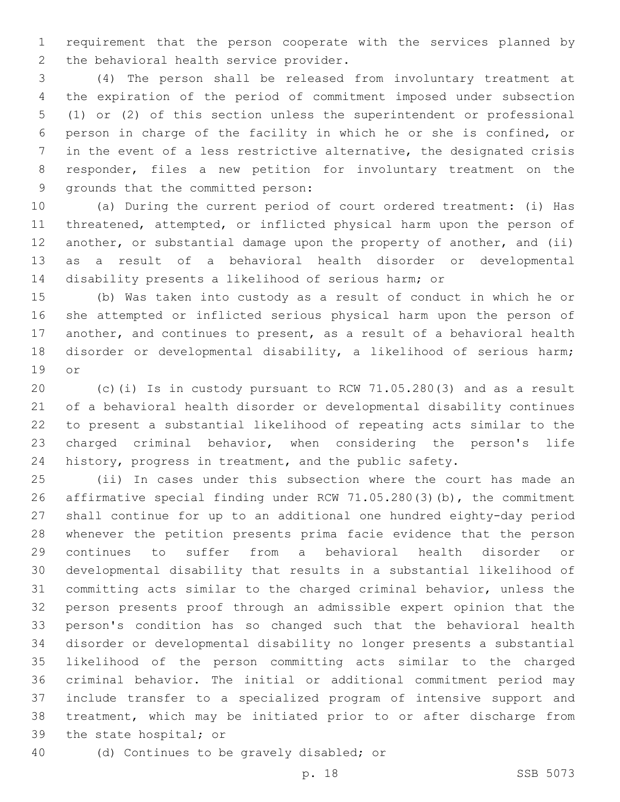requirement that the person cooperate with the services planned by 2 the behavioral health service provider.

 (4) The person shall be released from involuntary treatment at the expiration of the period of commitment imposed under subsection (1) or (2) of this section unless the superintendent or professional person in charge of the facility in which he or she is confined, or in the event of a less restrictive alternative, the designated crisis responder, files a new petition for involuntary treatment on the 9 grounds that the committed person:

 (a) During the current period of court ordered treatment: (i) Has threatened, attempted, or inflicted physical harm upon the person of 12 another, or substantial damage upon the property of another, and (ii) as a result of a behavioral health disorder or developmental disability presents a likelihood of serious harm; or

 (b) Was taken into custody as a result of conduct in which he or she attempted or inflicted serious physical harm upon the person of another, and continues to present, as a result of a behavioral health disorder or developmental disability, a likelihood of serious harm; 19 or

 (c)(i) Is in custody pursuant to RCW 71.05.280(3) and as a result of a behavioral health disorder or developmental disability continues to present a substantial likelihood of repeating acts similar to the charged criminal behavior, when considering the person's life history, progress in treatment, and the public safety.

 (ii) In cases under this subsection where the court has made an affirmative special finding under RCW 71.05.280(3)(b), the commitment shall continue for up to an additional one hundred eighty-day period whenever the petition presents prima facie evidence that the person continues to suffer from a behavioral health disorder or developmental disability that results in a substantial likelihood of committing acts similar to the charged criminal behavior, unless the person presents proof through an admissible expert opinion that the person's condition has so changed such that the behavioral health disorder or developmental disability no longer presents a substantial likelihood of the person committing acts similar to the charged criminal behavior. The initial or additional commitment period may include transfer to a specialized program of intensive support and treatment, which may be initiated prior to or after discharge from 39 the state hospital; or

40 (d) Continues to be gravely disabled; or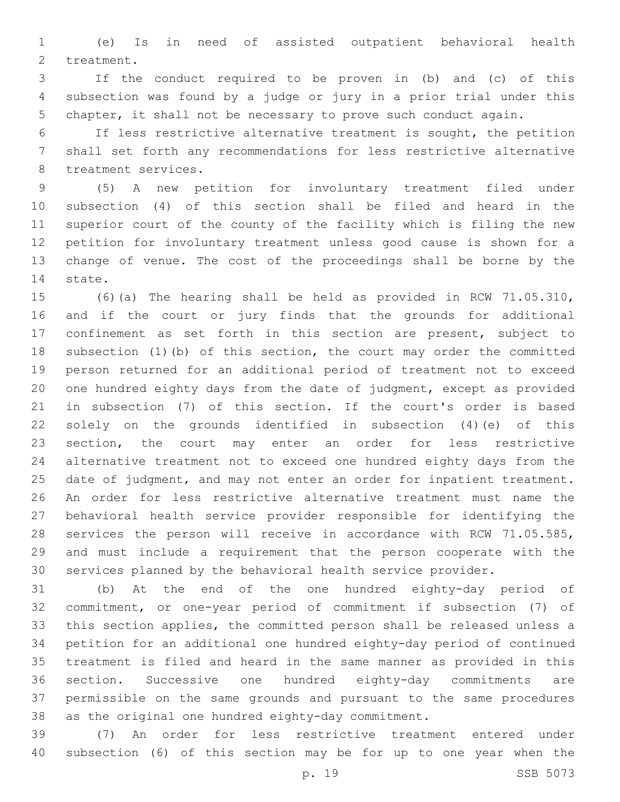(e) Is in need of assisted outpatient behavioral health 2 treatment.

 If the conduct required to be proven in (b) and (c) of this subsection was found by a judge or jury in a prior trial under this chapter, it shall not be necessary to prove such conduct again.

 If less restrictive alternative treatment is sought, the petition shall set forth any recommendations for less restrictive alternative 8 treatment services.

 (5) A new petition for involuntary treatment filed under subsection (4) of this section shall be filed and heard in the superior court of the county of the facility which is filing the new petition for involuntary treatment unless good cause is shown for a change of venue. The cost of the proceedings shall be borne by the 14 state.

 (6)(a) The hearing shall be held as provided in RCW 71.05.310, and if the court or jury finds that the grounds for additional confinement as set forth in this section are present, subject to subsection (1)(b) of this section, the court may order the committed person returned for an additional period of treatment not to exceed one hundred eighty days from the date of judgment, except as provided in subsection (7) of this section. If the court's order is based solely on the grounds identified in subsection (4)(e) of this section, the court may enter an order for less restrictive alternative treatment not to exceed one hundred eighty days from the 25 date of judgment, and may not enter an order for inpatient treatment. An order for less restrictive alternative treatment must name the behavioral health service provider responsible for identifying the services the person will receive in accordance with RCW 71.05.585, and must include a requirement that the person cooperate with the services planned by the behavioral health service provider.

 (b) At the end of the one hundred eighty-day period of commitment, or one-year period of commitment if subsection (7) of this section applies, the committed person shall be released unless a petition for an additional one hundred eighty-day period of continued treatment is filed and heard in the same manner as provided in this section. Successive one hundred eighty-day commitments are permissible on the same grounds and pursuant to the same procedures as the original one hundred eighty-day commitment.

 (7) An order for less restrictive treatment entered under subsection (6) of this section may be for up to one year when the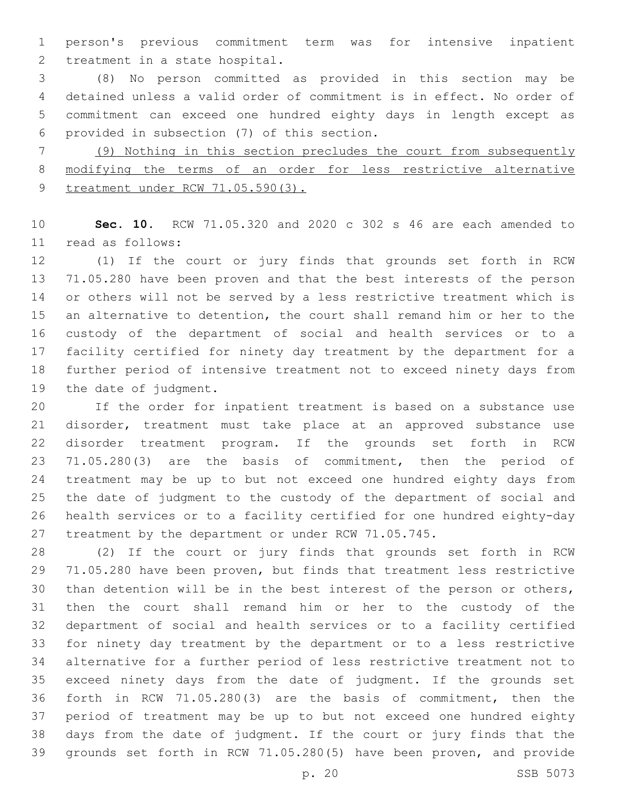person's previous commitment term was for intensive inpatient 2 treatment in a state hospital.

 (8) No person committed as provided in this section may be detained unless a valid order of commitment is in effect. No order of commitment can exceed one hundred eighty days in length except as provided in subsection (7) of this section.6

 (9) Nothing in this section precludes the court from subsequently modifying the terms of an order for less restrictive alternative 9 treatment under RCW 71.05.590(3).

 **Sec. 10.** RCW 71.05.320 and 2020 c 302 s 46 are each amended to read as follows:11

 (1) If the court or jury finds that grounds set forth in RCW 71.05.280 have been proven and that the best interests of the person or others will not be served by a less restrictive treatment which is an alternative to detention, the court shall remand him or her to the custody of the department of social and health services or to a facility certified for ninety day treatment by the department for a further period of intensive treatment not to exceed ninety days from 19 the date of judgment.

 If the order for inpatient treatment is based on a substance use disorder, treatment must take place at an approved substance use disorder treatment program. If the grounds set forth in RCW 71.05.280(3) are the basis of commitment, then the period of treatment may be up to but not exceed one hundred eighty days from the date of judgment to the custody of the department of social and health services or to a facility certified for one hundred eighty-day treatment by the department or under RCW 71.05.745.

 (2) If the court or jury finds that grounds set forth in RCW 71.05.280 have been proven, but finds that treatment less restrictive than detention will be in the best interest of the person or others, then the court shall remand him or her to the custody of the department of social and health services or to a facility certified for ninety day treatment by the department or to a less restrictive alternative for a further period of less restrictive treatment not to exceed ninety days from the date of judgment. If the grounds set forth in RCW 71.05.280(3) are the basis of commitment, then the period of treatment may be up to but not exceed one hundred eighty days from the date of judgment. If the court or jury finds that the grounds set forth in RCW 71.05.280(5) have been proven, and provide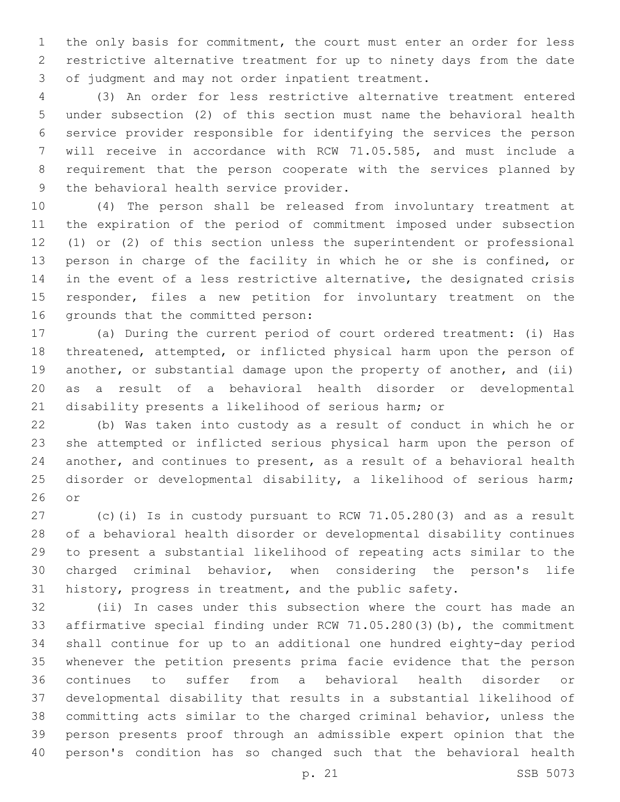the only basis for commitment, the court must enter an order for less restrictive alternative treatment for up to ninety days from the date 3 of judgment and may not order inpatient treatment.

 (3) An order for less restrictive alternative treatment entered under subsection (2) of this section must name the behavioral health service provider responsible for identifying the services the person will receive in accordance with RCW 71.05.585, and must include a requirement that the person cooperate with the services planned by 9 the behavioral health service provider.

 (4) The person shall be released from involuntary treatment at the expiration of the period of commitment imposed under subsection (1) or (2) of this section unless the superintendent or professional person in charge of the facility in which he or she is confined, or in the event of a less restrictive alternative, the designated crisis responder, files a new petition for involuntary treatment on the 16 grounds that the committed person:

 (a) During the current period of court ordered treatment: (i) Has threatened, attempted, or inflicted physical harm upon the person of 19 another, or substantial damage upon the property of another, and (ii) as a result of a behavioral health disorder or developmental disability presents a likelihood of serious harm; or

 (b) Was taken into custody as a result of conduct in which he or she attempted or inflicted serious physical harm upon the person of another, and continues to present, as a result of a behavioral health disorder or developmental disability, a likelihood of serious harm; or

 (c)(i) Is in custody pursuant to RCW 71.05.280(3) and as a result of a behavioral health disorder or developmental disability continues to present a substantial likelihood of repeating acts similar to the charged criminal behavior, when considering the person's life history, progress in treatment, and the public safety.

 (ii) In cases under this subsection where the court has made an affirmative special finding under RCW 71.05.280(3)(b), the commitment shall continue for up to an additional one hundred eighty-day period whenever the petition presents prima facie evidence that the person continues to suffer from a behavioral health disorder or developmental disability that results in a substantial likelihood of committing acts similar to the charged criminal behavior, unless the person presents proof through an admissible expert opinion that the person's condition has so changed such that the behavioral health

p. 21 SSB 5073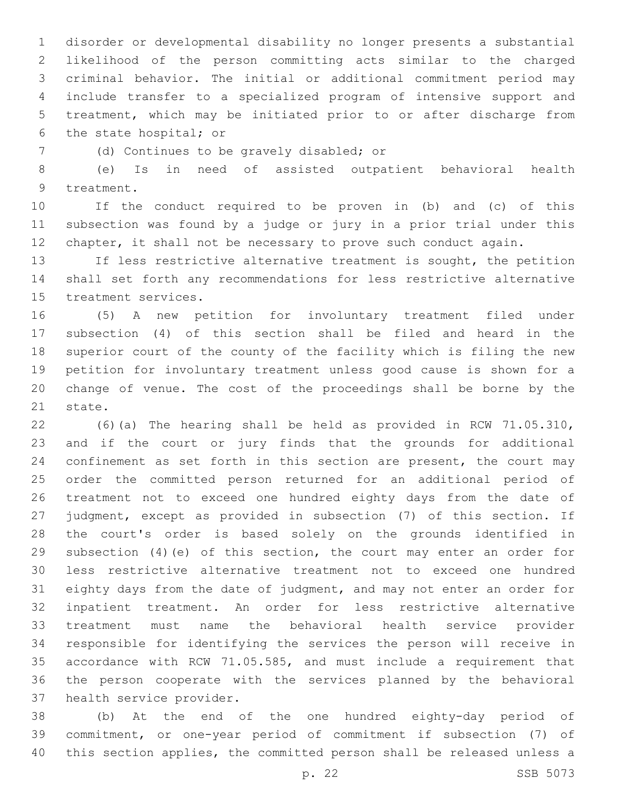disorder or developmental disability no longer presents a substantial likelihood of the person committing acts similar to the charged criminal behavior. The initial or additional commitment period may include transfer to a specialized program of intensive support and treatment, which may be initiated prior to or after discharge from 6 the state hospital; or

(d) Continues to be gravely disabled; or7

 (e) Is in need of assisted outpatient behavioral health 9 treatment.

 If the conduct required to be proven in (b) and (c) of this subsection was found by a judge or jury in a prior trial under this chapter, it shall not be necessary to prove such conduct again.

 If less restrictive alternative treatment is sought, the petition shall set forth any recommendations for less restrictive alternative 15 treatment services.

 (5) A new petition for involuntary treatment filed under subsection (4) of this section shall be filed and heard in the superior court of the county of the facility which is filing the new petition for involuntary treatment unless good cause is shown for a change of venue. The cost of the proceedings shall be borne by the 21 state.

 (6)(a) The hearing shall be held as provided in RCW 71.05.310, and if the court or jury finds that the grounds for additional confinement as set forth in this section are present, the court may order the committed person returned for an additional period of treatment not to exceed one hundred eighty days from the date of judgment, except as provided in subsection (7) of this section. If the court's order is based solely on the grounds identified in subsection (4)(e) of this section, the court may enter an order for less restrictive alternative treatment not to exceed one hundred eighty days from the date of judgment, and may not enter an order for inpatient treatment. An order for less restrictive alternative treatment must name the behavioral health service provider responsible for identifying the services the person will receive in accordance with RCW 71.05.585, and must include a requirement that the person cooperate with the services planned by the behavioral 37 health service provider.

 (b) At the end of the one hundred eighty-day period of commitment, or one-year period of commitment if subsection (7) of this section applies, the committed person shall be released unless a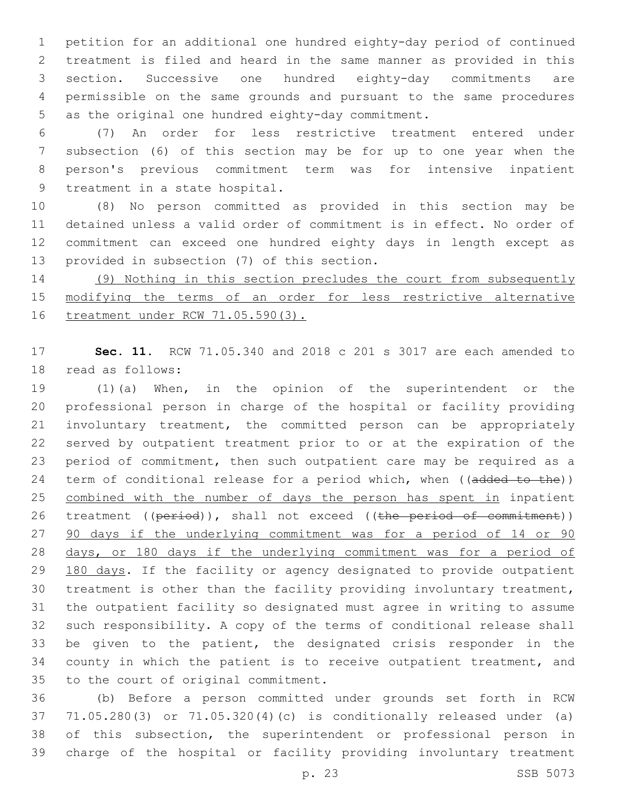petition for an additional one hundred eighty-day period of continued treatment is filed and heard in the same manner as provided in this section. Successive one hundred eighty-day commitments are permissible on the same grounds and pursuant to the same procedures 5 as the original one hundred eighty-day commitment.

 (7) An order for less restrictive treatment entered under subsection (6) of this section may be for up to one year when the person's previous commitment term was for intensive inpatient 9 treatment in a state hospital.

 (8) No person committed as provided in this section may be detained unless a valid order of commitment is in effect. No order of commitment can exceed one hundred eighty days in length except as 13 provided in subsection (7) of this section.

 (9) Nothing in this section precludes the court from subsequently modifying the terms of an order for less restrictive alternative treatment under RCW 71.05.590(3).

 **Sec. 11.** RCW 71.05.340 and 2018 c 201 s 3017 are each amended to 18 read as follows:

 (1)(a) When, in the opinion of the superintendent or the professional person in charge of the hospital or facility providing involuntary treatment, the committed person can be appropriately served by outpatient treatment prior to or at the expiration of the period of commitment, then such outpatient care may be required as a 24 term of conditional release for a period which, when ((added to the)) 25 combined with the number of days the person has spent in inpatient 26 treatment ((period)), shall not exceed ((the period of commitment)) 27 90 days if the underlying commitment was for a period of 14 or 90 days, or 180 days if the underlying commitment was for a period of 29 180 days. If the facility or agency designated to provide outpatient treatment is other than the facility providing involuntary treatment, the outpatient facility so designated must agree in writing to assume such responsibility. A copy of the terms of conditional release shall be given to the patient, the designated crisis responder in the county in which the patient is to receive outpatient treatment, and 35 to the court of original commitment.

 (b) Before a person committed under grounds set forth in RCW 71.05.280(3) or 71.05.320(4)(c) is conditionally released under (a) of this subsection, the superintendent or professional person in charge of the hospital or facility providing involuntary treatment

p. 23 SSB 5073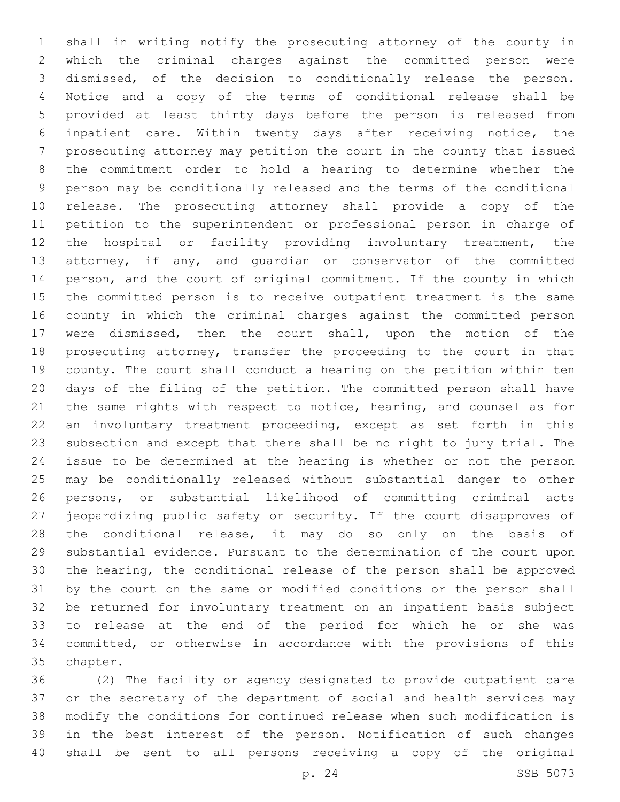shall in writing notify the prosecuting attorney of the county in which the criminal charges against the committed person were dismissed, of the decision to conditionally release the person. Notice and a copy of the terms of conditional release shall be provided at least thirty days before the person is released from inpatient care. Within twenty days after receiving notice, the prosecuting attorney may petition the court in the county that issued the commitment order to hold a hearing to determine whether the person may be conditionally released and the terms of the conditional release. The prosecuting attorney shall provide a copy of the petition to the superintendent or professional person in charge of the hospital or facility providing involuntary treatment, the attorney, if any, and guardian or conservator of the committed person, and the court of original commitment. If the county in which the committed person is to receive outpatient treatment is the same county in which the criminal charges against the committed person were dismissed, then the court shall, upon the motion of the prosecuting attorney, transfer the proceeding to the court in that county. The court shall conduct a hearing on the petition within ten days of the filing of the petition. The committed person shall have 21 the same rights with respect to notice, hearing, and counsel as for an involuntary treatment proceeding, except as set forth in this subsection and except that there shall be no right to jury trial. The issue to be determined at the hearing is whether or not the person may be conditionally released without substantial danger to other persons, or substantial likelihood of committing criminal acts jeopardizing public safety or security. If the court disapproves of 28 the conditional release, it may do so only on the basis of substantial evidence. Pursuant to the determination of the court upon the hearing, the conditional release of the person shall be approved by the court on the same or modified conditions or the person shall be returned for involuntary treatment on an inpatient basis subject to release at the end of the period for which he or she was committed, or otherwise in accordance with the provisions of this 35 chapter.

 (2) The facility or agency designated to provide outpatient care or the secretary of the department of social and health services may modify the conditions for continued release when such modification is in the best interest of the person. Notification of such changes shall be sent to all persons receiving a copy of the original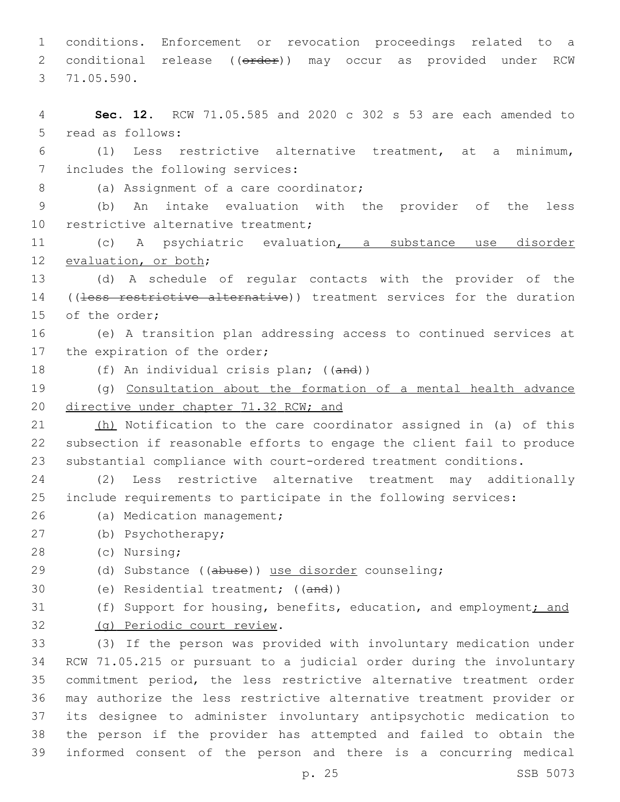1 conditions. Enforcement or revocation proceedings related to a 2 conditional release ((order)) may occur as provided under RCW 71.05.590.3

4 **Sec. 12.** RCW 71.05.585 and 2020 c 302 s 53 are each amended to 5 read as follows: 6 (1) Less restrictive alternative treatment, at a minimum, 7 includes the following services: 8 (a) Assignment of a care coordinator; 9 (b) An intake evaluation with the provider of the less 10 restrictive alternative treatment; 11 (c) A psychiatric evaluation, a substance use disorder 12 evaluation, or both; 13 (d) A schedule of regular contacts with the provider of the 14 ((less restrictive alternative)) treatment services for the duration 15 of the order; 16 (e) A transition plan addressing access to continued services at 17 the expiration of the order; 18 (f) An individual crisis plan; ((and)) 19 (g) Consultation about the formation of a mental health advance

20 directive under chapter 71.32 RCW; and

21 (h) Notification to the care coordinator assigned in (a) of this 22 subsection if reasonable efforts to engage the client fail to produce 23 substantial compliance with court-ordered treatment conditions.

24 (2) Less restrictive alternative treatment may additionally 25 include requirements to participate in the following services:

- 26 (a) Medication management;
- (b) Psychotherapy;27
- (c) Nursing;28
- 29 (d) Substance ((abuse)) use disorder counseling;
- 30 (e) Residential treatment; ((and))
- 31 (f) Support for housing, benefits, education, and employment; and (g) Periodic court review.32

 (3) If the person was provided with involuntary medication under RCW 71.05.215 or pursuant to a judicial order during the involuntary commitment period, the less restrictive alternative treatment order may authorize the less restrictive alternative treatment provider or its designee to administer involuntary antipsychotic medication to the person if the provider has attempted and failed to obtain the informed consent of the person and there is a concurring medical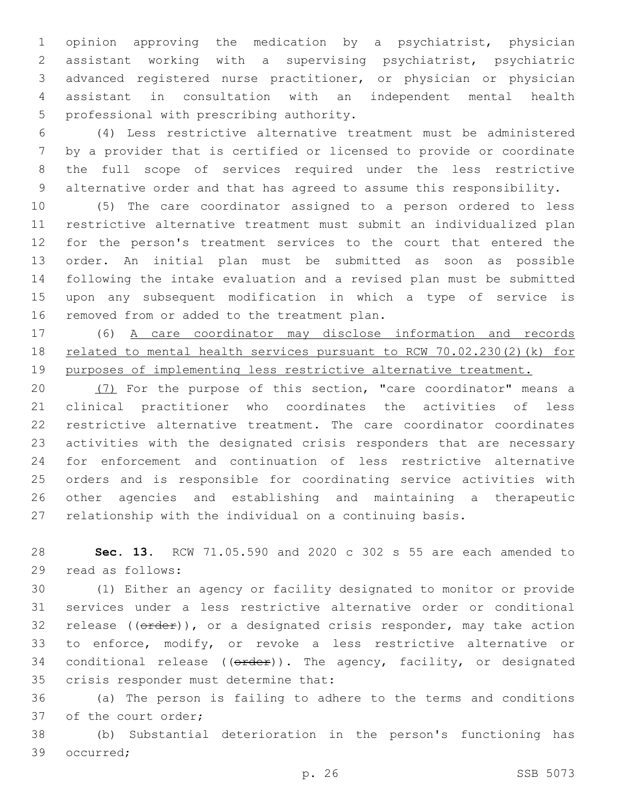opinion approving the medication by a psychiatrist, physician assistant working with a supervising psychiatrist, psychiatric advanced registered nurse practitioner, or physician or physician assistant in consultation with an independent mental health 5 professional with prescribing authority.

 (4) Less restrictive alternative treatment must be administered by a provider that is certified or licensed to provide or coordinate the full scope of services required under the less restrictive alternative order and that has agreed to assume this responsibility.

 (5) The care coordinator assigned to a person ordered to less restrictive alternative treatment must submit an individualized plan for the person's treatment services to the court that entered the order. An initial plan must be submitted as soon as possible following the intake evaluation and a revised plan must be submitted upon any subsequent modification in which a type of service is 16 removed from or added to the treatment plan.

 (6) A care coordinator may disclose information and records related to mental health services pursuant to RCW 70.02.230(2)(k) for purposes of implementing less restrictive alternative treatment.

 (7) For the purpose of this section, "care coordinator" means a clinical practitioner who coordinates the activities of less restrictive alternative treatment. The care coordinator coordinates activities with the designated crisis responders that are necessary for enforcement and continuation of less restrictive alternative orders and is responsible for coordinating service activities with other agencies and establishing and maintaining a therapeutic relationship with the individual on a continuing basis.

 **Sec. 13.** RCW 71.05.590 and 2020 c 302 s 55 are each amended to 29 read as follows:

 (1) Either an agency or facility designated to monitor or provide services under a less restrictive alternative order or conditional 32 release (( $\theta$ rder)), or a designated crisis responder, may take action to enforce, modify, or revoke a less restrictive alternative or 34 conditional release  $((\text{order}))$ . The agency, facility, or designated 35 crisis responder must determine that:

 (a) The person is failing to adhere to the terms and conditions 37 of the court order;

 (b) Substantial deterioration in the person's functioning has 39 occurred;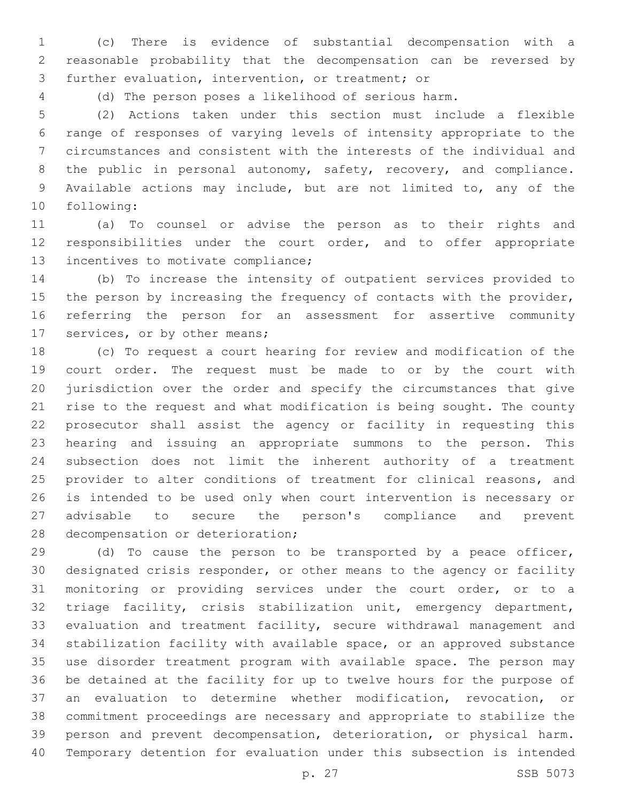(c) There is evidence of substantial decompensation with a reasonable probability that the decompensation can be reversed by 3 further evaluation, intervention, or treatment; or

(d) The person poses a likelihood of serious harm.

 (2) Actions taken under this section must include a flexible range of responses of varying levels of intensity appropriate to the circumstances and consistent with the interests of the individual and 8 the public in personal autonomy, safety, recovery, and compliance. Available actions may include, but are not limited to, any of the 10 following:

 (a) To counsel or advise the person as to their rights and responsibilities under the court order, and to offer appropriate 13 incentives to motivate compliance;

 (b) To increase the intensity of outpatient services provided to 15 the person by increasing the frequency of contacts with the provider, referring the person for an assessment for assertive community 17 services, or by other means;

 (c) To request a court hearing for review and modification of the court order. The request must be made to or by the court with jurisdiction over the order and specify the circumstances that give rise to the request and what modification is being sought. The county prosecutor shall assist the agency or facility in requesting this hearing and issuing an appropriate summons to the person. This subsection does not limit the inherent authority of a treatment 25 provider to alter conditions of treatment for clinical reasons, and is intended to be used only when court intervention is necessary or advisable to secure the person's compliance and prevent 28 decompensation or deterioration;

 (d) To cause the person to be transported by a peace officer, designated crisis responder, or other means to the agency or facility monitoring or providing services under the court order, or to a triage facility, crisis stabilization unit, emergency department, evaluation and treatment facility, secure withdrawal management and stabilization facility with available space, or an approved substance use disorder treatment program with available space. The person may be detained at the facility for up to twelve hours for the purpose of an evaluation to determine whether modification, revocation, or commitment proceedings are necessary and appropriate to stabilize the person and prevent decompensation, deterioration, or physical harm. Temporary detention for evaluation under this subsection is intended

p. 27 SSB 5073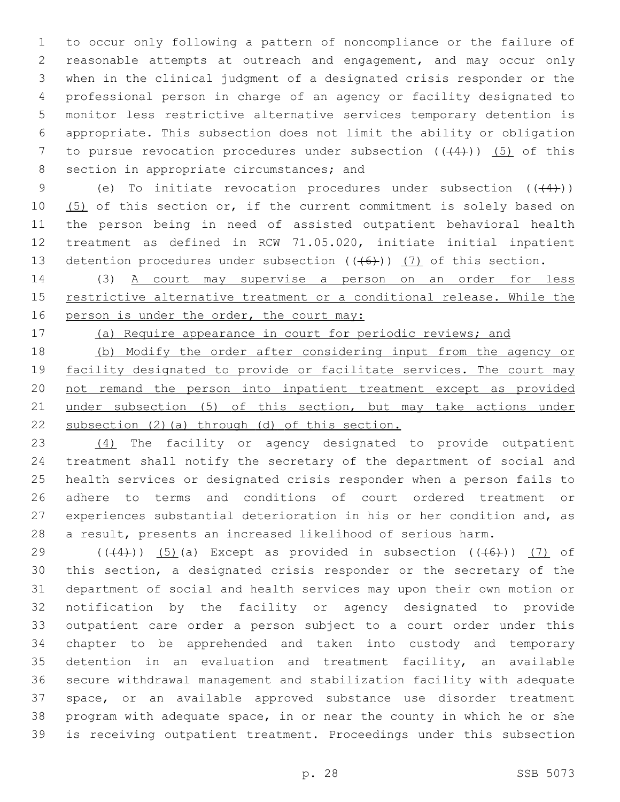to occur only following a pattern of noncompliance or the failure of reasonable attempts at outreach and engagement, and may occur only when in the clinical judgment of a designated crisis responder or the professional person in charge of an agency or facility designated to monitor less restrictive alternative services temporary detention is appropriate. This subsection does not limit the ability or obligation 7 to pursue revocation procedures under subsection  $((+4+))$  (5) of this 8 section in appropriate circumstances; and

9 (e) To initiate revocation procedures under subsection  $((+4))$ 10 (5) of this section or, if the current commitment is solely based on the person being in need of assisted outpatient behavioral health treatment as defined in RCW 71.05.020, initiate initial inpatient 13 detention procedures under subsection  $((+6))$   $(7)$  of this section.

 (3) A court may supervise a person on an order for less 15 restrictive alternative treatment or a conditional release. While the 16 person is under the order, the court may:

(a) Require appearance in court for periodic reviews; and

 (b) Modify the order after considering input from the agency or 19 facility designated to provide or facilitate services. The court may not remand the person into inpatient treatment except as provided under subsection (5) of this section, but may take actions under subsection (2)(a) through (d) of this section.

 (4) The facility or agency designated to provide outpatient treatment shall notify the secretary of the department of social and health services or designated crisis responder when a person fails to adhere to terms and conditions of court ordered treatment or experiences substantial deterioration in his or her condition and, as a result, presents an increased likelihood of serious harm.

29 ( $((4)$ )) (5)(a) Except as provided in subsection  $((46)$ ) (7) of this section, a designated crisis responder or the secretary of the department of social and health services may upon their own motion or notification by the facility or agency designated to provide outpatient care order a person subject to a court order under this chapter to be apprehended and taken into custody and temporary detention in an evaluation and treatment facility, an available secure withdrawal management and stabilization facility with adequate space, or an available approved substance use disorder treatment program with adequate space, in or near the county in which he or she is receiving outpatient treatment. Proceedings under this subsection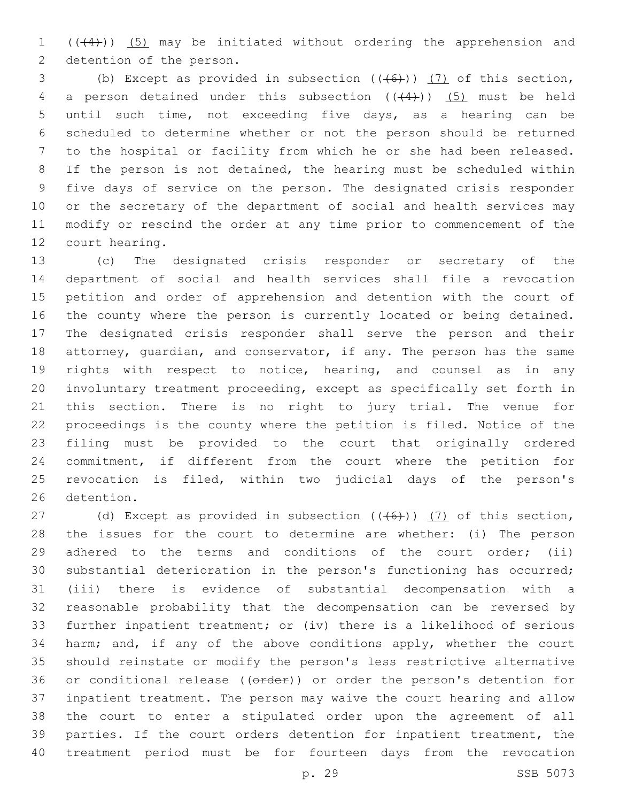1  $((4+))$   $(5)$  may be initiated without ordering the apprehension and 2 detention of the person.

3 (b) Except as provided in subsection  $((+6))$  (7) of this section, 4 a person detained under this subsection  $((+4))$  (5) must be held until such time, not exceeding five days, as a hearing can be scheduled to determine whether or not the person should be returned to the hospital or facility from which he or she had been released. If the person is not detained, the hearing must be scheduled within five days of service on the person. The designated crisis responder or the secretary of the department of social and health services may modify or rescind the order at any time prior to commencement of the 12 court hearing.

 (c) The designated crisis responder or secretary of the department of social and health services shall file a revocation petition and order of apprehension and detention with the court of the county where the person is currently located or being detained. The designated crisis responder shall serve the person and their attorney, guardian, and conservator, if any. The person has the same rights with respect to notice, hearing, and counsel as in any involuntary treatment proceeding, except as specifically set forth in this section. There is no right to jury trial. The venue for proceedings is the county where the petition is filed. Notice of the filing must be provided to the court that originally ordered commitment, if different from the court where the petition for revocation is filed, within two judicial days of the person's 26 detention.

27 (d) Except as provided in subsection  $((+6))$  (7) of this section, the issues for the court to determine are whether: (i) The person 29 adhered to the terms and conditions of the court order; (ii) substantial deterioration in the person's functioning has occurred; (iii) there is evidence of substantial decompensation with a reasonable probability that the decompensation can be reversed by further inpatient treatment; or (iv) there is a likelihood of serious harm; and, if any of the above conditions apply, whether the court should reinstate or modify the person's less restrictive alternative 36 or conditional release ((order)) or order the person's detention for inpatient treatment. The person may waive the court hearing and allow the court to enter a stipulated order upon the agreement of all parties. If the court orders detention for inpatient treatment, the treatment period must be for fourteen days from the revocation

p. 29 SSB 5073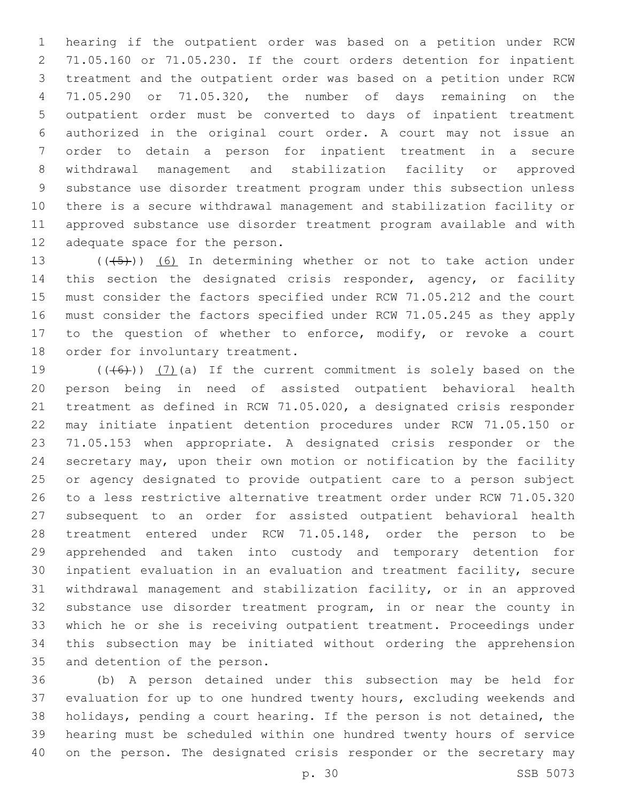hearing if the outpatient order was based on a petition under RCW 71.05.160 or 71.05.230. If the court orders detention for inpatient treatment and the outpatient order was based on a petition under RCW 71.05.290 or 71.05.320, the number of days remaining on the outpatient order must be converted to days of inpatient treatment authorized in the original court order. A court may not issue an order to detain a person for inpatient treatment in a secure withdrawal management and stabilization facility or approved substance use disorder treatment program under this subsection unless there is a secure withdrawal management and stabilization facility or approved substance use disorder treatment program available and with 12 adequate space for the person.

 $((+5+))$  (6) In determining whether or not to take action under 14 this section the designated crisis responder, agency, or facility must consider the factors specified under RCW 71.05.212 and the court must consider the factors specified under RCW 71.05.245 as they apply to the question of whether to enforce, modify, or revoke a court 18 order for involuntary treatment.

 $((+6+))$   $(7)$  (a) If the current commitment is solely based on the person being in need of assisted outpatient behavioral health treatment as defined in RCW 71.05.020, a designated crisis responder may initiate inpatient detention procedures under RCW 71.05.150 or 71.05.153 when appropriate. A designated crisis responder or the secretary may, upon their own motion or notification by the facility or agency designated to provide outpatient care to a person subject to a less restrictive alternative treatment order under RCW 71.05.320 subsequent to an order for assisted outpatient behavioral health treatment entered under RCW 71.05.148, order the person to be apprehended and taken into custody and temporary detention for inpatient evaluation in an evaluation and treatment facility, secure withdrawal management and stabilization facility, or in an approved substance use disorder treatment program, in or near the county in which he or she is receiving outpatient treatment. Proceedings under this subsection may be initiated without ordering the apprehension 35 and detention of the person.

 (b) A person detained under this subsection may be held for evaluation for up to one hundred twenty hours, excluding weekends and holidays, pending a court hearing. If the person is not detained, the hearing must be scheduled within one hundred twenty hours of service on the person. The designated crisis responder or the secretary may

p. 30 SSB 5073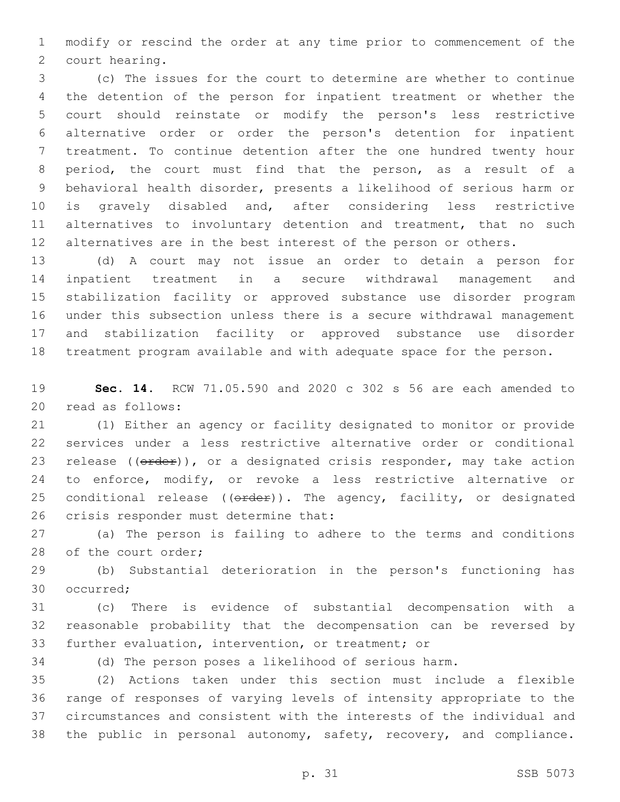modify or rescind the order at any time prior to commencement of the 2 court hearing.

 (c) The issues for the court to determine are whether to continue the detention of the person for inpatient treatment or whether the court should reinstate or modify the person's less restrictive alternative order or order the person's detention for inpatient treatment. To continue detention after the one hundred twenty hour period, the court must find that the person, as a result of a behavioral health disorder, presents a likelihood of serious harm or is gravely disabled and, after considering less restrictive 11 alternatives to involuntary detention and treatment, that no such alternatives are in the best interest of the person or others.

 (d) A court may not issue an order to detain a person for inpatient treatment in a secure withdrawal management and stabilization facility or approved substance use disorder program under this subsection unless there is a secure withdrawal management and stabilization facility or approved substance use disorder treatment program available and with adequate space for the person.

 **Sec. 14.** RCW 71.05.590 and 2020 c 302 s 56 are each amended to 20 read as follows:

 (1) Either an agency or facility designated to monitor or provide services under a less restrictive alternative order or conditional 23 release  $((\text{order}))$ , or a designated crisis responder, may take action to enforce, modify, or revoke a less restrictive alternative or 25 conditional release ( $(\theta \text{rder})$ ). The agency, facility, or designated 26 crisis responder must determine that:

 (a) The person is failing to adhere to the terms and conditions 28 of the court order;

 (b) Substantial deterioration in the person's functioning has 30 occurred:

 (c) There is evidence of substantial decompensation with a reasonable probability that the decompensation can be reversed by further evaluation, intervention, or treatment; or

(d) The person poses a likelihood of serious harm.

 (2) Actions taken under this section must include a flexible range of responses of varying levels of intensity appropriate to the circumstances and consistent with the interests of the individual and the public in personal autonomy, safety, recovery, and compliance.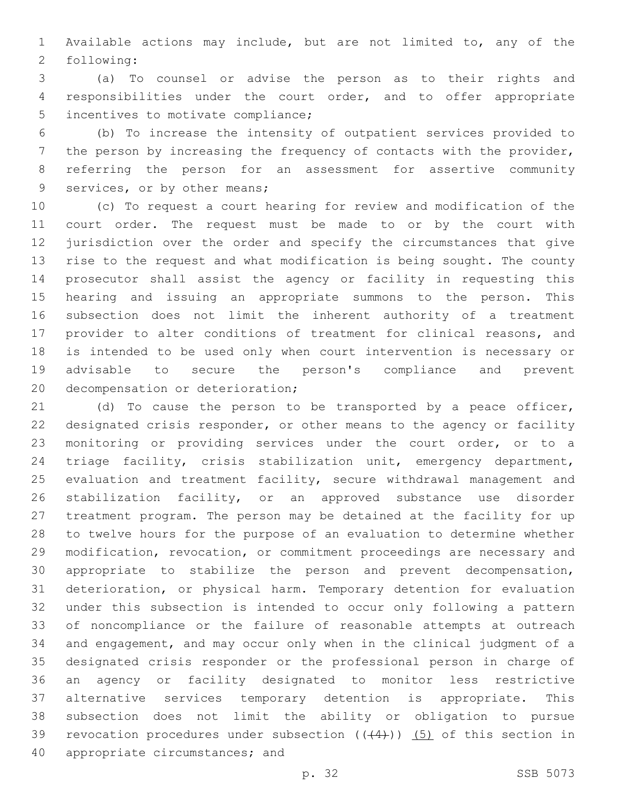Available actions may include, but are not limited to, any of the 2 following:

 (a) To counsel or advise the person as to their rights and responsibilities under the court order, and to offer appropriate 5 incentives to motivate compliance;

 (b) To increase the intensity of outpatient services provided to the person by increasing the frequency of contacts with the provider, referring the person for an assessment for assertive community 9 services, or by other means;

 (c) To request a court hearing for review and modification of the court order. The request must be made to or by the court with jurisdiction over the order and specify the circumstances that give rise to the request and what modification is being sought. The county prosecutor shall assist the agency or facility in requesting this hearing and issuing an appropriate summons to the person. This subsection does not limit the inherent authority of a treatment provider to alter conditions of treatment for clinical reasons, and is intended to be used only when court intervention is necessary or advisable to secure the person's compliance and prevent 20 decompensation or deterioration;

 (d) To cause the person to be transported by a peace officer, designated crisis responder, or other means to the agency or facility monitoring or providing services under the court order, or to a triage facility, crisis stabilization unit, emergency department, evaluation and treatment facility, secure withdrawal management and stabilization facility, or an approved substance use disorder treatment program. The person may be detained at the facility for up to twelve hours for the purpose of an evaluation to determine whether modification, revocation, or commitment proceedings are necessary and appropriate to stabilize the person and prevent decompensation, deterioration, or physical harm. Temporary detention for evaluation under this subsection is intended to occur only following a pattern of noncompliance or the failure of reasonable attempts at outreach and engagement, and may occur only when in the clinical judgment of a designated crisis responder or the professional person in charge of an agency or facility designated to monitor less restrictive alternative services temporary detention is appropriate. This subsection does not limit the ability or obligation to pursue 39 revocation procedures under subsection  $((+4))$   $(5)$  of this section in 40 appropriate circumstances; and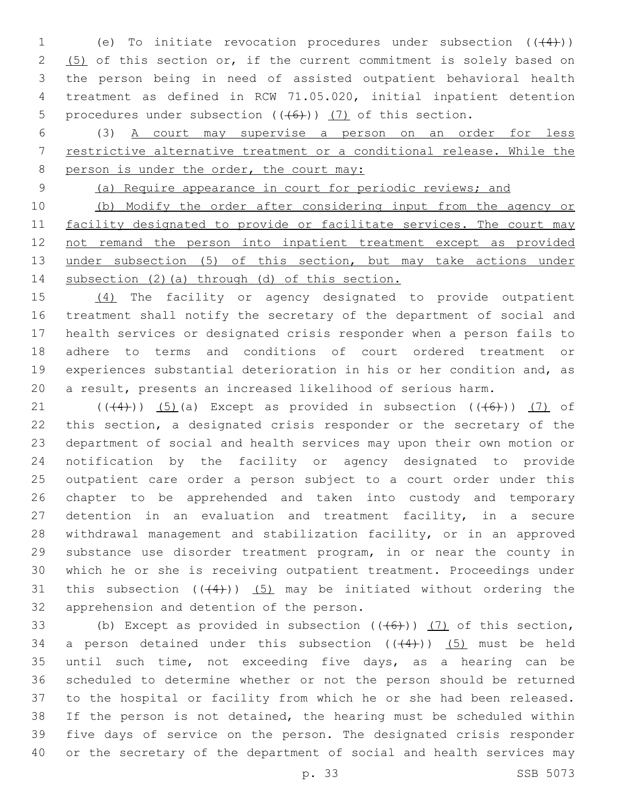1 (e) To initiate revocation procedures under subsection  $((+4))$ 2 (5) of this section or, if the current commitment is solely based on the person being in need of assisted outpatient behavioral health treatment as defined in RCW 71.05.020, initial inpatient detention 5 procedures under subsection  $((+6))$  (7) of this section.

 (3) A court may supervise a person on an order for less restrictive alternative treatment or a conditional release. While the 8 person is under the order, the court may:

(a) Require appearance in court for periodic reviews; and

 (b) Modify the order after considering input from the agency or 11 facility designated to provide or facilitate services. The court may not remand the person into inpatient treatment except as provided 13 under subsection (5) of this section, but may take actions under subsection (2)(a) through (d) of this section.

 (4) The facility or agency designated to provide outpatient treatment shall notify the secretary of the department of social and health services or designated crisis responder when a person fails to adhere to terms and conditions of court ordered treatment or experiences substantial deterioration in his or her condition and, as a result, presents an increased likelihood of serious harm.

 $((+4))$   $(5)$  (a) Except as provided in subsection  $((+6))$   $(7)$  of this section, a designated crisis responder or the secretary of the department of social and health services may upon their own motion or notification by the facility or agency designated to provide outpatient care order a person subject to a court order under this chapter to be apprehended and taken into custody and temporary detention in an evaluation and treatment facility, in a secure withdrawal management and stabilization facility, or in an approved substance use disorder treatment program, in or near the county in which he or she is receiving outpatient treatment. Proceedings under 31 this subsection  $((4+))$  (5) may be initiated without ordering the 32 apprehension and detention of the person.

33 (b) Except as provided in subsection  $((+6+))$  (7) of this section, 34 a person detained under this subsection  $((+4))$   $(5)$  must be held until such time, not exceeding five days, as a hearing can be scheduled to determine whether or not the person should be returned to the hospital or facility from which he or she had been released. If the person is not detained, the hearing must be scheduled within five days of service on the person. The designated crisis responder or the secretary of the department of social and health services may

p. 33 SSB 5073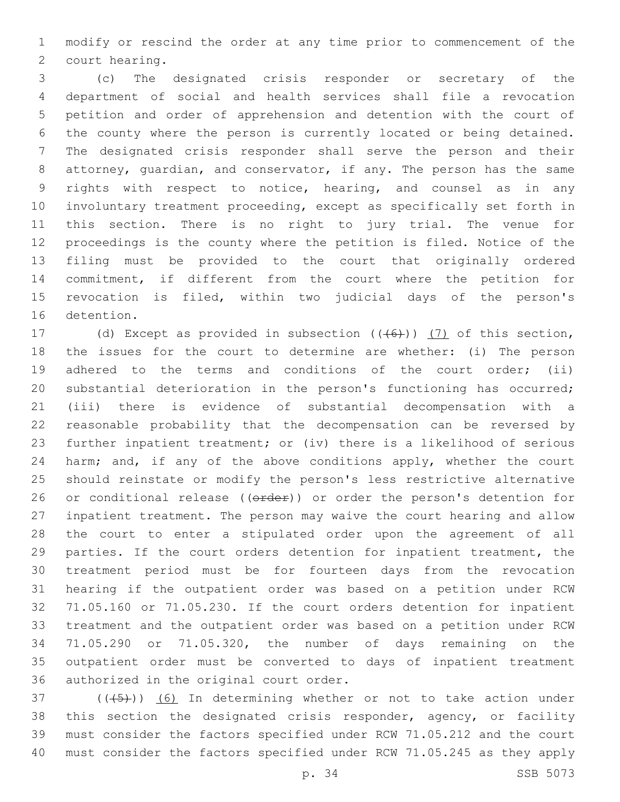modify or rescind the order at any time prior to commencement of the 2 court hearing.

 (c) The designated crisis responder or secretary of the department of social and health services shall file a revocation petition and order of apprehension and detention with the court of the county where the person is currently located or being detained. The designated crisis responder shall serve the person and their attorney, guardian, and conservator, if any. The person has the same rights with respect to notice, hearing, and counsel as in any involuntary treatment proceeding, except as specifically set forth in this section. There is no right to jury trial. The venue for proceedings is the county where the petition is filed. Notice of the filing must be provided to the court that originally ordered commitment, if different from the court where the petition for revocation is filed, within two judicial days of the person's 16 detention.

17 (d) Except as provided in subsection (((6))) (7) of this section, the issues for the court to determine are whether: (i) The person 19 adhered to the terms and conditions of the court order; (ii) substantial deterioration in the person's functioning has occurred; (iii) there is evidence of substantial decompensation with a reasonable probability that the decompensation can be reversed by further inpatient treatment; or (iv) there is a likelihood of serious 24 harm; and, if any of the above conditions apply, whether the court should reinstate or modify the person's less restrictive alternative 26 or conditional release ((order)) or order the person's detention for inpatient treatment. The person may waive the court hearing and allow the court to enter a stipulated order upon the agreement of all parties. If the court orders detention for inpatient treatment, the treatment period must be for fourteen days from the revocation hearing if the outpatient order was based on a petition under RCW 71.05.160 or 71.05.230. If the court orders detention for inpatient treatment and the outpatient order was based on a petition under RCW 71.05.290 or 71.05.320, the number of days remaining on the outpatient order must be converted to days of inpatient treatment 36 authorized in the original court order.

 ( $(\overline{(+5+})$ ) (6) In determining whether or not to take action under this section the designated crisis responder, agency, or facility must consider the factors specified under RCW 71.05.212 and the court must consider the factors specified under RCW 71.05.245 as they apply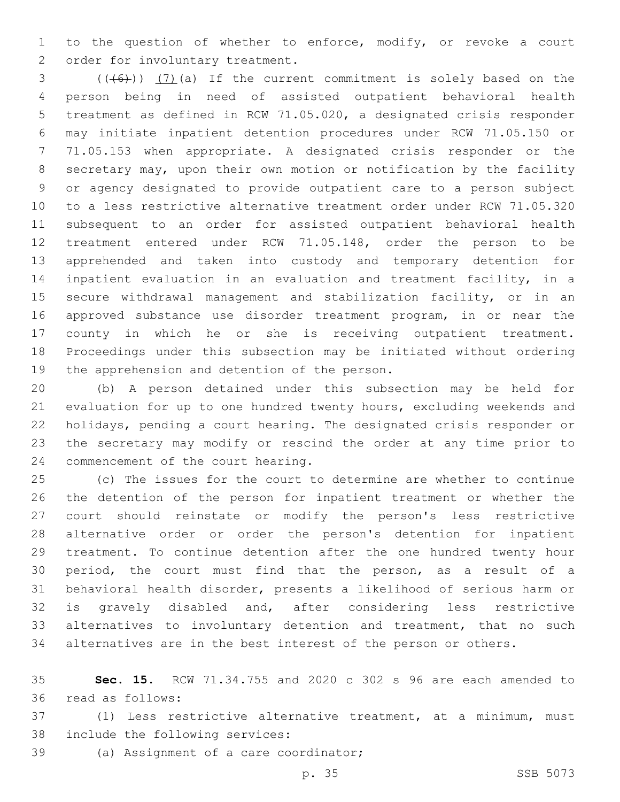to the question of whether to enforce, modify, or revoke a court 2 order for involuntary treatment.

 $(1+6)$ )  $(7)$  (a) If the current commitment is solely based on the person being in need of assisted outpatient behavioral health treatment as defined in RCW 71.05.020, a designated crisis responder may initiate inpatient detention procedures under RCW 71.05.150 or 71.05.153 when appropriate. A designated crisis responder or the secretary may, upon their own motion or notification by the facility or agency designated to provide outpatient care to a person subject to a less restrictive alternative treatment order under RCW 71.05.320 subsequent to an order for assisted outpatient behavioral health treatment entered under RCW 71.05.148, order the person to be apprehended and taken into custody and temporary detention for inpatient evaluation in an evaluation and treatment facility, in a secure withdrawal management and stabilization facility, or in an approved substance use disorder treatment program, in or near the county in which he or she is receiving outpatient treatment. Proceedings under this subsection may be initiated without ordering 19 the apprehension and detention of the person.

 (b) A person detained under this subsection may be held for evaluation for up to one hundred twenty hours, excluding weekends and holidays, pending a court hearing. The designated crisis responder or the secretary may modify or rescind the order at any time prior to 24 commencement of the court hearing.

 (c) The issues for the court to determine are whether to continue the detention of the person for inpatient treatment or whether the court should reinstate or modify the person's less restrictive alternative order or order the person's detention for inpatient treatment. To continue detention after the one hundred twenty hour period, the court must find that the person, as a result of a behavioral health disorder, presents a likelihood of serious harm or is gravely disabled and, after considering less restrictive 33 alternatives to involuntary detention and treatment, that no such alternatives are in the best interest of the person or others.

 **Sec. 15.** RCW 71.34.755 and 2020 c 302 s 96 are each amended to read as follows:36

 (1) Less restrictive alternative treatment, at a minimum, must 38 include the following services:

39 (a) Assignment of a care coordinator;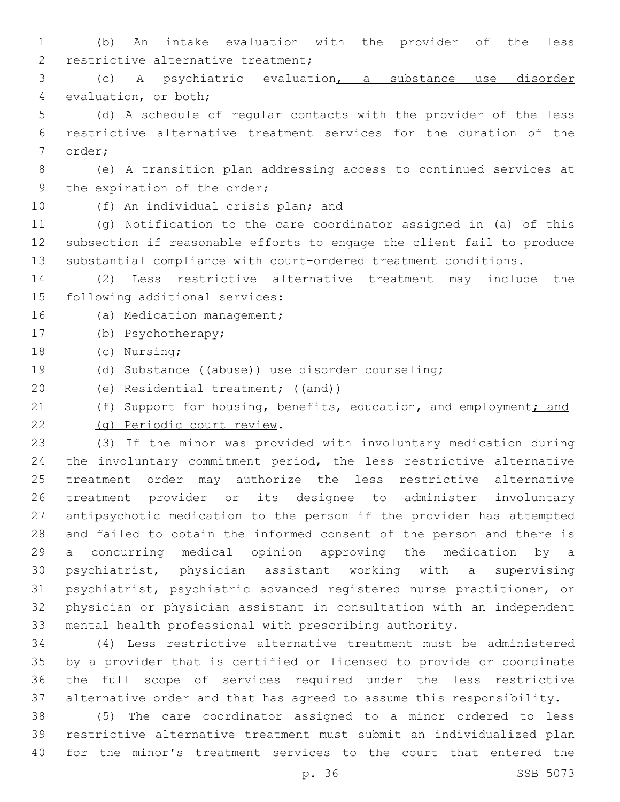(b) An intake evaluation with the provider of the less 2 restrictive alternative treatment;

 (c) A psychiatric evaluation, a substance use disorder 4 evaluation, or both;

 (d) A schedule of regular contacts with the provider of the less restrictive alternative treatment services for the duration of the 7 order;

 (e) A transition plan addressing access to continued services at 9 the expiration of the order;

10 (f) An individual crisis plan; and

 (g) Notification to the care coordinator assigned in (a) of this subsection if reasonable efforts to engage the client fail to produce substantial compliance with court-ordered treatment conditions.

 (2) Less restrictive alternative treatment may include the 15 following additional services:

- 16 (a) Medication management;
- 17 (b) Psychotherapy;
- 18 (c) Nursing;
- (d) Substance ((abuse)) use disorder counseling;
- 20 (e) Residential treatment; ((and))
- 21 (f) Support for housing, benefits, education, and employment; and
- (g) Periodic court review.22

 (3) If the minor was provided with involuntary medication during the involuntary commitment period, the less restrictive alternative treatment order may authorize the less restrictive alternative treatment provider or its designee to administer involuntary antipsychotic medication to the person if the provider has attempted and failed to obtain the informed consent of the person and there is a concurring medical opinion approving the medication by a psychiatrist, physician assistant working with a supervising psychiatrist, psychiatric advanced registered nurse practitioner, or physician or physician assistant in consultation with an independent mental health professional with prescribing authority.

 (4) Less restrictive alternative treatment must be administered by a provider that is certified or licensed to provide or coordinate the full scope of services required under the less restrictive alternative order and that has agreed to assume this responsibility.

 (5) The care coordinator assigned to a minor ordered to less restrictive alternative treatment must submit an individualized plan for the minor's treatment services to the court that entered the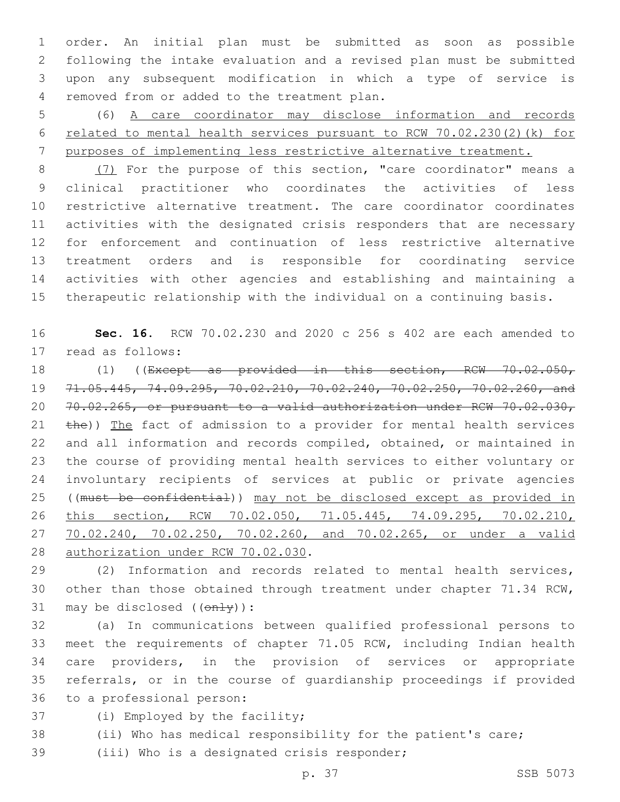order. An initial plan must be submitted as soon as possible following the intake evaluation and a revised plan must be submitted upon any subsequent modification in which a type of service is removed from or added to the treatment plan.4

 (6) A care coordinator may disclose information and records related to mental health services pursuant to RCW 70.02.230(2)(k) for purposes of implementing less restrictive alternative treatment.

 (7) For the purpose of this section, "care coordinator" means a clinical practitioner who coordinates the activities of less restrictive alternative treatment. The care coordinator coordinates activities with the designated crisis responders that are necessary for enforcement and continuation of less restrictive alternative treatment orders and is responsible for coordinating service activities with other agencies and establishing and maintaining a therapeutic relationship with the individual on a continuing basis.

 **Sec. 16.** RCW 70.02.230 and 2020 c 256 s 402 are each amended to 17 read as follows:

18 (1) ((Except as provided in this section, RCW 70.02.050, 71.05.445, 74.09.295, 70.02.210, 70.02.240, 70.02.250, 70.02.260, and 70.02.265, or pursuant to a valid authorization under RCW 70.02.030,  $the$ )) The fact of admission to a provider for mental health services and all information and records compiled, obtained, or maintained in the course of providing mental health services to either voluntary or involuntary recipients of services at public or private agencies ((must be confidential)) may not be disclosed except as provided in this section, RCW 70.02.050, 71.05.445, 74.09.295, 70.02.210, 70.02.240, 70.02.250, 70.02.260, and 70.02.265, or under a valid 28 authorization under RCW 70.02.030.

 (2) Information and records related to mental health services, other than those obtained through treatment under chapter 71.34 RCW, 31 may be disclosed  $((\text{on-ly}))$ :

 (a) In communications between qualified professional persons to meet the requirements of chapter 71.05 RCW, including Indian health care providers, in the provision of services or appropriate referrals, or in the course of guardianship proceedings if provided 36 to a professional person:

37 (i) Employed by the facility;

(ii) Who has medical responsibility for the patient's care;

39 (iii) Who is a designated crisis responder;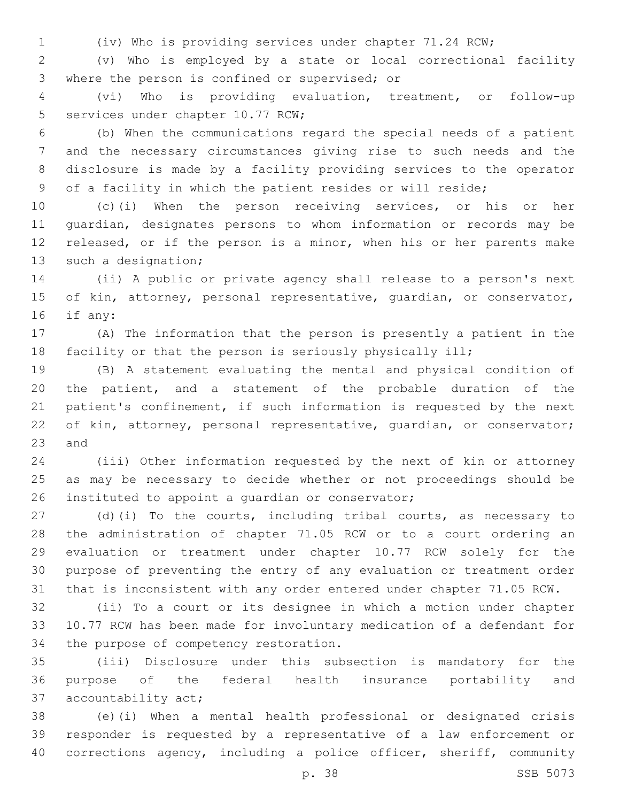(iv) Who is providing services under chapter 71.24 RCW;

 (v) Who is employed by a state or local correctional facility 3 where the person is confined or supervised; or

 (vi) Who is providing evaluation, treatment, or follow-up 5 services under chapter 10.77 RCW;

 (b) When the communications regard the special needs of a patient and the necessary circumstances giving rise to such needs and the disclosure is made by a facility providing services to the operator of a facility in which the patient resides or will reside;

 (c)(i) When the person receiving services, or his or her guardian, designates persons to whom information or records may be released, or if the person is a minor, when his or her parents make 13 such a designation;

 (ii) A public or private agency shall release to a person's next 15 of kin, attorney, personal representative, quardian, or conservator, 16 if any:

 (A) The information that the person is presently a patient in the facility or that the person is seriously physically ill;

 (B) A statement evaluating the mental and physical condition of the patient, and a statement of the probable duration of the patient's confinement, if such information is requested by the next of kin, attorney, personal representative, guardian, or conservator; 23 and

 (iii) Other information requested by the next of kin or attorney as may be necessary to decide whether or not proceedings should be 26 instituted to appoint a quardian or conservator;

 (d)(i) To the courts, including tribal courts, as necessary to the administration of chapter 71.05 RCW or to a court ordering an evaluation or treatment under chapter 10.77 RCW solely for the purpose of preventing the entry of any evaluation or treatment order that is inconsistent with any order entered under chapter 71.05 RCW.

 (ii) To a court or its designee in which a motion under chapter 10.77 RCW has been made for involuntary medication of a defendant for 34 the purpose of competency restoration.

 (iii) Disclosure under this subsection is mandatory for the purpose of the federal health insurance portability and 37 accountability act;

 (e)(i) When a mental health professional or designated crisis responder is requested by a representative of a law enforcement or corrections agency, including a police officer, sheriff, community

p. 38 SSB 5073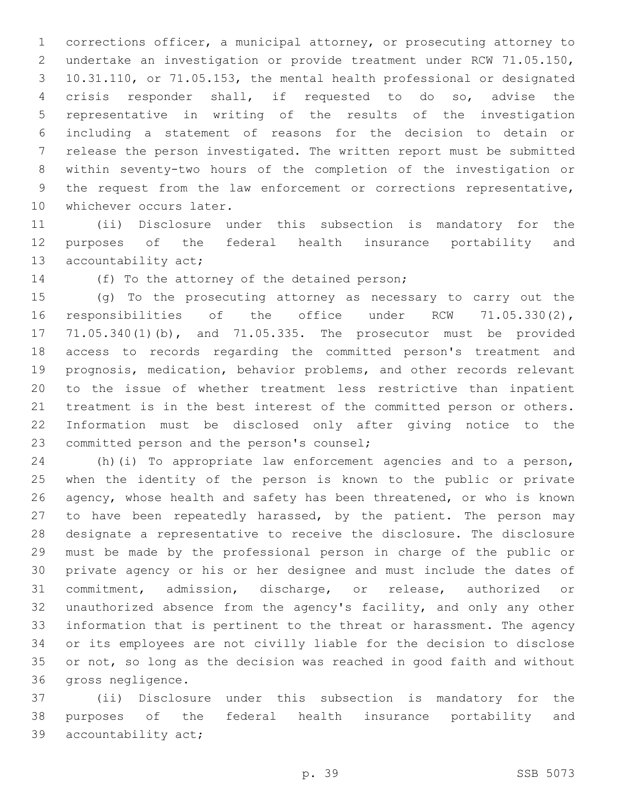corrections officer, a municipal attorney, or prosecuting attorney to undertake an investigation or provide treatment under RCW 71.05.150, 10.31.110, or 71.05.153, the mental health professional or designated crisis responder shall, if requested to do so, advise the representative in writing of the results of the investigation including a statement of reasons for the decision to detain or release the person investigated. The written report must be submitted within seventy-two hours of the completion of the investigation or the request from the law enforcement or corrections representative, 10 whichever occurs later.

 (ii) Disclosure under this subsection is mandatory for the purposes of the federal health insurance portability and 13 accountability act;

14 (f) To the attorney of the detained person;

 (g) To the prosecuting attorney as necessary to carry out the responsibilities of the office under RCW 71.05.330(2), 71.05.340(1)(b), and 71.05.335. The prosecutor must be provided access to records regarding the committed person's treatment and prognosis, medication, behavior problems, and other records relevant to the issue of whether treatment less restrictive than inpatient treatment is in the best interest of the committed person or others. Information must be disclosed only after giving notice to the 23 committed person and the person's counsel;

 (h)(i) To appropriate law enforcement agencies and to a person, when the identity of the person is known to the public or private agency, whose health and safety has been threatened, or who is known to have been repeatedly harassed, by the patient. The person may designate a representative to receive the disclosure. The disclosure must be made by the professional person in charge of the public or private agency or his or her designee and must include the dates of commitment, admission, discharge, or release, authorized or unauthorized absence from the agency's facility, and only any other information that is pertinent to the threat or harassment. The agency or its employees are not civilly liable for the decision to disclose or not, so long as the decision was reached in good faith and without 36 gross negligence.

 (ii) Disclosure under this subsection is mandatory for the purposes of the federal health insurance portability and 39 accountability act;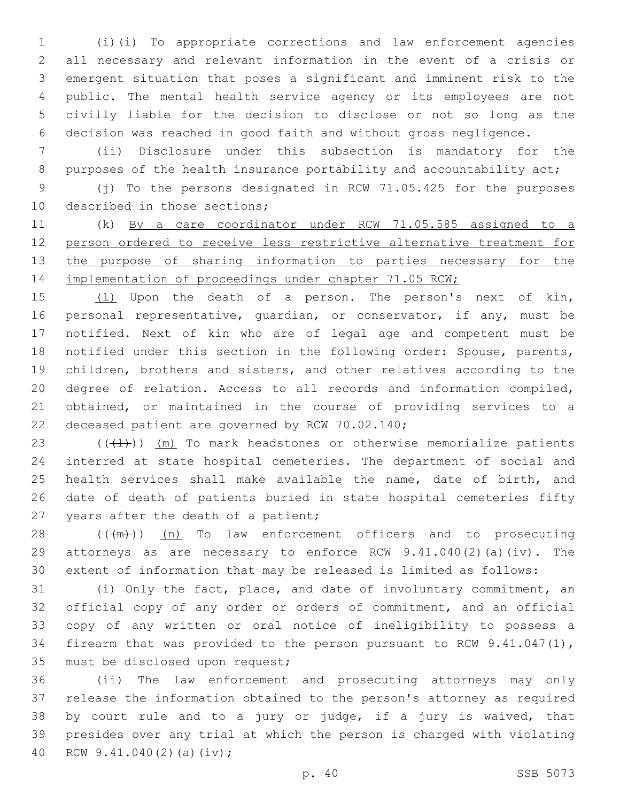(i)(i) To appropriate corrections and law enforcement agencies all necessary and relevant information in the event of a crisis or emergent situation that poses a significant and imminent risk to the public. The mental health service agency or its employees are not civilly liable for the decision to disclose or not so long as the decision was reached in good faith and without gross negligence.

 (ii) Disclosure under this subsection is mandatory for the 8 purposes of the health insurance portability and accountability act;

 (j) To the persons designated in RCW 71.05.425 for the purposes 10 described in those sections;

 (k) By a care coordinator under RCW 71.05.585 assigned to a person ordered to receive less restrictive alternative treatment for 13 the purpose of sharing information to parties necessary for the 14 implementation of proceedings under chapter 71.05 RCW;

15 (1) Upon the death of a person. The person's next of kin, 16 personal representative, quardian, or conservator, if any, must be notified. Next of kin who are of legal age and competent must be notified under this section in the following order: Spouse, parents, children, brothers and sisters, and other relatives according to the degree of relation. Access to all records and information compiled, obtained, or maintained in the course of providing services to a 22 deceased patient are governed by RCW 70.02.140;

 $((+1))$   $(m)$  To mark headstones or otherwise memorialize patients interred at state hospital cemeteries. The department of social and health services shall make available the name, date of birth, and date of death of patients buried in state hospital cemeteries fifty 27 years after the death of a patient;

 ( $(\frac{+m}{2})$ ) (n) To law enforcement officers and to prosecuting attorneys as are necessary to enforce RCW 9.41.040(2)(a)(iv). The extent of information that may be released is limited as follows:

 (i) Only the fact, place, and date of involuntary commitment, an official copy of any order or orders of commitment, and an official copy of any written or oral notice of ineligibility to possess a firearm that was provided to the person pursuant to RCW 9.41.047(1), 35 must be disclosed upon request;

 (ii) The law enforcement and prosecuting attorneys may only release the information obtained to the person's attorney as required by court rule and to a jury or judge, if a jury is waived, that presides over any trial at which the person is charged with violating 40 RCW 9.41.040(2)(a)(iv);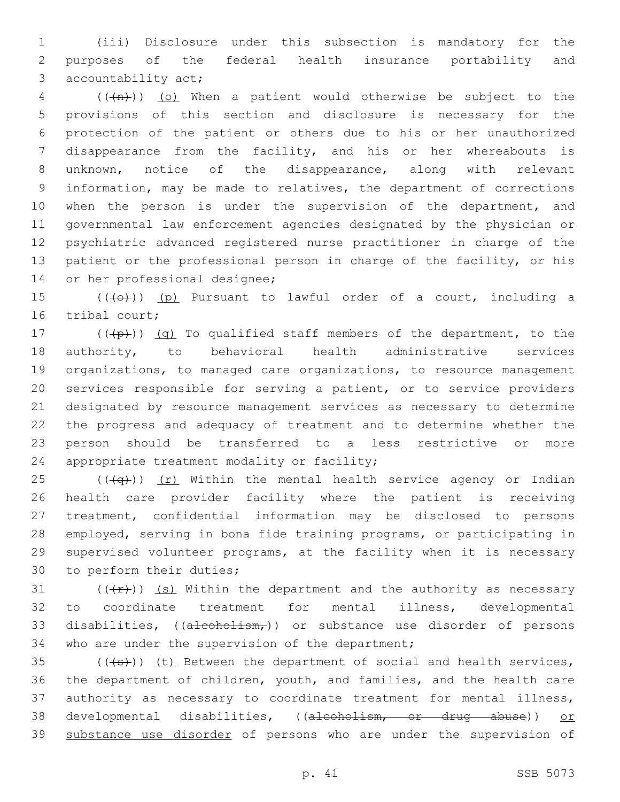(iii) Disclosure under this subsection is mandatory for the purposes of the federal health insurance portability and 3 accountability act;

 ( $(\overline{+n})$ ) (o) When a patient would otherwise be subject to the provisions of this section and disclosure is necessary for the protection of the patient or others due to his or her unauthorized disappearance from the facility, and his or her whereabouts is unknown, notice of the disappearance, along with relevant information, may be made to relatives, the department of corrections 10 when the person is under the supervision of the department, and governmental law enforcement agencies designated by the physician or psychiatric advanced registered nurse practitioner in charge of the patient or the professional person in charge of the facility, or his 14 or her professional designee;

15  $((+e+))$  (p) Pursuant to lawful order of a court, including a 16 tribal court;

 $((+p))$   $(q)$  To qualified staff members of the department, to the authority, to behavioral health administrative services organizations, to managed care organizations, to resource management services responsible for serving a patient, or to service providers designated by resource management services as necessary to determine the progress and adequacy of treatment and to determine whether the person should be transferred to a less restrictive or more 24 appropriate treatment modality or facility;

25 ( $(\overline{q})$ ) (r) Within the mental health service agency or Indian health care provider facility where the patient is receiving treatment, confidential information may be disclosed to persons employed, serving in bona fide training programs, or participating in supervised volunteer programs, at the facility when it is necessary 30 to perform their duties;

31  $((+r))$  (s) Within the department and the authority as necessary to coordinate treatment for mental illness, developmental 33 disabilities,  $((a \text{leoholism}_r))$  or substance use disorder of persons 34 who are under the supervision of the department;

 (( $\left( +s \right)$ )) (t) Between the department of social and health services, the department of children, youth, and families, and the health care authority as necessary to coordinate treatment for mental illness, developmental disabilities, ((alcoholism, or drug abuse)) or 39 substance use disorder of persons who are under the supervision of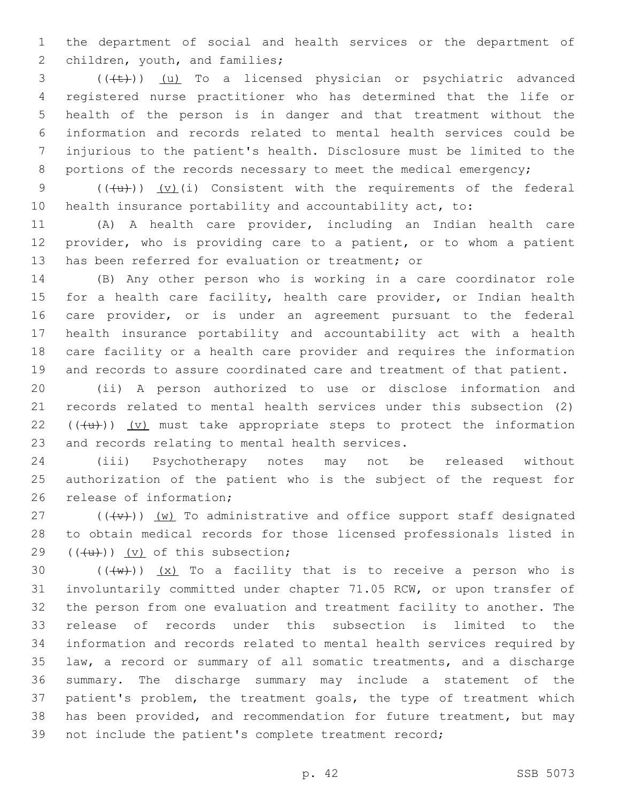the department of social and health services or the department of 2 children, youth, and families;

3 (((+t)) (u) To a licensed physician or psychiatric advanced registered nurse practitioner who has determined that the life or health of the person is in danger and that treatment without the information and records related to mental health services could be injurious to the patient's health. Disclosure must be limited to the 8 portions of the records necessary to meet the medical emergency;

9  $((+u))$   $(v)(i)$  Consistent with the requirements of the federal health insurance portability and accountability act, to:

 (A) A health care provider, including an Indian health care provider, who is providing care to a patient, or to whom a patient 13 has been referred for evaluation or treatment; or

 (B) Any other person who is working in a care coordinator role 15 for a health care facility, health care provider, or Indian health care provider, or is under an agreement pursuant to the federal health insurance portability and accountability act with a health care facility or a health care provider and requires the information and records to assure coordinated care and treatment of that patient.

 (ii) A person authorized to use or disclose information and records related to mental health services under this subsection (2)  $((+u))$   $(v)$  must take appropriate steps to protect the information 23 and records relating to mental health services.

 (iii) Psychotherapy notes may not be released without authorization of the patient who is the subject of the request for 26 release of information;

 (( $\overline{(+v+)}$ ) (w) To administrative and office support staff designated to obtain medical records for those licensed professionals listed in  $(4u)$ ) (v) of this subsection;

 $((+w))$   $(x)$  To a facility that is to receive a person who is involuntarily committed under chapter 71.05 RCW, or upon transfer of the person from one evaluation and treatment facility to another. The release of records under this subsection is limited to the information and records related to mental health services required by law, a record or summary of all somatic treatments, and a discharge summary. The discharge summary may include a statement of the patient's problem, the treatment goals, the type of treatment which has been provided, and recommendation for future treatment, but may not include the patient's complete treatment record;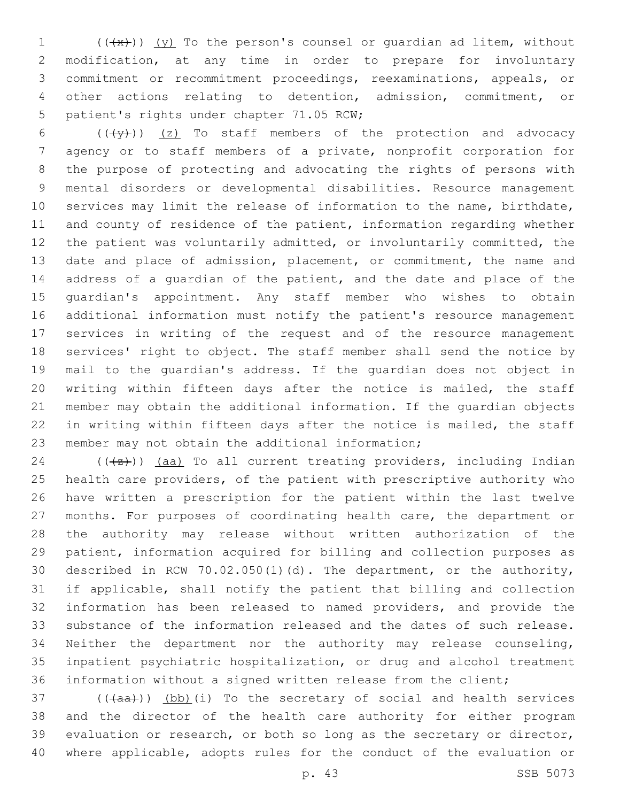$((+x))$   $(y)$  To the person's counsel or quardian ad litem, without modification, at any time in order to prepare for involuntary commitment or recommitment proceedings, reexaminations, appeals, or other actions relating to detention, admission, commitment, or 5 patient's rights under chapter 71.05 RCW;

 $((+\frac{y}{y}))$   $(z)$  To staff members of the protection and advocacy agency or to staff members of a private, nonprofit corporation for the purpose of protecting and advocating the rights of persons with mental disorders or developmental disabilities. Resource management services may limit the release of information to the name, birthdate, 11 and county of residence of the patient, information regarding whether the patient was voluntarily admitted, or involuntarily committed, the date and place of admission, placement, or commitment, the name and address of a guardian of the patient, and the date and place of the guardian's appointment. Any staff member who wishes to obtain additional information must notify the patient's resource management services in writing of the request and of the resource management services' right to object. The staff member shall send the notice by mail to the guardian's address. If the guardian does not object in writing within fifteen days after the notice is mailed, the staff member may obtain the additional information. If the guardian objects in writing within fifteen days after the notice is mailed, the staff 23 member may not obtain the additional information;

24 ( $(\frac{1}{2})$ ) (aa) To all current treating providers, including Indian health care providers, of the patient with prescriptive authority who have written a prescription for the patient within the last twelve months. For purposes of coordinating health care, the department or the authority may release without written authorization of the patient, information acquired for billing and collection purposes as described in RCW 70.02.050(1)(d). The department, or the authority, if applicable, shall notify the patient that billing and collection information has been released to named providers, and provide the substance of the information released and the dates of such release. Neither the department nor the authority may release counseling, inpatient psychiatric hospitalization, or drug and alcohol treatment information without a signed written release from the client;

 ( $(\overline{\{aa\}})$ )  $(\overline{bb})$  (i) To the secretary of social and health services and the director of the health care authority for either program evaluation or research, or both so long as the secretary or director, where applicable, adopts rules for the conduct of the evaluation or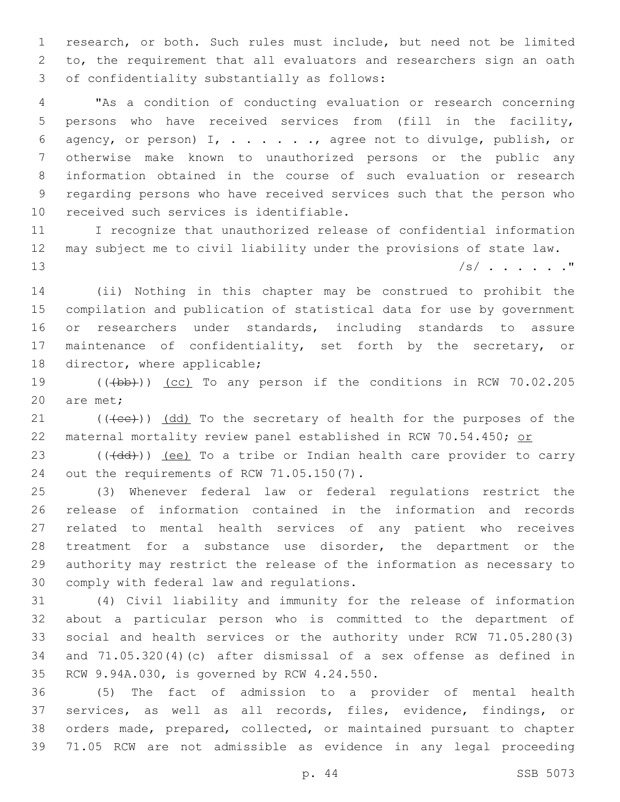research, or both. Such rules must include, but need not be limited to, the requirement that all evaluators and researchers sign an oath 3 of confidentiality substantially as follows:

 "As a condition of conducting evaluation or research concerning persons who have received services from (fill in the facility, agency, or person) I, . . . . . ., agree not to divulge, publish, or otherwise make known to unauthorized persons or the public any information obtained in the course of such evaluation or research regarding persons who have received services such that the person who 10 received such services is identifiable.

 I recognize that unauthorized release of confidential information may subject me to civil liability under the provisions of state law.  $|s|$  . . . . . . "

 (ii) Nothing in this chapter may be construed to prohibit the compilation and publication of statistical data for use by government or researchers under standards, including standards to assure maintenance of confidentiality, set forth by the secretary, or 18 director, where applicable;

19 (((bb))) (cc) To any person if the conditions in RCW 70.02.205 20 are met;

 (( $\left(\text{( $\text{ec}$ )}\right)$ )  $\left(\text{dd}\right)$  To the secretary of health for the purposes of the 22 maternal mortality review panel established in RCW 70.54.450; or

23 (((dd))) (ee) To a tribe or Indian health care provider to carry 24 out the requirements of RCW 71.05.150(7).

 (3) Whenever federal law or federal regulations restrict the release of information contained in the information and records related to mental health services of any patient who receives treatment for a substance use disorder, the department or the authority may restrict the release of the information as necessary to 30 comply with federal law and regulations.

 (4) Civil liability and immunity for the release of information about a particular person who is committed to the department of social and health services or the authority under RCW 71.05.280(3) and 71.05.320(4)(c) after dismissal of a sex offense as defined in 35 RCW 9.94A.030, is governed by RCW 4.24.550.

 (5) The fact of admission to a provider of mental health services, as well as all records, files, evidence, findings, or orders made, prepared, collected, or maintained pursuant to chapter 71.05 RCW are not admissible as evidence in any legal proceeding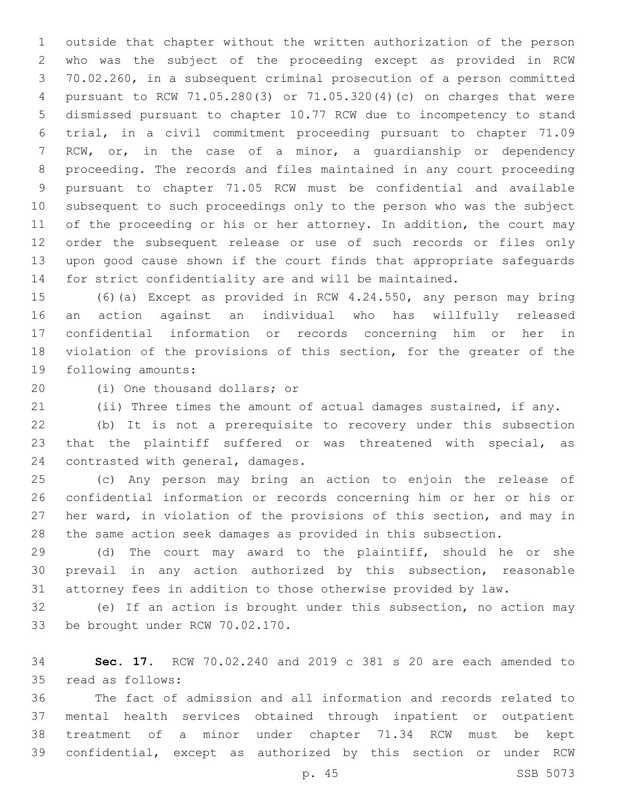outside that chapter without the written authorization of the person who was the subject of the proceeding except as provided in RCW 70.02.260, in a subsequent criminal prosecution of a person committed pursuant to RCW 71.05.280(3) or 71.05.320(4)(c) on charges that were dismissed pursuant to chapter 10.77 RCW due to incompetency to stand trial, in a civil commitment proceeding pursuant to chapter 71.09 RCW, or, in the case of a minor, a guardianship or dependency proceeding. The records and files maintained in any court proceeding pursuant to chapter 71.05 RCW must be confidential and available subsequent to such proceedings only to the person who was the subject 11 of the proceeding or his or her attorney. In addition, the court may order the subsequent release or use of such records or files only upon good cause shown if the court finds that appropriate safeguards for strict confidentiality are and will be maintained.

 (6)(a) Except as provided in RCW 4.24.550, any person may bring an action against an individual who has willfully released confidential information or records concerning him or her in violation of the provisions of this section, for the greater of the 19 following amounts:

20 (i) One thousand dollars; or

(ii) Three times the amount of actual damages sustained, if any.

 (b) It is not a prerequisite to recovery under this subsection that the plaintiff suffered or was threatened with special, as 24 contrasted with general, damages.

 (c) Any person may bring an action to enjoin the release of confidential information or records concerning him or her or his or her ward, in violation of the provisions of this section, and may in the same action seek damages as provided in this subsection.

 (d) The court may award to the plaintiff, should he or she prevail in any action authorized by this subsection, reasonable attorney fees in addition to those otherwise provided by law.

 (e) If an action is brought under this subsection, no action may 33 be brought under RCW 70.02.170.

 **Sec. 17.** RCW 70.02.240 and 2019 c 381 s 20 are each amended to 35 read as follows:

 The fact of admission and all information and records related to mental health services obtained through inpatient or outpatient treatment of a minor under chapter 71.34 RCW must be kept confidential, except as authorized by this section or under RCW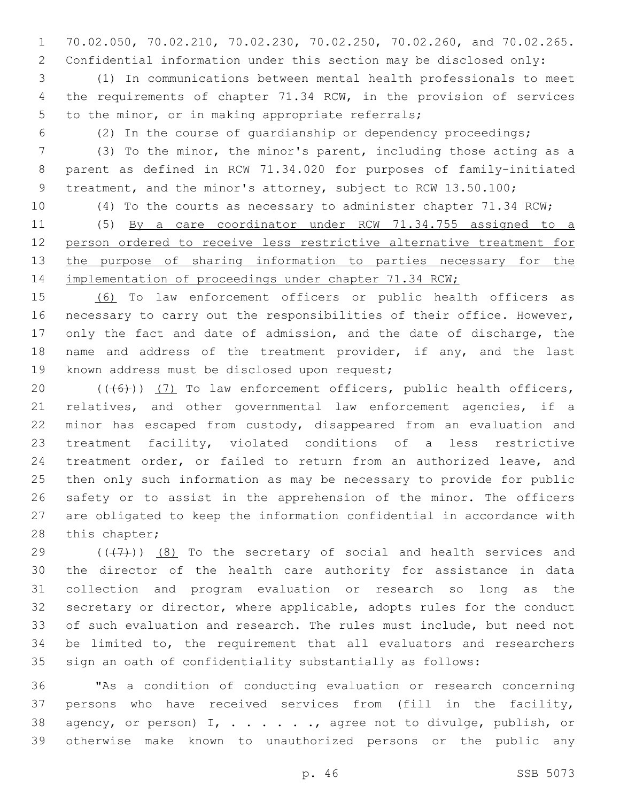70.02.050, 70.02.210, 70.02.230, 70.02.250, 70.02.260, and 70.02.265. Confidential information under this section may be disclosed only:

 (1) In communications between mental health professionals to meet the requirements of chapter 71.34 RCW, in the provision of services 5 to the minor, or in making appropriate referrals;

(2) In the course of guardianship or dependency proceedings;

 (3) To the minor, the minor's parent, including those acting as a parent as defined in RCW 71.34.020 for purposes of family-initiated 9 treatment, and the minor's attorney, subject to RCW 13.50.100;

(4) To the courts as necessary to administer chapter 71.34 RCW;

 (5) By a care coordinator under RCW 71.34.755 assigned to a person ordered to receive less restrictive alternative treatment for 13 the purpose of sharing information to parties necessary for the 14 implementation of proceedings under chapter 71.34 RCW;

 (6) To law enforcement officers or public health officers as 16 necessary to carry out the responsibilities of their office. However, 17 only the fact and date of admission, and the date of discharge, the 18 name and address of the treatment provider, if any, and the last 19 known address must be disclosed upon request;

 $((+6+))$  (7) To law enforcement officers, public health officers, relatives, and other governmental law enforcement agencies, if a minor has escaped from custody, disappeared from an evaluation and treatment facility, violated conditions of a less restrictive treatment order, or failed to return from an authorized leave, and then only such information as may be necessary to provide for public safety or to assist in the apprehension of the minor. The officers are obligated to keep the information confidential in accordance with 28 this chapter;

 $((+7+))$  (8) To the secretary of social and health services and the director of the health care authority for assistance in data collection and program evaluation or research so long as the secretary or director, where applicable, adopts rules for the conduct of such evaluation and research. The rules must include, but need not be limited to, the requirement that all evaluators and researchers sign an oath of confidentiality substantially as follows:

 "As a condition of conducting evaluation or research concerning persons who have received services from (fill in the facility, 38 agency, or person) I, . . . . . . , agree not to divulge, publish, or otherwise make known to unauthorized persons or the public any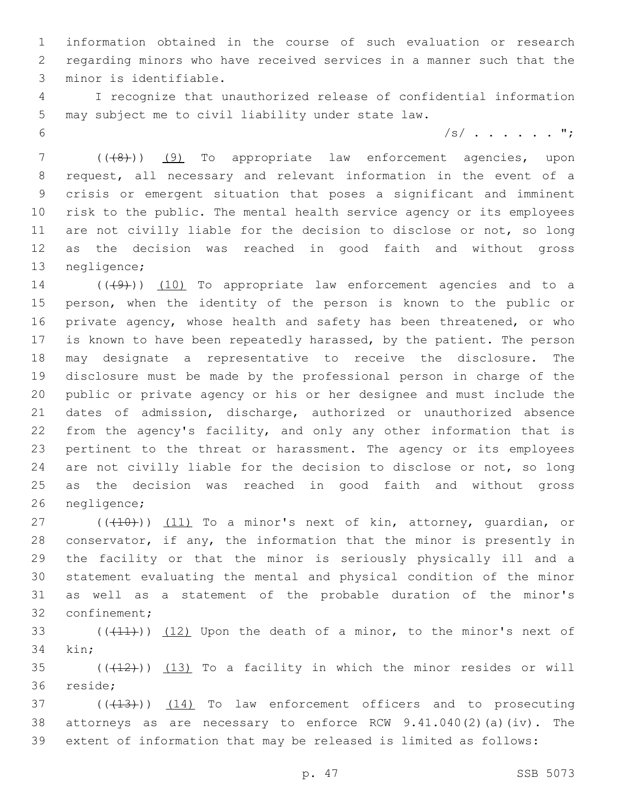information obtained in the course of such evaluation or research regarding minors who have received services in a manner such that the minor is identifiable.3

 I recognize that unauthorized release of confidential information 5 may subject me to civil liability under state law.

/s/ . . . . . . ";

7 (( $(48)$ )) (9) To appropriate law enforcement agencies, upon request, all necessary and relevant information in the event of a crisis or emergent situation that poses a significant and imminent risk to the public. The mental health service agency or its employees 11 are not civilly liable for the decision to disclose or not, so long as the decision was reached in good faith and without gross 13 negligence;

 ( $(\overline{(+9)})$   $(10)$  To appropriate law enforcement agencies and to a person, when the identity of the person is known to the public or private agency, whose health and safety has been threatened, or who is known to have been repeatedly harassed, by the patient. The person may designate a representative to receive the disclosure. The disclosure must be made by the professional person in charge of the public or private agency or his or her designee and must include the dates of admission, discharge, authorized or unauthorized absence from the agency's facility, and only any other information that is pertinent to the threat or harassment. The agency or its employees are not civilly liable for the decision to disclose or not, so long as the decision was reached in good faith and without gross 26 negligence;

 $((+10))$   $(11)$  To a minor's next of kin, attorney, quardian, or conservator, if any, the information that the minor is presently in the facility or that the minor is seriously physically ill and a statement evaluating the mental and physical condition of the minor as well as a statement of the probable duration of the minor's 32 confinement;

33  $((+11))$   $(12)$  Upon the death of a minor, to the minor's next of kin:

 ( $(\overline{+12})$ )  $(13)$  To a facility in which the minor resides or will 36 reside;

37 (((413))) (14) To law enforcement officers and to prosecuting 38 attorneys as are necessary to enforce RCW  $9.41.040(2)(a)(iv)$ . The extent of information that may be released is limited as follows: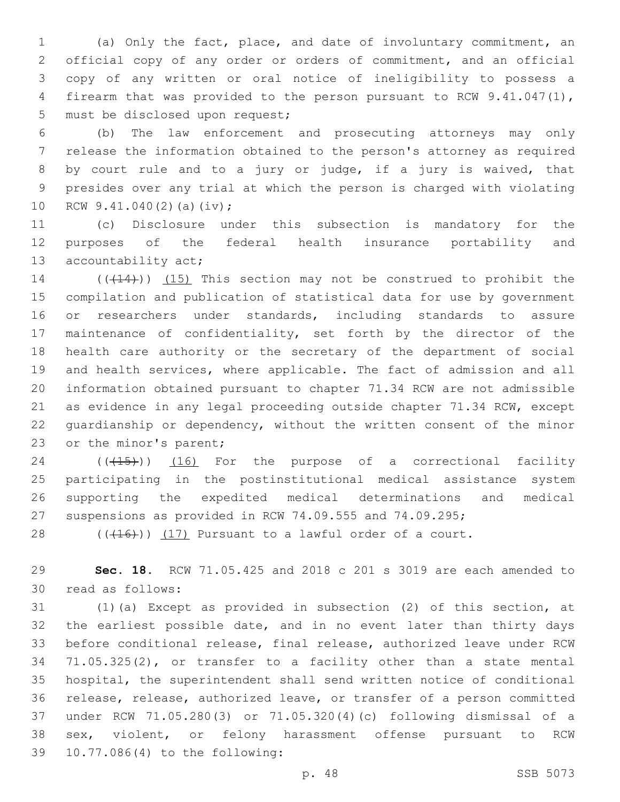(a) Only the fact, place, and date of involuntary commitment, an official copy of any order or orders of commitment, and an official copy of any written or oral notice of ineligibility to possess a firearm that was provided to the person pursuant to RCW 9.41.047(1), 5 must be disclosed upon request;

 (b) The law enforcement and prosecuting attorneys may only release the information obtained to the person's attorney as required by court rule and to a jury or judge, if a jury is waived, that presides over any trial at which the person is charged with violating 10 RCW  $9.41.040(2)$  (a)(iv);

 (c) Disclosure under this subsection is mandatory for the purposes of the federal health insurance portability and 13 accountability act;

14 (( $(414)$ )) (15) This section may not be construed to prohibit the compilation and publication of statistical data for use by government or researchers under standards, including standards to assure maintenance of confidentiality, set forth by the director of the health care authority or the secretary of the department of social and health services, where applicable. The fact of admission and all information obtained pursuant to chapter 71.34 RCW are not admissible as evidence in any legal proceeding outside chapter 71.34 RCW, except guardianship or dependency, without the written consent of the minor 23 or the minor's parent;

24 (( $(45)$ )) (16) For the purpose of a correctional facility participating in the postinstitutional medical assistance system supporting the expedited medical determinations and medical suspensions as provided in RCW 74.09.555 and 74.09.295;

 $((+16))$   $(17)$  Pursuant to a lawful order of a court.

 **Sec. 18.** RCW 71.05.425 and 2018 c 201 s 3019 are each amended to read as follows:30

 (1)(a) Except as provided in subsection (2) of this section, at the earliest possible date, and in no event later than thirty days before conditional release, final release, authorized leave under RCW 71.05.325(2), or transfer to a facility other than a state mental hospital, the superintendent shall send written notice of conditional release, release, authorized leave, or transfer of a person committed under RCW 71.05.280(3) or 71.05.320(4)(c) following dismissal of a sex, violent, or felony harassment offense pursuant to RCW 10.77.086(4) to the following:39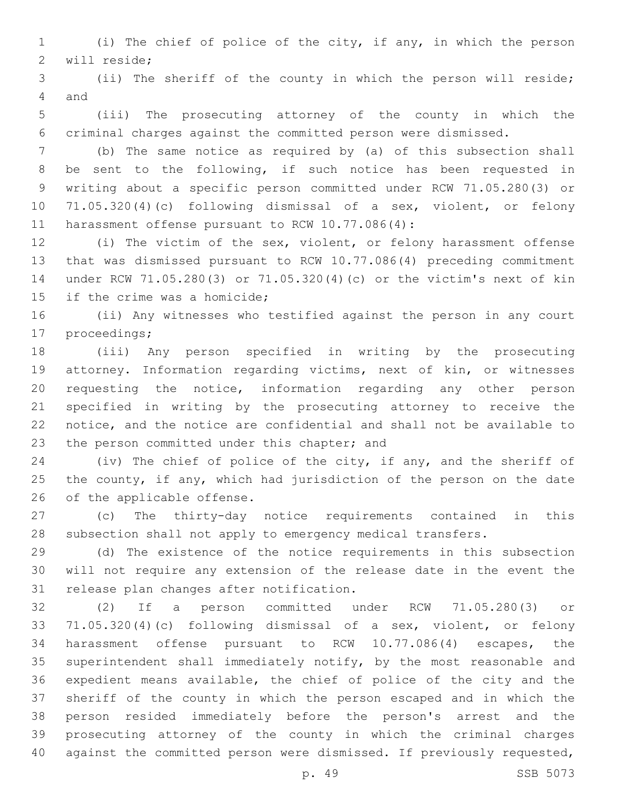(i) The chief of police of the city, if any, in which the person 2 will reside;

 (ii) The sheriff of the county in which the person will reside; 4 and

 (iii) The prosecuting attorney of the county in which the criminal charges against the committed person were dismissed.

 (b) The same notice as required by (a) of this subsection shall be sent to the following, if such notice has been requested in writing about a specific person committed under RCW 71.05.280(3) or 71.05.320(4)(c) following dismissal of a sex, violent, or felony 11 harassment offense pursuant to RCW 10.77.086(4):

 (i) The victim of the sex, violent, or felony harassment offense that was dismissed pursuant to RCW 10.77.086(4) preceding commitment under RCW 71.05.280(3) or 71.05.320(4)(c) or the victim's next of kin 15 if the crime was a homicide;

 (ii) Any witnesses who testified against the person in any court 17 proceedings;

 (iii) Any person specified in writing by the prosecuting attorney. Information regarding victims, next of kin, or witnesses requesting the notice, information regarding any other person specified in writing by the prosecuting attorney to receive the notice, and the notice are confidential and shall not be available to 23 the person committed under this chapter; and

 (iv) The chief of police of the city, if any, and the sheriff of the county, if any, which had jurisdiction of the person on the date 26 of the applicable offense.

 (c) The thirty-day notice requirements contained in this subsection shall not apply to emergency medical transfers.

 (d) The existence of the notice requirements in this subsection will not require any extension of the release date in the event the 31 release plan changes after notification.

 (2) If a person committed under RCW 71.05.280(3) or 71.05.320(4)(c) following dismissal of a sex, violent, or felony harassment offense pursuant to RCW 10.77.086(4) escapes, the superintendent shall immediately notify, by the most reasonable and expedient means available, the chief of police of the city and the sheriff of the county in which the person escaped and in which the person resided immediately before the person's arrest and the prosecuting attorney of the county in which the criminal charges against the committed person were dismissed. If previously requested,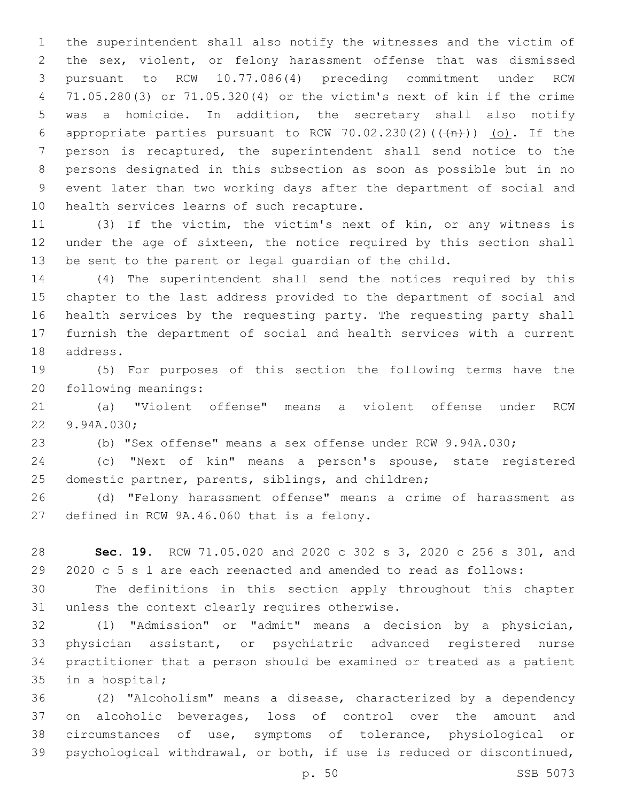the superintendent shall also notify the witnesses and the victim of the sex, violent, or felony harassment offense that was dismissed pursuant to RCW 10.77.086(4) preceding commitment under RCW 71.05.280(3) or 71.05.320(4) or the victim's next of kin if the crime was a homicide. In addition, the secretary shall also notify 6 appropriate parties pursuant to RCW 70.02.230(2)( $(\overrightarrow{m})$ ) (o). If the person is recaptured, the superintendent shall send notice to the persons designated in this subsection as soon as possible but in no event later than two working days after the department of social and 10 health services learns of such recapture.

 (3) If the victim, the victim's next of kin, or any witness is 12 under the age of sixteen, the notice required by this section shall be sent to the parent or legal guardian of the child.

 (4) The superintendent shall send the notices required by this chapter to the last address provided to the department of social and health services by the requesting party. The requesting party shall furnish the department of social and health services with a current 18 address.

 (5) For purposes of this section the following terms have the 20 following meanings:

 (a) "Violent offense" means a violent offense under RCW 22 9.94A.030;

(b) "Sex offense" means a sex offense under RCW 9.94A.030;

 (c) "Next of kin" means a person's spouse, state registered domestic partner, parents, siblings, and children;

 (d) "Felony harassment offense" means a crime of harassment as 27 defined in RCW 9A.46.060 that is a felony.

 **Sec. 19.** RCW 71.05.020 and 2020 c 302 s 3, 2020 c 256 s 301, and 2020 c 5 s 1 are each reenacted and amended to read as follows:

 The definitions in this section apply throughout this chapter 31 unless the context clearly requires otherwise.

 (1) "Admission" or "admit" means a decision by a physician, physician assistant, or psychiatric advanced registered nurse practitioner that a person should be examined or treated as a patient 35 in a hospital;

 (2) "Alcoholism" means a disease, characterized by a dependency on alcoholic beverages, loss of control over the amount and circumstances of use, symptoms of tolerance, physiological or psychological withdrawal, or both, if use is reduced or discontinued,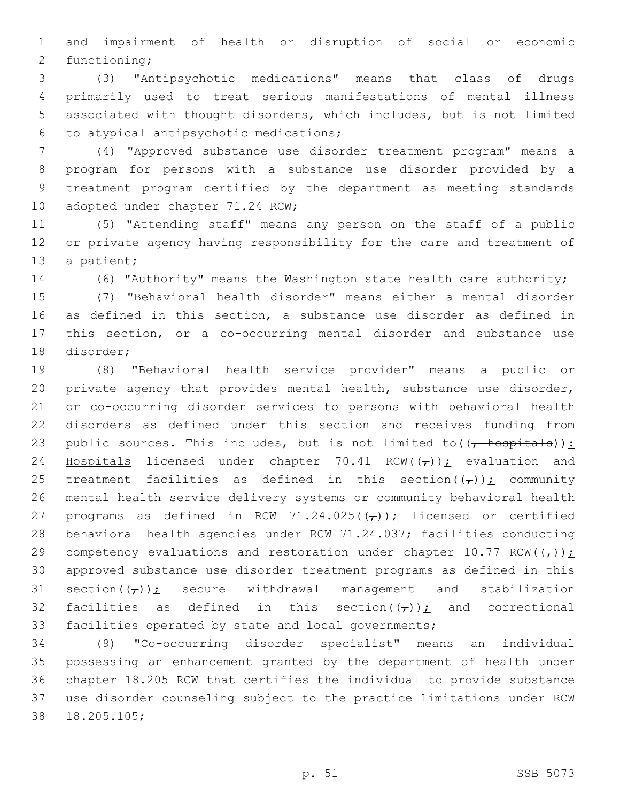and impairment of health or disruption of social or economic 2 functioning;

 (3) "Antipsychotic medications" means that class of drugs primarily used to treat serious manifestations of mental illness associated with thought disorders, which includes, but is not limited to atypical antipsychotic medications;6

 (4) "Approved substance use disorder treatment program" means a program for persons with a substance use disorder provided by a treatment program certified by the department as meeting standards 10 adopted under chapter 71.24 RCW;

 (5) "Attending staff" means any person on the staff of a public or private agency having responsibility for the care and treatment of 13 a patient;

(6) "Authority" means the Washington state health care authority;

 (7) "Behavioral health disorder" means either a mental disorder as defined in this section, a substance use disorder as defined in this section, or a co-occurring mental disorder and substance use 18 disorder;

 (8) "Behavioral health service provider" means a public or private agency that provides mental health, substance use disorder, or co-occurring disorder services to persons with behavioral health disorders as defined under this section and receives funding from 23 public sources. This includes, but is not limited to  $((\text{--}\text{hospitals}))$ : 24 Hospitals licensed under chapter 70.41 RCW( $(\tau)$ ); evaluation and 25 treatment facilities as defined in this section( $(\tau)$ ); community mental health service delivery systems or community behavioral health 27 programs as defined in RCW 71.24.025( $(\tau)$ ); licensed or certified 28 behavioral health agencies under RCW 71.24.037; facilities conducting 29 competency evaluations and restoration under chapter 10.77 RCW( $(\tau)$ ); approved substance use disorder treatment programs as defined in this 31 section( $(\tau)$ ): secure withdrawal management and stabilization 32 facilities as defined in this section( $(\tau)$ ); and correctional facilities operated by state and local governments;

 (9) "Co-occurring disorder specialist" means an individual possessing an enhancement granted by the department of health under chapter 18.205 RCW that certifies the individual to provide substance use disorder counseling subject to the practice limitations under RCW 18.205.105;38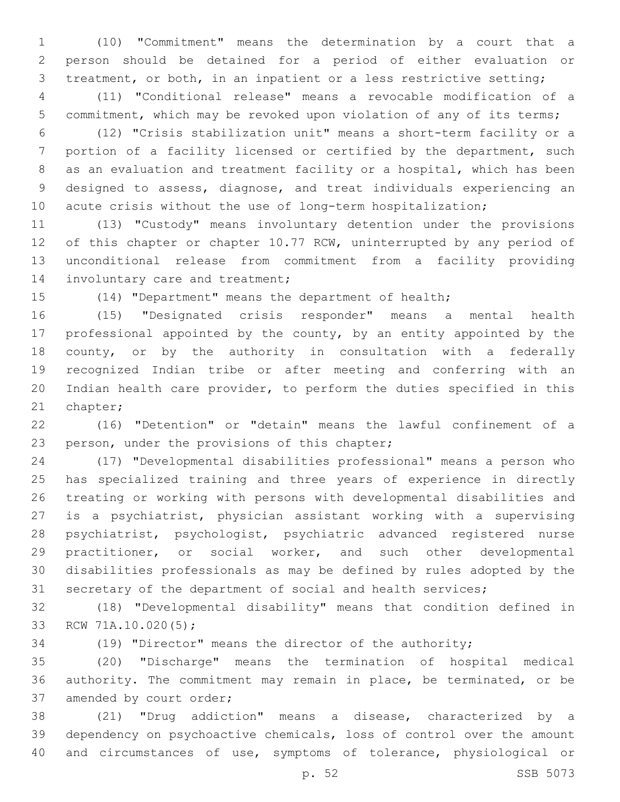(10) "Commitment" means the determination by a court that a person should be detained for a period of either evaluation or treatment, or both, in an inpatient or a less restrictive setting;

 (11) "Conditional release" means a revocable modification of a commitment, which may be revoked upon violation of any of its terms;

 (12) "Crisis stabilization unit" means a short-term facility or a portion of a facility licensed or certified by the department, such as an evaluation and treatment facility or a hospital, which has been designed to assess, diagnose, and treat individuals experiencing an 10 acute crisis without the use of long-term hospitalization;

 (13) "Custody" means involuntary detention under the provisions 12 of this chapter or chapter 10.77 RCW, uninterrupted by any period of unconditional release from commitment from a facility providing 14 involuntary care and treatment;

(14) "Department" means the department of health;

 (15) "Designated crisis responder" means a mental health professional appointed by the county, by an entity appointed by the county, or by the authority in consultation with a federally recognized Indian tribe or after meeting and conferring with an Indian health care provider, to perform the duties specified in this 21 chapter;

 (16) "Detention" or "detain" means the lawful confinement of a 23 person, under the provisions of this chapter;

 (17) "Developmental disabilities professional" means a person who has specialized training and three years of experience in directly treating or working with persons with developmental disabilities and is a psychiatrist, physician assistant working with a supervising psychiatrist, psychologist, psychiatric advanced registered nurse practitioner, or social worker, and such other developmental disabilities professionals as may be defined by rules adopted by the secretary of the department of social and health services;

 (18) "Developmental disability" means that condition defined in 33 RCW 71A.10.020(5);

(19) "Director" means the director of the authority;

 (20) "Discharge" means the termination of hospital medical authority. The commitment may remain in place, be terminated, or be 37 amended by court order;

 (21) "Drug addiction" means a disease, characterized by a dependency on psychoactive chemicals, loss of control over the amount and circumstances of use, symptoms of tolerance, physiological or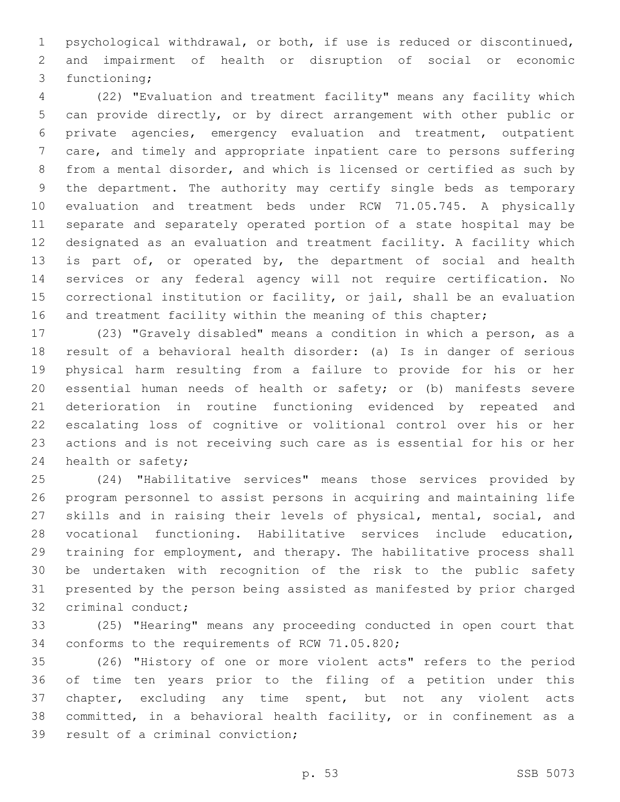psychological withdrawal, or both, if use is reduced or discontinued, and impairment of health or disruption of social or economic 3 functioning;

 (22) "Evaluation and treatment facility" means any facility which can provide directly, or by direct arrangement with other public or private agencies, emergency evaluation and treatment, outpatient care, and timely and appropriate inpatient care to persons suffering from a mental disorder, and which is licensed or certified as such by the department. The authority may certify single beds as temporary evaluation and treatment beds under RCW 71.05.745. A physically separate and separately operated portion of a state hospital may be designated as an evaluation and treatment facility. A facility which 13 is part of, or operated by, the department of social and health services or any federal agency will not require certification. No correctional institution or facility, or jail, shall be an evaluation 16 and treatment facility within the meaning of this chapter;

 (23) "Gravely disabled" means a condition in which a person, as a result of a behavioral health disorder: (a) Is in danger of serious physical harm resulting from a failure to provide for his or her essential human needs of health or safety; or (b) manifests severe deterioration in routine functioning evidenced by repeated and escalating loss of cognitive or volitional control over his or her actions and is not receiving such care as is essential for his or her 24 health or safety;

 (24) "Habilitative services" means those services provided by program personnel to assist persons in acquiring and maintaining life skills and in raising their levels of physical, mental, social, and vocational functioning. Habilitative services include education, training for employment, and therapy. The habilitative process shall be undertaken with recognition of the risk to the public safety presented by the person being assisted as manifested by prior charged 32 criminal conduct;

 (25) "Hearing" means any proceeding conducted in open court that 34 conforms to the requirements of RCW 71.05.820;

 (26) "History of one or more violent acts" refers to the period of time ten years prior to the filing of a petition under this chapter, excluding any time spent, but not any violent acts committed, in a behavioral health facility, or in confinement as a 39 result of a criminal conviction;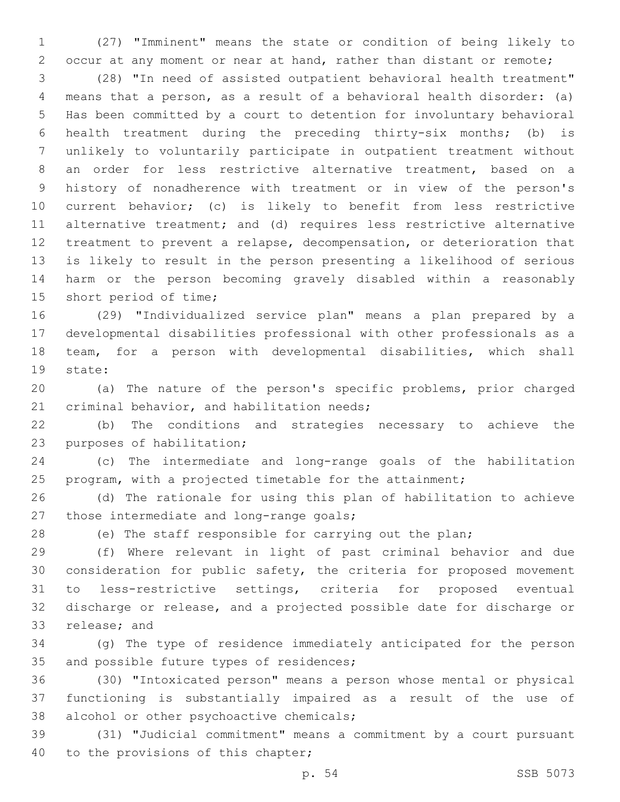(27) "Imminent" means the state or condition of being likely to occur at any moment or near at hand, rather than distant or remote;

 (28) "In need of assisted outpatient behavioral health treatment" means that a person, as a result of a behavioral health disorder: (a) Has been committed by a court to detention for involuntary behavioral health treatment during the preceding thirty-six months; (b) is unlikely to voluntarily participate in outpatient treatment without an order for less restrictive alternative treatment, based on a history of nonadherence with treatment or in view of the person's current behavior; (c) is likely to benefit from less restrictive alternative treatment; and (d) requires less restrictive alternative treatment to prevent a relapse, decompensation, or deterioration that is likely to result in the person presenting a likelihood of serious harm or the person becoming gravely disabled within a reasonably 15 short period of time;

 (29) "Individualized service plan" means a plan prepared by a developmental disabilities professional with other professionals as a team, for a person with developmental disabilities, which shall 19 state:

 (a) The nature of the person's specific problems, prior charged 21 criminal behavior, and habilitation needs;

 (b) The conditions and strategies necessary to achieve the 23 purposes of habilitation;

 (c) The intermediate and long-range goals of the habilitation program, with a projected timetable for the attainment;

 (d) The rationale for using this plan of habilitation to achieve 27 those intermediate and long-range goals;

(e) The staff responsible for carrying out the plan;

 (f) Where relevant in light of past criminal behavior and due consideration for public safety, the criteria for proposed movement to less-restrictive settings, criteria for proposed eventual discharge or release, and a projected possible date for discharge or 33 release; and

 (g) The type of residence immediately anticipated for the person 35 and possible future types of residences;

 (30) "Intoxicated person" means a person whose mental or physical functioning is substantially impaired as a result of the use of 38 alcohol or other psychoactive chemicals;

 (31) "Judicial commitment" means a commitment by a court pursuant 40 to the provisions of this chapter;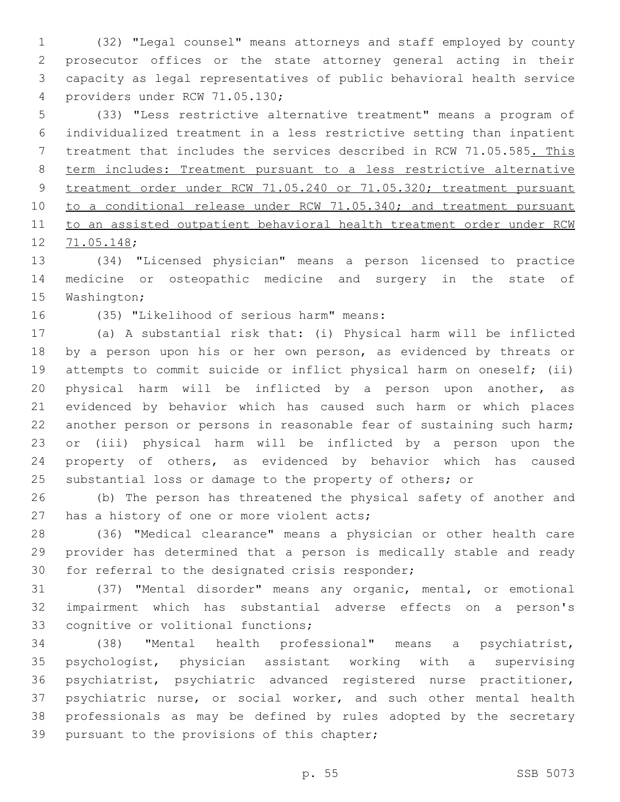(32) "Legal counsel" means attorneys and staff employed by county prosecutor offices or the state attorney general acting in their capacity as legal representatives of public behavioral health service 4 providers under RCW 71.05.130;

 (33) "Less restrictive alternative treatment" means a program of individualized treatment in a less restrictive setting than inpatient treatment that includes the services described in RCW 71.05.585. This term includes: Treatment pursuant to a less restrictive alternative treatment order under RCW 71.05.240 or 71.05.320; treatment pursuant 10 to a conditional release under RCW 71.05.340; and treatment pursuant to an assisted outpatient behavioral health treatment order under RCW 12 71.05.148;

 (34) "Licensed physician" means a person licensed to practice medicine or osteopathic medicine and surgery in the state of 15 Washington;

16 (35) "Likelihood of serious harm" means:

 (a) A substantial risk that: (i) Physical harm will be inflicted 18 by a person upon his or her own person, as evidenced by threats or attempts to commit suicide or inflict physical harm on oneself; (ii) physical harm will be inflicted by a person upon another, as evidenced by behavior which has caused such harm or which places 22 another person or persons in reasonable fear of sustaining such harm; or (iii) physical harm will be inflicted by a person upon the property of others, as evidenced by behavior which has caused 25 substantial loss or damage to the property of others; or

 (b) The person has threatened the physical safety of another and 27 has a history of one or more violent acts;

 (36) "Medical clearance" means a physician or other health care provider has determined that a person is medically stable and ready 30 for referral to the designated crisis responder;

 (37) "Mental disorder" means any organic, mental, or emotional impairment which has substantial adverse effects on a person's 33 cognitive or volitional functions;

 (38) "Mental health professional" means a psychiatrist, psychologist, physician assistant working with a supervising psychiatrist, psychiatric advanced registered nurse practitioner, psychiatric nurse, or social worker, and such other mental health professionals as may be defined by rules adopted by the secretary 39 pursuant to the provisions of this chapter;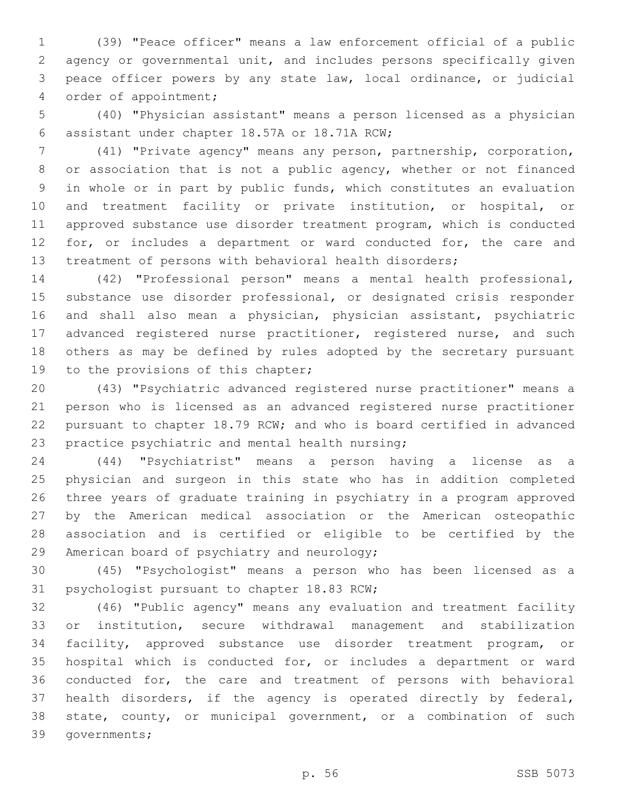(39) "Peace officer" means a law enforcement official of a public agency or governmental unit, and includes persons specifically given peace officer powers by any state law, local ordinance, or judicial 4 order of appointment;

 (40) "Physician assistant" means a person licensed as a physician assistant under chapter 18.57A or 18.71A RCW;6

 (41) "Private agency" means any person, partnership, corporation, 8 or association that is not a public agency, whether or not financed in whole or in part by public funds, which constitutes an evaluation and treatment facility or private institution, or hospital, or approved substance use disorder treatment program, which is conducted 12 for, or includes a department or ward conducted for, the care and treatment of persons with behavioral health disorders;

 (42) "Professional person" means a mental health professional, substance use disorder professional, or designated crisis responder and shall also mean a physician, physician assistant, psychiatric 17 advanced registered nurse practitioner, registered nurse, and such others as may be defined by rules adopted by the secretary pursuant 19 to the provisions of this chapter;

 (43) "Psychiatric advanced registered nurse practitioner" means a person who is licensed as an advanced registered nurse practitioner pursuant to chapter 18.79 RCW; and who is board certified in advanced 23 practice psychiatric and mental health nursing;

 (44) "Psychiatrist" means a person having a license as a physician and surgeon in this state who has in addition completed three years of graduate training in psychiatry in a program approved by the American medical association or the American osteopathic association and is certified or eligible to be certified by the 29 American board of psychiatry and neurology;

 (45) "Psychologist" means a person who has been licensed as a 31 psychologist pursuant to chapter 18.83 RCW;

 (46) "Public agency" means any evaluation and treatment facility or institution, secure withdrawal management and stabilization facility, approved substance use disorder treatment program, or hospital which is conducted for, or includes a department or ward conducted for, the care and treatment of persons with behavioral health disorders, if the agency is operated directly by federal, state, county, or municipal government, or a combination of such 39 governments;

p. 56 SSB 5073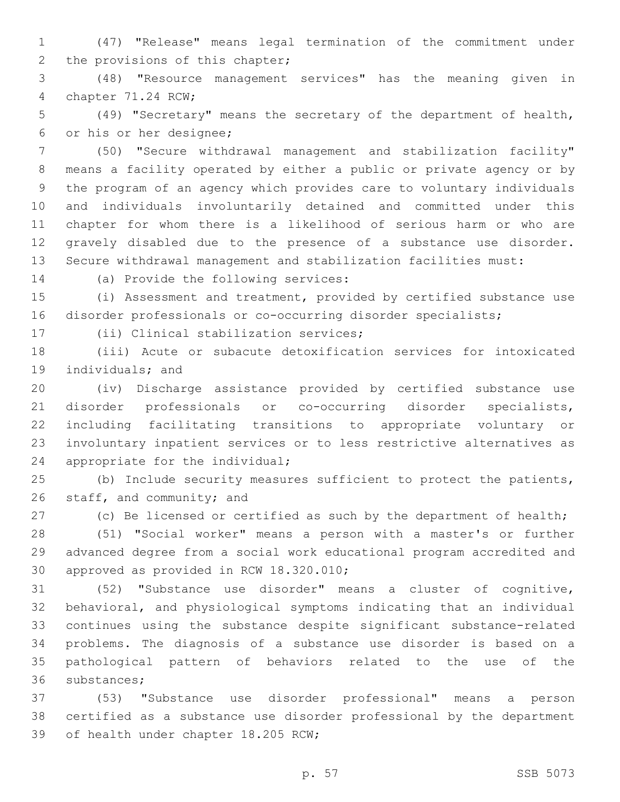(47) "Release" means legal termination of the commitment under 2 the provisions of this chapter;

 (48) "Resource management services" has the meaning given in 4 chapter 71.24 RCW;

 (49) "Secretary" means the secretary of the department of health, 6 or his or her designee;

 (50) "Secure withdrawal management and stabilization facility" means a facility operated by either a public or private agency or by the program of an agency which provides care to voluntary individuals and individuals involuntarily detained and committed under this chapter for whom there is a likelihood of serious harm or who are gravely disabled due to the presence of a substance use disorder. Secure withdrawal management and stabilization facilities must:

14 (a) Provide the following services:

 (i) Assessment and treatment, provided by certified substance use disorder professionals or co-occurring disorder specialists;

17 (ii) Clinical stabilization services;

 (iii) Acute or subacute detoxification services for intoxicated 19 individuals; and

 (iv) Discharge assistance provided by certified substance use disorder professionals or co-occurring disorder specialists, including facilitating transitions to appropriate voluntary or involuntary inpatient services or to less restrictive alternatives as 24 appropriate for the individual;

 (b) Include security measures sufficient to protect the patients, 26 staff, and community; and

27 (c) Be licensed or certified as such by the department of health;

 (51) "Social worker" means a person with a master's or further advanced degree from a social work educational program accredited and 30 approved as provided in RCW 18.320.010;

 (52) "Substance use disorder" means a cluster of cognitive, behavioral, and physiological symptoms indicating that an individual continues using the substance despite significant substance-related problems. The diagnosis of a substance use disorder is based on a pathological pattern of behaviors related to the use of the 36 substances;

 (53) "Substance use disorder professional" means a person certified as a substance use disorder professional by the department 39 of health under chapter 18.205 RCW;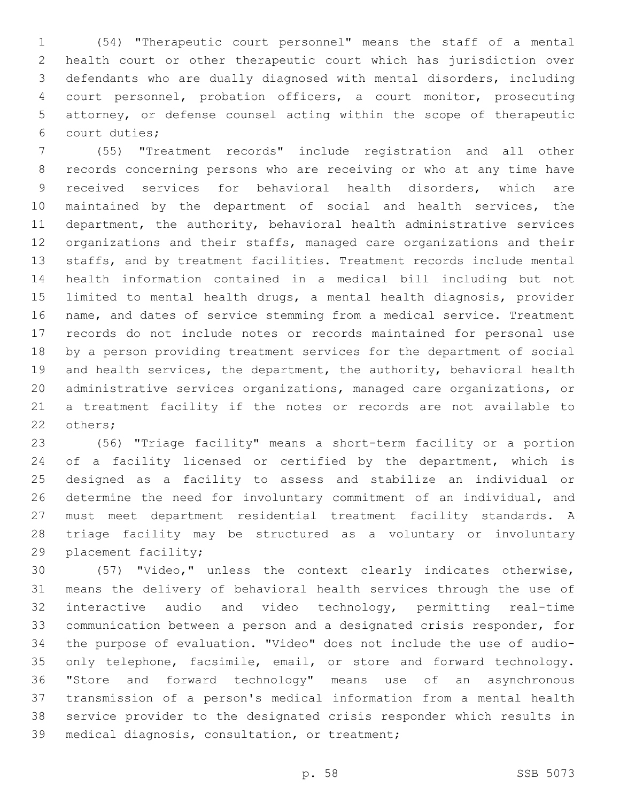(54) "Therapeutic court personnel" means the staff of a mental health court or other therapeutic court which has jurisdiction over defendants who are dually diagnosed with mental disorders, including court personnel, probation officers, a court monitor, prosecuting attorney, or defense counsel acting within the scope of therapeutic court duties;6

 (55) "Treatment records" include registration and all other records concerning persons who are receiving or who at any time have received services for behavioral health disorders, which are maintained by the department of social and health services, the department, the authority, behavioral health administrative services organizations and their staffs, managed care organizations and their staffs, and by treatment facilities. Treatment records include mental health information contained in a medical bill including but not limited to mental health drugs, a mental health diagnosis, provider name, and dates of service stemming from a medical service. Treatment records do not include notes or records maintained for personal use by a person providing treatment services for the department of social and health services, the department, the authority, behavioral health administrative services organizations, managed care organizations, or a treatment facility if the notes or records are not available to 22 others;

 (56) "Triage facility" means a short-term facility or a portion of a facility licensed or certified by the department, which is designed as a facility to assess and stabilize an individual or determine the need for involuntary commitment of an individual, and must meet department residential treatment facility standards. A triage facility may be structured as a voluntary or involuntary 29 placement facility;

 (57) "Video," unless the context clearly indicates otherwise, means the delivery of behavioral health services through the use of interactive audio and video technology, permitting real-time communication between a person and a designated crisis responder, for the purpose of evaluation. "Video" does not include the use of audio-35 only telephone, facsimile, email, or store and forward technology. "Store and forward technology" means use of an asynchronous transmission of a person's medical information from a mental health service provider to the designated crisis responder which results in 39 medical diagnosis, consultation, or treatment;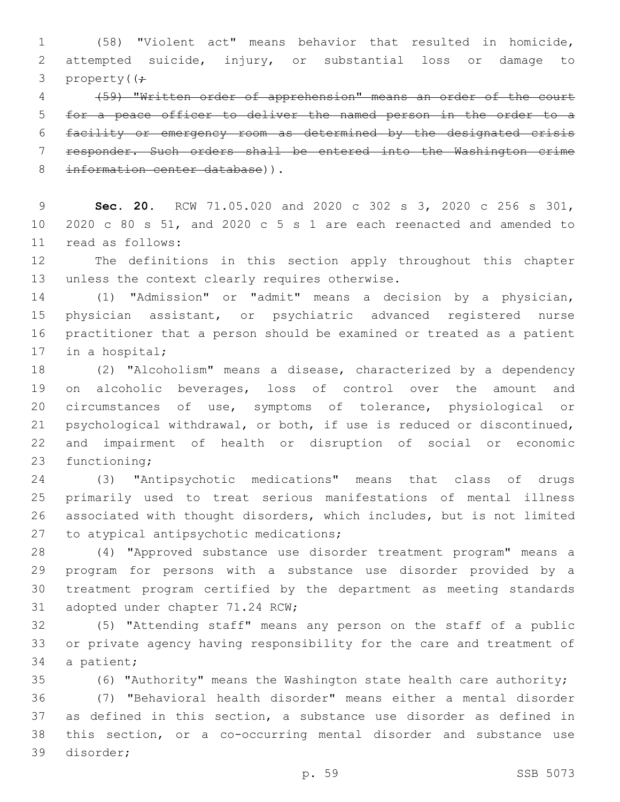(58) "Violent act" means behavior that resulted in homicide, attempted suicide, injury, or substantial loss or damage to 3 property( $\left(\frac{1}{r}\right)$ 

 (59) "Written order of apprehension" means an order of the court for a peace officer to deliver the named person in the order to a facility or emergency room as determined by the designated crisis responder. Such orders shall be entered into the Washington crime 8 information center database)).

 **Sec. 20.** RCW 71.05.020 and 2020 c 302 s 3, 2020 c 256 s 301, 2020 c 80 s 51, and 2020 c 5 s 1 are each reenacted and amended to 11 read as follows:

 The definitions in this section apply throughout this chapter 13 unless the context clearly requires otherwise.

 (1) "Admission" or "admit" means a decision by a physician, physician assistant, or psychiatric advanced registered nurse practitioner that a person should be examined or treated as a patient 17 in a hospital;

 (2) "Alcoholism" means a disease, characterized by a dependency on alcoholic beverages, loss of control over the amount and circumstances of use, symptoms of tolerance, physiological or psychological withdrawal, or both, if use is reduced or discontinued, and impairment of health or disruption of social or economic 23 functioning;

 (3) "Antipsychotic medications" means that class of drugs primarily used to treat serious manifestations of mental illness associated with thought disorders, which includes, but is not limited 27 to atypical antipsychotic medications;

 (4) "Approved substance use disorder treatment program" means a program for persons with a substance use disorder provided by a treatment program certified by the department as meeting standards 31 adopted under chapter 71.24 RCW;

 (5) "Attending staff" means any person on the staff of a public or private agency having responsibility for the care and treatment of 34 a patient;

 (6) "Authority" means the Washington state health care authority; (7) "Behavioral health disorder" means either a mental disorder as defined in this section, a substance use disorder as defined in this section, or a co-occurring mental disorder and substance use 39 disorder;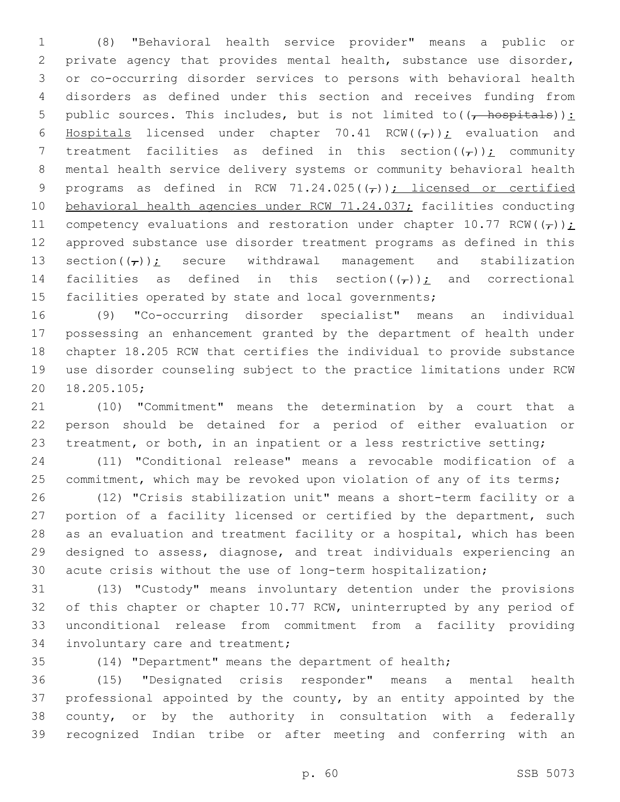(8) "Behavioral health service provider" means a public or private agency that provides mental health, substance use disorder, or co-occurring disorder services to persons with behavioral health disorders as defined under this section and receives funding from 5 public sources. This includes, but is not limited to  $((\frac{1}{f} \text{ hospitals}))$ : 6 Hospitals licensed under chapter 70.41 RCW( $(\tau)$ ); evaluation and 7 treatment facilities as defined in this section( $(\tau)$ ); community mental health service delivery systems or community behavioral health 9 programs as defined in RCW 71.24.025( $(\tau)$ ); licensed or certified behavioral health agencies under RCW 71.24.037; facilities conducting 11 competency evaluations and restoration under chapter 10.77 RCW( $(\tau)$ ); approved substance use disorder treatment programs as defined in this 13 section( $(\tau)$ ): secure withdrawal management and stabilization 14 facilities as defined in this section( $(\tau)$ ); and correctional 15 facilities operated by state and local governments;

 (9) "Co-occurring disorder specialist" means an individual possessing an enhancement granted by the department of health under chapter 18.205 RCW that certifies the individual to provide substance use disorder counseling subject to the practice limitations under RCW 18.205.105;20

 (10) "Commitment" means the determination by a court that a person should be detained for a period of either evaluation or 23 treatment, or both, in an inpatient or a less restrictive setting;

 (11) "Conditional release" means a revocable modification of a 25 commitment, which may be revoked upon violation of any of its terms;

 (12) "Crisis stabilization unit" means a short-term facility or a 27 portion of a facility licensed or certified by the department, such as an evaluation and treatment facility or a hospital, which has been designed to assess, diagnose, and treat individuals experiencing an acute crisis without the use of long-term hospitalization;

 (13) "Custody" means involuntary detention under the provisions 32 of this chapter or chapter 10.77 RCW, uninterrupted by any period of unconditional release from commitment from a facility providing 34 involuntary care and treatment;

(14) "Department" means the department of health;

 (15) "Designated crisis responder" means a mental health professional appointed by the county, by an entity appointed by the county, or by the authority in consultation with a federally recognized Indian tribe or after meeting and conferring with an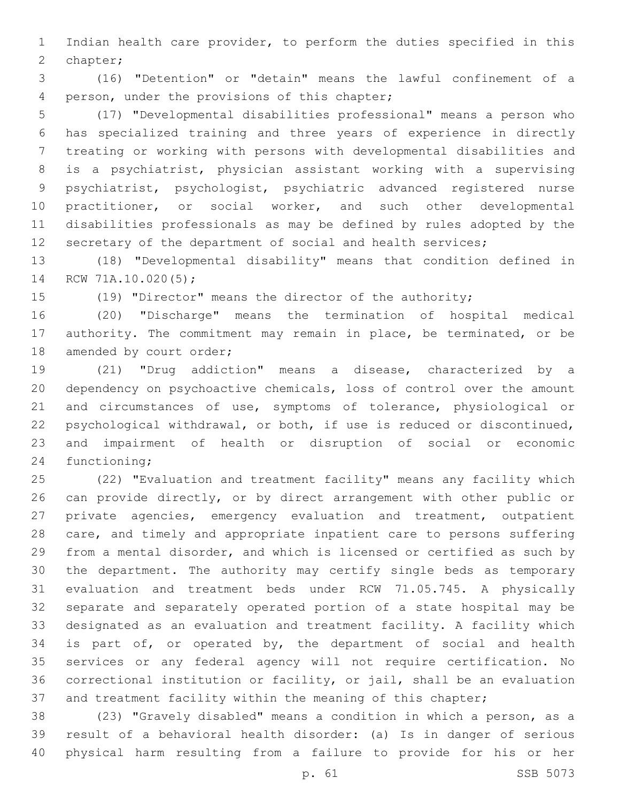Indian health care provider, to perform the duties specified in this 2 chapter;

 (16) "Detention" or "detain" means the lawful confinement of a 4 person, under the provisions of this chapter;

 (17) "Developmental disabilities professional" means a person who has specialized training and three years of experience in directly treating or working with persons with developmental disabilities and is a psychiatrist, physician assistant working with a supervising psychiatrist, psychologist, psychiatric advanced registered nurse 10 practitioner, or social worker, and such other developmental disabilities professionals as may be defined by rules adopted by the 12 secretary of the department of social and health services;

 (18) "Developmental disability" means that condition defined in 14 RCW 71A.10.020(5);

(19) "Director" means the director of the authority;

 (20) "Discharge" means the termination of hospital medical authority. The commitment may remain in place, be terminated, or be 18 amended by court order;

 (21) "Drug addiction" means a disease, characterized by a dependency on psychoactive chemicals, loss of control over the amount and circumstances of use, symptoms of tolerance, physiological or psychological withdrawal, or both, if use is reduced or discontinued, and impairment of health or disruption of social or economic 24 functioning;

 (22) "Evaluation and treatment facility" means any facility which can provide directly, or by direct arrangement with other public or private agencies, emergency evaluation and treatment, outpatient care, and timely and appropriate inpatient care to persons suffering from a mental disorder, and which is licensed or certified as such by the department. The authority may certify single beds as temporary evaluation and treatment beds under RCW 71.05.745. A physically separate and separately operated portion of a state hospital may be designated as an evaluation and treatment facility. A facility which 34 is part of, or operated by, the department of social and health services or any federal agency will not require certification. No correctional institution or facility, or jail, shall be an evaluation 37 and treatment facility within the meaning of this chapter;

 (23) "Gravely disabled" means a condition in which a person, as a result of a behavioral health disorder: (a) Is in danger of serious physical harm resulting from a failure to provide for his or her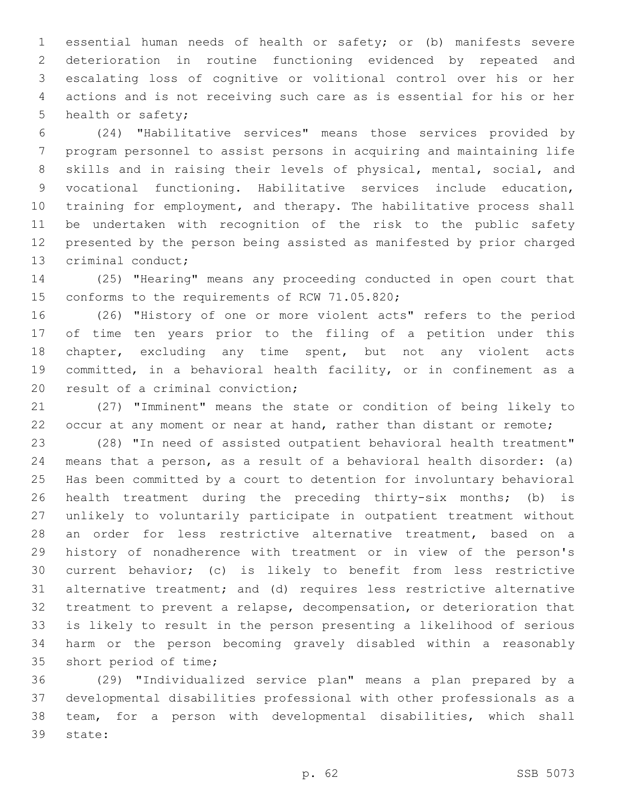essential human needs of health or safety; or (b) manifests severe deterioration in routine functioning evidenced by repeated and escalating loss of cognitive or volitional control over his or her actions and is not receiving such care as is essential for his or her 5 health or safety;

 (24) "Habilitative services" means those services provided by program personnel to assist persons in acquiring and maintaining life skills and in raising their levels of physical, mental, social, and vocational functioning. Habilitative services include education, training for employment, and therapy. The habilitative process shall be undertaken with recognition of the risk to the public safety presented by the person being assisted as manifested by prior charged 13 criminal conduct;

 (25) "Hearing" means any proceeding conducted in open court that 15 conforms to the requirements of RCW 71.05.820;

 (26) "History of one or more violent acts" refers to the period of time ten years prior to the filing of a petition under this chapter, excluding any time spent, but not any violent acts committed, in a behavioral health facility, or in confinement as a 20 result of a criminal conviction;

 (27) "Imminent" means the state or condition of being likely to 22 occur at any moment or near at hand, rather than distant or remote;

 (28) "In need of assisted outpatient behavioral health treatment" means that a person, as a result of a behavioral health disorder: (a) Has been committed by a court to detention for involuntary behavioral health treatment during the preceding thirty-six months; (b) is unlikely to voluntarily participate in outpatient treatment without an order for less restrictive alternative treatment, based on a history of nonadherence with treatment or in view of the person's current behavior; (c) is likely to benefit from less restrictive alternative treatment; and (d) requires less restrictive alternative treatment to prevent a relapse, decompensation, or deterioration that is likely to result in the person presenting a likelihood of serious harm or the person becoming gravely disabled within a reasonably 35 short period of time;

 (29) "Individualized service plan" means a plan prepared by a developmental disabilities professional with other professionals as a team, for a person with developmental disabilities, which shall 39 state: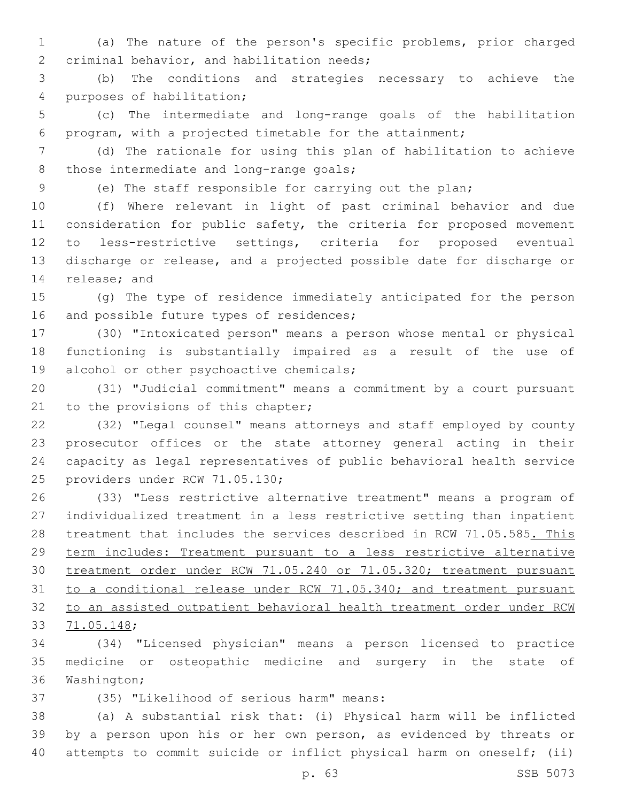(a) The nature of the person's specific problems, prior charged 2 criminal behavior, and habilitation needs;

 (b) The conditions and strategies necessary to achieve the 4 purposes of habilitation;

 (c) The intermediate and long-range goals of the habilitation program, with a projected timetable for the attainment;

 (d) The rationale for using this plan of habilitation to achieve 8 those intermediate and long-range goals;

(e) The staff responsible for carrying out the plan;

 (f) Where relevant in light of past criminal behavior and due 11 consideration for public safety, the criteria for proposed movement to less-restrictive settings, criteria for proposed eventual discharge or release, and a projected possible date for discharge or 14 release; and

 (g) The type of residence immediately anticipated for the person 16 and possible future types of residences;

 (30) "Intoxicated person" means a person whose mental or physical functioning is substantially impaired as a result of the use of 19 alcohol or other psychoactive chemicals;

 (31) "Judicial commitment" means a commitment by a court pursuant 21 to the provisions of this chapter;

 (32) "Legal counsel" means attorneys and staff employed by county prosecutor offices or the state attorney general acting in their capacity as legal representatives of public behavioral health service 25 providers under RCW 71.05.130;

 (33) "Less restrictive alternative treatment" means a program of individualized treatment in a less restrictive setting than inpatient 28 treatment that includes the services described in RCW 71.05.585. This term includes: Treatment pursuant to a less restrictive alternative treatment order under RCW 71.05.240 or 71.05.320; treatment pursuant to a conditional release under RCW 71.05.340; and treatment pursuant to an assisted outpatient behavioral health treatment order under RCW 71.05.148;33

 (34) "Licensed physician" means a person licensed to practice medicine or osteopathic medicine and surgery in the state of 36 Washington;

(35) "Likelihood of serious harm" means:37

 (a) A substantial risk that: (i) Physical harm will be inflicted by a person upon his or her own person, as evidenced by threats or attempts to commit suicide or inflict physical harm on oneself; (ii)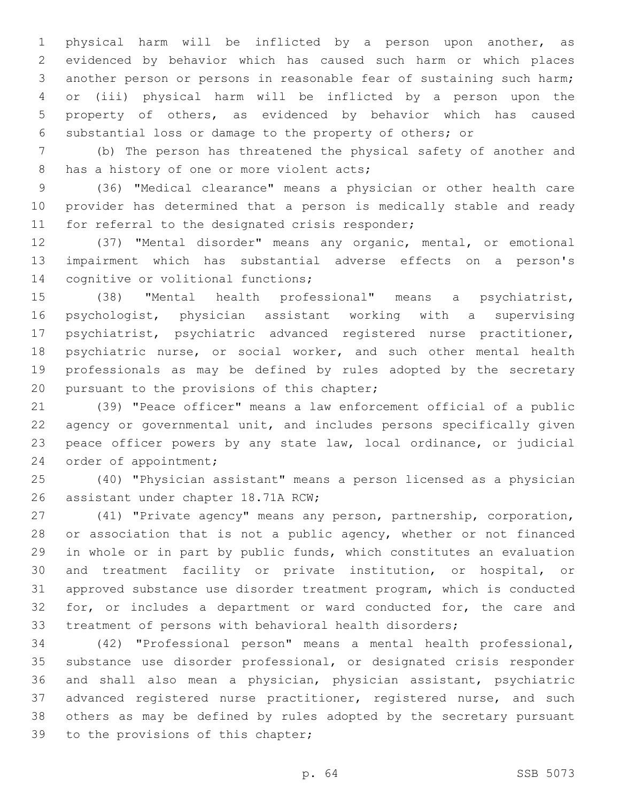physical harm will be inflicted by a person upon another, as evidenced by behavior which has caused such harm or which places another person or persons in reasonable fear of sustaining such harm; or (iii) physical harm will be inflicted by a person upon the property of others, as evidenced by behavior which has caused substantial loss or damage to the property of others; or

 (b) The person has threatened the physical safety of another and 8 has a history of one or more violent acts;

 (36) "Medical clearance" means a physician or other health care provider has determined that a person is medically stable and ready 11 for referral to the designated crisis responder;

 (37) "Mental disorder" means any organic, mental, or emotional impairment which has substantial adverse effects on a person's 14 cognitive or volitional functions;

 (38) "Mental health professional" means a psychiatrist, psychologist, physician assistant working with a supervising psychiatrist, psychiatric advanced registered nurse practitioner, 18 psychiatric nurse, or social worker, and such other mental health professionals as may be defined by rules adopted by the secretary 20 pursuant to the provisions of this chapter;

 (39) "Peace officer" means a law enforcement official of a public agency or governmental unit, and includes persons specifically given peace officer powers by any state law, local ordinance, or judicial 24 order of appointment;

 (40) "Physician assistant" means a person licensed as a physician 26 assistant under chapter 18.71A RCW;

 (41) "Private agency" means any person, partnership, corporation, 28 or association that is not a public agency, whether or not financed in whole or in part by public funds, which constitutes an evaluation and treatment facility or private institution, or hospital, or approved substance use disorder treatment program, which is conducted 32 for, or includes a department or ward conducted for, the care and treatment of persons with behavioral health disorders;

 (42) "Professional person" means a mental health professional, substance use disorder professional, or designated crisis responder and shall also mean a physician, physician assistant, psychiatric 37 advanced registered nurse practitioner, registered nurse, and such others as may be defined by rules adopted by the secretary pursuant 39 to the provisions of this chapter;

p. 64 SSB 5073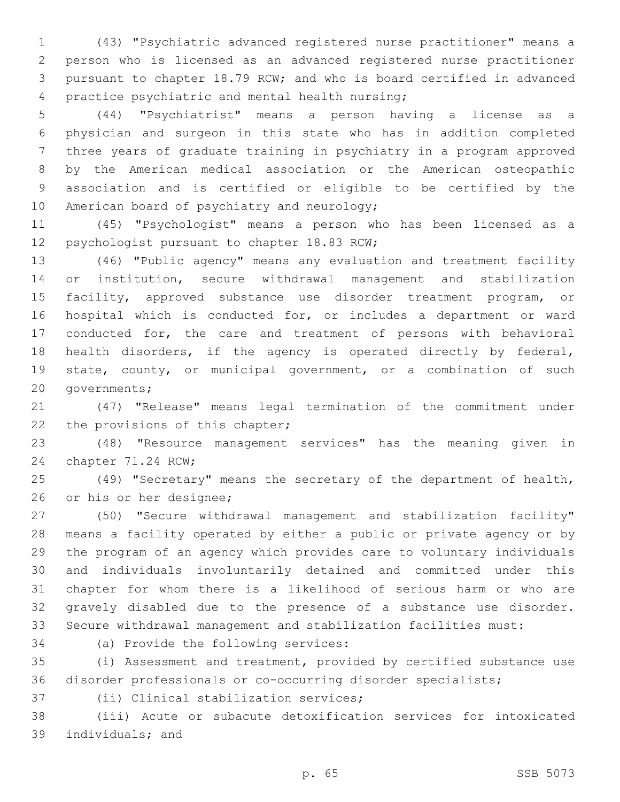(43) "Psychiatric advanced registered nurse practitioner" means a person who is licensed as an advanced registered nurse practitioner pursuant to chapter 18.79 RCW; and who is board certified in advanced 4 practice psychiatric and mental health nursing;

 (44) "Psychiatrist" means a person having a license as a physician and surgeon in this state who has in addition completed three years of graduate training in psychiatry in a program approved by the American medical association or the American osteopathic association and is certified or eligible to be certified by the 10 American board of psychiatry and neurology;

 (45) "Psychologist" means a person who has been licensed as a 12 psychologist pursuant to chapter 18.83 RCW;

 (46) "Public agency" means any evaluation and treatment facility or institution, secure withdrawal management and stabilization facility, approved substance use disorder treatment program, or hospital which is conducted for, or includes a department or ward conducted for, the care and treatment of persons with behavioral health disorders, if the agency is operated directly by federal, state, county, or municipal government, or a combination of such 20 governments;

 (47) "Release" means legal termination of the commitment under 22 the provisions of this chapter;

 (48) "Resource management services" has the meaning given in 24 chapter 71.24 RCW;

 (49) "Secretary" means the secretary of the department of health, 26 or his or her designee;

 (50) "Secure withdrawal management and stabilization facility" means a facility operated by either a public or private agency or by the program of an agency which provides care to voluntary individuals and individuals involuntarily detained and committed under this chapter for whom there is a likelihood of serious harm or who are gravely disabled due to the presence of a substance use disorder. Secure withdrawal management and stabilization facilities must:

34 (a) Provide the following services:

 (i) Assessment and treatment, provided by certified substance use disorder professionals or co-occurring disorder specialists;

37 (ii) Clinical stabilization services;

 (iii) Acute or subacute detoxification services for intoxicated 39 individuals; and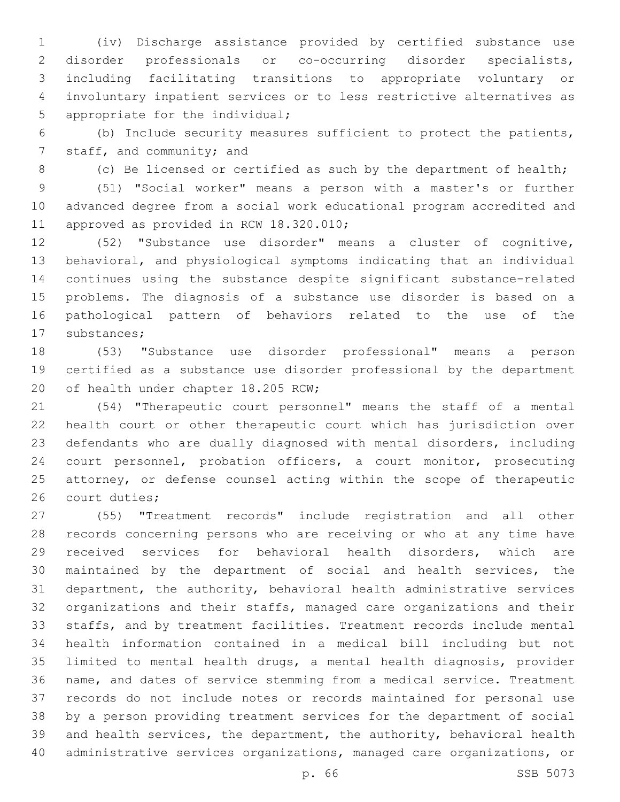(iv) Discharge assistance provided by certified substance use disorder professionals or co-occurring disorder specialists, including facilitating transitions to appropriate voluntary or involuntary inpatient services or to less restrictive alternatives as 5 appropriate for the individual;

 (b) Include security measures sufficient to protect the patients, 7 staff, and community; and

8 (c) Be licensed or certified as such by the department of health;

 (51) "Social worker" means a person with a master's or further advanced degree from a social work educational program accredited and 11 approved as provided in RCW 18.320.010;

 (52) "Substance use disorder" means a cluster of cognitive, behavioral, and physiological symptoms indicating that an individual continues using the substance despite significant substance-related problems. The diagnosis of a substance use disorder is based on a pathological pattern of behaviors related to the use of the 17 substances;

 (53) "Substance use disorder professional" means a person certified as a substance use disorder professional by the department 20 of health under chapter 18.205 RCW;

 (54) "Therapeutic court personnel" means the staff of a mental health court or other therapeutic court which has jurisdiction over defendants who are dually diagnosed with mental disorders, including court personnel, probation officers, a court monitor, prosecuting attorney, or defense counsel acting within the scope of therapeutic 26 court duties;

 (55) "Treatment records" include registration and all other records concerning persons who are receiving or who at any time have received services for behavioral health disorders, which are maintained by the department of social and health services, the department, the authority, behavioral health administrative services organizations and their staffs, managed care organizations and their staffs, and by treatment facilities. Treatment records include mental health information contained in a medical bill including but not limited to mental health drugs, a mental health diagnosis, provider name, and dates of service stemming from a medical service. Treatment records do not include notes or records maintained for personal use by a person providing treatment services for the department of social and health services, the department, the authority, behavioral health administrative services organizations, managed care organizations, or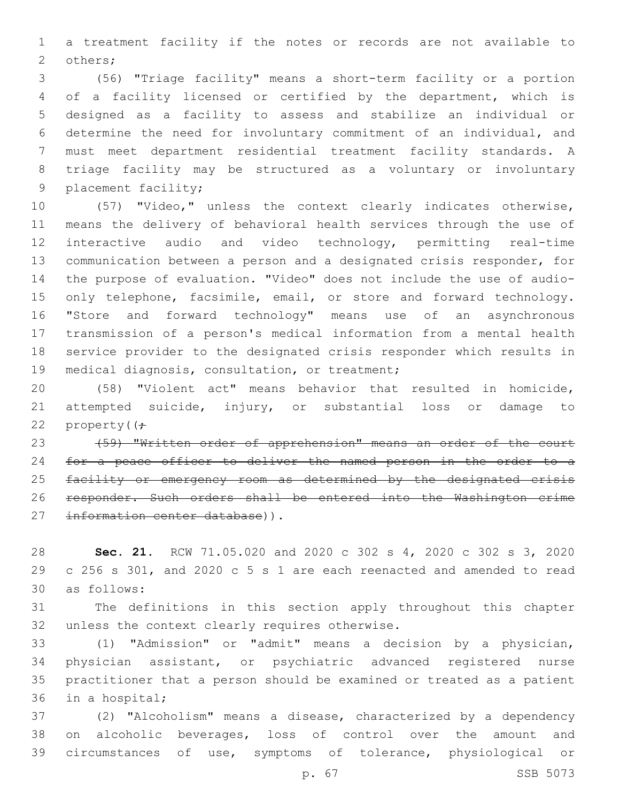a treatment facility if the notes or records are not available to 2 others;

 (56) "Triage facility" means a short-term facility or a portion of a facility licensed or certified by the department, which is designed as a facility to assess and stabilize an individual or determine the need for involuntary commitment of an individual, and must meet department residential treatment facility standards. A triage facility may be structured as a voluntary or involuntary 9 placement facility;

 (57) "Video," unless the context clearly indicates otherwise, means the delivery of behavioral health services through the use of interactive audio and video technology, permitting real-time communication between a person and a designated crisis responder, for the purpose of evaluation. "Video" does not include the use of audio-15 only telephone, facsimile, email, or store and forward technology. "Store and forward technology" means use of an asynchronous transmission of a person's medical information from a mental health service provider to the designated crisis responder which results in 19 medical diagnosis, consultation, or treatment;

 (58) "Violent act" means behavior that resulted in homicide, attempted suicide, injury, or substantial loss or damage to 22 property( $\left( \div \right)$ 

 (59) "Written order of apprehension" means an order of the court for a peace officer to deliver the named person in the order to a 25 facility or emergency room as determined by the designated crisis responder. Such orders shall be entered into the Washington crime 27 information center database)).

 **Sec. 21.** RCW 71.05.020 and 2020 c 302 s 4, 2020 c 302 s 3, 2020 c 256 s 301, and 2020 c 5 s 1 are each reenacted and amended to read as follows:30

 The definitions in this section apply throughout this chapter 32 unless the context clearly requires otherwise.

 (1) "Admission" or "admit" means a decision by a physician, physician assistant, or psychiatric advanced registered nurse practitioner that a person should be examined or treated as a patient 36 in a hospital;

 (2) "Alcoholism" means a disease, characterized by a dependency on alcoholic beverages, loss of control over the amount and circumstances of use, symptoms of tolerance, physiological or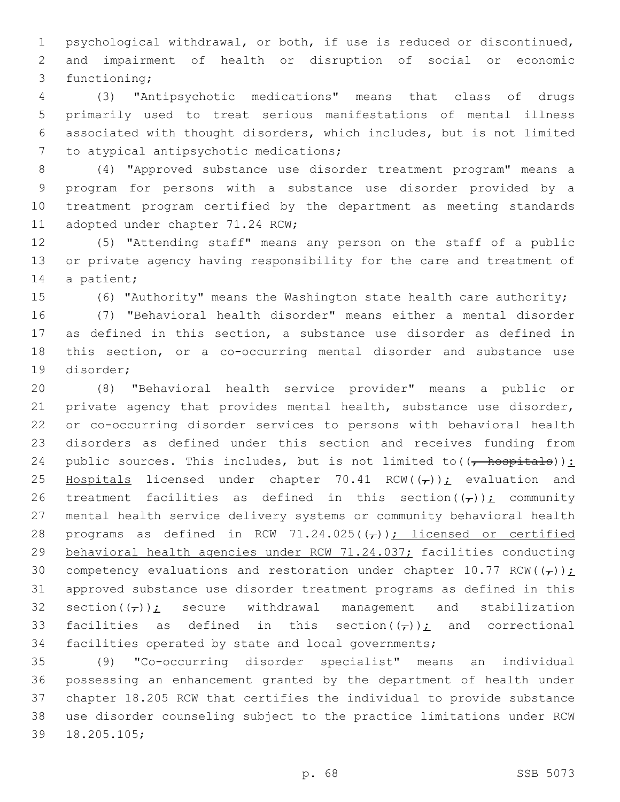psychological withdrawal, or both, if use is reduced or discontinued, and impairment of health or disruption of social or economic 3 functioning;

 (3) "Antipsychotic medications" means that class of drugs primarily used to treat serious manifestations of mental illness associated with thought disorders, which includes, but is not limited 7 to atypical antipsychotic medications;

 (4) "Approved substance use disorder treatment program" means a program for persons with a substance use disorder provided by a treatment program certified by the department as meeting standards 11 adopted under chapter 71.24 RCW;

 (5) "Attending staff" means any person on the staff of a public or private agency having responsibility for the care and treatment of 14 a patient;

(6) "Authority" means the Washington state health care authority;

 (7) "Behavioral health disorder" means either a mental disorder as defined in this section, a substance use disorder as defined in this section, or a co-occurring mental disorder and substance use 19 disorder;

 (8) "Behavioral health service provider" means a public or private agency that provides mental health, substance use disorder, or co-occurring disorder services to persons with behavioral health disorders as defined under this section and receives funding from 24 public sources. This includes, but is not limited to  $((\text{--}\text{hospitals}))$ : 25 Hospitals licensed under chapter 70.41 RCW( $(\tau)$ ); evaluation and 26 treatment facilities as defined in this section( $(\tau)$ ); community mental health service delivery systems or community behavioral health 28 programs as defined in RCW 71.24.025( $(\tau)$ ); licensed or certified behavioral health agencies under RCW 71.24.037; facilities conducting 30 competency evaluations and restoration under chapter 10.77 RCW( $(\tau)$ ); approved substance use disorder treatment programs as defined in this 32 section( $(\tau)$ ); secure withdrawal management and stabilization 33 facilities as defined in this section( $(\tau)$ ); and correctional facilities operated by state and local governments;

 (9) "Co-occurring disorder specialist" means an individual possessing an enhancement granted by the department of health under chapter 18.205 RCW that certifies the individual to provide substance use disorder counseling subject to the practice limitations under RCW 39 18.205.105;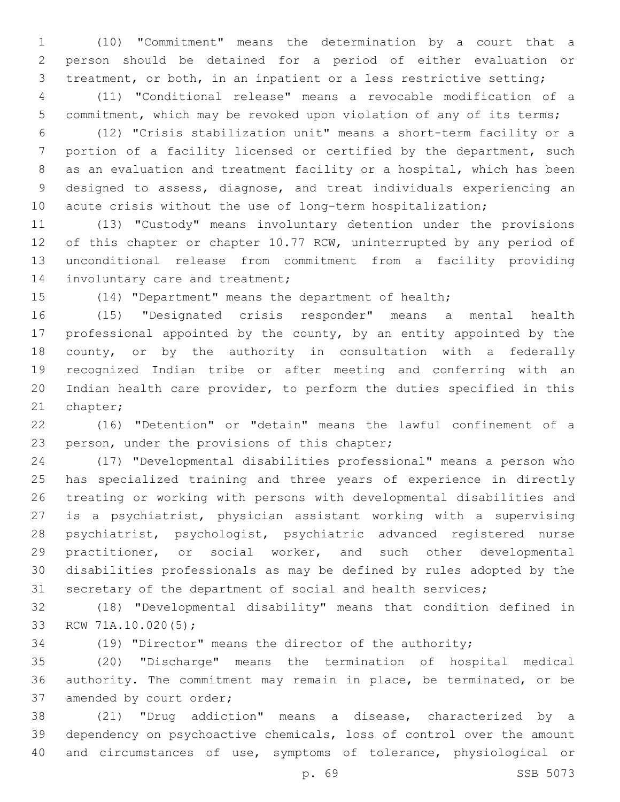(10) "Commitment" means the determination by a court that a person should be detained for a period of either evaluation or treatment, or both, in an inpatient or a less restrictive setting;

 (11) "Conditional release" means a revocable modification of a commitment, which may be revoked upon violation of any of its terms;

 (12) "Crisis stabilization unit" means a short-term facility or a portion of a facility licensed or certified by the department, such as an evaluation and treatment facility or a hospital, which has been designed to assess, diagnose, and treat individuals experiencing an 10 acute crisis without the use of long-term hospitalization;

 (13) "Custody" means involuntary detention under the provisions 12 of this chapter or chapter 10.77 RCW, uninterrupted by any period of unconditional release from commitment from a facility providing 14 involuntary care and treatment;

(14) "Department" means the department of health;

 (15) "Designated crisis responder" means a mental health professional appointed by the county, by an entity appointed by the county, or by the authority in consultation with a federally recognized Indian tribe or after meeting and conferring with an Indian health care provider, to perform the duties specified in this 21 chapter;

 (16) "Detention" or "detain" means the lawful confinement of a 23 person, under the provisions of this chapter;

 (17) "Developmental disabilities professional" means a person who has specialized training and three years of experience in directly treating or working with persons with developmental disabilities and is a psychiatrist, physician assistant working with a supervising psychiatrist, psychologist, psychiatric advanced registered nurse practitioner, or social worker, and such other developmental disabilities professionals as may be defined by rules adopted by the secretary of the department of social and health services;

 (18) "Developmental disability" means that condition defined in 33 RCW 71A.10.020(5);

(19) "Director" means the director of the authority;

 (20) "Discharge" means the termination of hospital medical authority. The commitment may remain in place, be terminated, or be 37 amended by court order;

 (21) "Drug addiction" means a disease, characterized by a dependency on psychoactive chemicals, loss of control over the amount and circumstances of use, symptoms of tolerance, physiological or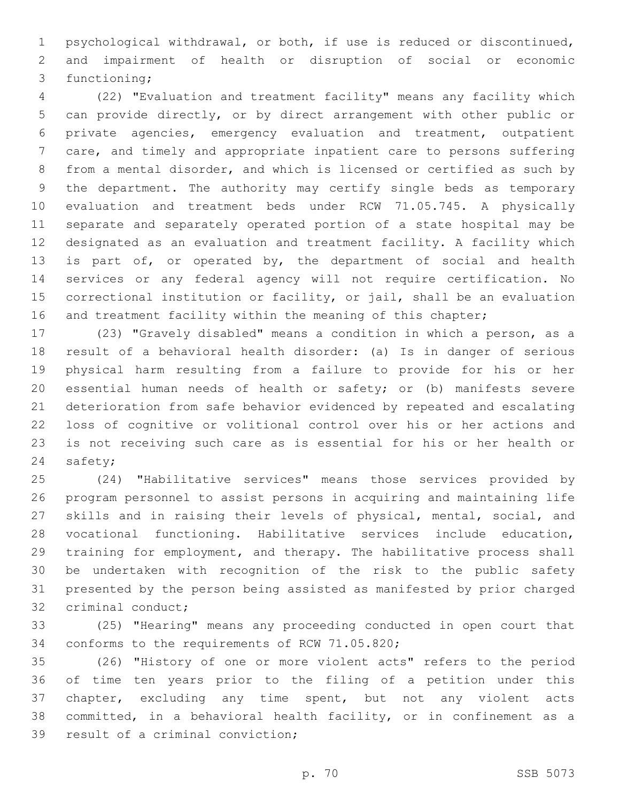psychological withdrawal, or both, if use is reduced or discontinued, and impairment of health or disruption of social or economic 3 functioning;

 (22) "Evaluation and treatment facility" means any facility which can provide directly, or by direct arrangement with other public or private agencies, emergency evaluation and treatment, outpatient care, and timely and appropriate inpatient care to persons suffering from a mental disorder, and which is licensed or certified as such by the department. The authority may certify single beds as temporary evaluation and treatment beds under RCW 71.05.745. A physically separate and separately operated portion of a state hospital may be designated as an evaluation and treatment facility. A facility which 13 is part of, or operated by, the department of social and health services or any federal agency will not require certification. No correctional institution or facility, or jail, shall be an evaluation 16 and treatment facility within the meaning of this chapter;

 (23) "Gravely disabled" means a condition in which a person, as a result of a behavioral health disorder: (a) Is in danger of serious physical harm resulting from a failure to provide for his or her essential human needs of health or safety; or (b) manifests severe deterioration from safe behavior evidenced by repeated and escalating loss of cognitive or volitional control over his or her actions and is not receiving such care as is essential for his or her health or 24 safety;

 (24) "Habilitative services" means those services provided by program personnel to assist persons in acquiring and maintaining life skills and in raising their levels of physical, mental, social, and vocational functioning. Habilitative services include education, training for employment, and therapy. The habilitative process shall be undertaken with recognition of the risk to the public safety presented by the person being assisted as manifested by prior charged 32 criminal conduct;

 (25) "Hearing" means any proceeding conducted in open court that 34 conforms to the requirements of RCW 71.05.820;

 (26) "History of one or more violent acts" refers to the period of time ten years prior to the filing of a petition under this chapter, excluding any time spent, but not any violent acts committed, in a behavioral health facility, or in confinement as a 39 result of a criminal conviction;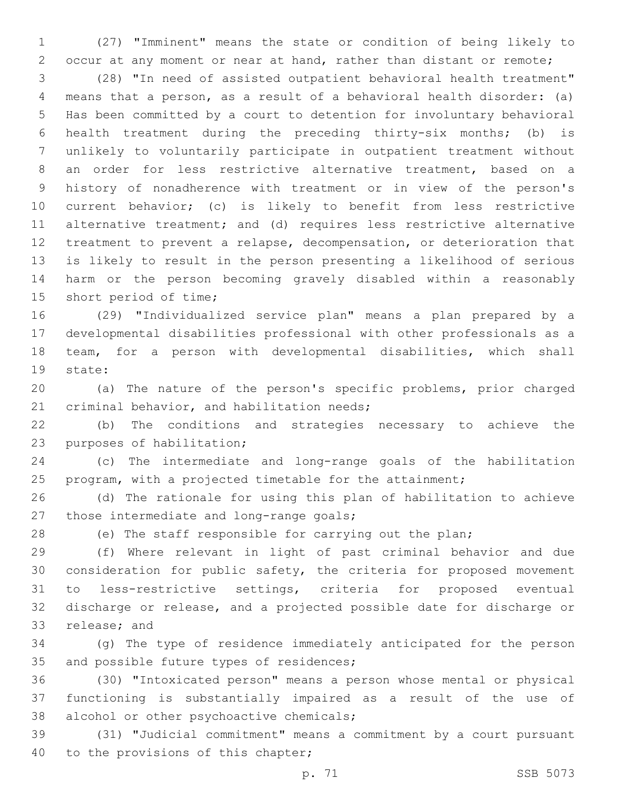(27) "Imminent" means the state or condition of being likely to occur at any moment or near at hand, rather than distant or remote;

 (28) "In need of assisted outpatient behavioral health treatment" means that a person, as a result of a behavioral health disorder: (a) Has been committed by a court to detention for involuntary behavioral health treatment during the preceding thirty-six months; (b) is unlikely to voluntarily participate in outpatient treatment without an order for less restrictive alternative treatment, based on a history of nonadherence with treatment or in view of the person's current behavior; (c) is likely to benefit from less restrictive alternative treatment; and (d) requires less restrictive alternative treatment to prevent a relapse, decompensation, or deterioration that is likely to result in the person presenting a likelihood of serious harm or the person becoming gravely disabled within a reasonably 15 short period of time;

 (29) "Individualized service plan" means a plan prepared by a developmental disabilities professional with other professionals as a team, for a person with developmental disabilities, which shall 19 state:

 (a) The nature of the person's specific problems, prior charged 21 criminal behavior, and habilitation needs;

 (b) The conditions and strategies necessary to achieve the 23 purposes of habilitation;

 (c) The intermediate and long-range goals of the habilitation program, with a projected timetable for the attainment;

 (d) The rationale for using this plan of habilitation to achieve 27 those intermediate and long-range goals;

(e) The staff responsible for carrying out the plan;

 (f) Where relevant in light of past criminal behavior and due consideration for public safety, the criteria for proposed movement to less-restrictive settings, criteria for proposed eventual discharge or release, and a projected possible date for discharge or 33 release; and

 (g) The type of residence immediately anticipated for the person 35 and possible future types of residences;

 (30) "Intoxicated person" means a person whose mental or physical functioning is substantially impaired as a result of the use of 38 alcohol or other psychoactive chemicals;

 (31) "Judicial commitment" means a commitment by a court pursuant 40 to the provisions of this chapter;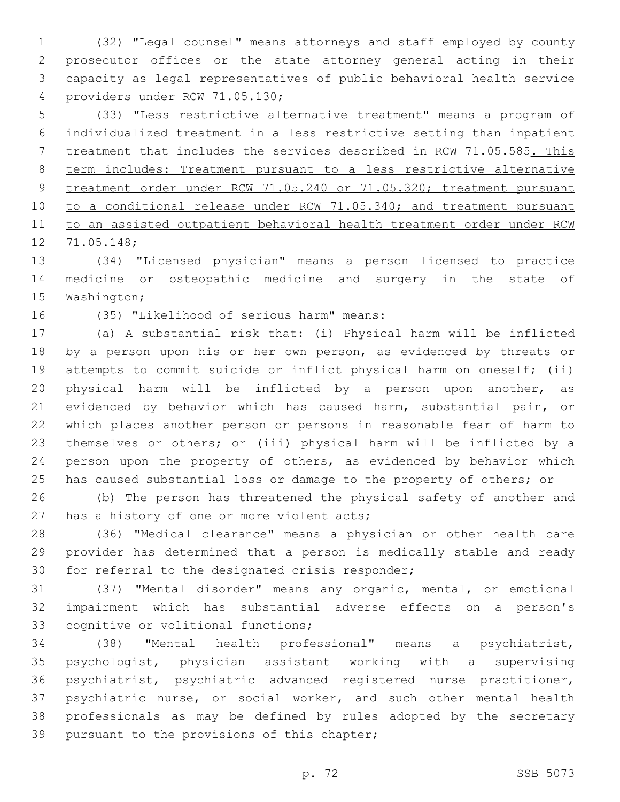(32) "Legal counsel" means attorneys and staff employed by county prosecutor offices or the state attorney general acting in their capacity as legal representatives of public behavioral health service 4 providers under RCW 71.05.130;

 (33) "Less restrictive alternative treatment" means a program of individualized treatment in a less restrictive setting than inpatient treatment that includes the services described in RCW 71.05.585. This term includes: Treatment pursuant to a less restrictive alternative treatment order under RCW 71.05.240 or 71.05.320; treatment pursuant 10 to a conditional release under RCW 71.05.340; and treatment pursuant to an assisted outpatient behavioral health treatment order under RCW 12 71.05.148;

 (34) "Licensed physician" means a person licensed to practice medicine or osteopathic medicine and surgery in the state of 15 Washington;

16 (35) "Likelihood of serious harm" means:

 (a) A substantial risk that: (i) Physical harm will be inflicted 18 by a person upon his or her own person, as evidenced by threats or attempts to commit suicide or inflict physical harm on oneself; (ii) physical harm will be inflicted by a person upon another, as evidenced by behavior which has caused harm, substantial pain, or which places another person or persons in reasonable fear of harm to themselves or others; or (iii) physical harm will be inflicted by a person upon the property of others, as evidenced by behavior which 25 has caused substantial loss or damage to the property of others; or

 (b) The person has threatened the physical safety of another and 27 has a history of one or more violent acts;

 (36) "Medical clearance" means a physician or other health care provider has determined that a person is medically stable and ready 30 for referral to the designated crisis responder;

 (37) "Mental disorder" means any organic, mental, or emotional impairment which has substantial adverse effects on a person's 33 cognitive or volitional functions;

 (38) "Mental health professional" means a psychiatrist, psychologist, physician assistant working with a supervising psychiatrist, psychiatric advanced registered nurse practitioner, psychiatric nurse, or social worker, and such other mental health professionals as may be defined by rules adopted by the secretary 39 pursuant to the provisions of this chapter;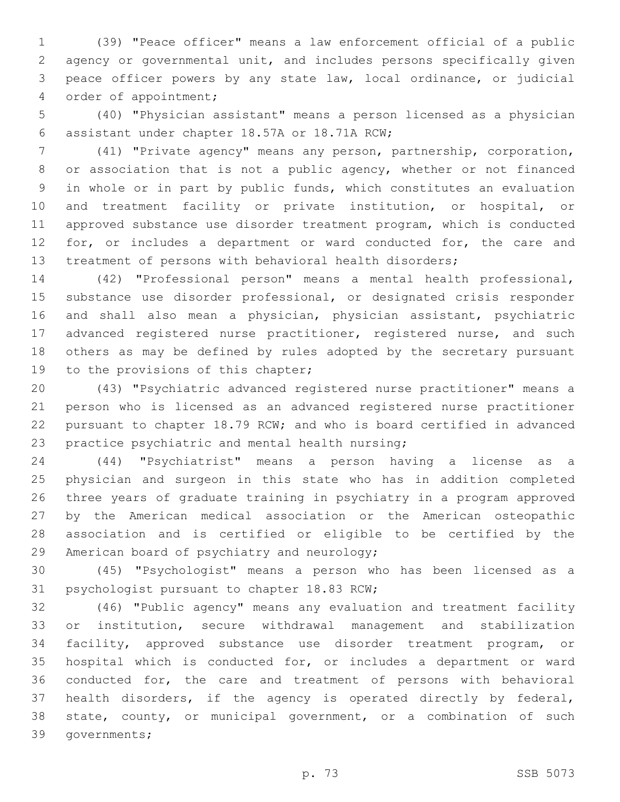(39) "Peace officer" means a law enforcement official of a public agency or governmental unit, and includes persons specifically given peace officer powers by any state law, local ordinance, or judicial 4 order of appointment;

 (40) "Physician assistant" means a person licensed as a physician assistant under chapter 18.57A or 18.71A RCW;6

 (41) "Private agency" means any person, partnership, corporation, 8 or association that is not a public agency, whether or not financed in whole or in part by public funds, which constitutes an evaluation and treatment facility or private institution, or hospital, or approved substance use disorder treatment program, which is conducted 12 for, or includes a department or ward conducted for, the care and treatment of persons with behavioral health disorders;

 (42) "Professional person" means a mental health professional, substance use disorder professional, or designated crisis responder and shall also mean a physician, physician assistant, psychiatric 17 advanced registered nurse practitioner, registered nurse, and such others as may be defined by rules adopted by the secretary pursuant 19 to the provisions of this chapter;

 (43) "Psychiatric advanced registered nurse practitioner" means a person who is licensed as an advanced registered nurse practitioner pursuant to chapter 18.79 RCW; and who is board certified in advanced 23 practice psychiatric and mental health nursing;

 (44) "Psychiatrist" means a person having a license as a physician and surgeon in this state who has in addition completed three years of graduate training in psychiatry in a program approved by the American medical association or the American osteopathic association and is certified or eligible to be certified by the 29 American board of psychiatry and neurology;

 (45) "Psychologist" means a person who has been licensed as a 31 psychologist pursuant to chapter 18.83 RCW;

 (46) "Public agency" means any evaluation and treatment facility or institution, secure withdrawal management and stabilization facility, approved substance use disorder treatment program, or hospital which is conducted for, or includes a department or ward conducted for, the care and treatment of persons with behavioral health disorders, if the agency is operated directly by federal, state, county, or municipal government, or a combination of such 39 governments;

p. 73 SSB 5073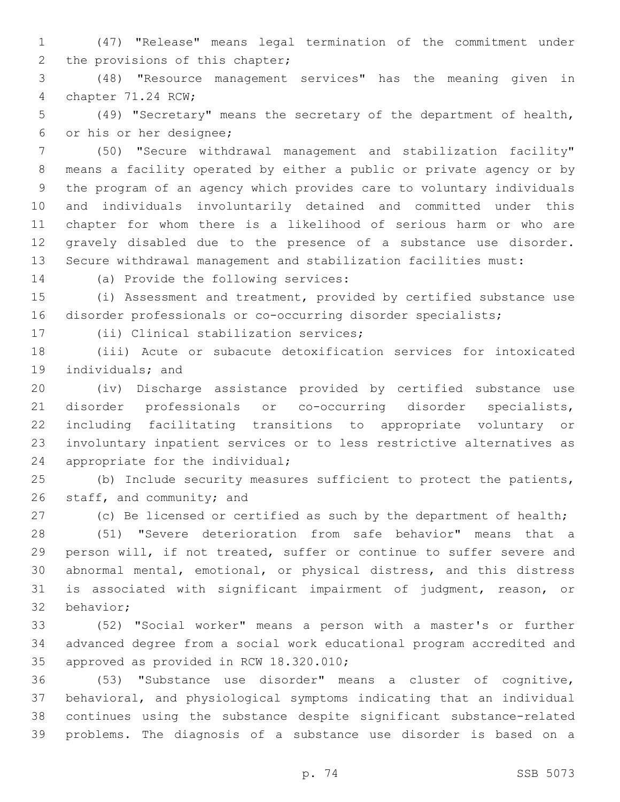(47) "Release" means legal termination of the commitment under 2 the provisions of this chapter;

 (48) "Resource management services" has the meaning given in 4 chapter 71.24 RCW;

 (49) "Secretary" means the secretary of the department of health, 6 or his or her designee;

 (50) "Secure withdrawal management and stabilization facility" means a facility operated by either a public or private agency or by the program of an agency which provides care to voluntary individuals and individuals involuntarily detained and committed under this chapter for whom there is a likelihood of serious harm or who are gravely disabled due to the presence of a substance use disorder. Secure withdrawal management and stabilization facilities must:

14 (a) Provide the following services:

 (i) Assessment and treatment, provided by certified substance use disorder professionals or co-occurring disorder specialists;

17 (ii) Clinical stabilization services;

 (iii) Acute or subacute detoxification services for intoxicated 19 individuals; and

 (iv) Discharge assistance provided by certified substance use disorder professionals or co-occurring disorder specialists, including facilitating transitions to appropriate voluntary or involuntary inpatient services or to less restrictive alternatives as 24 appropriate for the individual;

 (b) Include security measures sufficient to protect the patients, 26 staff, and community; and

27 (c) Be licensed or certified as such by the department of health;

 (51) "Severe deterioration from safe behavior" means that a person will, if not treated, suffer or continue to suffer severe and abnormal mental, emotional, or physical distress, and this distress is associated with significant impairment of judgment, reason, or 32 behavior;

 (52) "Social worker" means a person with a master's or further advanced degree from a social work educational program accredited and 35 approved as provided in RCW 18.320.010;

 (53) "Substance use disorder" means a cluster of cognitive, behavioral, and physiological symptoms indicating that an individual continues using the substance despite significant substance-related problems. The diagnosis of a substance use disorder is based on a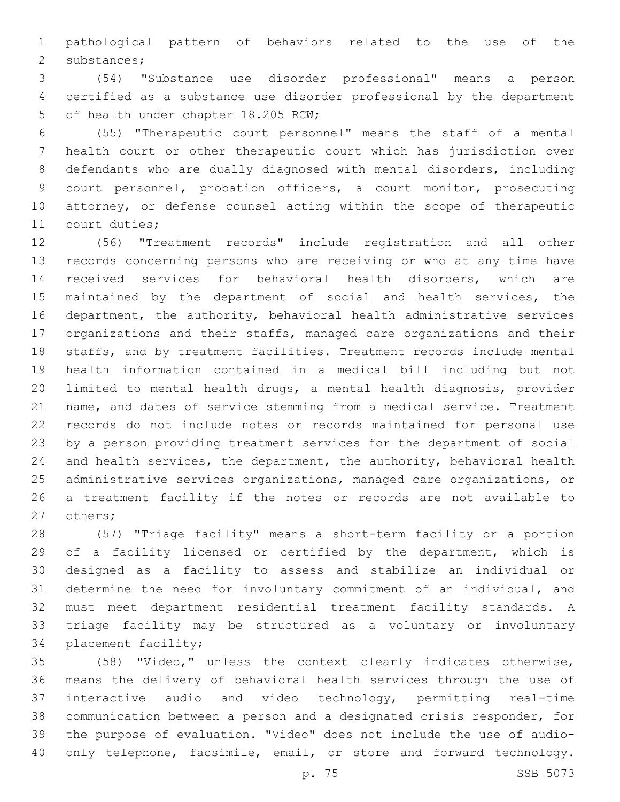pathological pattern of behaviors related to the use of the 2 substances;

 (54) "Substance use disorder professional" means a person certified as a substance use disorder professional by the department 5 of health under chapter 18.205 RCW;

 (55) "Therapeutic court personnel" means the staff of a mental health court or other therapeutic court which has jurisdiction over defendants who are dually diagnosed with mental disorders, including court personnel, probation officers, a court monitor, prosecuting attorney, or defense counsel acting within the scope of therapeutic 11 court duties;

 (56) "Treatment records" include registration and all other records concerning persons who are receiving or who at any time have received services for behavioral health disorders, which are maintained by the department of social and health services, the department, the authority, behavioral health administrative services organizations and their staffs, managed care organizations and their staffs, and by treatment facilities. Treatment records include mental health information contained in a medical bill including but not limited to mental health drugs, a mental health diagnosis, provider name, and dates of service stemming from a medical service. Treatment records do not include notes or records maintained for personal use by a person providing treatment services for the department of social and health services, the department, the authority, behavioral health administrative services organizations, managed care organizations, or a treatment facility if the notes or records are not available to 27 others;

 (57) "Triage facility" means a short-term facility or a portion of a facility licensed or certified by the department, which is designed as a facility to assess and stabilize an individual or determine the need for involuntary commitment of an individual, and must meet department residential treatment facility standards. A triage facility may be structured as a voluntary or involuntary 34 placement facility;

 (58) "Video," unless the context clearly indicates otherwise, means the delivery of behavioral health services through the use of interactive audio and video technology, permitting real-time communication between a person and a designated crisis responder, for the purpose of evaluation. "Video" does not include the use of audio-40 only telephone, facsimile, email, or store and forward technology.

p. 75 SSB 5073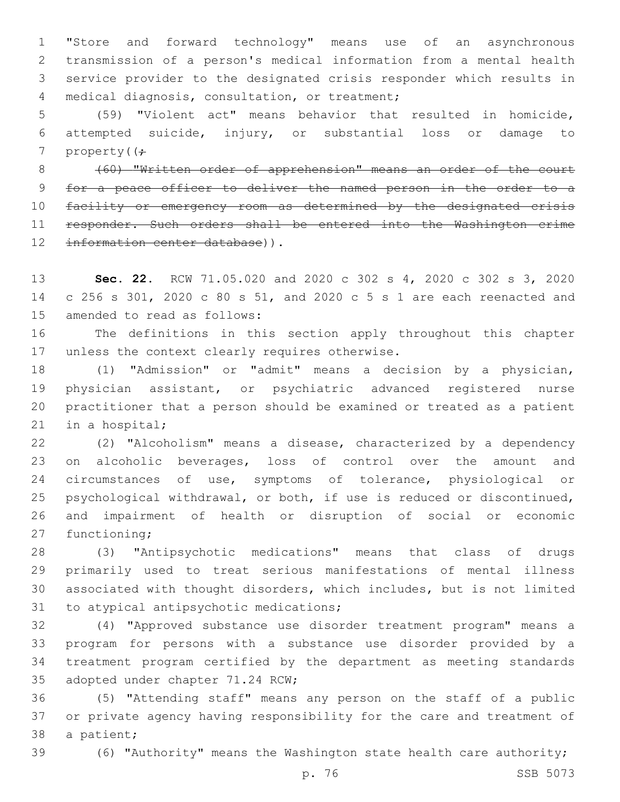"Store and forward technology" means use of an asynchronous transmission of a person's medical information from a mental health service provider to the designated crisis responder which results in 4 medical diagnosis, consultation, or treatment;

 (59) "Violent act" means behavior that resulted in homicide, attempted suicide, injury, or substantial loss or damage to 7 property( $(f -$ 

 (60) "Written order of apprehension" means an order of the court for a peace officer to deliver the named person in the order to a facility or emergency room as determined by the designated crisis responder. Such orders shall be entered into the Washington crime 12 information center database)).

 **Sec. 22.** RCW 71.05.020 and 2020 c 302 s 4, 2020 c 302 s 3, 2020 c 256 s 301, 2020 c 80 s 51, and 2020 c 5 s 1 are each reenacted and 15 amended to read as follows:

 The definitions in this section apply throughout this chapter 17 unless the context clearly requires otherwise.

 (1) "Admission" or "admit" means a decision by a physician, physician assistant, or psychiatric advanced registered nurse practitioner that a person should be examined or treated as a patient 21 in a hospital;

 (2) "Alcoholism" means a disease, characterized by a dependency on alcoholic beverages, loss of control over the amount and circumstances of use, symptoms of tolerance, physiological or psychological withdrawal, or both, if use is reduced or discontinued, and impairment of health or disruption of social or economic 27 functioning;

 (3) "Antipsychotic medications" means that class of drugs primarily used to treat serious manifestations of mental illness associated with thought disorders, which includes, but is not limited 31 to atypical antipsychotic medications;

 (4) "Approved substance use disorder treatment program" means a program for persons with a substance use disorder provided by a treatment program certified by the department as meeting standards 35 adopted under chapter 71.24 RCW;

 (5) "Attending staff" means any person on the staff of a public or private agency having responsibility for the care and treatment of 38 a patient;

(6) "Authority" means the Washington state health care authority;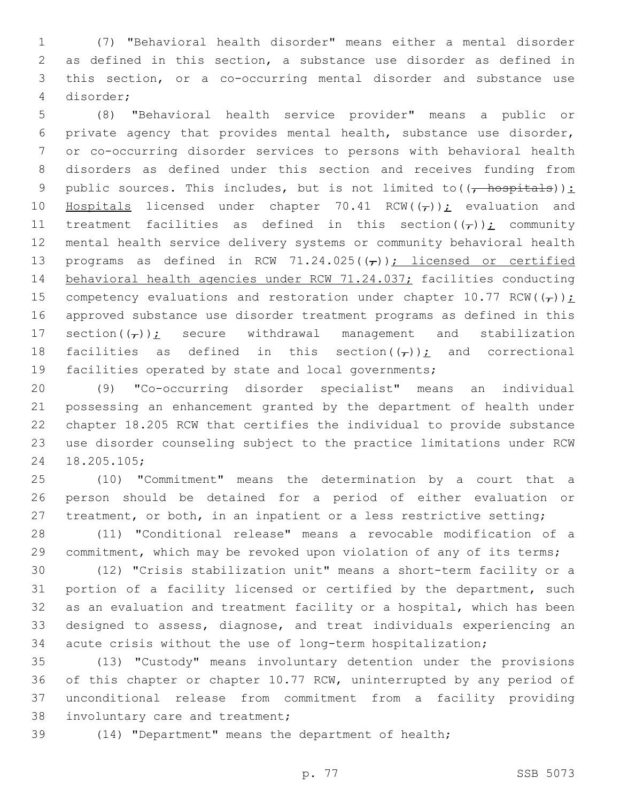(7) "Behavioral health disorder" means either a mental disorder as defined in this section, a substance use disorder as defined in this section, or a co-occurring mental disorder and substance use disorder;4

 (8) "Behavioral health service provider" means a public or private agency that provides mental health, substance use disorder, or co-occurring disorder services to persons with behavioral health disorders as defined under this section and receives funding from 9 public sources. This includes, but is not limited to( $(\frac{1}{f} - \frac{1}{f})$ : 10 Hospitals licensed under chapter 70.41 RCW( $(\tau)$ ); evaluation and 11 treatment facilities as defined in this section( $(\tau)$ ); community mental health service delivery systems or community behavioral health 13 programs as defined in RCW 71.24.025( $(\tau)$ ); licensed or certified 14 behavioral health agencies under RCW 71.24.037; facilities conducting 15 competency evaluations and restoration under chapter 10.77 RCW( $(\tau)$ ); approved substance use disorder treatment programs as defined in this 17 section $(\tau)$ ); secure withdrawal management and stabilization 18 facilities as defined in this section( $(\tau)$ ); and correctional facilities operated by state and local governments;

 (9) "Co-occurring disorder specialist" means an individual possessing an enhancement granted by the department of health under chapter 18.205 RCW that certifies the individual to provide substance use disorder counseling subject to the practice limitations under RCW 18.205.105;24

 (10) "Commitment" means the determination by a court that a person should be detained for a period of either evaluation or 27 treatment, or both, in an inpatient or a less restrictive setting;

 (11) "Conditional release" means a revocable modification of a commitment, which may be revoked upon violation of any of its terms;

 (12) "Crisis stabilization unit" means a short-term facility or a portion of a facility licensed or certified by the department, such as an evaluation and treatment facility or a hospital, which has been designed to assess, diagnose, and treat individuals experiencing an acute crisis without the use of long-term hospitalization;

 (13) "Custody" means involuntary detention under the provisions of this chapter or chapter 10.77 RCW, uninterrupted by any period of unconditional release from commitment from a facility providing 38 involuntary care and treatment;

(14) "Department" means the department of health;

p. 77 SSB 5073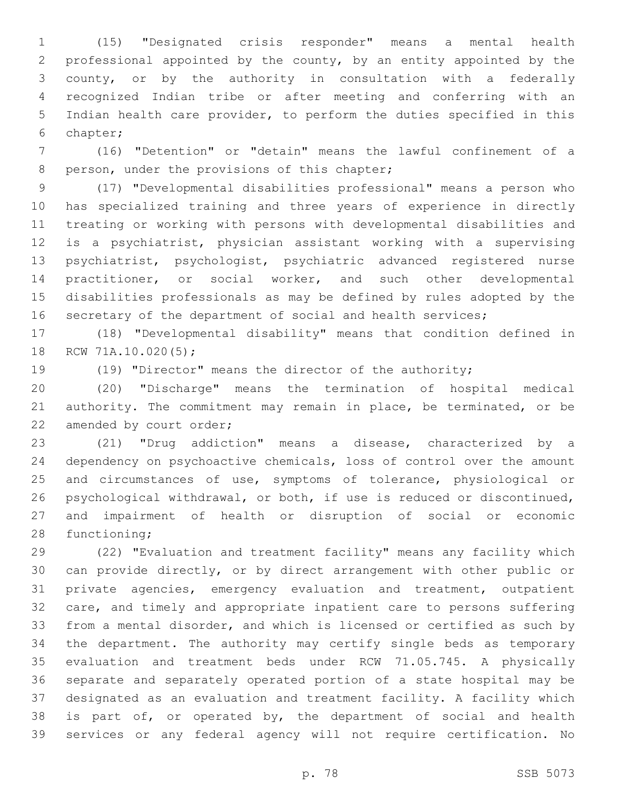(15) "Designated crisis responder" means a mental health professional appointed by the county, by an entity appointed by the county, or by the authority in consultation with a federally recognized Indian tribe or after meeting and conferring with an Indian health care provider, to perform the duties specified in this chapter;6

 (16) "Detention" or "detain" means the lawful confinement of a 8 person, under the provisions of this chapter;

 (17) "Developmental disabilities professional" means a person who has specialized training and three years of experience in directly treating or working with persons with developmental disabilities and is a psychiatrist, physician assistant working with a supervising psychiatrist, psychologist, psychiatric advanced registered nurse practitioner, or social worker, and such other developmental disabilities professionals as may be defined by rules adopted by the 16 secretary of the department of social and health services;

 (18) "Developmental disability" means that condition defined in 18 RCW 71A.10.020(5);

(19) "Director" means the director of the authority;

 (20) "Discharge" means the termination of hospital medical authority. The commitment may remain in place, be terminated, or be 22 amended by court order;

 (21) "Drug addiction" means a disease, characterized by a dependency on psychoactive chemicals, loss of control over the amount 25 and circumstances of use, symptoms of tolerance, physiological or psychological withdrawal, or both, if use is reduced or discontinued, and impairment of health or disruption of social or economic 28 functioning;

 (22) "Evaluation and treatment facility" means any facility which can provide directly, or by direct arrangement with other public or private agencies, emergency evaluation and treatment, outpatient care, and timely and appropriate inpatient care to persons suffering from a mental disorder, and which is licensed or certified as such by the department. The authority may certify single beds as temporary evaluation and treatment beds under RCW 71.05.745. A physically separate and separately operated portion of a state hospital may be designated as an evaluation and treatment facility. A facility which is part of, or operated by, the department of social and health services or any federal agency will not require certification. No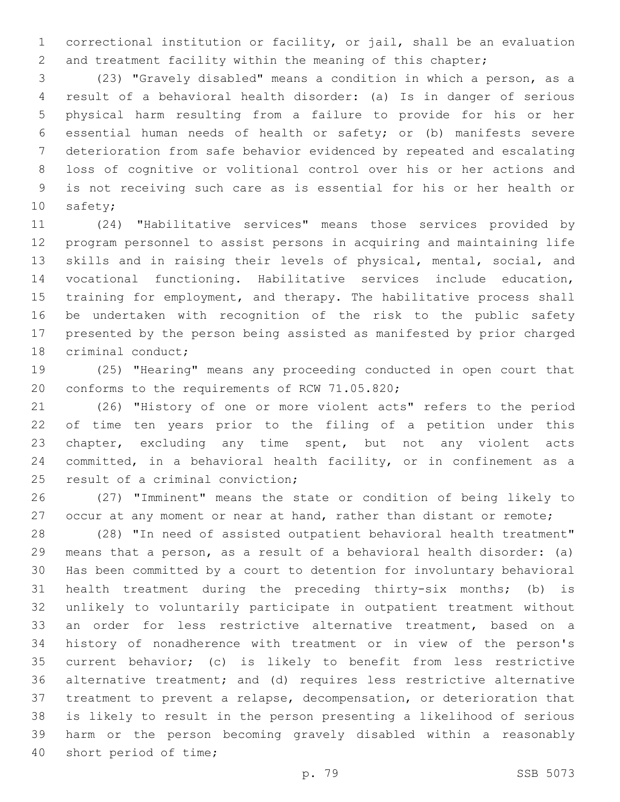correctional institution or facility, or jail, shall be an evaluation 2 and treatment facility within the meaning of this chapter;

 (23) "Gravely disabled" means a condition in which a person, as a result of a behavioral health disorder: (a) Is in danger of serious physical harm resulting from a failure to provide for his or her essential human needs of health or safety; or (b) manifests severe deterioration from safe behavior evidenced by repeated and escalating loss of cognitive or volitional control over his or her actions and is not receiving such care as is essential for his or her health or 10 safety;

 (24) "Habilitative services" means those services provided by program personnel to assist persons in acquiring and maintaining life skills and in raising their levels of physical, mental, social, and vocational functioning. Habilitative services include education, training for employment, and therapy. The habilitative process shall be undertaken with recognition of the risk to the public safety presented by the person being assisted as manifested by prior charged 18 criminal conduct;

 (25) "Hearing" means any proceeding conducted in open court that 20 conforms to the requirements of RCW 71.05.820;

 (26) "History of one or more violent acts" refers to the period of time ten years prior to the filing of a petition under this chapter, excluding any time spent, but not any violent acts committed, in a behavioral health facility, or in confinement as a 25 result of a criminal conviction;

 (27) "Imminent" means the state or condition of being likely to 27 occur at any moment or near at hand, rather than distant or remote;

 (28) "In need of assisted outpatient behavioral health treatment" means that a person, as a result of a behavioral health disorder: (a) Has been committed by a court to detention for involuntary behavioral health treatment during the preceding thirty-six months; (b) is unlikely to voluntarily participate in outpatient treatment without an order for less restrictive alternative treatment, based on a history of nonadherence with treatment or in view of the person's current behavior; (c) is likely to benefit from less restrictive alternative treatment; and (d) requires less restrictive alternative treatment to prevent a relapse, decompensation, or deterioration that is likely to result in the person presenting a likelihood of serious harm or the person becoming gravely disabled within a reasonably 40 short period of time;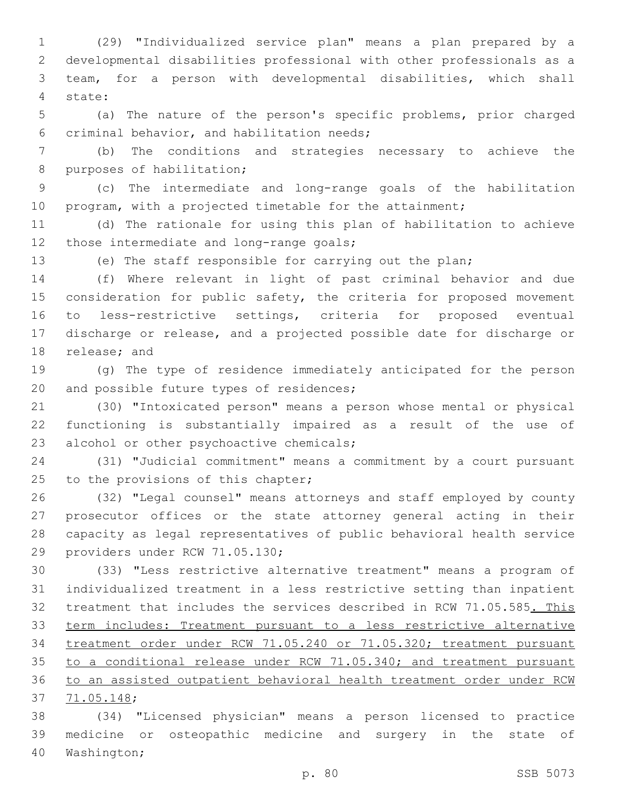(29) "Individualized service plan" means a plan prepared by a developmental disabilities professional with other professionals as a team, for a person with developmental disabilities, which shall state:4

 (a) The nature of the person's specific problems, prior charged 6 criminal behavior, and habilitation needs;

 (b) The conditions and strategies necessary to achieve the 8 purposes of habilitation;

 (c) The intermediate and long-range goals of the habilitation 10 program, with a projected timetable for the attainment;

 (d) The rationale for using this plan of habilitation to achieve 12 those intermediate and long-range goals;

(e) The staff responsible for carrying out the plan;

 (f) Where relevant in light of past criminal behavior and due 15 consideration for public safety, the criteria for proposed movement to less-restrictive settings, criteria for proposed eventual discharge or release, and a projected possible date for discharge or 18 release; and

 (g) The type of residence immediately anticipated for the person 20 and possible future types of residences;

 (30) "Intoxicated person" means a person whose mental or physical functioning is substantially impaired as a result of the use of 23 alcohol or other psychoactive chemicals;

 (31) "Judicial commitment" means a commitment by a court pursuant 25 to the provisions of this chapter;

 (32) "Legal counsel" means attorneys and staff employed by county prosecutor offices or the state attorney general acting in their capacity as legal representatives of public behavioral health service 29 providers under RCW 71.05.130;

 (33) "Less restrictive alternative treatment" means a program of individualized treatment in a less restrictive setting than inpatient 32 treatment that includes the services described in RCW 71.05.585. This term includes: Treatment pursuant to a less restrictive alternative treatment order under RCW 71.05.240 or 71.05.320; treatment pursuant to a conditional release under RCW 71.05.340; and treatment pursuant to an assisted outpatient behavioral health treatment order under RCW 71.05.148;37

 (34) "Licensed physician" means a person licensed to practice medicine or osteopathic medicine and surgery in the state of 40 Washington;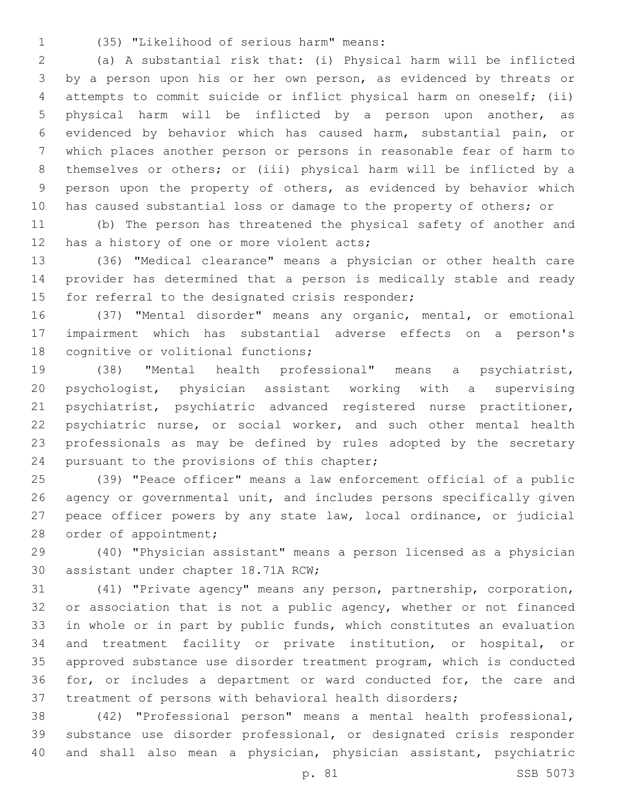(35) "Likelihood of serious harm" means:1

 (a) A substantial risk that: (i) Physical harm will be inflicted by a person upon his or her own person, as evidenced by threats or attempts to commit suicide or inflict physical harm on oneself; (ii) physical harm will be inflicted by a person upon another, as evidenced by behavior which has caused harm, substantial pain, or which places another person or persons in reasonable fear of harm to themselves or others; or (iii) physical harm will be inflicted by a person upon the property of others, as evidenced by behavior which has caused substantial loss or damage to the property of others; or

 (b) The person has threatened the physical safety of another and 12 has a history of one or more violent acts;

 (36) "Medical clearance" means a physician or other health care provider has determined that a person is medically stable and ready 15 for referral to the designated crisis responder;

 (37) "Mental disorder" means any organic, mental, or emotional impairment which has substantial adverse effects on a person's 18 cognitive or volitional functions;

 (38) "Mental health professional" means a psychiatrist, psychologist, physician assistant working with a supervising psychiatrist, psychiatric advanced registered nurse practitioner, 22 psychiatric nurse, or social worker, and such other mental health professionals as may be defined by rules adopted by the secretary 24 pursuant to the provisions of this chapter;

 (39) "Peace officer" means a law enforcement official of a public agency or governmental unit, and includes persons specifically given peace officer powers by any state law, local ordinance, or judicial 28 order of appointment;

 (40) "Physician assistant" means a person licensed as a physician 30 assistant under chapter 18.71A RCW;

 (41) "Private agency" means any person, partnership, corporation, 32 or association that is not a public agency, whether or not financed in whole or in part by public funds, which constitutes an evaluation and treatment facility or private institution, or hospital, or approved substance use disorder treatment program, which is conducted for, or includes a department or ward conducted for, the care and treatment of persons with behavioral health disorders;

 (42) "Professional person" means a mental health professional, substance use disorder professional, or designated crisis responder and shall also mean a physician, physician assistant, psychiatric

p. 81 SSB 5073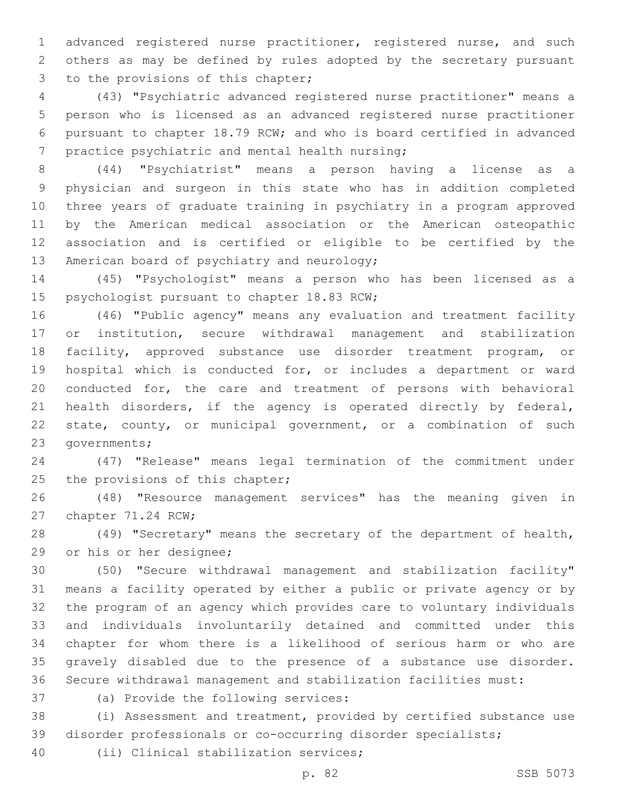advanced registered nurse practitioner, registered nurse, and such others as may be defined by rules adopted by the secretary pursuant 3 to the provisions of this chapter;

 (43) "Psychiatric advanced registered nurse practitioner" means a person who is licensed as an advanced registered nurse practitioner pursuant to chapter 18.79 RCW; and who is board certified in advanced 7 practice psychiatric and mental health nursing;

 (44) "Psychiatrist" means a person having a license as a physician and surgeon in this state who has in addition completed three years of graduate training in psychiatry in a program approved by the American medical association or the American osteopathic association and is certified or eligible to be certified by the 13 American board of psychiatry and neurology;

 (45) "Psychologist" means a person who has been licensed as a 15 psychologist pursuant to chapter 18.83 RCW;

 (46) "Public agency" means any evaluation and treatment facility or institution, secure withdrawal management and stabilization facility, approved substance use disorder treatment program, or hospital which is conducted for, or includes a department or ward conducted for, the care and treatment of persons with behavioral health disorders, if the agency is operated directly by federal, state, county, or municipal government, or a combination of such 23 governments;

 (47) "Release" means legal termination of the commitment under 25 the provisions of this chapter;

 (48) "Resource management services" has the meaning given in 27 chapter 71.24 RCW;

 (49) "Secretary" means the secretary of the department of health, 29 or his or her designee;

 (50) "Secure withdrawal management and stabilization facility" means a facility operated by either a public or private agency or by the program of an agency which provides care to voluntary individuals and individuals involuntarily detained and committed under this chapter for whom there is a likelihood of serious harm or who are gravely disabled due to the presence of a substance use disorder. Secure withdrawal management and stabilization facilities must:

37 (a) Provide the following services:

 (i) Assessment and treatment, provided by certified substance use disorder professionals or co-occurring disorder specialists;

40 (ii) Clinical stabilization services;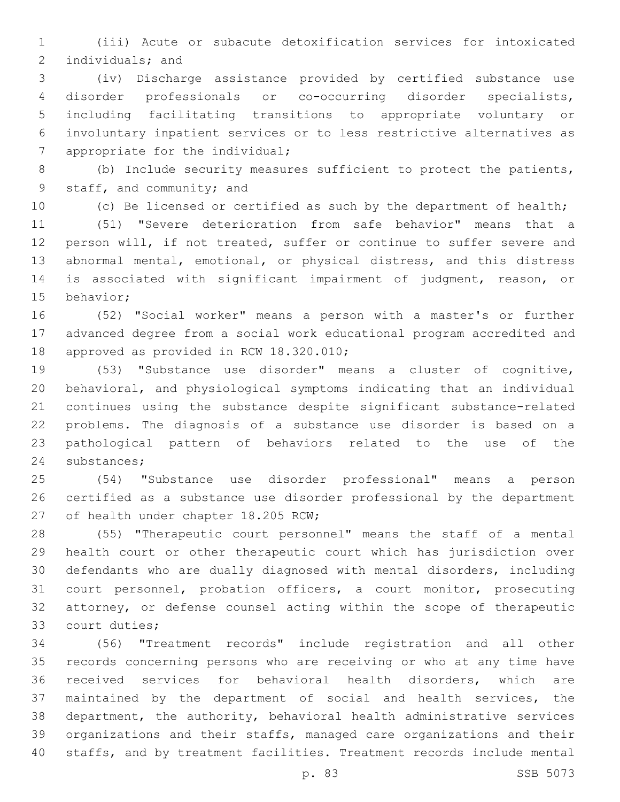(iii) Acute or subacute detoxification services for intoxicated 2 individuals; and

 (iv) Discharge assistance provided by certified substance use disorder professionals or co-occurring disorder specialists, including facilitating transitions to appropriate voluntary or involuntary inpatient services or to less restrictive alternatives as 7 appropriate for the individual;

 (b) Include security measures sufficient to protect the patients, 9 staff, and community; and

(c) Be licensed or certified as such by the department of health;

 (51) "Severe deterioration from safe behavior" means that a person will, if not treated, suffer or continue to suffer severe and abnormal mental, emotional, or physical distress, and this distress is associated with significant impairment of judgment, reason, or 15 behavior;

 (52) "Social worker" means a person with a master's or further advanced degree from a social work educational program accredited and 18 approved as provided in RCW 18.320.010;

 (53) "Substance use disorder" means a cluster of cognitive, behavioral, and physiological symptoms indicating that an individual continues using the substance despite significant substance-related problems. The diagnosis of a substance use disorder is based on a pathological pattern of behaviors related to the use of the 24 substances;

 (54) "Substance use disorder professional" means a person certified as a substance use disorder professional by the department 27 of health under chapter 18.205 RCW;

 (55) "Therapeutic court personnel" means the staff of a mental health court or other therapeutic court which has jurisdiction over defendants who are dually diagnosed with mental disorders, including court personnel, probation officers, a court monitor, prosecuting attorney, or defense counsel acting within the scope of therapeutic 33 court duties;

 (56) "Treatment records" include registration and all other records concerning persons who are receiving or who at any time have received services for behavioral health disorders, which are maintained by the department of social and health services, the department, the authority, behavioral health administrative services organizations and their staffs, managed care organizations and their staffs, and by treatment facilities. Treatment records include mental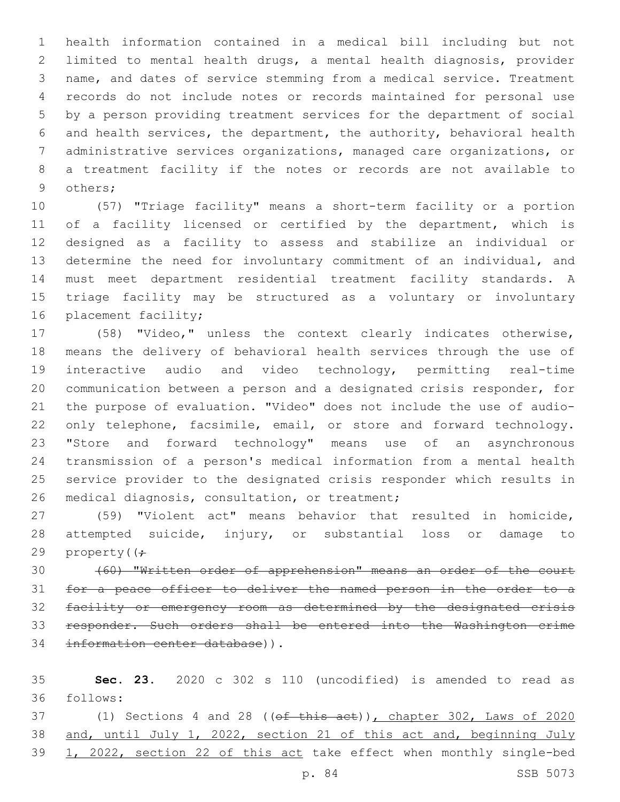health information contained in a medical bill including but not limited to mental health drugs, a mental health diagnosis, provider name, and dates of service stemming from a medical service. Treatment records do not include notes or records maintained for personal use by a person providing treatment services for the department of social and health services, the department, the authority, behavioral health administrative services organizations, managed care organizations, or a treatment facility if the notes or records are not available to 9 others;

 (57) "Triage facility" means a short-term facility or a portion 11 of a facility licensed or certified by the department, which is designed as a facility to assess and stabilize an individual or determine the need for involuntary commitment of an individual, and must meet department residential treatment facility standards. A triage facility may be structured as a voluntary or involuntary 16 placement facility;

 (58) "Video," unless the context clearly indicates otherwise, means the delivery of behavioral health services through the use of interactive audio and video technology, permitting real-time communication between a person and a designated crisis responder, for the purpose of evaluation. "Video" does not include the use of audio-22 only telephone, facsimile, email, or store and forward technology. "Store and forward technology" means use of an asynchronous transmission of a person's medical information from a mental health service provider to the designated crisis responder which results in 26 medical diagnosis, consultation, or treatment;

 (59) "Violent act" means behavior that resulted in homicide, attempted suicide, injury, or substantial loss or damage to 29 property( $\left( \div \right)$ 

 (60) "Written order of apprehension" means an order of the court for a peace officer to deliver the named person in the order to a facility or emergency room as determined by the designated crisis responder. Such orders shall be entered into the Washington crime 34 information center database)).

 **Sec. 23.** 2020 c 302 s 110 (uncodified) is amended to read as follows:36

37 (1) Sections 4 and 28 (( $ef$  this act)), chapter 302, Laws of 2020 38 and, until July 1, 2022, section 21 of this act and, beginning July 1, 2022, section 22 of this act take effect when monthly single-bed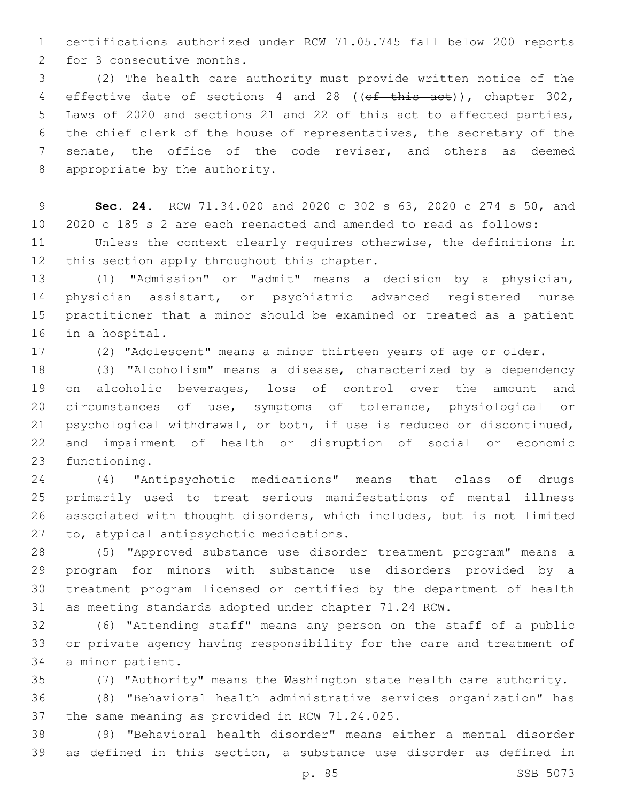certifications authorized under RCW 71.05.745 fall below 200 reports 2 for 3 consecutive months.

 (2) The health care authority must provide written notice of the 4 effective date of sections 4 and 28 ((of this act)), chapter 302, Laws of 2020 and sections 21 and 22 of this act to affected parties, the chief clerk of the house of representatives, the secretary of the senate, the office of the code reviser, and others as deemed 8 appropriate by the authority.

 **Sec. 24.** RCW 71.34.020 and 2020 c 302 s 63, 2020 c 274 s 50, and 2020 c 185 s 2 are each reenacted and amended to read as follows:

 Unless the context clearly requires otherwise, the definitions in 12 this section apply throughout this chapter.

 (1) "Admission" or "admit" means a decision by a physician, physician assistant, or psychiatric advanced registered nurse practitioner that a minor should be examined or treated as a patient 16 in a hospital.

(2) "Adolescent" means a minor thirteen years of age or older.

 (3) "Alcoholism" means a disease, characterized by a dependency on alcoholic beverages, loss of control over the amount and circumstances of use, symptoms of tolerance, physiological or psychological withdrawal, or both, if use is reduced or discontinued, and impairment of health or disruption of social or economic 23 functioning.

 (4) "Antipsychotic medications" means that class of drugs primarily used to treat serious manifestations of mental illness associated with thought disorders, which includes, but is not limited 27 to, atypical antipsychotic medications.

 (5) "Approved substance use disorder treatment program" means a program for minors with substance use disorders provided by a treatment program licensed or certified by the department of health as meeting standards adopted under chapter 71.24 RCW.

 (6) "Attending staff" means any person on the staff of a public or private agency having responsibility for the care and treatment of 34 a minor patient.

(7) "Authority" means the Washington state health care authority.

 (8) "Behavioral health administrative services organization" has 37 the same meaning as provided in RCW 71.24.025.

 (9) "Behavioral health disorder" means either a mental disorder as defined in this section, a substance use disorder as defined in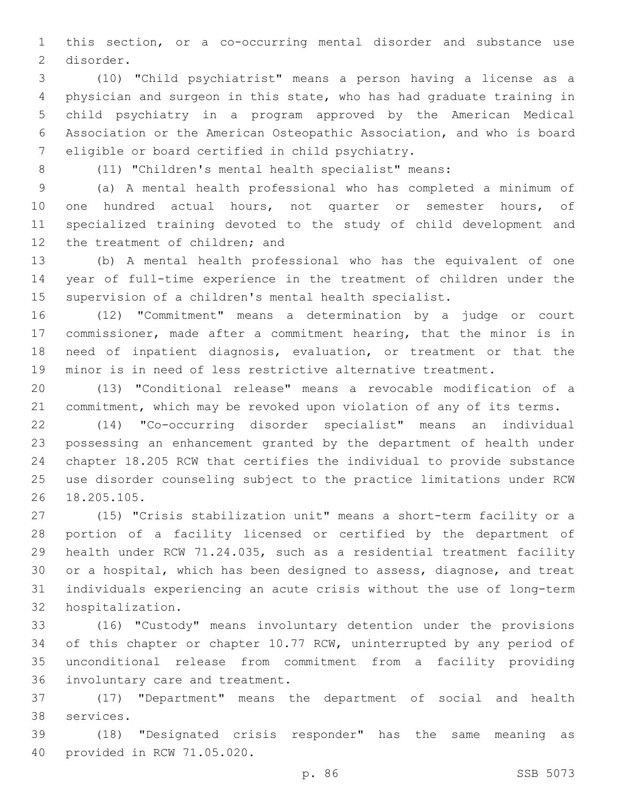this section, or a co-occurring mental disorder and substance use 2 disorder.

 (10) "Child psychiatrist" means a person having a license as a physician and surgeon in this state, who has had graduate training in child psychiatry in a program approved by the American Medical Association or the American Osteopathic Association, and who is board 7 eligible or board certified in child psychiatry.

(11) "Children's mental health specialist" means:

 (a) A mental health professional who has completed a minimum of one hundred actual hours, not quarter or semester hours, of specialized training devoted to the study of child development and 12 the treatment of children; and

 (b) A mental health professional who has the equivalent of one year of full-time experience in the treatment of children under the supervision of a children's mental health specialist.

 (12) "Commitment" means a determination by a judge or court 17 commissioner, made after a commitment hearing, that the minor is in need of inpatient diagnosis, evaluation, or treatment or that the minor is in need of less restrictive alternative treatment.

 (13) "Conditional release" means a revocable modification of a commitment, which may be revoked upon violation of any of its terms.

 (14) "Co-occurring disorder specialist" means an individual possessing an enhancement granted by the department of health under chapter 18.205 RCW that certifies the individual to provide substance use disorder counseling subject to the practice limitations under RCW 26 18.205.105.

 (15) "Crisis stabilization unit" means a short-term facility or a portion of a facility licensed or certified by the department of health under RCW 71.24.035, such as a residential treatment facility or a hospital, which has been designed to assess, diagnose, and treat individuals experiencing an acute crisis without the use of long-term 32 hospitalization.

 (16) "Custody" means involuntary detention under the provisions of this chapter or chapter 10.77 RCW, uninterrupted by any period of unconditional release from commitment from a facility providing 36 involuntary care and treatment.

 (17) "Department" means the department of social and health 38 services.

 (18) "Designated crisis responder" has the same meaning as 40 provided in RCW 71.05.020.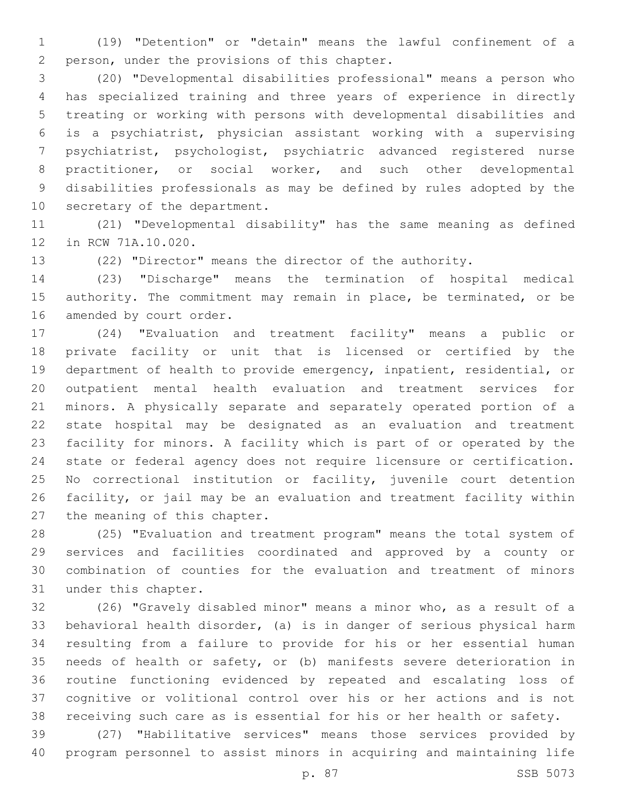(19) "Detention" or "detain" means the lawful confinement of a 2 person, under the provisions of this chapter.

 (20) "Developmental disabilities professional" means a person who has specialized training and three years of experience in directly treating or working with persons with developmental disabilities and is a psychiatrist, physician assistant working with a supervising psychiatrist, psychologist, psychiatric advanced registered nurse practitioner, or social worker, and such other developmental disabilities professionals as may be defined by rules adopted by the 10 secretary of the department.

 (21) "Developmental disability" has the same meaning as defined 12 in RCW 71A.10.020.

(22) "Director" means the director of the authority.

 (23) "Discharge" means the termination of hospital medical authority. The commitment may remain in place, be terminated, or be 16 amended by court order.

 (24) "Evaluation and treatment facility" means a public or private facility or unit that is licensed or certified by the department of health to provide emergency, inpatient, residential, or outpatient mental health evaluation and treatment services for minors. A physically separate and separately operated portion of a state hospital may be designated as an evaluation and treatment facility for minors. A facility which is part of or operated by the state or federal agency does not require licensure or certification. No correctional institution or facility, juvenile court detention facility, or jail may be an evaluation and treatment facility within 27 the meaning of this chapter.

 (25) "Evaluation and treatment program" means the total system of services and facilities coordinated and approved by a county or combination of counties for the evaluation and treatment of minors 31 under this chapter.

 (26) "Gravely disabled minor" means a minor who, as a result of a behavioral health disorder, (a) is in danger of serious physical harm resulting from a failure to provide for his or her essential human needs of health or safety, or (b) manifests severe deterioration in routine functioning evidenced by repeated and escalating loss of cognitive or volitional control over his or her actions and is not receiving such care as is essential for his or her health or safety.

 (27) "Habilitative services" means those services provided by program personnel to assist minors in acquiring and maintaining life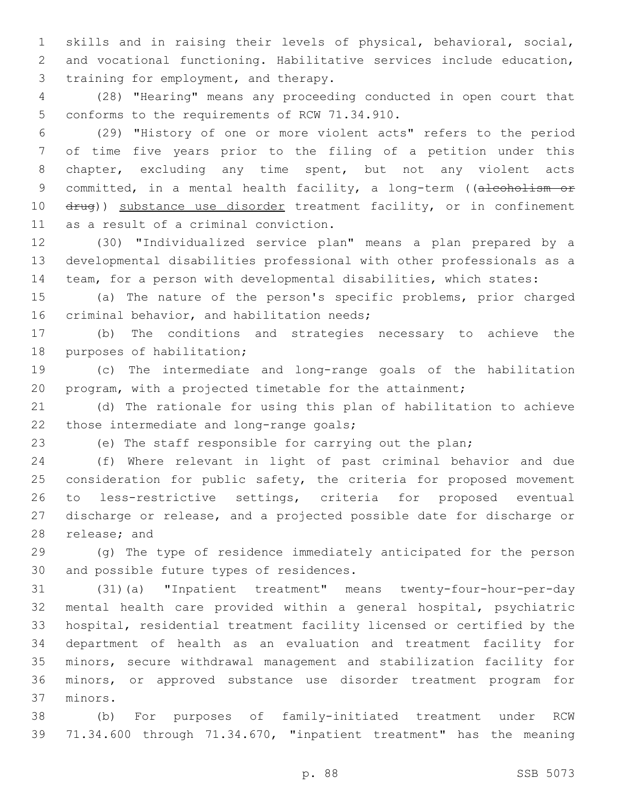skills and in raising their levels of physical, behavioral, social, and vocational functioning. Habilitative services include education, 3 training for employment, and therapy.

 (28) "Hearing" means any proceeding conducted in open court that 5 conforms to the requirements of RCW 71.34.910.

 (29) "History of one or more violent acts" refers to the period of time five years prior to the filing of a petition under this chapter, excluding any time spent, but not any violent acts 9 committed, in a mental health facility, a long-term ((alcoholism or 10 drug)) substance use disorder treatment facility, or in confinement 11 as a result of a criminal conviction.

 (30) "Individualized service plan" means a plan prepared by a developmental disabilities professional with other professionals as a team, for a person with developmental disabilities, which states:

 (a) The nature of the person's specific problems, prior charged 16 criminal behavior, and habilitation needs;

 (b) The conditions and strategies necessary to achieve the 18 purposes of habilitation;

 (c) The intermediate and long-range goals of the habilitation program, with a projected timetable for the attainment;

 (d) The rationale for using this plan of habilitation to achieve 22 those intermediate and long-range goals;

(e) The staff responsible for carrying out the plan;

 (f) Where relevant in light of past criminal behavior and due 25 consideration for public safety, the criteria for proposed movement to less-restrictive settings, criteria for proposed eventual discharge or release, and a projected possible date for discharge or 28 release; and

 (g) The type of residence immediately anticipated for the person 30 and possible future types of residences.

 (31)(a) "Inpatient treatment" means twenty-four-hour-per-day mental health care provided within a general hospital, psychiatric hospital, residential treatment facility licensed or certified by the department of health as an evaluation and treatment facility for minors, secure withdrawal management and stabilization facility for minors, or approved substance use disorder treatment program for 37 minors.

 (b) For purposes of family-initiated treatment under RCW 71.34.600 through 71.34.670, "inpatient treatment" has the meaning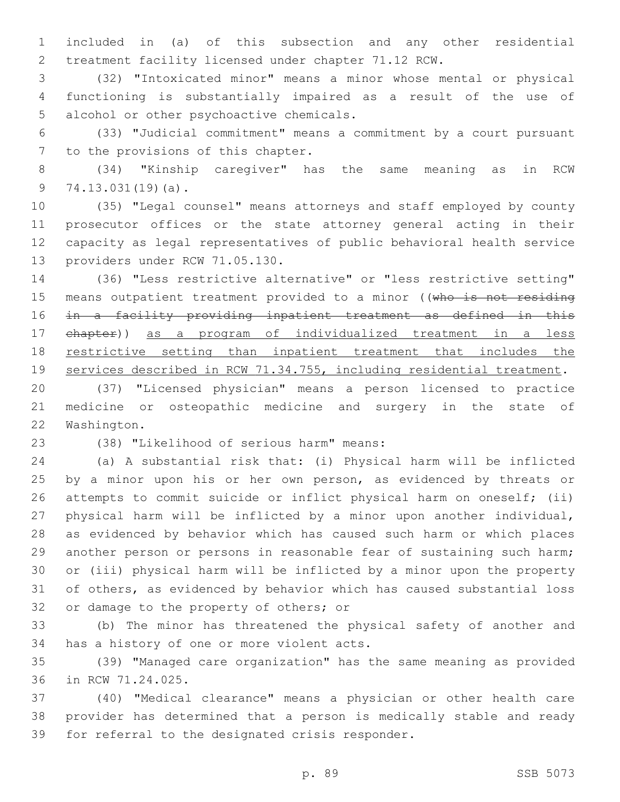included in (a) of this subsection and any other residential treatment facility licensed under chapter 71.12 RCW.

 (32) "Intoxicated minor" means a minor whose mental or physical functioning is substantially impaired as a result of the use of 5 alcohol or other psychoactive chemicals.

 (33) "Judicial commitment" means a commitment by a court pursuant 7 to the provisions of this chapter.

 (34) "Kinship caregiver" has the same meaning as in RCW 9 74.13.031(19)(a).

 (35) "Legal counsel" means attorneys and staff employed by county prosecutor offices or the state attorney general acting in their capacity as legal representatives of public behavioral health service 13 providers under RCW 71.05.130.

 (36) "Less restrictive alternative" or "less restrictive setting" 15 means outpatient treatment provided to a minor ((who is not residing in a facility providing inpatient treatment as defined in this chapter)) as a program of individualized treatment in a less restrictive setting than inpatient treatment that includes the services described in RCW 71.34.755, including residential treatment.

 (37) "Licensed physician" means a person licensed to practice medicine or osteopathic medicine and surgery in the state of 22 Washington.

(38) "Likelihood of serious harm" means:23

 (a) A substantial risk that: (i) Physical harm will be inflicted 25 by a minor upon his or her own person, as evidenced by threats or attempts to commit suicide or inflict physical harm on oneself; (ii) physical harm will be inflicted by a minor upon another individual, as evidenced by behavior which has caused such harm or which places another person or persons in reasonable fear of sustaining such harm; or (iii) physical harm will be inflicted by a minor upon the property of others, as evidenced by behavior which has caused substantial loss 32 or damage to the property of others; or

 (b) The minor has threatened the physical safety of another and 34 has a history of one or more violent acts.

 (39) "Managed care organization" has the same meaning as provided 36 in RCW 71.24.025.

 (40) "Medical clearance" means a physician or other health care provider has determined that a person is medically stable and ready 39 for referral to the designated crisis responder.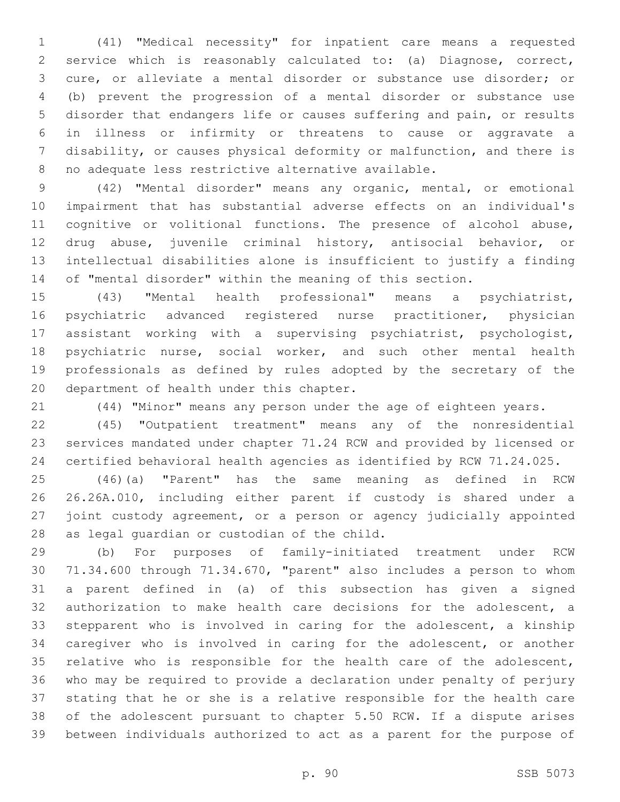(41) "Medical necessity" for inpatient care means a requested service which is reasonably calculated to: (a) Diagnose, correct, cure, or alleviate a mental disorder or substance use disorder; or (b) prevent the progression of a mental disorder or substance use disorder that endangers life or causes suffering and pain, or results in illness or infirmity or threatens to cause or aggravate a disability, or causes physical deformity or malfunction, and there is no adequate less restrictive alternative available.

 (42) "Mental disorder" means any organic, mental, or emotional impairment that has substantial adverse effects on an individual's 11 cognitive or volitional functions. The presence of alcohol abuse, drug abuse, juvenile criminal history, antisocial behavior, or intellectual disabilities alone is insufficient to justify a finding of "mental disorder" within the meaning of this section.

 (43) "Mental health professional" means a psychiatrist, psychiatric advanced registered nurse practitioner, physician assistant working with a supervising psychiatrist, psychologist, 18 psychiatric nurse, social worker, and such other mental health professionals as defined by rules adopted by the secretary of the 20 department of health under this chapter.

(44) "Minor" means any person under the age of eighteen years.

 (45) "Outpatient treatment" means any of the nonresidential services mandated under chapter 71.24 RCW and provided by licensed or certified behavioral health agencies as identified by RCW 71.24.025.

 (46)(a) "Parent" has the same meaning as defined in RCW 26.26A.010, including either parent if custody is shared under a 27 joint custody agreement, or a person or agency judicially appointed 28 as legal guardian or custodian of the child.

 (b) For purposes of family-initiated treatment under RCW 71.34.600 through 71.34.670, "parent" also includes a person to whom a parent defined in (a) of this subsection has given a signed authorization to make health care decisions for the adolescent, a stepparent who is involved in caring for the adolescent, a kinship caregiver who is involved in caring for the adolescent, or another relative who is responsible for the health care of the adolescent, who may be required to provide a declaration under penalty of perjury stating that he or she is a relative responsible for the health care of the adolescent pursuant to chapter 5.50 RCW. If a dispute arises between individuals authorized to act as a parent for the purpose of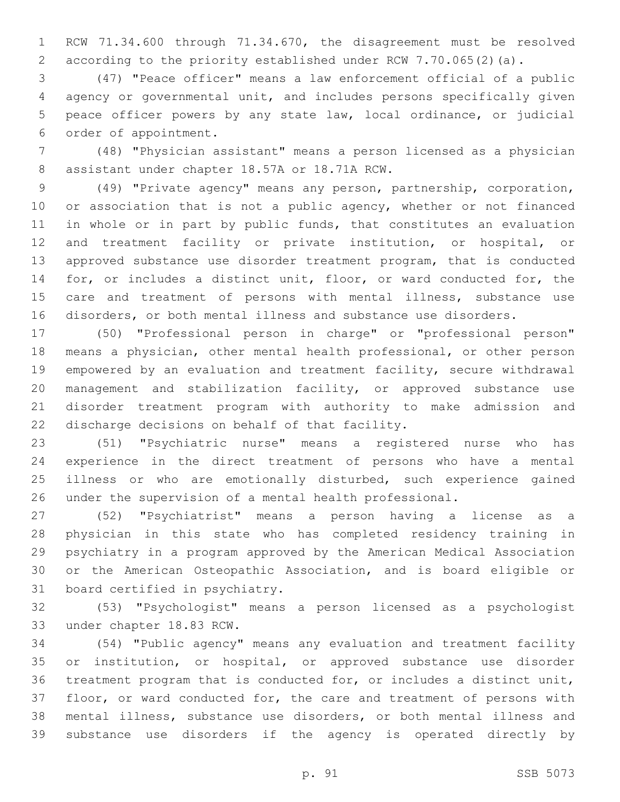RCW 71.34.600 through 71.34.670, the disagreement must be resolved according to the priority established under RCW 7.70.065(2)(a).

 (47) "Peace officer" means a law enforcement official of a public agency or governmental unit, and includes persons specifically given peace officer powers by any state law, local ordinance, or judicial 6 order of appointment.

 (48) "Physician assistant" means a person licensed as a physician 8 assistant under chapter 18.57A or 18.71A RCW.

 (49) "Private agency" means any person, partnership, corporation, 10 or association that is not a public agency, whether or not financed in whole or in part by public funds, that constitutes an evaluation and treatment facility or private institution, or hospital, or approved substance use disorder treatment program, that is conducted for, or includes a distinct unit, floor, or ward conducted for, the 15 care and treatment of persons with mental illness, substance use disorders, or both mental illness and substance use disorders.

 (50) "Professional person in charge" or "professional person" means a physician, other mental health professional, or other person empowered by an evaluation and treatment facility, secure withdrawal management and stabilization facility, or approved substance use disorder treatment program with authority to make admission and 22 discharge decisions on behalf of that facility.

 (51) "Psychiatric nurse" means a registered nurse who has experience in the direct treatment of persons who have a mental 25 illness or who are emotionally disturbed, such experience gained under the supervision of a mental health professional.

 (52) "Psychiatrist" means a person having a license as a physician in this state who has completed residency training in psychiatry in a program approved by the American Medical Association or the American Osteopathic Association, and is board eligible or 31 board certified in psychiatry.

 (53) "Psychologist" means a person licensed as a psychologist 33 under chapter 18.83 RCW.

 (54) "Public agency" means any evaluation and treatment facility or institution, or hospital, or approved substance use disorder treatment program that is conducted for, or includes a distinct unit, floor, or ward conducted for, the care and treatment of persons with mental illness, substance use disorders, or both mental illness and substance use disorders if the agency is operated directly by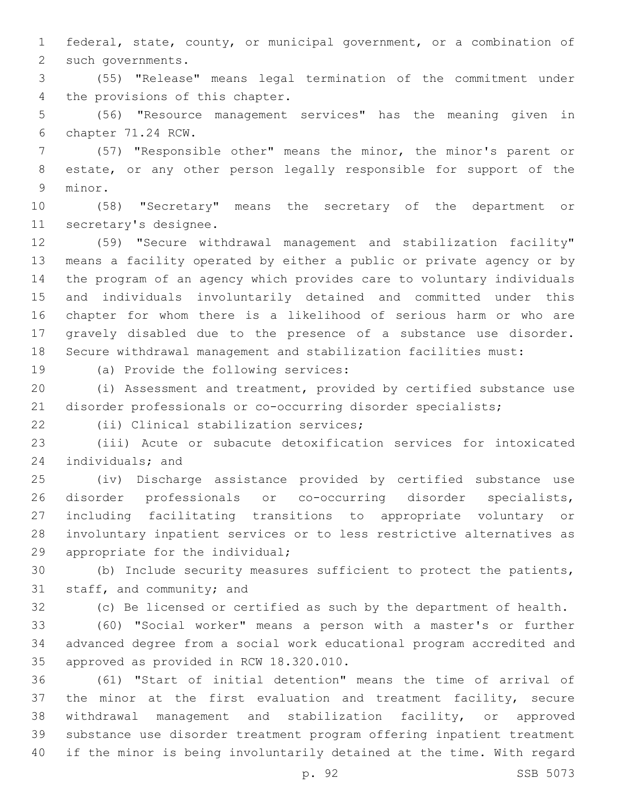federal, state, county, or municipal government, or a combination of 2 such governments.

 (55) "Release" means legal termination of the commitment under 4 the provisions of this chapter.

 (56) "Resource management services" has the meaning given in 6 chapter 71.24 RCW.

 (57) "Responsible other" means the minor, the minor's parent or estate, or any other person legally responsible for support of the 9 minor.

 (58) "Secretary" means the secretary of the department or 11 secretary's designee.

 (59) "Secure withdrawal management and stabilization facility" means a facility operated by either a public or private agency or by the program of an agency which provides care to voluntary individuals and individuals involuntarily detained and committed under this chapter for whom there is a likelihood of serious harm or who are gravely disabled due to the presence of a substance use disorder. Secure withdrawal management and stabilization facilities must:

19 (a) Provide the following services:

 (i) Assessment and treatment, provided by certified substance use disorder professionals or co-occurring disorder specialists;

(ii) Clinical stabilization services;22

 (iii) Acute or subacute detoxification services for intoxicated 24 individuals; and

 (iv) Discharge assistance provided by certified substance use disorder professionals or co-occurring disorder specialists, including facilitating transitions to appropriate voluntary or involuntary inpatient services or to less restrictive alternatives as 29 appropriate for the individual;

 (b) Include security measures sufficient to protect the patients, 31 staff, and community; and

(c) Be licensed or certified as such by the department of health.

 (60) "Social worker" means a person with a master's or further advanced degree from a social work educational program accredited and 35 approved as provided in RCW 18.320.010.

 (61) "Start of initial detention" means the time of arrival of the minor at the first evaluation and treatment facility, secure withdrawal management and stabilization facility, or approved substance use disorder treatment program offering inpatient treatment if the minor is being involuntarily detained at the time. With regard

p. 92 SSB 5073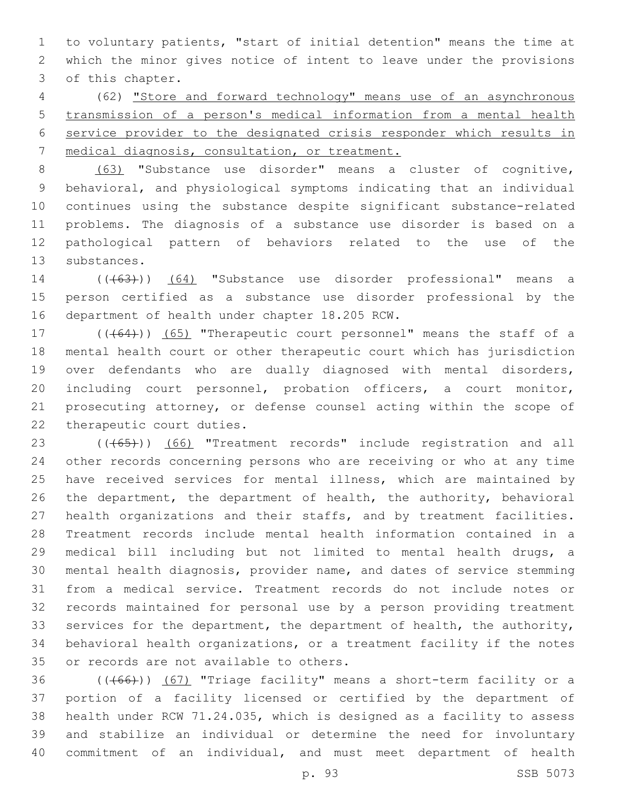to voluntary patients, "start of initial detention" means the time at which the minor gives notice of intent to leave under the provisions 3 of this chapter.

 (62) "Store and forward technology" means use of an asynchronous transmission of a person's medical information from a mental health service provider to the designated crisis responder which results in medical diagnosis, consultation, or treatment.

 (63) "Substance use disorder" means a cluster of cognitive, behavioral, and physiological symptoms indicating that an individual continues using the substance despite significant substance-related problems. The diagnosis of a substance use disorder is based on a pathological pattern of behaviors related to the use of the 13 substances.

14 (((63))) (64) "Substance use disorder professional" means a person certified as a substance use disorder professional by the 16 department of health under chapter 18.205 RCW.

17 (((64))) (65) "Therapeutic court personnel" means the staff of a mental health court or other therapeutic court which has jurisdiction over defendants who are dually diagnosed with mental disorders, including court personnel, probation officers, a court monitor, prosecuting attorney, or defense counsel acting within the scope of 22 therapeutic court duties.

23 (((65))) (66) "Treatment records" include registration and all other records concerning persons who are receiving or who at any time have received services for mental illness, which are maintained by the department, the department of health, the authority, behavioral health organizations and their staffs, and by treatment facilities. Treatment records include mental health information contained in a medical bill including but not limited to mental health drugs, a mental health diagnosis, provider name, and dates of service stemming from a medical service. Treatment records do not include notes or records maintained for personal use by a person providing treatment 33 services for the department, the department of health, the authority, behavioral health organizations, or a treatment facility if the notes 35 or records are not available to others.

36 (((66))) (67) "Triage facility" means a short-term facility or a portion of a facility licensed or certified by the department of health under RCW 71.24.035, which is designed as a facility to assess and stabilize an individual or determine the need for involuntary commitment of an individual, and must meet department of health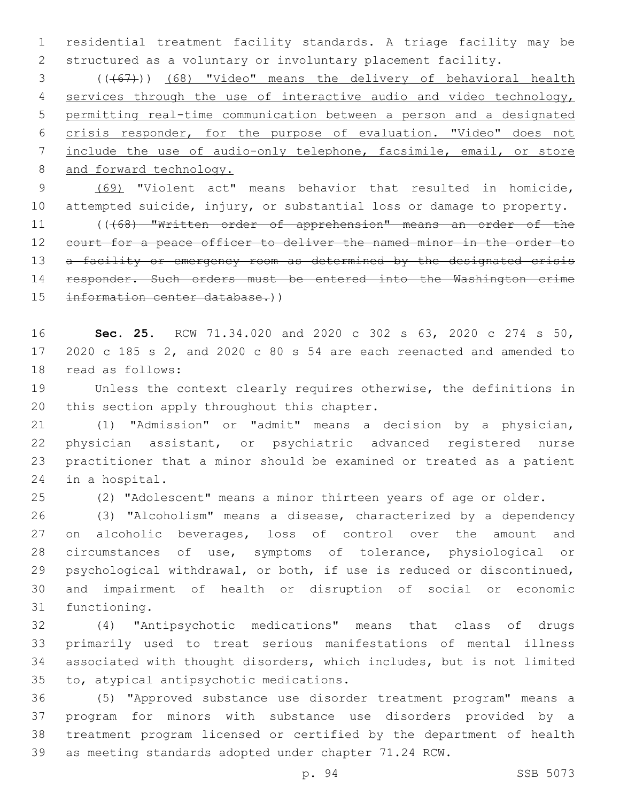residential treatment facility standards. A triage facility may be structured as a voluntary or involuntary placement facility.

 (((67))) (68) "Video" means the delivery of behavioral health 4 services through the use of interactive audio and video technology, permitting real-time communication between a person and a designated crisis responder, for the purpose of evaluation. "Video" does not include the use of audio-only telephone, facsimile, email, or store 8 and forward technology.

 (69) "Violent act" means behavior that resulted in homicide, attempted suicide, injury, or substantial loss or damage to property. 11 ((468) "Written order of apprehension" means an order of the 12 court for a peace officer to deliver the named minor in the order to 13 a facility or emergency room as determined by the designated crisis responder. Such orders must be entered into the Washington crime information center database.))

 **Sec. 25.** RCW 71.34.020 and 2020 c 302 s 63, 2020 c 274 s 50, 2020 c 185 s 2, and 2020 c 80 s 54 are each reenacted and amended to 18 read as follows:

 Unless the context clearly requires otherwise, the definitions in 20 this section apply throughout this chapter.

 (1) "Admission" or "admit" means a decision by a physician, physician assistant, or psychiatric advanced registered nurse practitioner that a minor should be examined or treated as a patient 24 in a hospital.

(2) "Adolescent" means a minor thirteen years of age or older.

 (3) "Alcoholism" means a disease, characterized by a dependency 27 on alcoholic beverages, loss of control over the amount and circumstances of use, symptoms of tolerance, physiological or psychological withdrawal, or both, if use is reduced or discontinued, and impairment of health or disruption of social or economic 31 functioning.

 (4) "Antipsychotic medications" means that class of drugs primarily used to treat serious manifestations of mental illness associated with thought disorders, which includes, but is not limited 35 to, atypical antipsychotic medications.

 (5) "Approved substance use disorder treatment program" means a program for minors with substance use disorders provided by a treatment program licensed or certified by the department of health as meeting standards adopted under chapter 71.24 RCW.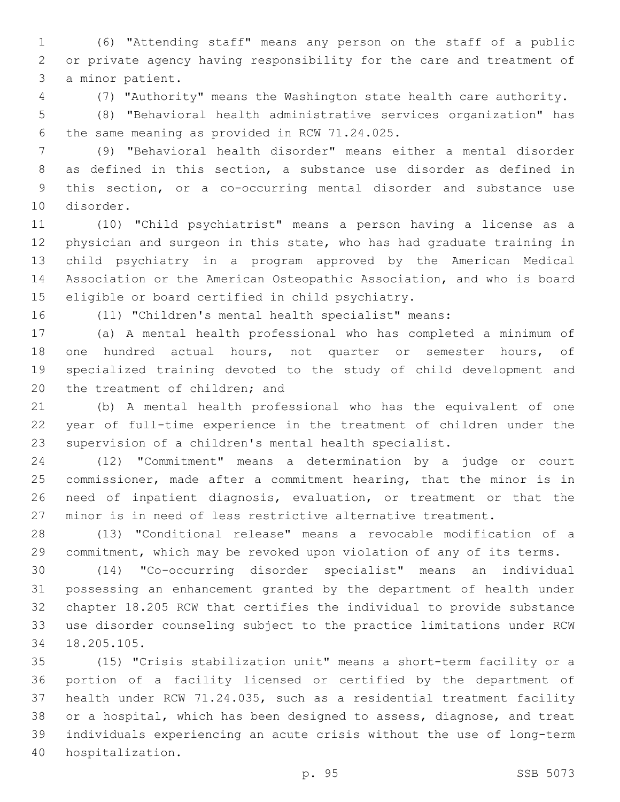(6) "Attending staff" means any person on the staff of a public or private agency having responsibility for the care and treatment of 3 a minor patient.

(7) "Authority" means the Washington state health care authority.

 (8) "Behavioral health administrative services organization" has 6 the same meaning as provided in RCW 71.24.025.

 (9) "Behavioral health disorder" means either a mental disorder as defined in this section, a substance use disorder as defined in this section, or a co-occurring mental disorder and substance use 10 disorder.

 (10) "Child psychiatrist" means a person having a license as a physician and surgeon in this state, who has had graduate training in child psychiatry in a program approved by the American Medical Association or the American Osteopathic Association, and who is board 15 eligible or board certified in child psychiatry.

(11) "Children's mental health specialist" means:

 (a) A mental health professional who has completed a minimum of 18 one hundred actual hours, not quarter or semester hours, of specialized training devoted to the study of child development and 20 the treatment of children; and

 (b) A mental health professional who has the equivalent of one year of full-time experience in the treatment of children under the supervision of a children's mental health specialist.

 (12) "Commitment" means a determination by a judge or court commissioner, made after a commitment hearing, that the minor is in need of inpatient diagnosis, evaluation, or treatment or that the minor is in need of less restrictive alternative treatment.

 (13) "Conditional release" means a revocable modification of a commitment, which may be revoked upon violation of any of its terms.

 (14) "Co-occurring disorder specialist" means an individual possessing an enhancement granted by the department of health under chapter 18.205 RCW that certifies the individual to provide substance use disorder counseling subject to the practice limitations under RCW 18.205.105.34

 (15) "Crisis stabilization unit" means a short-term facility or a portion of a facility licensed or certified by the department of health under RCW 71.24.035, such as a residential treatment facility or a hospital, which has been designed to assess, diagnose, and treat individuals experiencing an acute crisis without the use of long-term 40 hospitalization.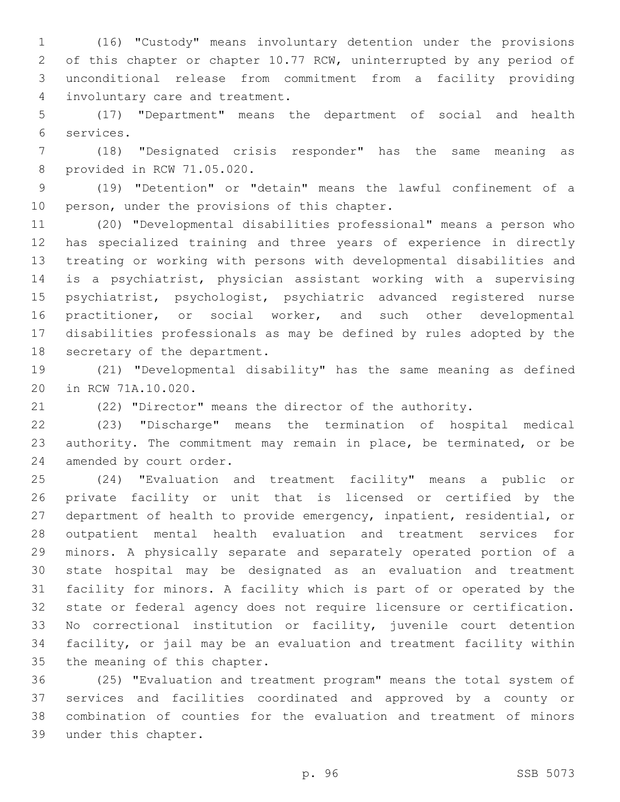(16) "Custody" means involuntary detention under the provisions of this chapter or chapter 10.77 RCW, uninterrupted by any period of unconditional release from commitment from a facility providing involuntary care and treatment.4

 (17) "Department" means the department of social and health services.6

 (18) "Designated crisis responder" has the same meaning as 8 provided in RCW 71.05.020.

 (19) "Detention" or "detain" means the lawful confinement of a 10 person, under the provisions of this chapter.

 (20) "Developmental disabilities professional" means a person who has specialized training and three years of experience in directly treating or working with persons with developmental disabilities and is a psychiatrist, physician assistant working with a supervising psychiatrist, psychologist, psychiatric advanced registered nurse practitioner, or social worker, and such other developmental disabilities professionals as may be defined by rules adopted by the 18 secretary of the department.

 (21) "Developmental disability" has the same meaning as defined 20 in RCW 71A.10.020.

(22) "Director" means the director of the authority.

 (23) "Discharge" means the termination of hospital medical authority. The commitment may remain in place, be terminated, or be 24 amended by court order.

 (24) "Evaluation and treatment facility" means a public or private facility or unit that is licensed or certified by the department of health to provide emergency, inpatient, residential, or outpatient mental health evaluation and treatment services for minors. A physically separate and separately operated portion of a state hospital may be designated as an evaluation and treatment facility for minors. A facility which is part of or operated by the state or federal agency does not require licensure or certification. No correctional institution or facility, juvenile court detention facility, or jail may be an evaluation and treatment facility within 35 the meaning of this chapter.

 (25) "Evaluation and treatment program" means the total system of services and facilities coordinated and approved by a county or combination of counties for the evaluation and treatment of minors 39 under this chapter.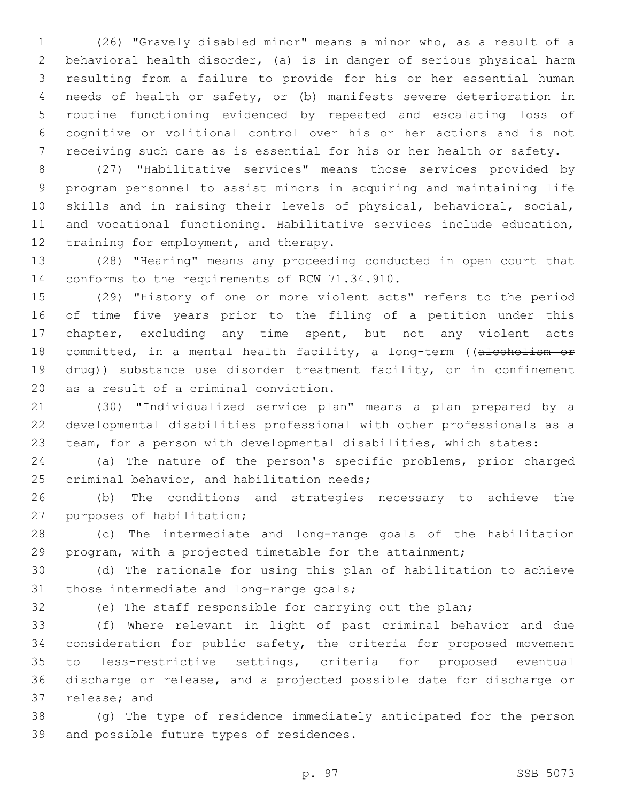(26) "Gravely disabled minor" means a minor who, as a result of a behavioral health disorder, (a) is in danger of serious physical harm resulting from a failure to provide for his or her essential human needs of health or safety, or (b) manifests severe deterioration in routine functioning evidenced by repeated and escalating loss of cognitive or volitional control over his or her actions and is not receiving such care as is essential for his or her health or safety.

 (27) "Habilitative services" means those services provided by program personnel to assist minors in acquiring and maintaining life skills and in raising their levels of physical, behavioral, social, and vocational functioning. Habilitative services include education, 12 training for employment, and therapy.

 (28) "Hearing" means any proceeding conducted in open court that 14 conforms to the requirements of RCW 71.34.910.

 (29) "History of one or more violent acts" refers to the period of time five years prior to the filing of a petition under this chapter, excluding any time spent, but not any violent acts 18 committed, in a mental health facility, a long-term ((alcoholism or 19 drug)) substance use disorder treatment facility, or in confinement 20 as a result of a criminal conviction.

 (30) "Individualized service plan" means a plan prepared by a developmental disabilities professional with other professionals as a team, for a person with developmental disabilities, which states:

 (a) The nature of the person's specific problems, prior charged 25 criminal behavior, and habilitation needs;

 (b) The conditions and strategies necessary to achieve the 27 purposes of habilitation;

 (c) The intermediate and long-range goals of the habilitation program, with a projected timetable for the attainment;

 (d) The rationale for using this plan of habilitation to achieve 31 those intermediate and long-range goals;

(e) The staff responsible for carrying out the plan;

 (f) Where relevant in light of past criminal behavior and due consideration for public safety, the criteria for proposed movement to less-restrictive settings, criteria for proposed eventual discharge or release, and a projected possible date for discharge or 37 release; and

 (g) The type of residence immediately anticipated for the person 39 and possible future types of residences.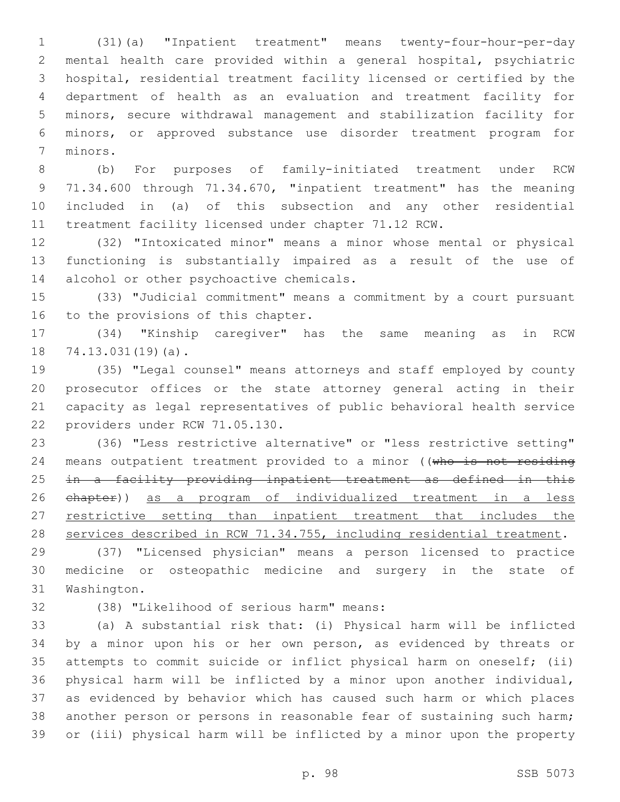(31)(a) "Inpatient treatment" means twenty-four-hour-per-day mental health care provided within a general hospital, psychiatric hospital, residential treatment facility licensed or certified by the department of health as an evaluation and treatment facility for minors, secure withdrawal management and stabilization facility for minors, or approved substance use disorder treatment program for 7 minors.

 (b) For purposes of family-initiated treatment under RCW 71.34.600 through 71.34.670, "inpatient treatment" has the meaning included in (a) of this subsection and any other residential treatment facility licensed under chapter 71.12 RCW.

 (32) "Intoxicated minor" means a minor whose mental or physical functioning is substantially impaired as a result of the use of 14 alcohol or other psychoactive chemicals.

 (33) "Judicial commitment" means a commitment by a court pursuant 16 to the provisions of this chapter.

 (34) "Kinship caregiver" has the same meaning as in RCW 18 74.13.031(19)(a).

 (35) "Legal counsel" means attorneys and staff employed by county prosecutor offices or the state attorney general acting in their capacity as legal representatives of public behavioral health service 22 providers under RCW 71.05.130.

 (36) "Less restrictive alternative" or "less restrictive setting" 24 means outpatient treatment provided to a minor ((who is not residing in a facility providing inpatient treatment as defined in this chapter)) as a program of individualized treatment in a less 27 restrictive setting than inpatient treatment that includes the services described in RCW 71.34.755, including residential treatment.

 (37) "Licensed physician" means a person licensed to practice medicine or osteopathic medicine and surgery in the state of 31 Washington.

(38) "Likelihood of serious harm" means:32

 (a) A substantial risk that: (i) Physical harm will be inflicted by a minor upon his or her own person, as evidenced by threats or attempts to commit suicide or inflict physical harm on oneself; (ii) physical harm will be inflicted by a minor upon another individual, as evidenced by behavior which has caused such harm or which places another person or persons in reasonable fear of sustaining such harm; or (iii) physical harm will be inflicted by a minor upon the property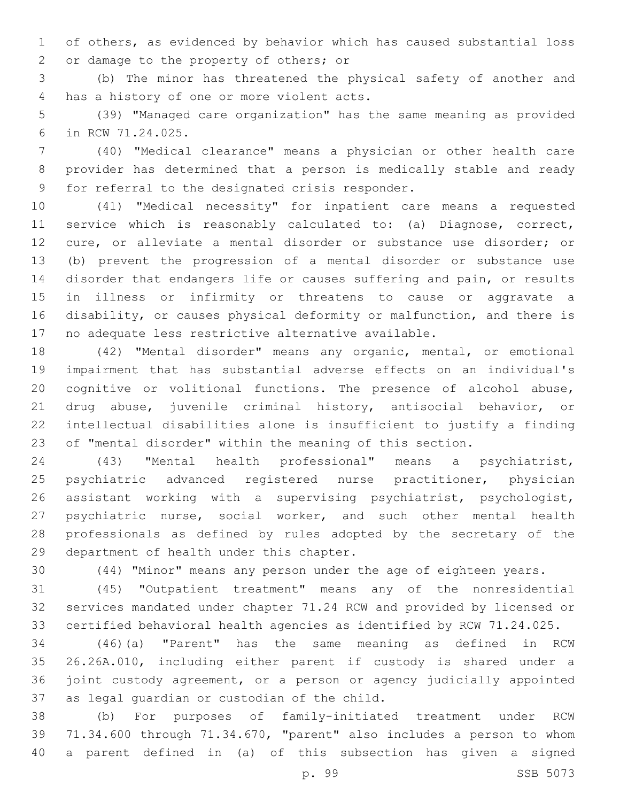of others, as evidenced by behavior which has caused substantial loss 2 or damage to the property of others; or

 (b) The minor has threatened the physical safety of another and 4 has a history of one or more violent acts.

 (39) "Managed care organization" has the same meaning as provided in RCW 71.24.025.6

 (40) "Medical clearance" means a physician or other health care provider has determined that a person is medically stable and ready 9 for referral to the designated crisis responder.

 (41) "Medical necessity" for inpatient care means a requested service which is reasonably calculated to: (a) Diagnose, correct, cure, or alleviate a mental disorder or substance use disorder; or (b) prevent the progression of a mental disorder or substance use disorder that endangers life or causes suffering and pain, or results in illness or infirmity or threatens to cause or aggravate a disability, or causes physical deformity or malfunction, and there is no adequate less restrictive alternative available.

 (42) "Mental disorder" means any organic, mental, or emotional impairment that has substantial adverse effects on an individual's cognitive or volitional functions. The presence of alcohol abuse, drug abuse, juvenile criminal history, antisocial behavior, or intellectual disabilities alone is insufficient to justify a finding of "mental disorder" within the meaning of this section.

 (43) "Mental health professional" means a psychiatrist, psychiatric advanced registered nurse practitioner, physician assistant working with a supervising psychiatrist, psychologist, 27 psychiatric nurse, social worker, and such other mental health professionals as defined by rules adopted by the secretary of the 29 department of health under this chapter.

(44) "Minor" means any person under the age of eighteen years.

 (45) "Outpatient treatment" means any of the nonresidential services mandated under chapter 71.24 RCW and provided by licensed or certified behavioral health agencies as identified by RCW 71.24.025.

 (46)(a) "Parent" has the same meaning as defined in RCW 26.26A.010, including either parent if custody is shared under a joint custody agreement, or a person or agency judicially appointed 37 as legal guardian or custodian of the child.

 (b) For purposes of family-initiated treatment under RCW 71.34.600 through 71.34.670, "parent" also includes a person to whom a parent defined in (a) of this subsection has given a signed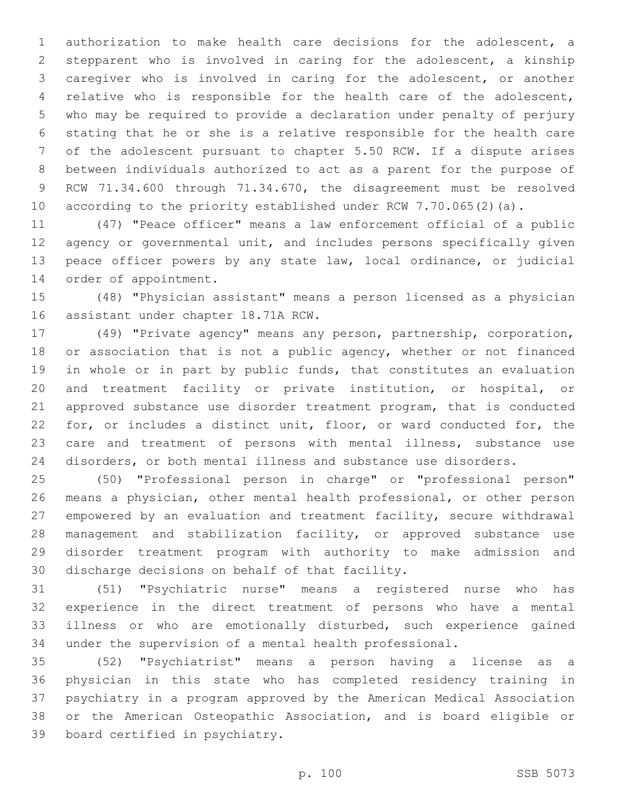authorization to make health care decisions for the adolescent, a stepparent who is involved in caring for the adolescent, a kinship caregiver who is involved in caring for the adolescent, or another relative who is responsible for the health care of the adolescent, who may be required to provide a declaration under penalty of perjury stating that he or she is a relative responsible for the health care of the adolescent pursuant to chapter 5.50 RCW. If a dispute arises between individuals authorized to act as a parent for the purpose of RCW 71.34.600 through 71.34.670, the disagreement must be resolved according to the priority established under RCW 7.70.065(2)(a).

 (47) "Peace officer" means a law enforcement official of a public agency or governmental unit, and includes persons specifically given peace officer powers by any state law, local ordinance, or judicial 14 order of appointment.

 (48) "Physician assistant" means a person licensed as a physician 16 assistant under chapter 18.71A RCW.

 (49) "Private agency" means any person, partnership, corporation, 18 or association that is not a public agency, whether or not financed in whole or in part by public funds, that constitutes an evaluation and treatment facility or private institution, or hospital, or approved substance use disorder treatment program, that is conducted for, or includes a distinct unit, floor, or ward conducted for, the care and treatment of persons with mental illness, substance use disorders, or both mental illness and substance use disorders.

 (50) "Professional person in charge" or "professional person" means a physician, other mental health professional, or other person empowered by an evaluation and treatment facility, secure withdrawal management and stabilization facility, or approved substance use disorder treatment program with authority to make admission and 30 discharge decisions on behalf of that facility.

 (51) "Psychiatric nurse" means a registered nurse who has experience in the direct treatment of persons who have a mental illness or who are emotionally disturbed, such experience gained under the supervision of a mental health professional.

 (52) "Psychiatrist" means a person having a license as a physician in this state who has completed residency training in psychiatry in a program approved by the American Medical Association or the American Osteopathic Association, and is board eligible or 39 board certified in psychiatry.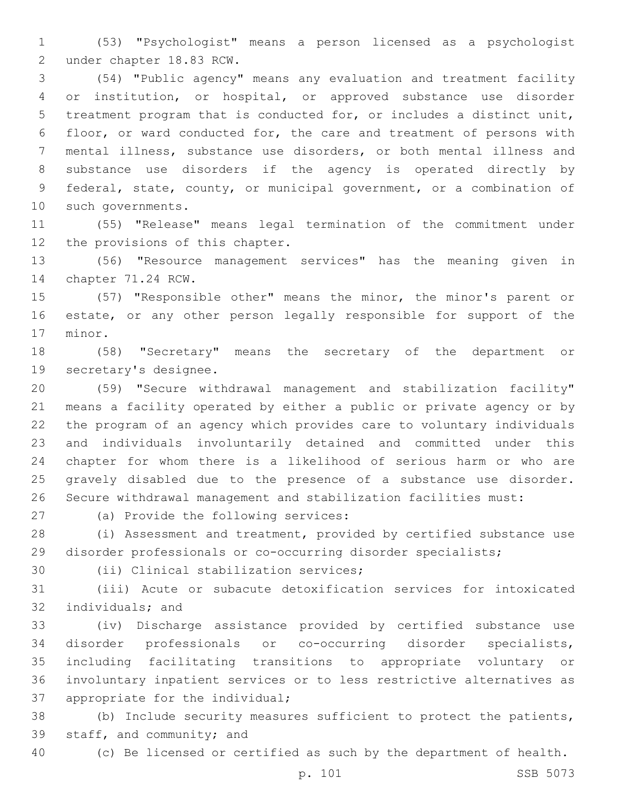(53) "Psychologist" means a person licensed as a psychologist 2 under chapter 18.83 RCW.

 (54) "Public agency" means any evaluation and treatment facility or institution, or hospital, or approved substance use disorder treatment program that is conducted for, or includes a distinct unit, floor, or ward conducted for, the care and treatment of persons with mental illness, substance use disorders, or both mental illness and substance use disorders if the agency is operated directly by federal, state, county, or municipal government, or a combination of 10 such governments.

 (55) "Release" means legal termination of the commitment under 12 the provisions of this chapter.

 (56) "Resource management services" has the meaning given in 14 chapter 71.24 RCW.

 (57) "Responsible other" means the minor, the minor's parent or estate, or any other person legally responsible for support of the 17 minor.

 (58) "Secretary" means the secretary of the department or 19 secretary's designee.

 (59) "Secure withdrawal management and stabilization facility" means a facility operated by either a public or private agency or by the program of an agency which provides care to voluntary individuals and individuals involuntarily detained and committed under this chapter for whom there is a likelihood of serious harm or who are gravely disabled due to the presence of a substance use disorder. Secure withdrawal management and stabilization facilities must:

27 (a) Provide the following services:

 (i) Assessment and treatment, provided by certified substance use disorder professionals or co-occurring disorder specialists;

30 (ii) Clinical stabilization services;

 (iii) Acute or subacute detoxification services for intoxicated 32 individuals; and

 (iv) Discharge assistance provided by certified substance use disorder professionals or co-occurring disorder specialists, including facilitating transitions to appropriate voluntary or involuntary inpatient services or to less restrictive alternatives as 37 appropriate for the individual;

 (b) Include security measures sufficient to protect the patients, 39 staff, and community; and

(c) Be licensed or certified as such by the department of health.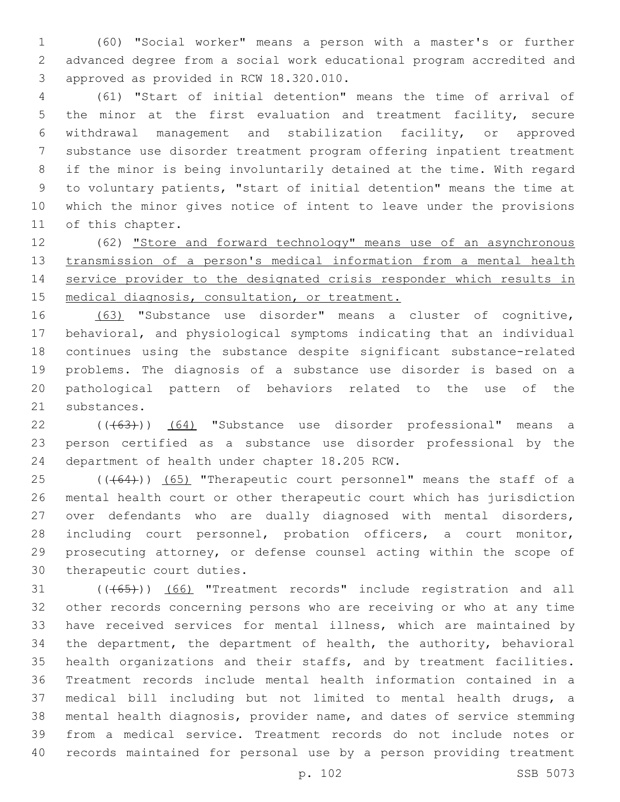(60) "Social worker" means a person with a master's or further advanced degree from a social work educational program accredited and 3 approved as provided in RCW 18.320.010.

 (61) "Start of initial detention" means the time of arrival of the minor at the first evaluation and treatment facility, secure withdrawal management and stabilization facility, or approved substance use disorder treatment program offering inpatient treatment if the minor is being involuntarily detained at the time. With regard to voluntary patients, "start of initial detention" means the time at which the minor gives notice of intent to leave under the provisions 11 of this chapter.

 (62) "Store and forward technology" means use of an asynchronous transmission of a person's medical information from a mental health service provider to the designated crisis responder which results in 15 medical diagnosis, consultation, or treatment.

 (63) "Substance use disorder" means a cluster of cognitive, behavioral, and physiological symptoms indicating that an individual continues using the substance despite significant substance-related problems. The diagnosis of a substance use disorder is based on a pathological pattern of behaviors related to the use of the 21 substances.

22 ((+63))) (64) "Substance use disorder professional" means a person certified as a substance use disorder professional by the 24 department of health under chapter 18.205 RCW.

 (( $(64)$ )) (65) "Therapeutic court personnel" means the staff of a mental health court or other therapeutic court which has jurisdiction over defendants who are dually diagnosed with mental disorders, including court personnel, probation officers, a court monitor, prosecuting attorney, or defense counsel acting within the scope of 30 therapeutic court duties.

31 (((65))) (66) "Treatment records" include registration and all other records concerning persons who are receiving or who at any time have received services for mental illness, which are maintained by the department, the department of health, the authority, behavioral health organizations and their staffs, and by treatment facilities. Treatment records include mental health information contained in a medical bill including but not limited to mental health drugs, a mental health diagnosis, provider name, and dates of service stemming from a medical service. Treatment records do not include notes or records maintained for personal use by a person providing treatment

p. 102 SSB 5073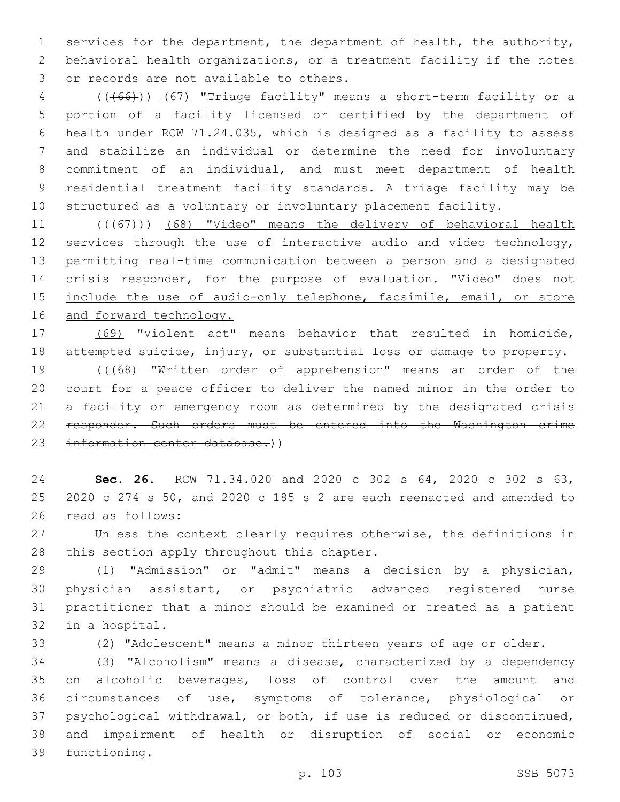services for the department, the department of health, the authority, behavioral health organizations, or a treatment facility if the notes 3 or records are not available to others.

 (((66))) (67) "Triage facility" means a short-term facility or a portion of a facility licensed or certified by the department of health under RCW 71.24.035, which is designed as a facility to assess and stabilize an individual or determine the need for involuntary commitment of an individual, and must meet department of health residential treatment facility standards. A triage facility may be structured as a voluntary or involuntary placement facility.

11 (((67))) (68) "Video" means the delivery of behavioral health 12 services through the use of interactive audio and video technology, permitting real-time communication between a person and a designated crisis responder, for the purpose of evaluation. "Video" does not 15 include the use of audio-only telephone, facsimile, email, or store 16 and forward technology.

 (69) "Violent act" means behavior that resulted in homicide, attempted suicide, injury, or substantial loss or damage to property. (((68) "Written order of apprehension" means an order of the court for a peace officer to deliver the named minor in the order to 21 a facility or emergency room as determined by the designated crisis responder. Such orders must be entered into the Washington crime information center database.))

 **Sec. 26.** RCW 71.34.020 and 2020 c 302 s 64, 2020 c 302 s 63, 2020 c 274 s 50, and 2020 c 185 s 2 are each reenacted and amended to 26 read as follows:

 Unless the context clearly requires otherwise, the definitions in 28 this section apply throughout this chapter.

 (1) "Admission" or "admit" means a decision by a physician, physician assistant, or psychiatric advanced registered nurse practitioner that a minor should be examined or treated as a patient 32 in a hospital.

(2) "Adolescent" means a minor thirteen years of age or older.

 (3) "Alcoholism" means a disease, characterized by a dependency on alcoholic beverages, loss of control over the amount and circumstances of use, symptoms of tolerance, physiological or psychological withdrawal, or both, if use is reduced or discontinued, and impairment of health or disruption of social or economic 39 functioning.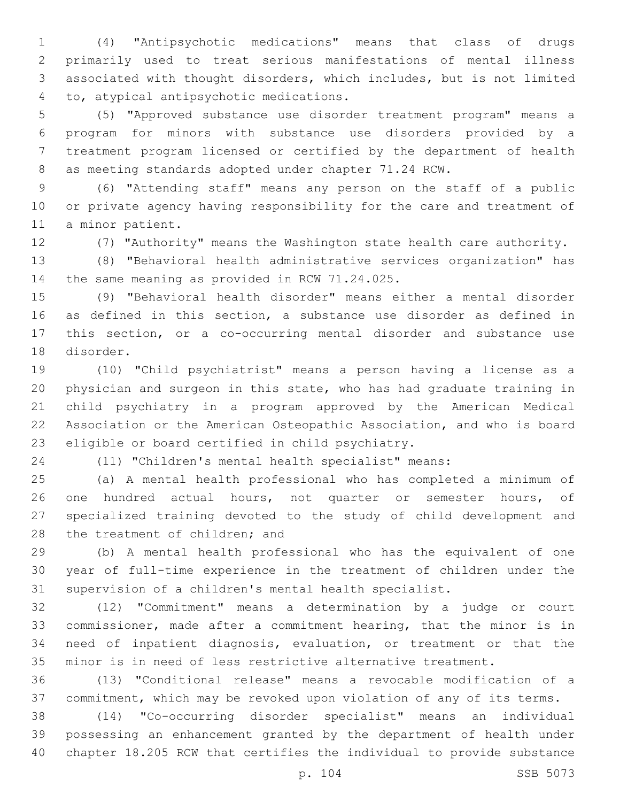(4) "Antipsychotic medications" means that class of drugs primarily used to treat serious manifestations of mental illness associated with thought disorders, which includes, but is not limited to, atypical antipsychotic medications.4

 (5) "Approved substance use disorder treatment program" means a program for minors with substance use disorders provided by a treatment program licensed or certified by the department of health as meeting standards adopted under chapter 71.24 RCW.

 (6) "Attending staff" means any person on the staff of a public or private agency having responsibility for the care and treatment of 11 a minor patient.

(7) "Authority" means the Washington state health care authority.

 (8) "Behavioral health administrative services organization" has 14 the same meaning as provided in RCW 71.24.025.

 (9) "Behavioral health disorder" means either a mental disorder as defined in this section, a substance use disorder as defined in this section, or a co-occurring mental disorder and substance use 18 disorder.

 (10) "Child psychiatrist" means a person having a license as a physician and surgeon in this state, who has had graduate training in child psychiatry in a program approved by the American Medical Association or the American Osteopathic Association, and who is board 23 eligible or board certified in child psychiatry.

(11) "Children's mental health specialist" means:

 (a) A mental health professional who has completed a minimum of 26 one hundred actual hours, not quarter or semester hours, of specialized training devoted to the study of child development and 28 the treatment of children; and

 (b) A mental health professional who has the equivalent of one year of full-time experience in the treatment of children under the supervision of a children's mental health specialist.

 (12) "Commitment" means a determination by a judge or court commissioner, made after a commitment hearing, that the minor is in need of inpatient diagnosis, evaluation, or treatment or that the minor is in need of less restrictive alternative treatment.

 (13) "Conditional release" means a revocable modification of a commitment, which may be revoked upon violation of any of its terms.

 (14) "Co-occurring disorder specialist" means an individual possessing an enhancement granted by the department of health under chapter 18.205 RCW that certifies the individual to provide substance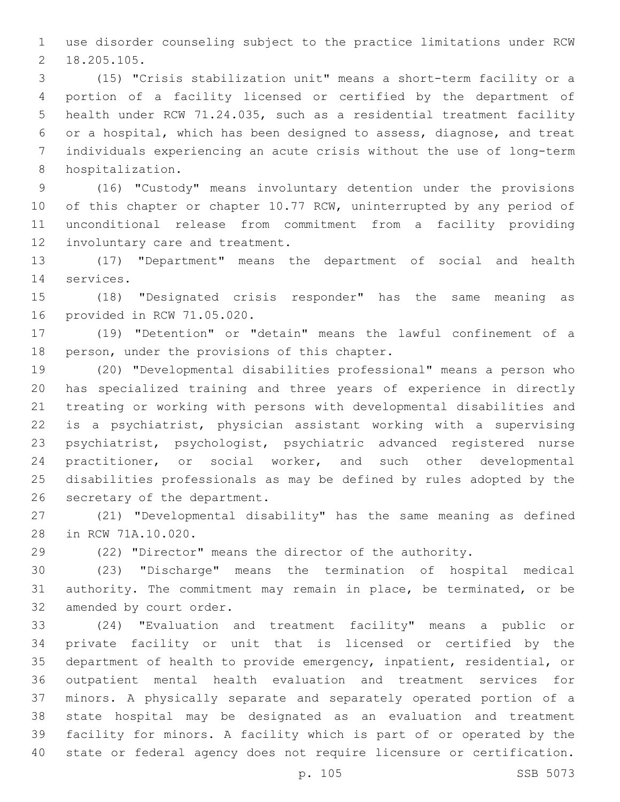use disorder counseling subject to the practice limitations under RCW 18.205.105.2

 (15) "Crisis stabilization unit" means a short-term facility or a portion of a facility licensed or certified by the department of health under RCW 71.24.035, such as a residential treatment facility or a hospital, which has been designed to assess, diagnose, and treat individuals experiencing an acute crisis without the use of long-term 8 hospitalization.

 (16) "Custody" means involuntary detention under the provisions 10 of this chapter or chapter 10.77 RCW, uninterrupted by any period of unconditional release from commitment from a facility providing 12 involuntary care and treatment.

 (17) "Department" means the department of social and health 14 services.

 (18) "Designated crisis responder" has the same meaning as 16 provided in RCW 71.05.020.

 (19) "Detention" or "detain" means the lawful confinement of a 18 person, under the provisions of this chapter.

 (20) "Developmental disabilities professional" means a person who has specialized training and three years of experience in directly treating or working with persons with developmental disabilities and is a psychiatrist, physician assistant working with a supervising psychiatrist, psychologist, psychiatric advanced registered nurse practitioner, or social worker, and such other developmental disabilities professionals as may be defined by rules adopted by the 26 secretary of the department.

 (21) "Developmental disability" has the same meaning as defined 28 in RCW 71A.10.020.

(22) "Director" means the director of the authority.

 (23) "Discharge" means the termination of hospital medical authority. The commitment may remain in place, be terminated, or be 32 amended by court order.

 (24) "Evaluation and treatment facility" means a public or private facility or unit that is licensed or certified by the department of health to provide emergency, inpatient, residential, or outpatient mental health evaluation and treatment services for minors. A physically separate and separately operated portion of a state hospital may be designated as an evaluation and treatment facility for minors. A facility which is part of or operated by the state or federal agency does not require licensure or certification.

p. 105 SSB 5073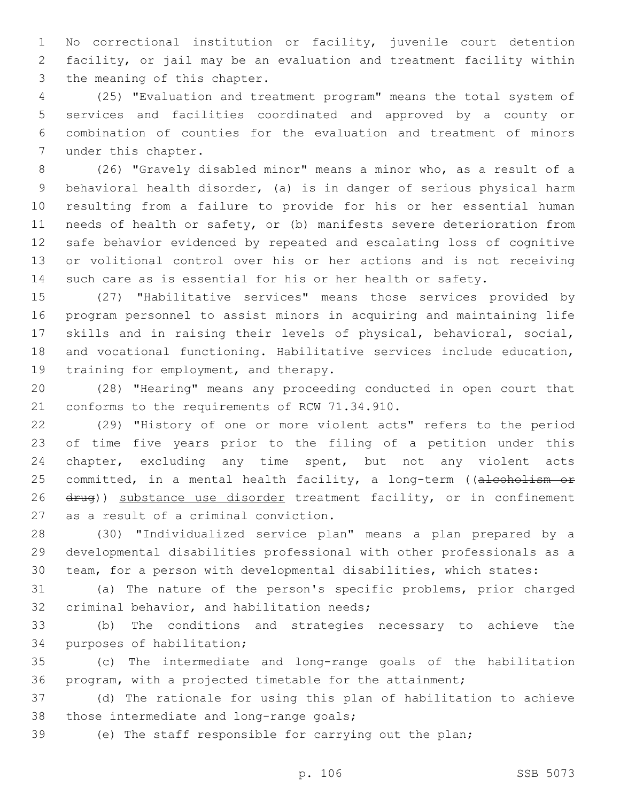No correctional institution or facility, juvenile court detention facility, or jail may be an evaluation and treatment facility within 3 the meaning of this chapter.

 (25) "Evaluation and treatment program" means the total system of services and facilities coordinated and approved by a county or combination of counties for the evaluation and treatment of minors 7 under this chapter.

 (26) "Gravely disabled minor" means a minor who, as a result of a behavioral health disorder, (a) is in danger of serious physical harm resulting from a failure to provide for his or her essential human needs of health or safety, or (b) manifests severe deterioration from safe behavior evidenced by repeated and escalating loss of cognitive or volitional control over his or her actions and is not receiving such care as is essential for his or her health or safety.

 (27) "Habilitative services" means those services provided by program personnel to assist minors in acquiring and maintaining life skills and in raising their levels of physical, behavioral, social, and vocational functioning. Habilitative services include education, 19 training for employment, and therapy.

 (28) "Hearing" means any proceeding conducted in open court that 21 conforms to the requirements of RCW 71.34.910.

 (29) "History of one or more violent acts" refers to the period of time five years prior to the filing of a petition under this chapter, excluding any time spent, but not any violent acts 25 committed, in a mental health facility, a long-term ((alcoholism or 26 drug)) substance use disorder treatment facility, or in confinement 27 as a result of a criminal conviction.

 (30) "Individualized service plan" means a plan prepared by a developmental disabilities professional with other professionals as a team, for a person with developmental disabilities, which states:

 (a) The nature of the person's specific problems, prior charged 32 criminal behavior, and habilitation needs;

 (b) The conditions and strategies necessary to achieve the 34 purposes of habilitation;

 (c) The intermediate and long-range goals of the habilitation program, with a projected timetable for the attainment;

 (d) The rationale for using this plan of habilitation to achieve 38 those intermediate and long-range goals;

(e) The staff responsible for carrying out the plan;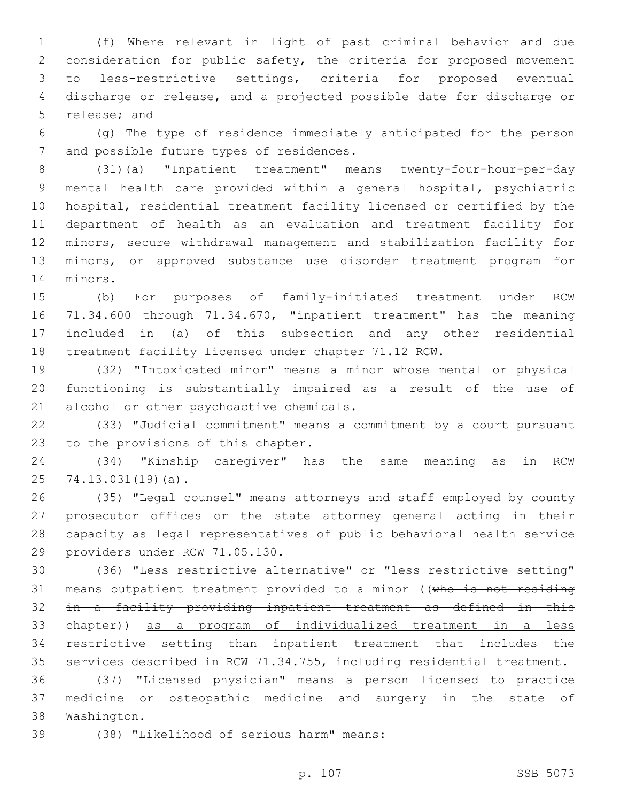(f) Where relevant in light of past criminal behavior and due consideration for public safety, the criteria for proposed movement to less-restrictive settings, criteria for proposed eventual discharge or release, and a projected possible date for discharge or 5 release; and

 (g) The type of residence immediately anticipated for the person 7 and possible future types of residences.

 (31)(a) "Inpatient treatment" means twenty-four-hour-per-day mental health care provided within a general hospital, psychiatric hospital, residential treatment facility licensed or certified by the department of health as an evaluation and treatment facility for minors, secure withdrawal management and stabilization facility for minors, or approved substance use disorder treatment program for 14 minors.

 (b) For purposes of family-initiated treatment under RCW 71.34.600 through 71.34.670, "inpatient treatment" has the meaning included in (a) of this subsection and any other residential treatment facility licensed under chapter 71.12 RCW.

 (32) "Intoxicated minor" means a minor whose mental or physical functioning is substantially impaired as a result of the use of 21 alcohol or other psychoactive chemicals.

 (33) "Judicial commitment" means a commitment by a court pursuant 23 to the provisions of this chapter.

 (34) "Kinship caregiver" has the same meaning as in RCW 25 74.13.031(19)(a).

 (35) "Legal counsel" means attorneys and staff employed by county prosecutor offices or the state attorney general acting in their capacity as legal representatives of public behavioral health service 29 providers under RCW 71.05.130.

 (36) "Less restrictive alternative" or "less restrictive setting" 31 means outpatient treatment provided to a minor ((who is not residing in a facility providing inpatient treatment as defined in this chapter)) as a program of individualized treatment in a less restrictive setting than inpatient treatment that includes the services described in RCW 71.34.755, including residential treatment.

 (37) "Licensed physician" means a person licensed to practice medicine or osteopathic medicine and surgery in the state of 38 Washington.

(38) "Likelihood of serious harm" means:39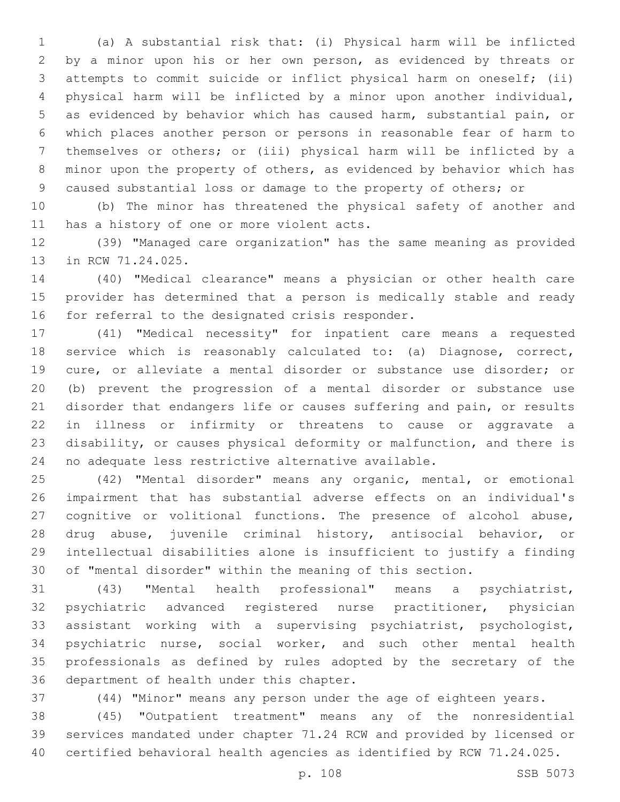(a) A substantial risk that: (i) Physical harm will be inflicted by a minor upon his or her own person, as evidenced by threats or attempts to commit suicide or inflict physical harm on oneself; (ii) physical harm will be inflicted by a minor upon another individual, as evidenced by behavior which has caused harm, substantial pain, or which places another person or persons in reasonable fear of harm to themselves or others; or (iii) physical harm will be inflicted by a minor upon the property of others, as evidenced by behavior which has caused substantial loss or damage to the property of others; or

 (b) The minor has threatened the physical safety of another and 11 has a history of one or more violent acts.

 (39) "Managed care organization" has the same meaning as provided 13 in RCW 71.24.025.

 (40) "Medical clearance" means a physician or other health care provider has determined that a person is medically stable and ready 16 for referral to the designated crisis responder.

 (41) "Medical necessity" for inpatient care means a requested service which is reasonably calculated to: (a) Diagnose, correct, cure, or alleviate a mental disorder or substance use disorder; or (b) prevent the progression of a mental disorder or substance use disorder that endangers life or causes suffering and pain, or results in illness or infirmity or threatens to cause or aggravate a disability, or causes physical deformity or malfunction, and there is no adequate less restrictive alternative available.

 (42) "Mental disorder" means any organic, mental, or emotional impairment that has substantial adverse effects on an individual's cognitive or volitional functions. The presence of alcohol abuse, drug abuse, juvenile criminal history, antisocial behavior, or intellectual disabilities alone is insufficient to justify a finding of "mental disorder" within the meaning of this section.

 (43) "Mental health professional" means a psychiatrist, psychiatric advanced registered nurse practitioner, physician assistant working with a supervising psychiatrist, psychologist, psychiatric nurse, social worker, and such other mental health professionals as defined by rules adopted by the secretary of the 36 department of health under this chapter.

(44) "Minor" means any person under the age of eighteen years.

 (45) "Outpatient treatment" means any of the nonresidential services mandated under chapter 71.24 RCW and provided by licensed or certified behavioral health agencies as identified by RCW 71.24.025.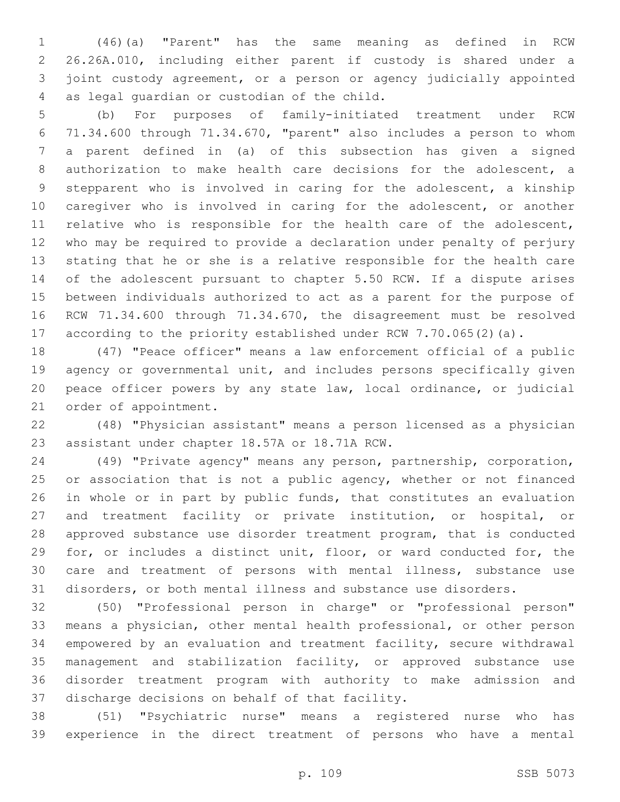(46)(a) "Parent" has the same meaning as defined in RCW 26.26A.010, including either parent if custody is shared under a joint custody agreement, or a person or agency judicially appointed 4 as legal guardian or custodian of the child.

 (b) For purposes of family-initiated treatment under RCW 71.34.600 through 71.34.670, "parent" also includes a person to whom a parent defined in (a) of this subsection has given a signed authorization to make health care decisions for the adolescent, a stepparent who is involved in caring for the adolescent, a kinship caregiver who is involved in caring for the adolescent, or another relative who is responsible for the health care of the adolescent, who may be required to provide a declaration under penalty of perjury stating that he or she is a relative responsible for the health care of the adolescent pursuant to chapter 5.50 RCW. If a dispute arises between individuals authorized to act as a parent for the purpose of RCW 71.34.600 through 71.34.670, the disagreement must be resolved according to the priority established under RCW 7.70.065(2)(a).

 (47) "Peace officer" means a law enforcement official of a public agency or governmental unit, and includes persons specifically given peace officer powers by any state law, local ordinance, or judicial 21 order of appointment.

 (48) "Physician assistant" means a person licensed as a physician 23 assistant under chapter 18.57A or 18.71A RCW.

 (49) "Private agency" means any person, partnership, corporation, 25 or association that is not a public agency, whether or not financed in whole or in part by public funds, that constitutes an evaluation and treatment facility or private institution, or hospital, or approved substance use disorder treatment program, that is conducted for, or includes a distinct unit, floor, or ward conducted for, the care and treatment of persons with mental illness, substance use disorders, or both mental illness and substance use disorders.

 (50) "Professional person in charge" or "professional person" means a physician, other mental health professional, or other person empowered by an evaluation and treatment facility, secure withdrawal management and stabilization facility, or approved substance use disorder treatment program with authority to make admission and 37 discharge decisions on behalf of that facility.

 (51) "Psychiatric nurse" means a registered nurse who has experience in the direct treatment of persons who have a mental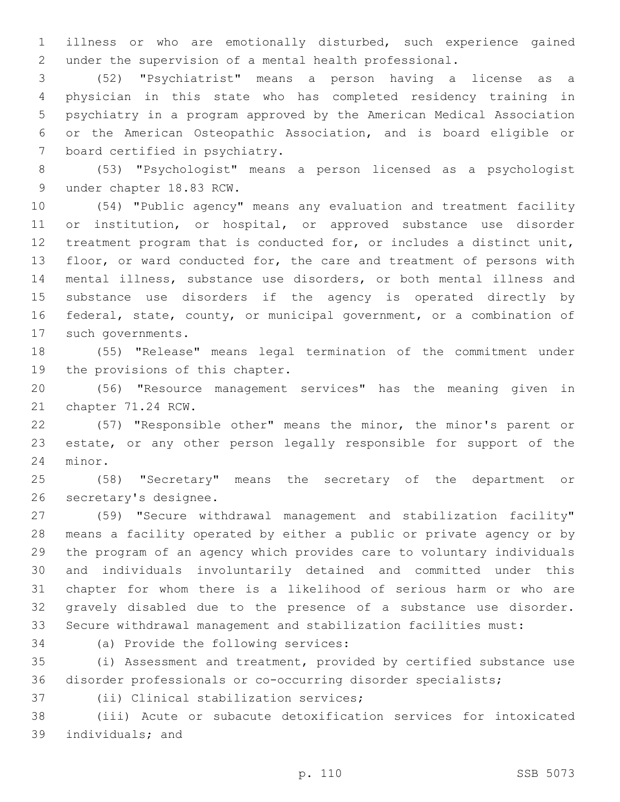illness or who are emotionally disturbed, such experience gained under the supervision of a mental health professional.

 (52) "Psychiatrist" means a person having a license as a physician in this state who has completed residency training in psychiatry in a program approved by the American Medical Association or the American Osteopathic Association, and is board eligible or 7 board certified in psychiatry.

 (53) "Psychologist" means a person licensed as a psychologist 9 under chapter 18.83 RCW.

 (54) "Public agency" means any evaluation and treatment facility or institution, or hospital, or approved substance use disorder treatment program that is conducted for, or includes a distinct unit, 13 floor, or ward conducted for, the care and treatment of persons with mental illness, substance use disorders, or both mental illness and substance use disorders if the agency is operated directly by federal, state, county, or municipal government, or a combination of 17 such governments.

 (55) "Release" means legal termination of the commitment under 19 the provisions of this chapter.

 (56) "Resource management services" has the meaning given in 21 chapter 71.24 RCW.

 (57) "Responsible other" means the minor, the minor's parent or estate, or any other person legally responsible for support of the 24 minor.

 (58) "Secretary" means the secretary of the department or 26 secretary's designee.

 (59) "Secure withdrawal management and stabilization facility" means a facility operated by either a public or private agency or by the program of an agency which provides care to voluntary individuals and individuals involuntarily detained and committed under this chapter for whom there is a likelihood of serious harm or who are gravely disabled due to the presence of a substance use disorder. Secure withdrawal management and stabilization facilities must:

34 (a) Provide the following services:

 (i) Assessment and treatment, provided by certified substance use disorder professionals or co-occurring disorder specialists;

37 (ii) Clinical stabilization services;

 (iii) Acute or subacute detoxification services for intoxicated 39 individuals; and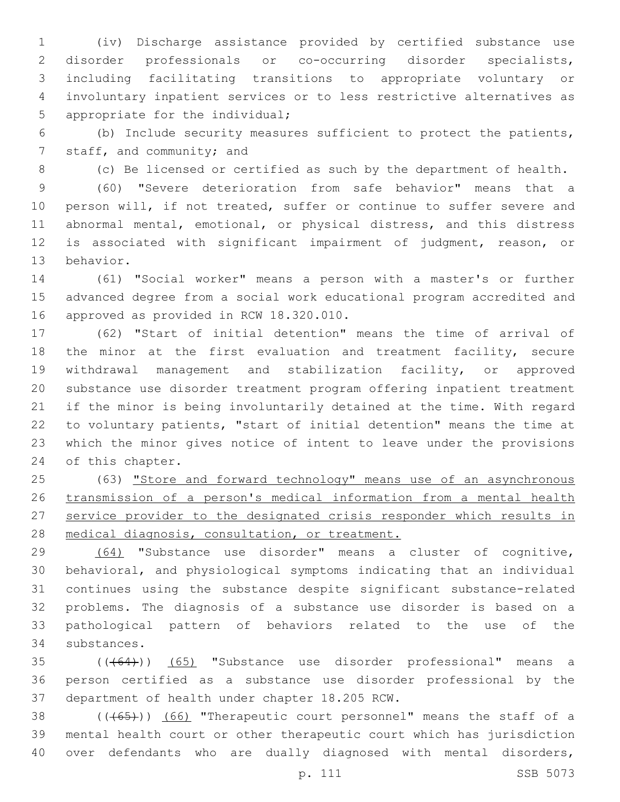(iv) Discharge assistance provided by certified substance use disorder professionals or co-occurring disorder specialists, including facilitating transitions to appropriate voluntary or involuntary inpatient services or to less restrictive alternatives as 5 appropriate for the individual;

 (b) Include security measures sufficient to protect the patients, 7 staff, and community; and

(c) Be licensed or certified as such by the department of health.

 (60) "Severe deterioration from safe behavior" means that a person will, if not treated, suffer or continue to suffer severe and abnormal mental, emotional, or physical distress, and this distress is associated with significant impairment of judgment, reason, or 13 behavior.

 (61) "Social worker" means a person with a master's or further advanced degree from a social work educational program accredited and 16 approved as provided in RCW 18.320.010.

 (62) "Start of initial detention" means the time of arrival of the minor at the first evaluation and treatment facility, secure withdrawal management and stabilization facility, or approved substance use disorder treatment program offering inpatient treatment if the minor is being involuntarily detained at the time. With regard to voluntary patients, "start of initial detention" means the time at which the minor gives notice of intent to leave under the provisions 24 of this chapter.

 (63) "Store and forward technology" means use of an asynchronous transmission of a person's medical information from a mental health service provider to the designated crisis responder which results in medical diagnosis, consultation, or treatment.

 (64) "Substance use disorder" means a cluster of cognitive, behavioral, and physiological symptoms indicating that an individual continues using the substance despite significant substance-related problems. The diagnosis of a substance use disorder is based on a pathological pattern of behaviors related to the use of the 34 substances.

 (((64))) (65) "Substance use disorder professional" means a person certified as a substance use disorder professional by the 37 department of health under chapter 18.205 RCW.

38 (((65))) (66) "Therapeutic court personnel" means the staff of a mental health court or other therapeutic court which has jurisdiction over defendants who are dually diagnosed with mental disorders,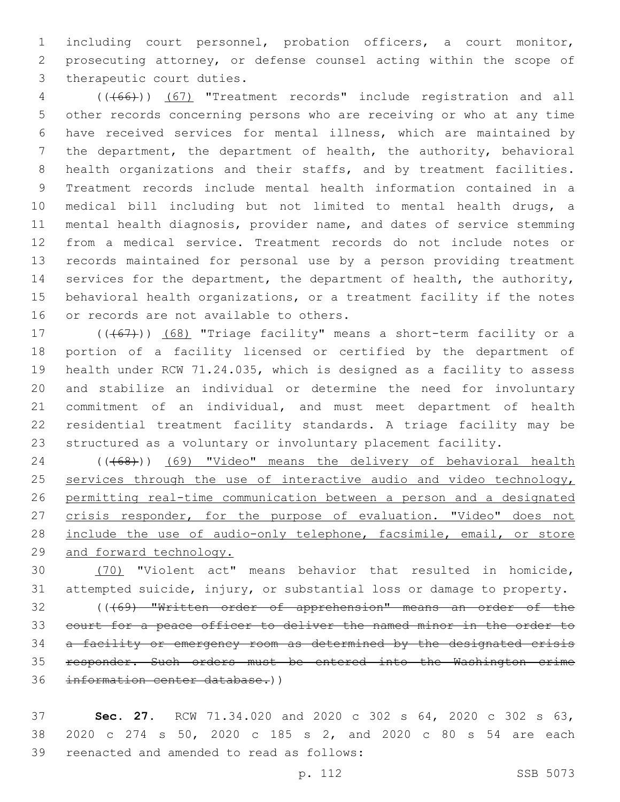including court personnel, probation officers, a court monitor, prosecuting attorney, or defense counsel acting within the scope of 3 therapeutic court duties.

 (((66))) (67) "Treatment records" include registration and all other records concerning persons who are receiving or who at any time have received services for mental illness, which are maintained by the department, the department of health, the authority, behavioral health organizations and their staffs, and by treatment facilities. Treatment records include mental health information contained in a medical bill including but not limited to mental health drugs, a mental health diagnosis, provider name, and dates of service stemming from a medical service. Treatment records do not include notes or records maintained for personal use by a person providing treatment services for the department, the department of health, the authority, behavioral health organizations, or a treatment facility if the notes 16 or records are not available to others.

17 (((67))) (68) "Triage facility" means a short-term facility or a portion of a facility licensed or certified by the department of health under RCW 71.24.035, which is designed as a facility to assess and stabilize an individual or determine the need for involuntary commitment of an individual, and must meet department of health residential treatment facility standards. A triage facility may be structured as a voluntary or involuntary placement facility.

24 (((68))) (69) "Video" means the delivery of behavioral health 25 services through the use of interactive audio and video technology, permitting real-time communication between a person and a designated 27 crisis responder, for the purpose of evaluation. "Video" does not 28 include the use of audio-only telephone, facsimile, email, or store and forward technology.

 (70) "Violent act" means behavior that resulted in homicide, attempted suicide, injury, or substantial loss or damage to property.

 (((69) "Written order of apprehension" means an order of the court for a peace officer to deliver the named minor in the order to a facility or emergency room as determined by the designated crisis responder. Such orders must be entered into the Washington crime information center database.))

 **Sec. 27.** RCW 71.34.020 and 2020 c 302 s 64, 2020 c 302 s 63, 2020 c 274 s 50, 2020 c 185 s 2, and 2020 c 80 s 54 are each 39 reenacted and amended to read as follows: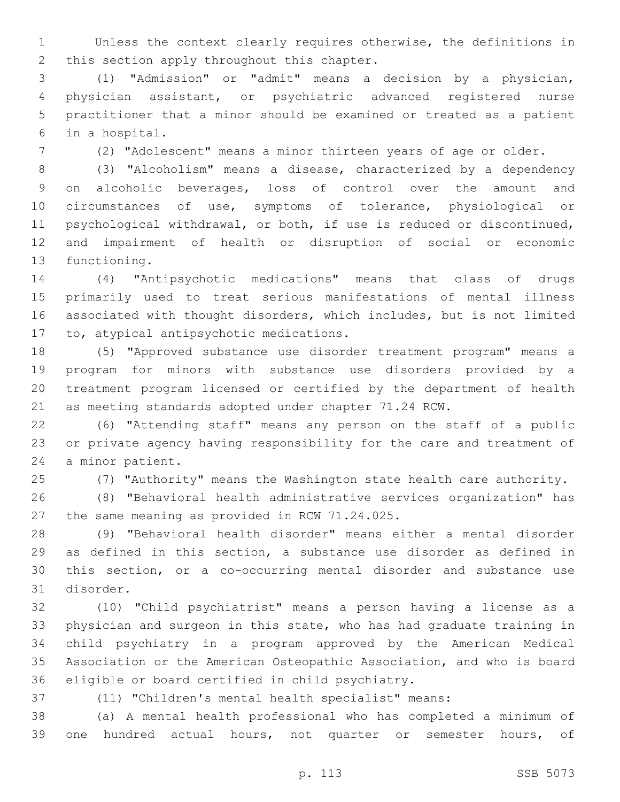Unless the context clearly requires otherwise, the definitions in 2 this section apply throughout this chapter.

 (1) "Admission" or "admit" means a decision by a physician, physician assistant, or psychiatric advanced registered nurse practitioner that a minor should be examined or treated as a patient in a hospital.6

(2) "Adolescent" means a minor thirteen years of age or older.

 (3) "Alcoholism" means a disease, characterized by a dependency on alcoholic beverages, loss of control over the amount and circumstances of use, symptoms of tolerance, physiological or psychological withdrawal, or both, if use is reduced or discontinued, and impairment of health or disruption of social or economic 13 functioning.

 (4) "Antipsychotic medications" means that class of drugs primarily used to treat serious manifestations of mental illness associated with thought disorders, which includes, but is not limited 17 to, atypical antipsychotic medications.

 (5) "Approved substance use disorder treatment program" means a program for minors with substance use disorders provided by a treatment program licensed or certified by the department of health as meeting standards adopted under chapter 71.24 RCW.

 (6) "Attending staff" means any person on the staff of a public or private agency having responsibility for the care and treatment of 24 a minor patient.

(7) "Authority" means the Washington state health care authority.

 (8) "Behavioral health administrative services organization" has 27 the same meaning as provided in RCW 71.24.025.

 (9) "Behavioral health disorder" means either a mental disorder as defined in this section, a substance use disorder as defined in this section, or a co-occurring mental disorder and substance use 31 disorder.

 (10) "Child psychiatrist" means a person having a license as a physician and surgeon in this state, who has had graduate training in child psychiatry in a program approved by the American Medical Association or the American Osteopathic Association, and who is board 36 eligible or board certified in child psychiatry.

(11) "Children's mental health specialist" means:

 (a) A mental health professional who has completed a minimum of one hundred actual hours, not quarter or semester hours, of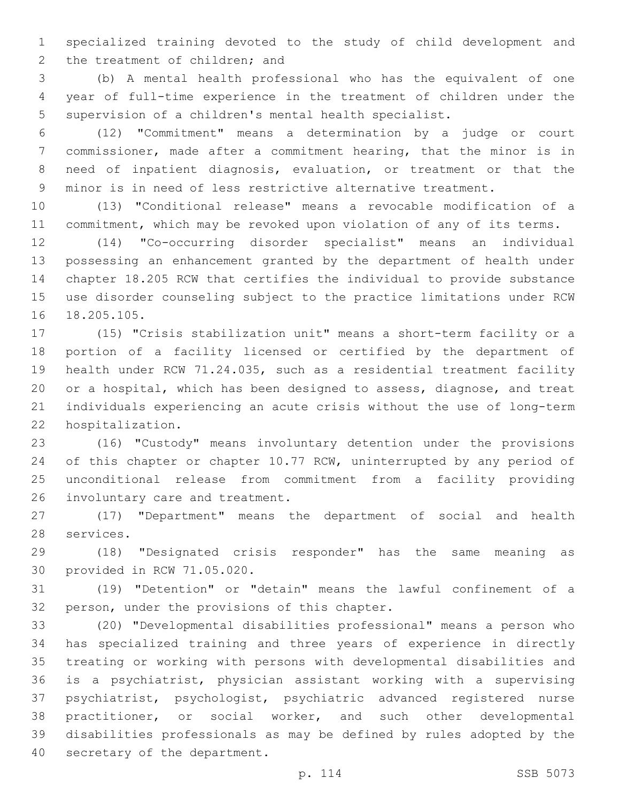specialized training devoted to the study of child development and 2 the treatment of children; and

 (b) A mental health professional who has the equivalent of one year of full-time experience in the treatment of children under the supervision of a children's mental health specialist.

 (12) "Commitment" means a determination by a judge or court commissioner, made after a commitment hearing, that the minor is in need of inpatient diagnosis, evaluation, or treatment or that the minor is in need of less restrictive alternative treatment.

 (13) "Conditional release" means a revocable modification of a commitment, which may be revoked upon violation of any of its terms.

 (14) "Co-occurring disorder specialist" means an individual possessing an enhancement granted by the department of health under chapter 18.205 RCW that certifies the individual to provide substance use disorder counseling subject to the practice limitations under RCW 16 18.205.105.

 (15) "Crisis stabilization unit" means a short-term facility or a portion of a facility licensed or certified by the department of health under RCW 71.24.035, such as a residential treatment facility or a hospital, which has been designed to assess, diagnose, and treat individuals experiencing an acute crisis without the use of long-term 22 hospitalization.

 (16) "Custody" means involuntary detention under the provisions 24 of this chapter or chapter 10.77 RCW, uninterrupted by any period of unconditional release from commitment from a facility providing 26 involuntary care and treatment.

 (17) "Department" means the department of social and health 28 services.

 (18) "Designated crisis responder" has the same meaning as 30 provided in RCW 71.05.020.

 (19) "Detention" or "detain" means the lawful confinement of a 32 person, under the provisions of this chapter.

 (20) "Developmental disabilities professional" means a person who has specialized training and three years of experience in directly treating or working with persons with developmental disabilities and is a psychiatrist, physician assistant working with a supervising psychiatrist, psychologist, psychiatric advanced registered nurse practitioner, or social worker, and such other developmental disabilities professionals as may be defined by rules adopted by the 40 secretary of the department.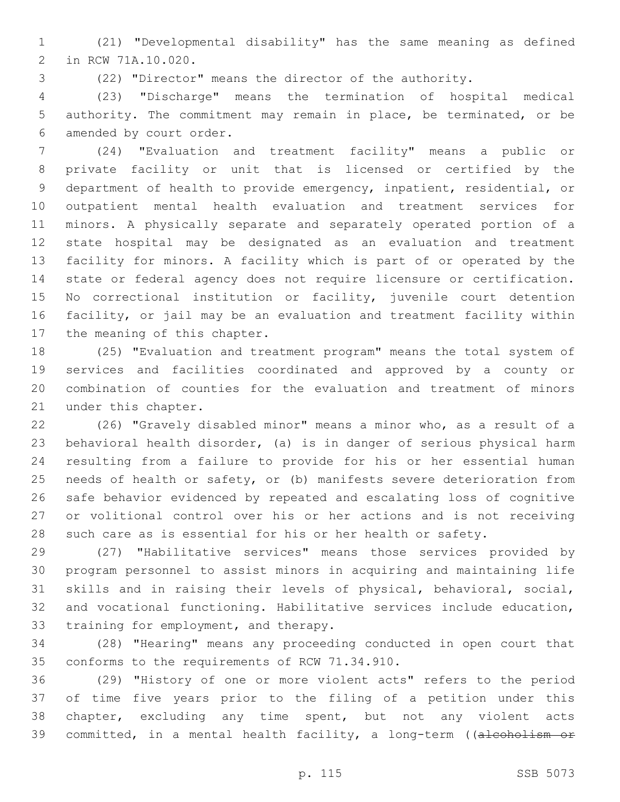(21) "Developmental disability" has the same meaning as defined 2 in RCW 71A.10.020.

(22) "Director" means the director of the authority.

 (23) "Discharge" means the termination of hospital medical authority. The commitment may remain in place, be terminated, or be 6 amended by court order.

 (24) "Evaluation and treatment facility" means a public or private facility or unit that is licensed or certified by the department of health to provide emergency, inpatient, residential, or outpatient mental health evaluation and treatment services for minors. A physically separate and separately operated portion of a state hospital may be designated as an evaluation and treatment facility for minors. A facility which is part of or operated by the state or federal agency does not require licensure or certification. No correctional institution or facility, juvenile court detention facility, or jail may be an evaluation and treatment facility within 17 the meaning of this chapter.

 (25) "Evaluation and treatment program" means the total system of services and facilities coordinated and approved by a county or combination of counties for the evaluation and treatment of minors 21 under this chapter.

 (26) "Gravely disabled minor" means a minor who, as a result of a behavioral health disorder, (a) is in danger of serious physical harm resulting from a failure to provide for his or her essential human needs of health or safety, or (b) manifests severe deterioration from safe behavior evidenced by repeated and escalating loss of cognitive or volitional control over his or her actions and is not receiving such care as is essential for his or her health or safety.

 (27) "Habilitative services" means those services provided by program personnel to assist minors in acquiring and maintaining life skills and in raising their levels of physical, behavioral, social, and vocational functioning. Habilitative services include education, 33 training for employment, and therapy.

 (28) "Hearing" means any proceeding conducted in open court that 35 conforms to the requirements of RCW 71.34.910.

 (29) "History of one or more violent acts" refers to the period of time five years prior to the filing of a petition under this chapter, excluding any time spent, but not any violent acts 39 committed, in a mental health facility, a long-term ((alcoholism or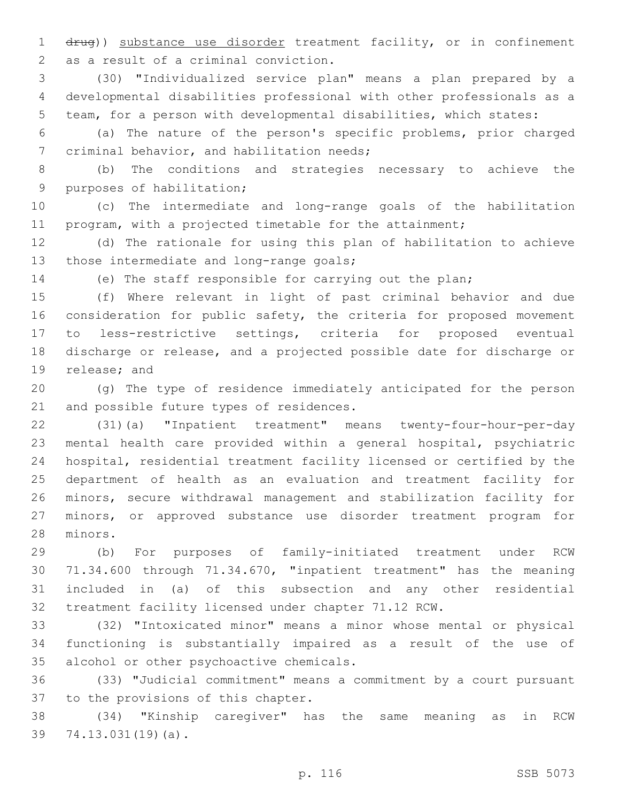drug)) substance use disorder treatment facility, or in confinement 2 as a result of a criminal conviction.

 (30) "Individualized service plan" means a plan prepared by a developmental disabilities professional with other professionals as a team, for a person with developmental disabilities, which states:

 (a) The nature of the person's specific problems, prior charged 7 criminal behavior, and habilitation needs;

 (b) The conditions and strategies necessary to achieve the 9 purposes of habilitation;

 (c) The intermediate and long-range goals of the habilitation program, with a projected timetable for the attainment;

 (d) The rationale for using this plan of habilitation to achieve 13 those intermediate and long-range goals;

(e) The staff responsible for carrying out the plan;

 (f) Where relevant in light of past criminal behavior and due 16 consideration for public safety, the criteria for proposed movement to less-restrictive settings, criteria for proposed eventual discharge or release, and a projected possible date for discharge or 19 release; and

 (g) The type of residence immediately anticipated for the person 21 and possible future types of residences.

 (31)(a) "Inpatient treatment" means twenty-four-hour-per-day mental health care provided within a general hospital, psychiatric hospital, residential treatment facility licensed or certified by the department of health as an evaluation and treatment facility for minors, secure withdrawal management and stabilization facility for minors, or approved substance use disorder treatment program for 28 minors.

 (b) For purposes of family-initiated treatment under RCW 71.34.600 through 71.34.670, "inpatient treatment" has the meaning included in (a) of this subsection and any other residential treatment facility licensed under chapter 71.12 RCW.

 (32) "Intoxicated minor" means a minor whose mental or physical functioning is substantially impaired as a result of the use of 35 alcohol or other psychoactive chemicals.

 (33) "Judicial commitment" means a commitment by a court pursuant 37 to the provisions of this chapter.

 (34) "Kinship caregiver" has the same meaning as in RCW 39 74.13.031(19)(a).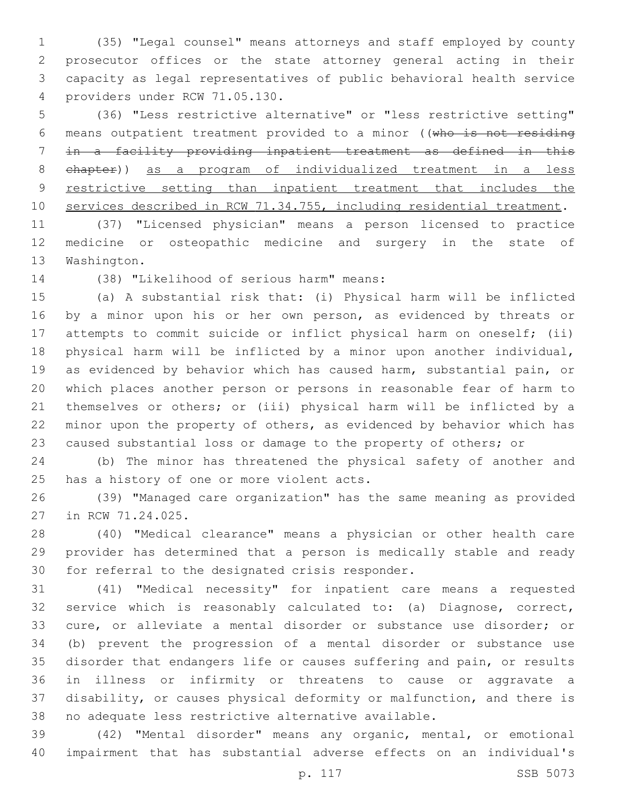(35) "Legal counsel" means attorneys and staff employed by county prosecutor offices or the state attorney general acting in their capacity as legal representatives of public behavioral health service providers under RCW 71.05.130.4

 (36) "Less restrictive alternative" or "less restrictive setting" means outpatient treatment provided to a minor ((who is not residing in a facility providing inpatient treatment as defined in this chapter)) as a program of individualized treatment in a less 9 restrictive setting than inpatient treatment that includes the services described in RCW 71.34.755, including residential treatment.

 (37) "Licensed physician" means a person licensed to practice medicine or osteopathic medicine and surgery in the state of 13 Washington.

14 (38) "Likelihood of serious harm" means:

 (a) A substantial risk that: (i) Physical harm will be inflicted 16 by a minor upon his or her own person, as evidenced by threats or attempts to commit suicide or inflict physical harm on oneself; (ii) physical harm will be inflicted by a minor upon another individual, as evidenced by behavior which has caused harm, substantial pain, or which places another person or persons in reasonable fear of harm to themselves or others; or (iii) physical harm will be inflicted by a minor upon the property of others, as evidenced by behavior which has caused substantial loss or damage to the property of others; or

 (b) The minor has threatened the physical safety of another and 25 has a history of one or more violent acts.

 (39) "Managed care organization" has the same meaning as provided 27 in RCW 71.24.025.

 (40) "Medical clearance" means a physician or other health care provider has determined that a person is medically stable and ready 30 for referral to the designated crisis responder.

 (41) "Medical necessity" for inpatient care means a requested service which is reasonably calculated to: (a) Diagnose, correct, cure, or alleviate a mental disorder or substance use disorder; or (b) prevent the progression of a mental disorder or substance use disorder that endangers life or causes suffering and pain, or results in illness or infirmity or threatens to cause or aggravate a disability, or causes physical deformity or malfunction, and there is no adequate less restrictive alternative available.

 (42) "Mental disorder" means any organic, mental, or emotional impairment that has substantial adverse effects on an individual's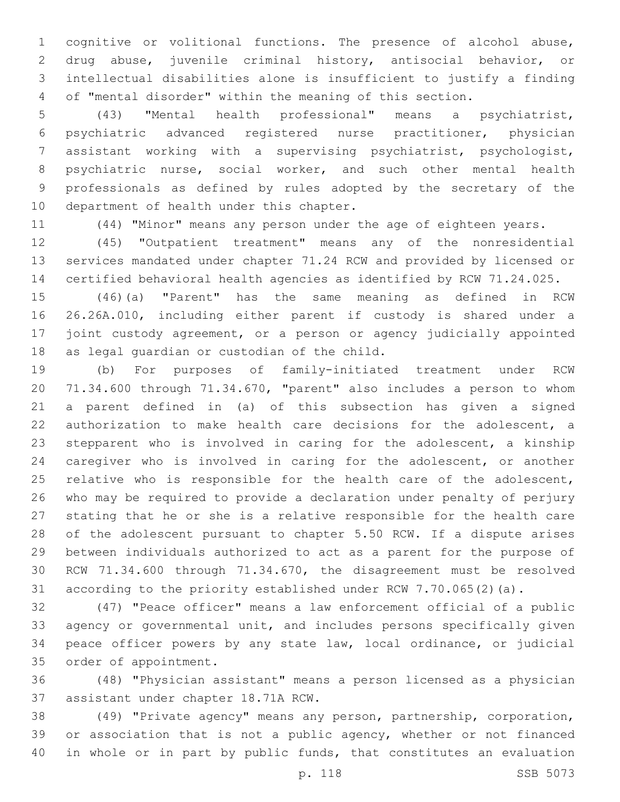cognitive or volitional functions. The presence of alcohol abuse, drug abuse, juvenile criminal history, antisocial behavior, or intellectual disabilities alone is insufficient to justify a finding of "mental disorder" within the meaning of this section.

 (43) "Mental health professional" means a psychiatrist, psychiatric advanced registered nurse practitioner, physician assistant working with a supervising psychiatrist, psychologist, psychiatric nurse, social worker, and such other mental health professionals as defined by rules adopted by the secretary of the 10 department of health under this chapter.

(44) "Minor" means any person under the age of eighteen years.

 (45) "Outpatient treatment" means any of the nonresidential services mandated under chapter 71.24 RCW and provided by licensed or certified behavioral health agencies as identified by RCW 71.24.025.

 (46)(a) "Parent" has the same meaning as defined in RCW 26.26A.010, including either parent if custody is shared under a joint custody agreement, or a person or agency judicially appointed 18 as legal guardian or custodian of the child.

 (b) For purposes of family-initiated treatment under RCW 71.34.600 through 71.34.670, "parent" also includes a person to whom a parent defined in (a) of this subsection has given a signed authorization to make health care decisions for the adolescent, a stepparent who is involved in caring for the adolescent, a kinship caregiver who is involved in caring for the adolescent, or another 25 relative who is responsible for the health care of the adolescent, who may be required to provide a declaration under penalty of perjury stating that he or she is a relative responsible for the health care of the adolescent pursuant to chapter 5.50 RCW. If a dispute arises between individuals authorized to act as a parent for the purpose of RCW 71.34.600 through 71.34.670, the disagreement must be resolved according to the priority established under RCW 7.70.065(2)(a).

 (47) "Peace officer" means a law enforcement official of a public agency or governmental unit, and includes persons specifically given peace officer powers by any state law, local ordinance, or judicial 35 order of appointment.

 (48) "Physician assistant" means a person licensed as a physician 37 assistant under chapter 18.71A RCW.

 (49) "Private agency" means any person, partnership, corporation, 39 or association that is not a public agency, whether or not financed in whole or in part by public funds, that constitutes an evaluation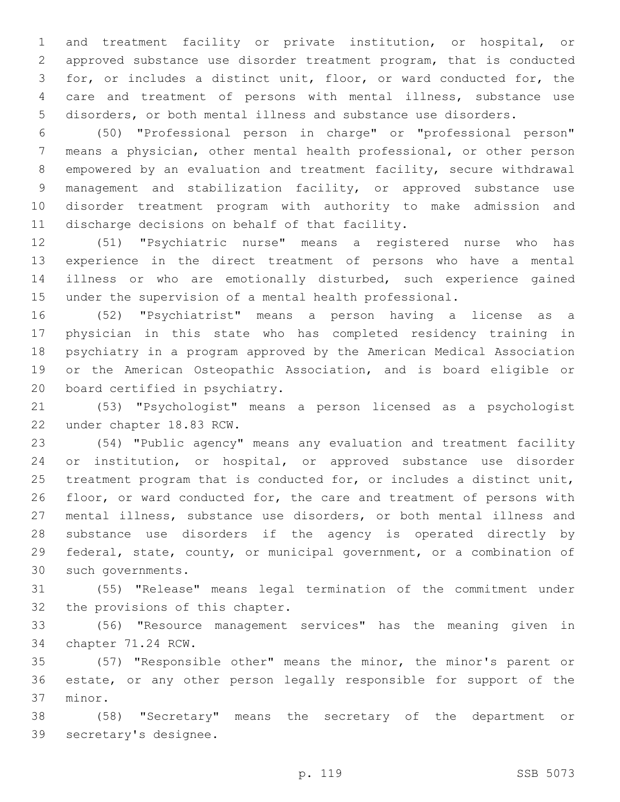and treatment facility or private institution, or hospital, or approved substance use disorder treatment program, that is conducted for, or includes a distinct unit, floor, or ward conducted for, the care and treatment of persons with mental illness, substance use disorders, or both mental illness and substance use disorders.

 (50) "Professional person in charge" or "professional person" means a physician, other mental health professional, or other person empowered by an evaluation and treatment facility, secure withdrawal management and stabilization facility, or approved substance use disorder treatment program with authority to make admission and 11 discharge decisions on behalf of that facility.

 (51) "Psychiatric nurse" means a registered nurse who has experience in the direct treatment of persons who have a mental illness or who are emotionally disturbed, such experience gained under the supervision of a mental health professional.

 (52) "Psychiatrist" means a person having a license as a physician in this state who has completed residency training in psychiatry in a program approved by the American Medical Association or the American Osteopathic Association, and is board eligible or 20 board certified in psychiatry.

 (53) "Psychologist" means a person licensed as a psychologist 22 under chapter 18.83 RCW.

 (54) "Public agency" means any evaluation and treatment facility or institution, or hospital, or approved substance use disorder treatment program that is conducted for, or includes a distinct unit, floor, or ward conducted for, the care and treatment of persons with mental illness, substance use disorders, or both mental illness and substance use disorders if the agency is operated directly by federal, state, county, or municipal government, or a combination of 30 such governments.

 (55) "Release" means legal termination of the commitment under 32 the provisions of this chapter.

 (56) "Resource management services" has the meaning given in 34 chapter 71.24 RCW.

 (57) "Responsible other" means the minor, the minor's parent or estate, or any other person legally responsible for support of the 37 minor.

 (58) "Secretary" means the secretary of the department or 39 secretary's designee.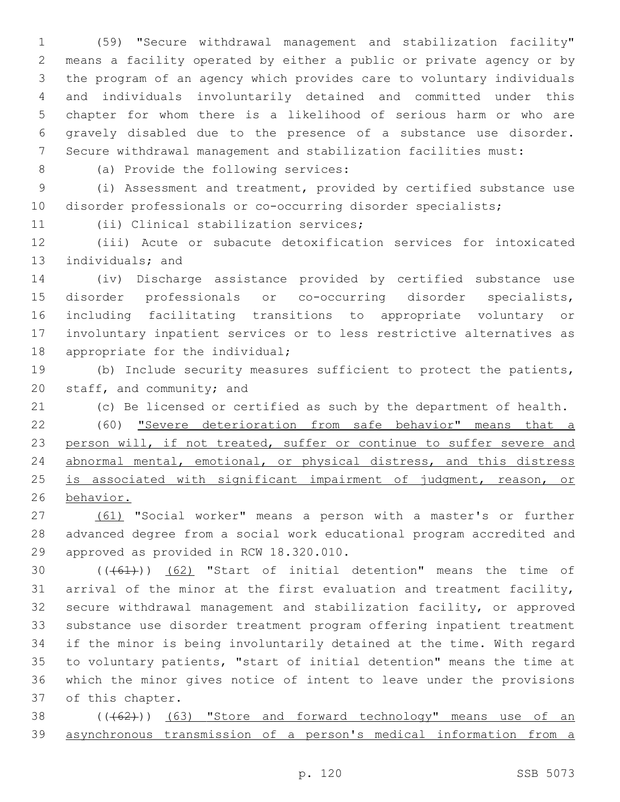(59) "Secure withdrawal management and stabilization facility" means a facility operated by either a public or private agency or by the program of an agency which provides care to voluntary individuals and individuals involuntarily detained and committed under this chapter for whom there is a likelihood of serious harm or who are gravely disabled due to the presence of a substance use disorder. Secure withdrawal management and stabilization facilities must:

8 (a) Provide the following services:

 (i) Assessment and treatment, provided by certified substance use disorder professionals or co-occurring disorder specialists;

11 (ii) Clinical stabilization services;

 (iii) Acute or subacute detoxification services for intoxicated 13 individuals; and

 (iv) Discharge assistance provided by certified substance use disorder professionals or co-occurring disorder specialists, including facilitating transitions to appropriate voluntary or involuntary inpatient services or to less restrictive alternatives as 18 appropriate for the individual;

 (b) Include security measures sufficient to protect the patients, 20 staff, and community; and

(c) Be licensed or certified as such by the department of health.

 (60) "Severe deterioration from safe behavior" means that a 23 person will, if not treated, suffer or continue to suffer severe and abnormal mental, emotional, or physical distress, and this distress 25 is associated with significant impairment of judgment, reason, or behavior.

 (61) "Social worker" means a person with a master's or further advanced degree from a social work educational program accredited and 29 approved as provided in RCW 18.320.010.

 $((+61))$   $(62)$  "Start of initial detention" means the time of arrival of the minor at the first evaluation and treatment facility, secure withdrawal management and stabilization facility, or approved substance use disorder treatment program offering inpatient treatment if the minor is being involuntarily detained at the time. With regard to voluntary patients, "start of initial detention" means the time at which the minor gives notice of intent to leave under the provisions 37 of this chapter.

38 (((62))) (63) "Store and forward technology" means use of an asynchronous transmission of a person's medical information from a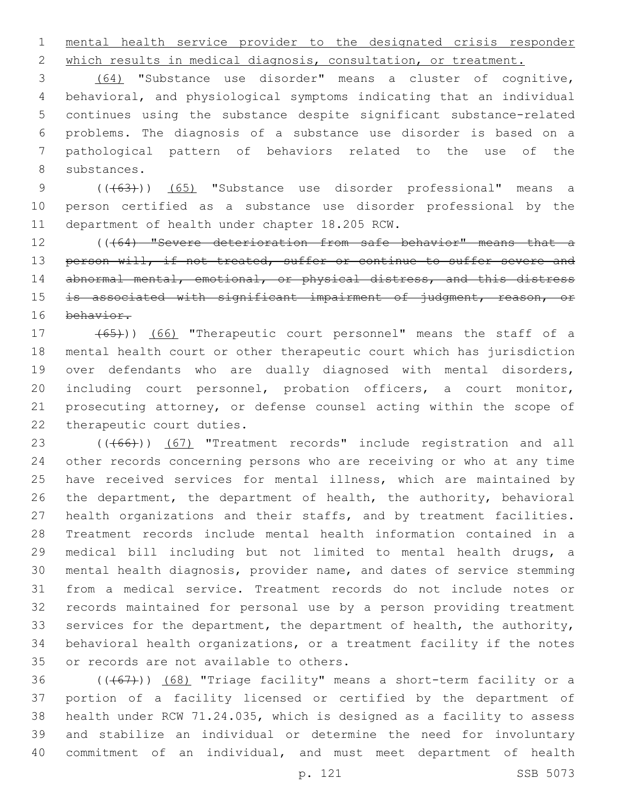mental health service provider to the designated crisis responder

which results in medical diagnosis, consultation, or treatment.

 (64) "Substance use disorder" means a cluster of cognitive, behavioral, and physiological symptoms indicating that an individual continues using the substance despite significant substance-related problems. The diagnosis of a substance use disorder is based on a pathological pattern of behaviors related to the use of the 8 substances.

9 (( $(63)$ )) (65) "Substance use disorder professional" means a person certified as a substance use disorder professional by the 11 department of health under chapter 18.205 RCW.

12 ((464) "Severe deterioration from safe behavior" means that a 13 person will, if not treated, suffer or continue to suffer severe and 14 abnormal mental, emotional, or physical distress, and this distress 15 is associated with significant impairment of judgment, reason, or behavior.

 (65))) (66) "Therapeutic court personnel" means the staff of a mental health court or other therapeutic court which has jurisdiction over defendants who are dually diagnosed with mental disorders, including court personnel, probation officers, a court monitor, prosecuting attorney, or defense counsel acting within the scope of 22 therapeutic court duties.

23 (((66))) (67) "Treatment records" include registration and all other records concerning persons who are receiving or who at any time have received services for mental illness, which are maintained by the department, the department of health, the authority, behavioral health organizations and their staffs, and by treatment facilities. Treatment records include mental health information contained in a medical bill including but not limited to mental health drugs, a mental health diagnosis, provider name, and dates of service stemming from a medical service. Treatment records do not include notes or records maintained for personal use by a person providing treatment 33 services for the department, the department of health, the authority, behavioral health organizations, or a treatment facility if the notes 35 or records are not available to others.

 $((+67))$   $(68)$  "Triage facility" means a short-term facility or a portion of a facility licensed or certified by the department of health under RCW 71.24.035, which is designed as a facility to assess and stabilize an individual or determine the need for involuntary commitment of an individual, and must meet department of health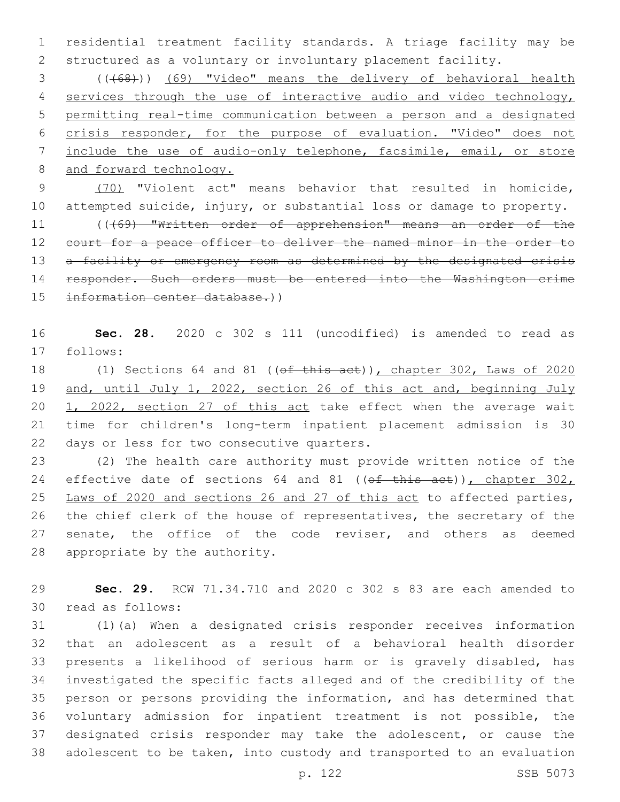residential treatment facility standards. A triage facility may be structured as a voluntary or involuntary placement facility.

 (((68))) (69) "Video" means the delivery of behavioral health 4 services through the use of interactive audio and video technology, permitting real-time communication between a person and a designated crisis responder, for the purpose of evaluation. "Video" does not include the use of audio-only telephone, facsimile, email, or store 8 and forward technology.

 (70) "Violent act" means behavior that resulted in homicide, attempted suicide, injury, or substantial loss or damage to property. 11 ((469) "Written order of apprehension" means an order of the 12 court for a peace officer to deliver the named minor in the order to 13 a facility or emergency room as determined by the designated crisis responder. Such orders must be entered into the Washington crime information center database.))

 **Sec. 28.** 2020 c 302 s 111 (uncodified) is amended to read as 17 follows:

18 (1) Sections 64 and 81 ((of this act)), chapter 302, Laws of 2020 and, until July 1, 2022, section 26 of this act and, beginning July 20 1, 2022, section 27 of this act take effect when the average wait time for children's long-term inpatient placement admission is 30 22 days or less for two consecutive quarters.

 (2) The health care authority must provide written notice of the 24 effective date of sections 64 and 81 ((of this act)), chapter 302, Laws of 2020 and sections 26 and 27 of this act to affected parties, the chief clerk of the house of representatives, the secretary of the 27 senate, the office of the code reviser, and others as deemed 28 appropriate by the authority.

 **Sec. 29.** RCW 71.34.710 and 2020 c 302 s 83 are each amended to read as follows:30

 (1)(a) When a designated crisis responder receives information that an adolescent as a result of a behavioral health disorder presents a likelihood of serious harm or is gravely disabled, has investigated the specific facts alleged and of the credibility of the person or persons providing the information, and has determined that voluntary admission for inpatient treatment is not possible, the designated crisis responder may take the adolescent, or cause the adolescent to be taken, into custody and transported to an evaluation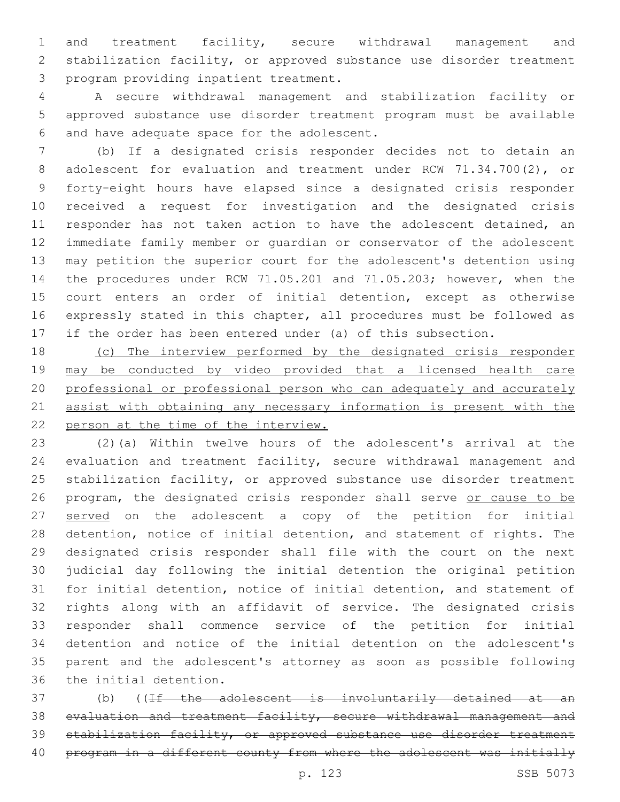and treatment facility, secure withdrawal management and stabilization facility, or approved substance use disorder treatment 3 program providing inpatient treatment.

 A secure withdrawal management and stabilization facility or approved substance use disorder treatment program must be available 6 and have adequate space for the adolescent.

 (b) If a designated crisis responder decides not to detain an adolescent for evaluation and treatment under RCW 71.34.700(2), or forty-eight hours have elapsed since a designated crisis responder received a request for investigation and the designated crisis 11 responder has not taken action to have the adolescent detained, an immediate family member or guardian or conservator of the adolescent may petition the superior court for the adolescent's detention using the procedures under RCW 71.05.201 and 71.05.203; however, when the court enters an order of initial detention, except as otherwise expressly stated in this chapter, all procedures must be followed as if the order has been entered under (a) of this subsection.

 (c) The interview performed by the designated crisis responder may be conducted by video provided that a licensed health care professional or professional person who can adequately and accurately 21 assist with obtaining any necessary information is present with the person at the time of the interview.

 (2)(a) Within twelve hours of the adolescent's arrival at the evaluation and treatment facility, secure withdrawal management and 25 stabilization facility, or approved substance use disorder treatment 26 program, the designated crisis responder shall serve or cause to be 27 served on the adolescent a copy of the petition for initial detention, notice of initial detention, and statement of rights. The designated crisis responder shall file with the court on the next judicial day following the initial detention the original petition for initial detention, notice of initial detention, and statement of rights along with an affidavit of service. The designated crisis responder shall commence service of the petition for initial detention and notice of the initial detention on the adolescent's parent and the adolescent's attorney as soon as possible following 36 the initial detention.

 (b) ((If the adolescent is involuntarily detained at an evaluation and treatment facility, secure withdrawal management and 39 stabilization facility, or approved substance use disorder treatment 40 program in a different county from where the adolescent was initially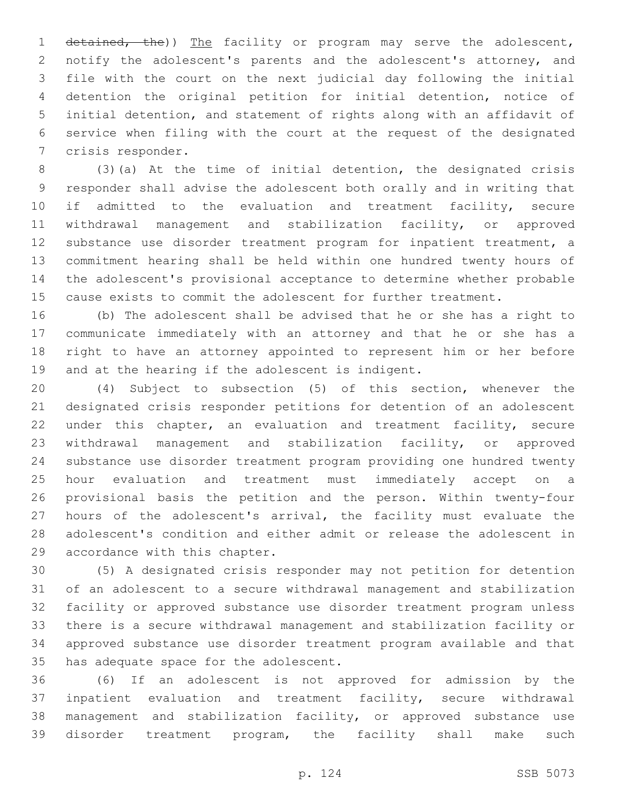1 detained, the)) The facility or program may serve the adolescent, notify the adolescent's parents and the adolescent's attorney, and file with the court on the next judicial day following the initial detention the original petition for initial detention, notice of initial detention, and statement of rights along with an affidavit of service when filing with the court at the request of the designated 7 crisis responder.

 (3)(a) At the time of initial detention, the designated crisis responder shall advise the adolescent both orally and in writing that if admitted to the evaluation and treatment facility, secure withdrawal management and stabilization facility, or approved substance use disorder treatment program for inpatient treatment, a commitment hearing shall be held within one hundred twenty hours of the adolescent's provisional acceptance to determine whether probable cause exists to commit the adolescent for further treatment.

 (b) The adolescent shall be advised that he or she has a right to communicate immediately with an attorney and that he or she has a right to have an attorney appointed to represent him or her before 19 and at the hearing if the adolescent is indigent.

 (4) Subject to subsection (5) of this section, whenever the designated crisis responder petitions for detention of an adolescent 22 under this chapter, an evaluation and treatment facility, secure withdrawal management and stabilization facility, or approved substance use disorder treatment program providing one hundred twenty hour evaluation and treatment must immediately accept on a provisional basis the petition and the person. Within twenty-four 27 hours of the adolescent's arrival, the facility must evaluate the adolescent's condition and either admit or release the adolescent in 29 accordance with this chapter.

 (5) A designated crisis responder may not petition for detention of an adolescent to a secure withdrawal management and stabilization facility or approved substance use disorder treatment program unless there is a secure withdrawal management and stabilization facility or approved substance use disorder treatment program available and that 35 has adequate space for the adolescent.

 (6) If an adolescent is not approved for admission by the inpatient evaluation and treatment facility, secure withdrawal management and stabilization facility, or approved substance use disorder treatment program, the facility shall make such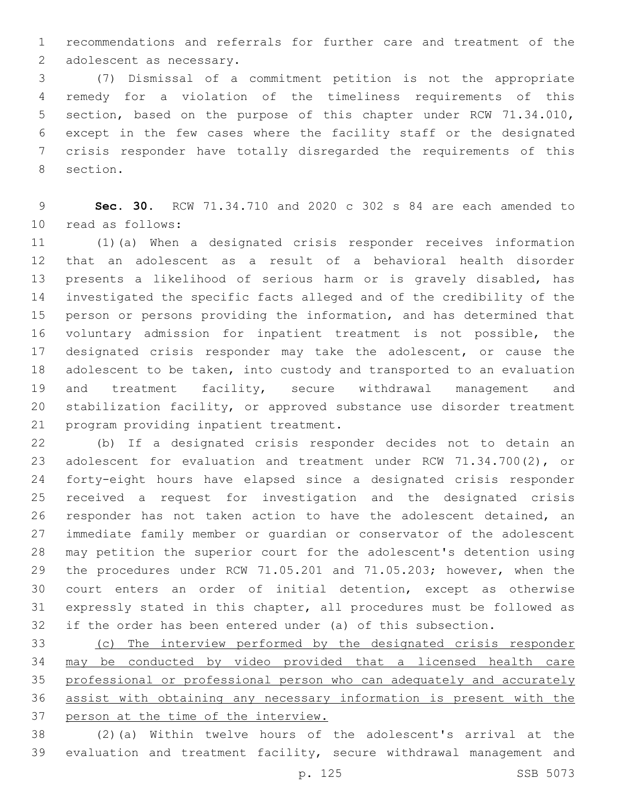recommendations and referrals for further care and treatment of the 2 adolescent as necessary.

 (7) Dismissal of a commitment petition is not the appropriate remedy for a violation of the timeliness requirements of this section, based on the purpose of this chapter under RCW 71.34.010, except in the few cases where the facility staff or the designated crisis responder have totally disregarded the requirements of this 8 section.

 **Sec. 30.** RCW 71.34.710 and 2020 c 302 s 84 are each amended to read as follows:10

 (1)(a) When a designated crisis responder receives information that an adolescent as a result of a behavioral health disorder presents a likelihood of serious harm or is gravely disabled, has investigated the specific facts alleged and of the credibility of the person or persons providing the information, and has determined that voluntary admission for inpatient treatment is not possible, the designated crisis responder may take the adolescent, or cause the adolescent to be taken, into custody and transported to an evaluation and treatment facility, secure withdrawal management and stabilization facility, or approved substance use disorder treatment 21 program providing inpatient treatment.

 (b) If a designated crisis responder decides not to detain an adolescent for evaluation and treatment under RCW 71.34.700(2), or forty-eight hours have elapsed since a designated crisis responder received a request for investigation and the designated crisis responder has not taken action to have the adolescent detained, an immediate family member or guardian or conservator of the adolescent may petition the superior court for the adolescent's detention using the procedures under RCW 71.05.201 and 71.05.203; however, when the court enters an order of initial detention, except as otherwise expressly stated in this chapter, all procedures must be followed as if the order has been entered under (a) of this subsection.

 (c) The interview performed by the designated crisis responder may be conducted by video provided that a licensed health care professional or professional person who can adequately and accurately assist with obtaining any necessary information is present with the person at the time of the interview.

 (2)(a) Within twelve hours of the adolescent's arrival at the evaluation and treatment facility, secure withdrawal management and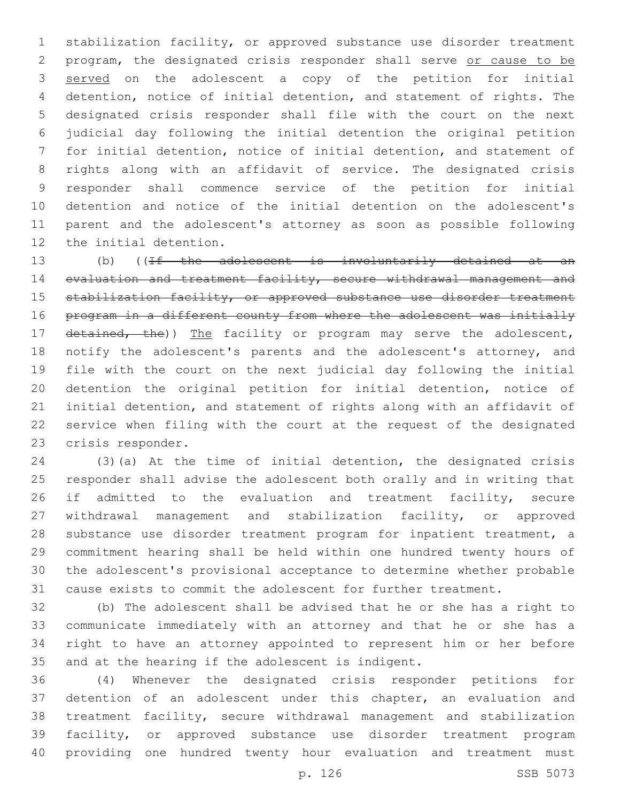stabilization facility, or approved substance use disorder treatment program, the designated crisis responder shall serve or cause to be 3 served on the adolescent a copy of the petition for initial detention, notice of initial detention, and statement of rights. The designated crisis responder shall file with the court on the next judicial day following the initial detention the original petition for initial detention, notice of initial detention, and statement of rights along with an affidavit of service. The designated crisis responder shall commence service of the petition for initial detention and notice of the initial detention on the adolescent's parent and the adolescent's attorney as soon as possible following 12 the initial detention.

13 (b) ((If the adolescent is involuntarily detained at an 14 evaluation and treatment facility, secure withdrawal management and 15 stabilization facility, or approved substance use disorder treatment program in a different county from where the adolescent was initially 17 detained, the)) The facility or program may serve the adolescent, notify the adolescent's parents and the adolescent's attorney, and file with the court on the next judicial day following the initial detention the original petition for initial detention, notice of initial detention, and statement of rights along with an affidavit of service when filing with the court at the request of the designated 23 crisis responder.

 (3)(a) At the time of initial detention, the designated crisis responder shall advise the adolescent both orally and in writing that 26 if admitted to the evaluation and treatment facility, secure withdrawal management and stabilization facility, or approved substance use disorder treatment program for inpatient treatment, a commitment hearing shall be held within one hundred twenty hours of the adolescent's provisional acceptance to determine whether probable cause exists to commit the adolescent for further treatment.

 (b) The adolescent shall be advised that he or she has a right to communicate immediately with an attorney and that he or she has a right to have an attorney appointed to represent him or her before 35 and at the hearing if the adolescent is indigent.

 (4) Whenever the designated crisis responder petitions for detention of an adolescent under this chapter, an evaluation and treatment facility, secure withdrawal management and stabilization facility, or approved substance use disorder treatment program providing one hundred twenty hour evaluation and treatment must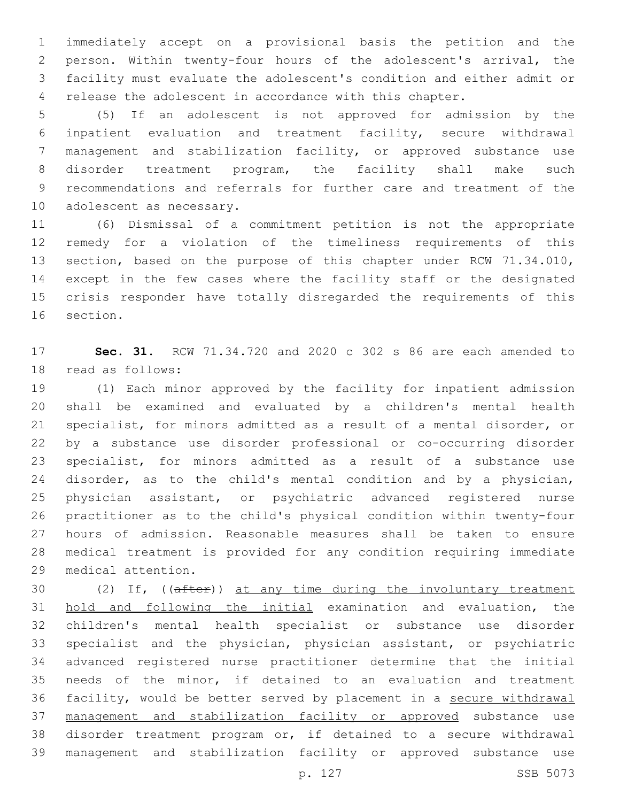immediately accept on a provisional basis the petition and the person. Within twenty-four hours of the adolescent's arrival, the facility must evaluate the adolescent's condition and either admit or release the adolescent in accordance with this chapter.

 (5) If an adolescent is not approved for admission by the inpatient evaluation and treatment facility, secure withdrawal management and stabilization facility, or approved substance use disorder treatment program, the facility shall make such recommendations and referrals for further care and treatment of the 10 adolescent as necessary.

 (6) Dismissal of a commitment petition is not the appropriate remedy for a violation of the timeliness requirements of this section, based on the purpose of this chapter under RCW 71.34.010, except in the few cases where the facility staff or the designated crisis responder have totally disregarded the requirements of this 16 section.

 **Sec. 31.** RCW 71.34.720 and 2020 c 302 s 86 are each amended to 18 read as follows:

 (1) Each minor approved by the facility for inpatient admission shall be examined and evaluated by a children's mental health specialist, for minors admitted as a result of a mental disorder, or by a substance use disorder professional or co-occurring disorder specialist, for minors admitted as a result of a substance use 24 disorder, as to the child's mental condition and by a physician, physician assistant, or psychiatric advanced registered nurse practitioner as to the child's physical condition within twenty-four hours of admission. Reasonable measures shall be taken to ensure medical treatment is provided for any condition requiring immediate 29 medical attention.

 (2) If, ((after)) at any time during the involuntary treatment hold and following the initial examination and evaluation, the children's mental health specialist or substance use disorder specialist and the physician, physician assistant, or psychiatric advanced registered nurse practitioner determine that the initial needs of the minor, if detained to an evaluation and treatment facility, would be better served by placement in a secure withdrawal management and stabilization facility or approved substance use disorder treatment program or, if detained to a secure withdrawal management and stabilization facility or approved substance use

p. 127 SSB 5073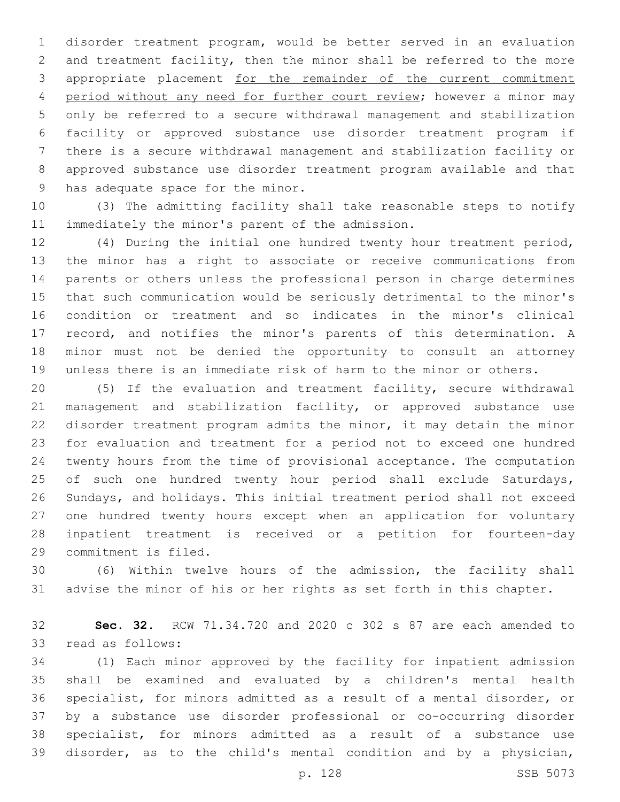disorder treatment program, would be better served in an evaluation and treatment facility, then the minor shall be referred to the more appropriate placement for the remainder of the current commitment period without any need for further court review; however a minor may only be referred to a secure withdrawal management and stabilization facility or approved substance use disorder treatment program if there is a secure withdrawal management and stabilization facility or approved substance use disorder treatment program available and that 9 has adequate space for the minor.

 (3) The admitting facility shall take reasonable steps to notify 11 immediately the minor's parent of the admission.

 (4) During the initial one hundred twenty hour treatment period, the minor has a right to associate or receive communications from parents or others unless the professional person in charge determines that such communication would be seriously detrimental to the minor's condition or treatment and so indicates in the minor's clinical record, and notifies the minor's parents of this determination. A minor must not be denied the opportunity to consult an attorney unless there is an immediate risk of harm to the minor or others.

 (5) If the evaluation and treatment facility, secure withdrawal 21 management and stabilization facility, or approved substance use disorder treatment program admits the minor, it may detain the minor for evaluation and treatment for a period not to exceed one hundred twenty hours from the time of provisional acceptance. The computation 25 of such one hundred twenty hour period shall exclude Saturdays, Sundays, and holidays. This initial treatment period shall not exceed one hundred twenty hours except when an application for voluntary inpatient treatment is received or a petition for fourteen-day 29 commitment is filed.

 (6) Within twelve hours of the admission, the facility shall advise the minor of his or her rights as set forth in this chapter.

 **Sec. 32.** RCW 71.34.720 and 2020 c 302 s 87 are each amended to 33 read as follows:

 (1) Each minor approved by the facility for inpatient admission shall be examined and evaluated by a children's mental health specialist, for minors admitted as a result of a mental disorder, or by a substance use disorder professional or co-occurring disorder specialist, for minors admitted as a result of a substance use disorder, as to the child's mental condition and by a physician,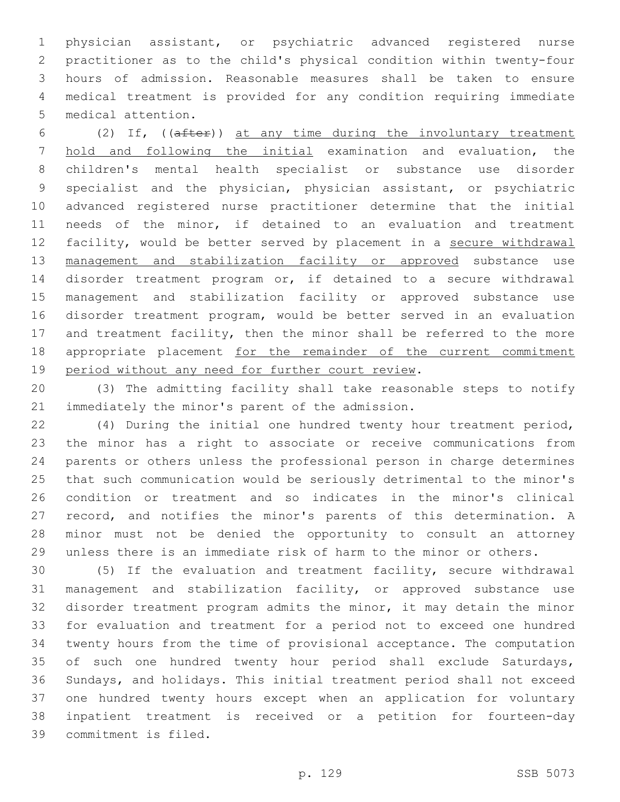physician assistant, or psychiatric advanced registered nurse practitioner as to the child's physical condition within twenty-four hours of admission. Reasonable measures shall be taken to ensure medical treatment is provided for any condition requiring immediate 5 medical attention.

 (2) If, ((after)) at any time during the involuntary treatment hold and following the initial examination and evaluation, the children's mental health specialist or substance use disorder specialist and the physician, physician assistant, or psychiatric advanced registered nurse practitioner determine that the initial needs of the minor, if detained to an evaluation and treatment facility, would be better served by placement in a secure withdrawal 13 management and stabilization facility or approved substance use disorder treatment program or, if detained to a secure withdrawal management and stabilization facility or approved substance use disorder treatment program, would be better served in an evaluation 17 and treatment facility, then the minor shall be referred to the more 18 appropriate placement for the remainder of the current commitment 19 period without any need for further court review.

 (3) The admitting facility shall take reasonable steps to notify 21 immediately the minor's parent of the admission.

 (4) During the initial one hundred twenty hour treatment period, the minor has a right to associate or receive communications from parents or others unless the professional person in charge determines that such communication would be seriously detrimental to the minor's condition or treatment and so indicates in the minor's clinical record, and notifies the minor's parents of this determination. A minor must not be denied the opportunity to consult an attorney unless there is an immediate risk of harm to the minor or others.

 (5) If the evaluation and treatment facility, secure withdrawal management and stabilization facility, or approved substance use disorder treatment program admits the minor, it may detain the minor for evaluation and treatment for a period not to exceed one hundred twenty hours from the time of provisional acceptance. The computation of such one hundred twenty hour period shall exclude Saturdays, Sundays, and holidays. This initial treatment period shall not exceed one hundred twenty hours except when an application for voluntary inpatient treatment is received or a petition for fourteen-day 39 commitment is filed.